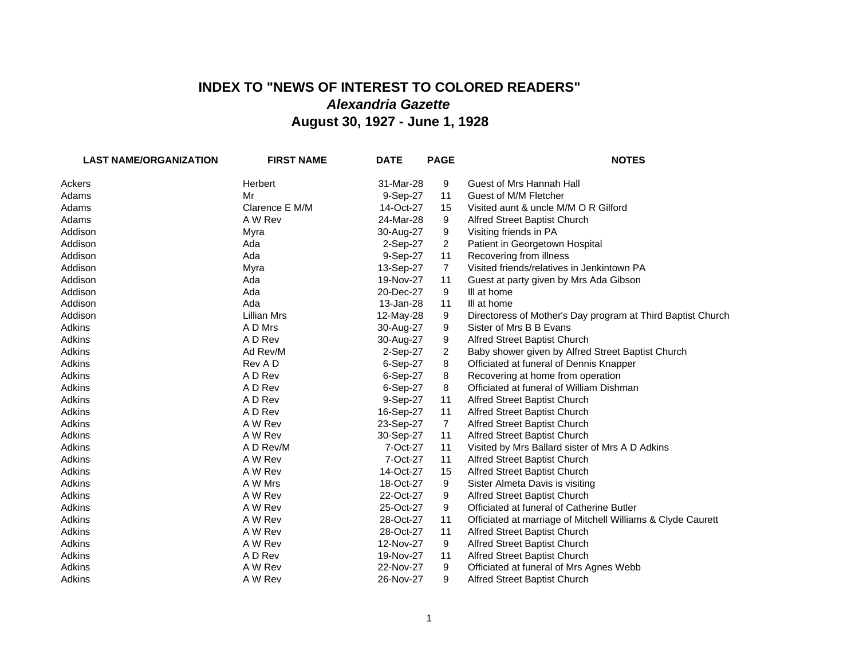## **INDEX TO "NEWS OF INTEREST TO COLORED READERS"** *Alexandria Gazette* **August 30, 1927 - June 1, 1928**

| <b>LAST NAME/ORGANIZATION</b> | <b>FIRST NAME</b>  | <b>DATE</b> | <b>PAGE</b>    | <b>NOTES</b>                                                |
|-------------------------------|--------------------|-------------|----------------|-------------------------------------------------------------|
| Ackers                        | <b>Herbert</b>     | 31-Mar-28   | 9              | Guest of Mrs Hannah Hall                                    |
| Adams                         | Mr                 | 9-Sep-27    | 11             | Guest of M/M Fletcher                                       |
| Adams                         | Clarence E M/M     | 14-Oct-27   | 15             | Visited aunt & uncle M/M O R Gilford                        |
| Adams                         | A W Rev            | 24-Mar-28   | 9              | Alfred Street Baptist Church                                |
| Addison                       | Myra               | 30-Aug-27   | 9              | Visiting friends in PA                                      |
| Addison                       | Ada                | 2-Sep-27    | $\overline{2}$ | Patient in Georgetown Hospital                              |
| Addison                       | Ada                | 9-Sep-27    | 11             | Recovering from illness                                     |
| Addison                       | Myra               | 13-Sep-27   | $\overline{7}$ | Visited friends/relatives in Jenkintown PA                  |
| Addison                       | Ada                | 19-Nov-27   | 11             | Guest at party given by Mrs Ada Gibson                      |
| Addison                       | Ada                | 20-Dec-27   | 9              | III at home                                                 |
| Addison                       | Ada                | 13-Jan-28   | 11             | III at home                                                 |
| Addison                       | <b>Lillian Mrs</b> | 12-May-28   | 9              | Directoress of Mother's Day program at Third Baptist Church |
| Adkins                        | A D Mrs            | 30-Aug-27   | 9              | Sister of Mrs B B Evans                                     |
| Adkins                        | A D Rev            | 30-Aug-27   | 9              | Alfred Street Baptist Church                                |
| Adkins                        | Ad Rev/M           | 2-Sep-27    | $\overline{2}$ | Baby shower given by Alfred Street Baptist Church           |
| Adkins                        | Rev A D            | 6-Sep-27    | 8              | Officiated at funeral of Dennis Knapper                     |
| Adkins                        | A D Rev            | 6-Sep-27    | 8              | Recovering at home from operation                           |
| Adkins                        | A D Rev            | 6-Sep-27    | 8              | Officiated at funeral of William Dishman                    |
| Adkins                        | A D Rev            | 9-Sep-27    | 11             | Alfred Street Baptist Church                                |
| Adkins                        | A D Rev            | 16-Sep-27   | 11             | Alfred Street Baptist Church                                |
| Adkins                        | A W Rev            | 23-Sep-27   | $\overline{7}$ | Alfred Street Baptist Church                                |
| Adkins                        | A W Rev            | 30-Sep-27   | 11             | Alfred Street Baptist Church                                |
| Adkins                        | A D Rev/M          | 7-Oct-27    | 11             | Visited by Mrs Ballard sister of Mrs A D Adkins             |
| Adkins                        | A W Rev            | 7-Oct-27    | 11             | Alfred Street Baptist Church                                |
| Adkins                        | A W Rev            | 14-Oct-27   | 15             | Alfred Street Baptist Church                                |
| Adkins                        | A W Mrs            | 18-Oct-27   | 9              | Sister Almeta Davis is visiting                             |
| Adkins                        | A W Rev            | 22-Oct-27   | 9              | Alfred Street Baptist Church                                |
| Adkins                        | A W Rev            | 25-Oct-27   | 9              | Officiated at funeral of Catherine Butler                   |
| Adkins                        | A W Rev            | 28-Oct-27   | 11             | Officiated at marriage of Mitchell Williams & Clyde Caurett |
| Adkins                        | A W Rev            | 28-Oct-27   | 11             | Alfred Street Baptist Church                                |
| Adkins                        | A W Rev            | 12-Nov-27   | 9              | Alfred Street Baptist Church                                |
| Adkins                        | A D Rev            | 19-Nov-27   | 11             | Alfred Street Baptist Church                                |
| Adkins                        | A W Rev            | 22-Nov-27   | 9              | Officiated at funeral of Mrs Agnes Webb                     |
| Adkins                        | A W Rev            | 26-Nov-27   | 9              | Alfred Street Baptist Church                                |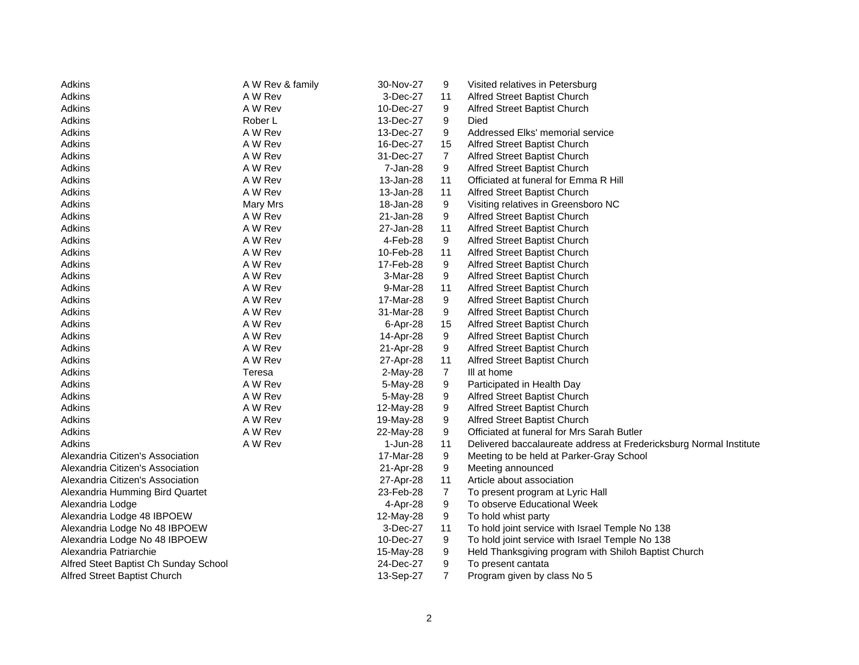| Adkins<br>A W Rev & family<br>30-Nov-27<br>Visited relatives in Petersburg<br>9                           |  |
|-----------------------------------------------------------------------------------------------------------|--|
| Adkins<br>A W Rev<br>3-Dec-27<br>Alfred Street Baptist Church<br>11                                       |  |
| A W Rev<br>Adkins<br>10-Dec-27<br>9<br>Alfred Street Baptist Church                                       |  |
| 9<br>Adkins<br>Rober L<br>13-Dec-27<br>Died                                                               |  |
| Adkins<br>A W Rev<br>9<br>Addressed Elks' memorial service<br>13-Dec-27                                   |  |
| Adkins<br>A W Rev<br>16-Dec-27<br>15<br>Alfred Street Baptist Church                                      |  |
| Adkins<br>A W Rev<br>$\overline{7}$<br>Alfred Street Baptist Church<br>31-Dec-27                          |  |
| 9<br>Alfred Street Baptist Church<br>Adkins<br>A W Rev<br>7-Jan-28                                        |  |
| Adkins<br>A W Rev<br>11<br>Officiated at funeral for Emma R Hill<br>13-Jan-28                             |  |
| 11<br>Adkins<br>A W Rev<br>13-Jan-28<br>Alfred Street Baptist Church                                      |  |
| Adkins<br>18-Jan-28<br>9<br>Visiting relatives in Greensboro NC<br>Mary Mrs                               |  |
| Adkins<br>Alfred Street Baptist Church<br>A W Rev<br>21-Jan-28<br>9                                       |  |
| 11<br>Alfred Street Baptist Church<br>Adkins<br>A W Rev<br>27-Jan-28                                      |  |
| Adkins<br>A W Rev<br>4-Feb-28<br>9<br>Alfred Street Baptist Church                                        |  |
| Adkins<br>A W Rev<br>10-Feb-28<br>11<br>Alfred Street Baptist Church                                      |  |
| Adkins<br>A W Rev<br>17-Feb-28<br>9<br>Alfred Street Baptist Church                                       |  |
| Adkins<br>A W Rev<br>3-Mar-28<br>9<br>Alfred Street Baptist Church                                        |  |
| Adkins<br>A W Rev<br>9-Mar-28<br>11<br>Alfred Street Baptist Church                                       |  |
| A W Rev<br>9<br>Alfred Street Baptist Church<br>Adkins<br>17-Mar-28                                       |  |
| 9<br>Adkins<br>A W Rev<br>31-Mar-28<br>Alfred Street Baptist Church                                       |  |
| Alfred Street Baptist Church<br>Adkins<br>A W Rev<br>6-Apr-28<br>15                                       |  |
| Adkins<br>A W Rev<br>9<br>Alfred Street Baptist Church<br>14-Apr-28                                       |  |
| A W Rev<br>9<br>Alfred Street Baptist Church<br>Adkins<br>21-Apr-28                                       |  |
| A W Rev<br>11<br>Adkins<br>27-Apr-28<br>Alfred Street Baptist Church                                      |  |
| $\overline{7}$<br>Adkins<br>Teresa<br>2-May-28<br>III at home                                             |  |
| A W Rev<br>9<br>Participated in Health Day<br>Adkins<br>5-May-28                                          |  |
| Adkins<br>A W Rev<br>9<br>Alfred Street Baptist Church<br>5-May-28                                        |  |
| 9<br>Adkins<br>A W Rev<br>12-May-28<br>Alfred Street Baptist Church                                       |  |
| Adkins<br>A W Rev<br>9<br>Alfred Street Baptist Church<br>19-May-28                                       |  |
| Adkins<br>A W Rev<br>9<br>Officiated at funeral for Mrs Sarah Butler<br>22-May-28                         |  |
| Adkins<br>A W Rev<br>11<br>Delivered baccalaureate address at Fredericksburg Normal Institute<br>1-Jun-28 |  |
| Alexandria Citizen's Association<br>17-Mar-28<br>9<br>Meeting to be held at Parker-Gray School            |  |
| 9<br>Alexandria Citizen's Association<br>21-Apr-28<br>Meeting announced                                   |  |
| Alexandria Citizen's Association<br>27-Apr-28<br>11<br>Article about association                          |  |
| 7<br>23-Feb-28<br>Alexandria Humming Bird Quartet<br>To present program at Lyric Hall                     |  |
| 9<br>Alexandria Lodge<br>4-Apr-28<br>To observe Educational Week                                          |  |
| 9<br>To hold whist party<br>Alexandria Lodge 48 IBPOEW<br>12-May-28                                       |  |
| To hold joint service with Israel Temple No 138<br>Alexandria Lodge No 48 IBPOEW<br>3-Dec-27<br>11        |  |
| To hold joint service with Israel Temple No 138<br>Alexandria Lodge No 48 IBPOEW<br>10-Dec-27<br>9        |  |
| Alexandria Patriarchie<br>9<br>Held Thanksgiving program with Shiloh Baptist Church<br>15-May-28          |  |
| 24-Dec-27<br>9<br>Alfred Steet Baptist Ch Sunday School<br>To present cantata                             |  |
| $\overline{7}$<br>Alfred Street Baptist Church<br>13-Sep-27<br>Program given by class No 5                |  |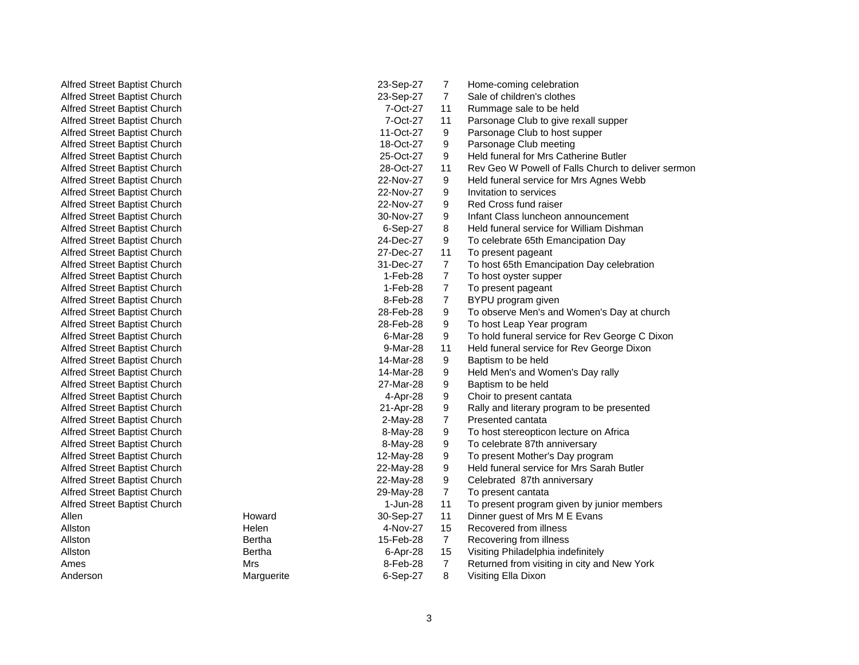AllenAllstonAllstonAllstonAmesAnderson

Alfred Street Baptist Church 23-Sep-27 7 Home-coming celebration Alfred Street Baptist Church 23-Sep-27 7 Sale of children's clothes Alfred Street Baptist Church 7-Oct-27 11 Rummage sale to be held Alfred Street Baptist Church 7-Oct-27 11 Parsonage Club to give rexall supper Alfred Street Baptist Church 11-Oct-27 9 Parsonage Club to host supper Alfred Street Baptist Church 18-Oct-27 9 Parsonage Club meeting Alfred Street Baptist Church 25-Oct-27 9 Held funeral for Mrs Catherine Butler Alfred Street Baptist Church 28-Oct-27 11 Rev Geo W Powell of Falls Church to deliver sermon Alfred Street Baptist Church 22-Nov-27 9 Held funeral service for Mrs Agnes Webb Alfred Street Baptist Church 22-Nov-27 9 Invitation to services Alfred Street Baptist Church 22-Nov-27 9 Red Cross fund raiser Alfred Street Baptist Church 30-Nov-27 9 Infant Class luncheon announcement Alfred Street Baptist Church 6-Sep-27 8 Held funeral service for William Dishman Alfred Street Baptist Church 24-Dec-27 9 To celebrate 65th Emancipation Day Alfred Street Baptist Church 27-Dec-27 11 To present pageant Alfred Street Baptist Church 31-Dec-27 7 To host 65th Emancipation Day celebration Alfred Street Baptist Church 1-Feb-28 7 To host oyster supper Alfred Street Baptist Church 1-Feb-28 7 To present pageant Alfred Street Baptist Church **8-Feb-28 7 BYPU program given** 8-Feb-28 7 BYPU program given Alfred Street Baptist Church 28-Feb-28 9 To observe Men's and Women's Day at church Alfred Street Baptist Church<br>Alfred Street Baptist Church 28-Feb-28 9 To bost Leap Year program Alfred Street Baptist Church 28-Feb-28 9 To host Leap Year program Alfred Street Baptist Church 6-Mar-28 9 To hold funeral service for Rev George C Dixon Alfred Street Baptist Church 9-Mar-28 11 Held funeral service for Rev George Dixon Alfred Street Baptist Church **14-Mar-28** 9 Baptism to be held<br>Alfred Street Baptist Church 14-Mar-28 9 Held Men's and Wo Alfred Street Baptist Church 14-Mar-28 9 Held Men's and Women's Day rally Alfred Street Baptist Church 27-Mar-28 9 Baptism to be held Alfred Street Baptist Church 4-Apr-28 9 Choir to present cantata Alfred Street Baptist Church 21-Apr-28 9 Rally and literary program to be presented Alfred Street Baptist Church 2-May-28 7 Presented cantata Alfred Street Baptist Church 8-May-28 9 To host stereopticon lecture on Africa Alfred Street Baptist Church **8-May-28 9** To celebrate 87th anniversary Alfred Street Baptist Church 12-May-28 9 To present Mother's Day program Alfred Street Baptist Church 22-May-28 9 Held funeral service for Mrs Sarah Butler Alfred Street Baptist Church 22-May-28 9 Celebrated 87th anniversary Alfred Street Baptist Church 29-May-28 7 To present cantata Alfred Street Baptist Church 1-Jun-28 11 To present program given by junior members Howard 30-Sep-27 11 Dinner guest of Mrs M E Evans Helen 4-Nov-27 15 Recovered from illness Bertha 15-Feb-28 7 Recovering from illness<br>Bertha 15 6-Apr-28 15 Visiting Philadelphia ind 6-Apr-28 15 Visiting Philadelphia indefinitely Mrs 8-Feb-28 7 Returned from visiting in city and New York Marguerite 6-Sep-27 8 Visiting Ella Dixon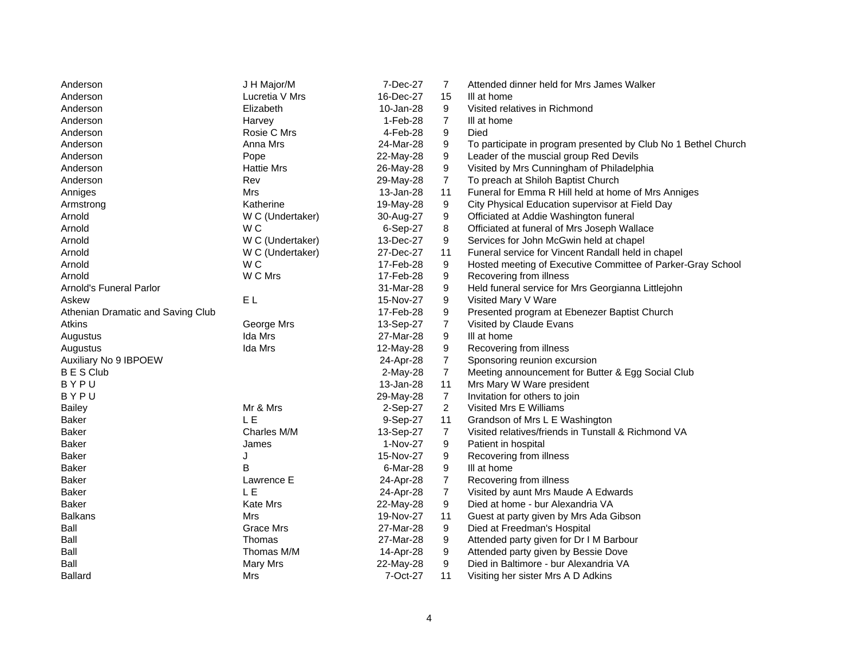| Anderson                          | J H Major/M       | 7-Dec-27   | 7                | Attended dinner held for Mrs James Walker                      |
|-----------------------------------|-------------------|------------|------------------|----------------------------------------------------------------|
| Anderson                          | Lucretia V Mrs    | 16-Dec-27  | 15               | III at home                                                    |
| Anderson                          | Elizabeth         | 10-Jan-28  | 9                | Visited relatives in Richmond                                  |
| Anderson                          | Harvey            | 1-Feb-28   | $\overline{7}$   | III at home                                                    |
| Anderson                          | Rosie C Mrs       | 4-Feb-28   | 9                | Died                                                           |
| Anderson                          | Anna Mrs          | 24-Mar-28  | 9                | To participate in program presented by Club No 1 Bethel Church |
| Anderson                          | Pope              | 22-May-28  | 9                | Leader of the muscial group Red Devils                         |
| Anderson                          | <b>Hattie Mrs</b> | 26-May-28  | 9                | Visited by Mrs Cunningham of Philadelphia                      |
| Anderson                          | Rev               | 29-May-28  | $\overline{7}$   | To preach at Shiloh Baptist Church                             |
| Anniges                           | Mrs               | 13-Jan-28  | 11               | Funeral for Emma R Hill held at home of Mrs Anniges            |
| Armstrong                         | Katherine         | 19-May-28  | 9                | City Physical Education supervisor at Field Day                |
| Arnold                            | W C (Undertaker)  | 30-Aug-27  | 9                | Officiated at Addie Washington funeral                         |
| Arnold                            | W <sub>C</sub>    | 6-Sep-27   | 8                | Officiated at funeral of Mrs Joseph Wallace                    |
| Arnold                            | W C (Undertaker)  | 13-Dec-27  | 9                | Services for John McGwin held at chapel                        |
| Arnold                            | W C (Undertaker)  | 27-Dec-27  | 11               | Funeral service for Vincent Randall held in chapel             |
| Arnold                            | W <sub>C</sub>    | 17-Feb-28  | 9                | Hosted meeting of Executive Committee of Parker-Gray School    |
| Arnold                            | W C Mrs           | 17-Feb-28  | 9                | Recovering from illness                                        |
| Arnold's Funeral Parlor           |                   | 31-Mar-28  | 9                | Held funeral service for Mrs Georgianna Littlejohn             |
| Askew                             | EL.               | 15-Nov-27  | 9                | Visited Mary V Ware                                            |
| Athenian Dramatic and Saving Club |                   | 17-Feb-28  | 9                | Presented program at Ebenezer Baptist Church                   |
| Atkins                            | George Mrs        | 13-Sep-27  | $\overline{7}$   | Visited by Claude Evans                                        |
| Augustus                          | Ida Mrs           | 27-Mar-28  | 9                | III at home                                                    |
| Augustus                          | Ida Mrs           | 12-May-28  | 9                | Recovering from illness                                        |
| Auxiliary No 9 IBPOEW             |                   | 24-Apr-28  | $\overline{7}$   | Sponsoring reunion excursion                                   |
| <b>BES Club</b>                   |                   | $2-May-28$ | $\overline{7}$   | Meeting announcement for Butter & Egg Social Club              |
| BYPU                              |                   | 13-Jan-28  | 11               | Mrs Mary W Ware president                                      |
| BYPU                              |                   | 29-May-28  | $\overline{7}$   | Invitation for others to join                                  |
| <b>Bailey</b>                     | Mr & Mrs          | 2-Sep-27   | $\overline{2}$   | Visited Mrs E Williams                                         |
| Baker                             | <b>LE</b>         | 9-Sep-27   | 11               | Grandson of Mrs L E Washington                                 |
| <b>Baker</b>                      | Charles M/M       | 13-Sep-27  | $\overline{7}$   | Visited relatives/friends in Tunstall & Richmond VA            |
| Baker                             | James             | 1-Nov-27   | 9                | Patient in hospital                                            |
| Baker                             | J                 | 15-Nov-27  | 9                | Recovering from illness                                        |
| Baker                             | B                 | 6-Mar-28   | 9                | III at home                                                    |
| Baker                             | Lawrence E        | 24-Apr-28  | $\boldsymbol{7}$ | Recovering from illness                                        |
| Baker                             | L E               | 24-Apr-28  | $\overline{7}$   | Visited by aunt Mrs Maude A Edwards                            |
| Baker                             | Kate Mrs          | 22-May-28  | 9                | Died at home - bur Alexandria VA                               |
| <b>Balkans</b>                    | Mrs               | 19-Nov-27  | 11               | Guest at party given by Mrs Ada Gibson                         |
| Ball                              | Grace Mrs         | 27-Mar-28  | 9                | Died at Freedman's Hospital                                    |
| Ball                              | Thomas            | 27-Mar-28  | 9                | Attended party given for Dr I M Barbour                        |
| Ball                              | Thomas M/M        | 14-Apr-28  | 9                | Attended party given by Bessie Dove                            |
| Ball                              | <b>Mary Mrs</b>   | 22-May-28  | 9                | Died in Baltimore - bur Alexandria VA                          |
| <b>Ballard</b>                    | Mrs               | 7-Oct-27   | 11               | Visiting her sister Mrs A D Adkins                             |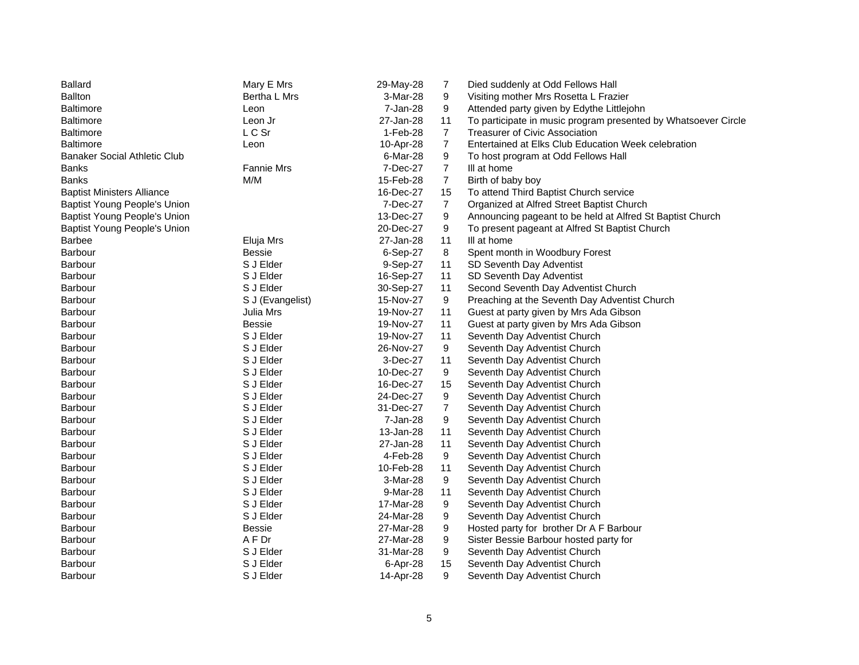| <b>Ballard</b>                      | Mary E Mrs        | 29-May-28 | 7              | Died suddenly at Odd Fellows Hall                              |
|-------------------------------------|-------------------|-----------|----------------|----------------------------------------------------------------|
| <b>Ballton</b>                      | Bertha L Mrs      | 3-Mar-28  | 9              | Visiting mother Mrs Rosetta L Frazier                          |
| Baltimore                           | Leon              | 7-Jan-28  | 9              | Attended party given by Edythe Littlejohn                      |
| <b>Baltimore</b>                    | Leon Jr           | 27-Jan-28 | 11             | To participate in music program presented by Whatsoever Circle |
| <b>Baltimore</b>                    | L C Sr            | 1-Feb-28  | $\overline{7}$ | Treasurer of Civic Association                                 |
| Baltimore                           | Leon              | 10-Apr-28 | $\overline{7}$ | Entertained at Elks Club Education Week celebration            |
| <b>Banaker Social Athletic Club</b> |                   | 6-Mar-28  | 9              | To host program at Odd Fellows Hall                            |
| Banks                               | <b>Fannie Mrs</b> | 7-Dec-27  | $\overline{7}$ | III at home                                                    |
| <b>Banks</b>                        | M/M               | 15-Feb-28 | $\overline{7}$ | Birth of baby boy                                              |
| <b>Baptist Ministers Alliance</b>   |                   | 16-Dec-27 | 15             | To attend Third Baptist Church service                         |
| Baptist Young People's Union        |                   | 7-Dec-27  | $\overline{7}$ | Organized at Alfred Street Baptist Church                      |
| Baptist Young People's Union        |                   | 13-Dec-27 | 9              | Announcing pageant to be held at Alfred St Baptist Church      |
| <b>Baptist Young People's Union</b> |                   | 20-Dec-27 | 9              | To present pageant at Alfred St Baptist Church                 |
| <b>Barbee</b>                       | Eluja Mrs         | 27-Jan-28 | 11             | III at home                                                    |
| Barbour                             | <b>Bessie</b>     | 6-Sep-27  | 8              | Spent month in Woodbury Forest                                 |
| Barbour                             | S J Elder         | 9-Sep-27  | 11             | SD Seventh Day Adventist                                       |
| Barbour                             | S J Elder         | 16-Sep-27 | 11             | SD Seventh Day Adventist                                       |
| Barbour                             | S J Elder         | 30-Sep-27 | 11             | Second Seventh Day Adventist Church                            |
| Barbour                             | S J (Evangelist)  | 15-Nov-27 | 9              | Preaching at the Seventh Day Adventist Church                  |
| Barbour                             | Julia Mrs         | 19-Nov-27 | 11             | Guest at party given by Mrs Ada Gibson                         |
| <b>Barbour</b>                      | <b>Bessie</b>     | 19-Nov-27 | 11             | Guest at party given by Mrs Ada Gibson                         |
| Barbour                             | S J Elder         | 19-Nov-27 | 11             | Seventh Day Adventist Church                                   |
| <b>Barbour</b>                      | S J Elder         | 26-Nov-27 | 9              | Seventh Day Adventist Church                                   |
| <b>Barbour</b>                      | S J Elder         | 3-Dec-27  | 11             | Seventh Day Adventist Church                                   |
| <b>Barbour</b>                      | S J Elder         | 10-Dec-27 | 9              | Seventh Day Adventist Church                                   |
| Barbour                             | S J Elder         | 16-Dec-27 | 15             | Seventh Day Adventist Church                                   |
| Barbour                             | S J Elder         | 24-Dec-27 | 9              | Seventh Day Adventist Church                                   |
| Barbour                             | S J Elder         | 31-Dec-27 | $\overline{7}$ | Seventh Day Adventist Church                                   |
| Barbour                             | S J Elder         | 7-Jan-28  | 9              | Seventh Day Adventist Church                                   |
| Barbour                             | S J Elder         | 13-Jan-28 | 11             | Seventh Day Adventist Church                                   |
| Barbour                             | S J Elder         | 27-Jan-28 | 11             | Seventh Day Adventist Church                                   |
| Barbour                             | S J Elder         | 4-Feb-28  | 9              | Seventh Day Adventist Church                                   |
| Barbour                             | S J Elder         | 10-Feb-28 | 11             | Seventh Day Adventist Church                                   |
| Barbour                             | S J Elder         | 3-Mar-28  | 9              | Seventh Day Adventist Church                                   |
| <b>Barbour</b>                      | S J Elder         | 9-Mar-28  | 11             | Seventh Day Adventist Church                                   |
| <b>Barbour</b>                      | S J Elder         | 17-Mar-28 | 9              | Seventh Day Adventist Church                                   |
| Barbour                             | S J Elder         | 24-Mar-28 | 9              | Seventh Day Adventist Church                                   |
| Barbour                             | <b>Bessie</b>     | 27-Mar-28 | 9              | Hosted party for brother Dr A F Barbour                        |
| <b>Barbour</b>                      | A F Dr            | 27-Mar-28 | 9              | Sister Bessie Barbour hosted party for                         |
| <b>Barbour</b>                      | S J Elder         | 31-Mar-28 | 9              | Seventh Day Adventist Church                                   |
| Barbour                             | S J Elder         | 6-Apr-28  | 15             | Seventh Day Adventist Church                                   |
| Barbour                             | S J Elder         | 14-Apr-28 | 9              | Seventh Day Adventist Church                                   |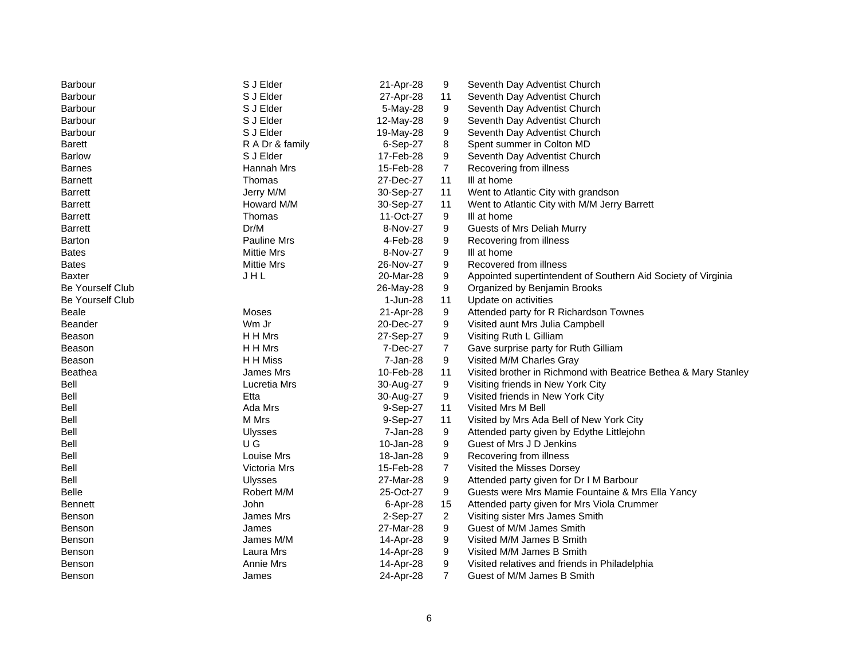| <b>Barbour</b>   | S J Elder          | 21-Apr-28 | 9              | Seventh Day Adventist Church                                    |
|------------------|--------------------|-----------|----------------|-----------------------------------------------------------------|
| <b>Barbour</b>   | S J Elder          | 27-Apr-28 | 11             | Seventh Day Adventist Church                                    |
| <b>Barbour</b>   | S J Elder          | 5-May-28  | 9              | Seventh Day Adventist Church                                    |
| <b>Barbour</b>   | S J Elder          | 12-May-28 | 9              | Seventh Day Adventist Church                                    |
| Barbour          | S J Elder          | 19-May-28 | 9              | Seventh Day Adventist Church                                    |
| <b>Barett</b>    | R A Dr & family    | 6-Sep-27  | 8              | Spent summer in Colton MD                                       |
| <b>Barlow</b>    | S J Elder          | 17-Feb-28 | 9              | Seventh Day Adventist Church                                    |
| <b>Barnes</b>    | Hannah Mrs         | 15-Feb-28 | $\overline{7}$ | Recovering from illness                                         |
| <b>Barnett</b>   | Thomas             | 27-Dec-27 | 11             | III at home                                                     |
| <b>Barrett</b>   | Jerry M/M          | 30-Sep-27 | 11             | Went to Atlantic City with grandson                             |
| <b>Barrett</b>   | Howard M/M         | 30-Sep-27 | 11             | Went to Atlantic City with M/M Jerry Barrett                    |
| <b>Barrett</b>   | Thomas             | 11-Oct-27 | 9              | III at home                                                     |
| <b>Barrett</b>   | Dr/M               | 8-Nov-27  | 9              | Guests of Mrs Deliah Murry                                      |
| Barton           | <b>Pauline Mrs</b> | 4-Feb-28  | 9              | Recovering from illness                                         |
| <b>Bates</b>     | <b>Mittie Mrs</b>  | 8-Nov-27  | 9              | III at home                                                     |
| <b>Bates</b>     | <b>Mittie Mrs</b>  | 26-Nov-27 | 9              | Recovered from illness                                          |
| <b>Baxter</b>    | JHL                | 20-Mar-28 | 9              | Appointed supertintendent of Southern Aid Society of Virginia   |
| Be Yourself Club |                    | 26-May-28 | 9              | Organized by Benjamin Brooks                                    |
| Be Yourself Club |                    | 1-Jun-28  | 11             | Update on activities                                            |
| <b>Beale</b>     | Moses              | 21-Apr-28 | 9              | Attended party for R Richardson Townes                          |
| <b>Beander</b>   | Wm Jr              | 20-Dec-27 | 9              | Visited aunt Mrs Julia Campbell                                 |
| Beason           | H H Mrs            | 27-Sep-27 | 9              | Visiting Ruth L Gilliam                                         |
| <b>Beason</b>    | H H Mrs            | 7-Dec-27  | $\overline{7}$ | Gave surprise party for Ruth Gilliam                            |
| Beason           | H H Miss           | 7-Jan-28  | 9              | Visited M/M Charles Gray                                        |
| <b>Beathea</b>   | James Mrs          | 10-Feb-28 | 11             | Visited brother in Richmond with Beatrice Bethea & Mary Stanley |
| Bell             | Lucretia Mrs       | 30-Aug-27 | 9              | Visiting friends in New York City                               |
| Bell             | Etta               | 30-Aug-27 | 9              | Visited friends in New York City                                |
| Bell             | Ada Mrs            | 9-Sep-27  | 11             | Visited Mrs M Bell                                              |
| Bell             | M Mrs              | 9-Sep-27  | 11             | Visited by Mrs Ada Bell of New York City                        |
| Bell             | <b>Ulysses</b>     | 7-Jan-28  | 9              | Attended party given by Edythe Littlejohn                       |
| Bell             | U G                | 10-Jan-28 | 9              | Guest of Mrs J D Jenkins                                        |
| Bell             | Louise Mrs         | 18-Jan-28 | 9              | Recovering from illness                                         |
| <b>Bell</b>      | Victoria Mrs       | 15-Feb-28 | 7              | Visited the Misses Dorsey                                       |
| Bell             | <b>Ulysses</b>     | 27-Mar-28 | 9              | Attended party given for Dr I M Barbour                         |
| <b>Belle</b>     | Robert M/M         | 25-Oct-27 | 9              | Guests were Mrs Mamie Fountaine & Mrs Ella Yancy                |
| <b>Bennett</b>   | John               | 6-Apr-28  | 15             | Attended party given for Mrs Viola Crummer                      |
| Benson           | James Mrs          | 2-Sep-27  | $\overline{2}$ | Visiting sister Mrs James Smith                                 |
| Benson           | James              | 27-Mar-28 | 9              | Guest of M/M James Smith                                        |
| Benson           | James M/M          | 14-Apr-28 | 9              | Visited M/M James B Smith                                       |
| Benson           | Laura Mrs          | 14-Apr-28 | 9              | Visited M/M James B Smith                                       |
| <b>Benson</b>    | Annie Mrs          | 14-Apr-28 | 9              | Visited relatives and friends in Philadelphia                   |
| Benson           | James              | 24-Apr-28 | $\overline{7}$ | Guest of M/M James B Smith                                      |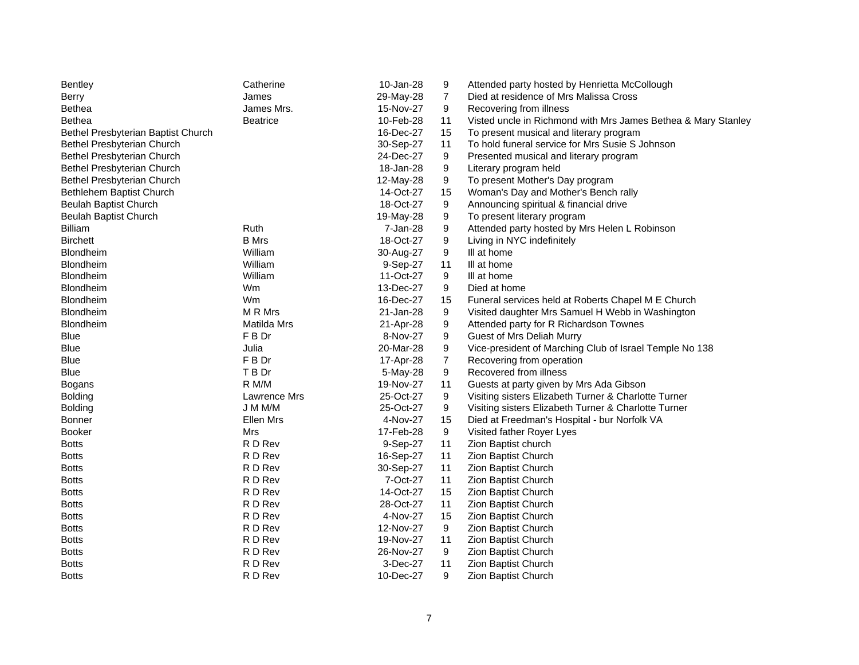| 10-Jan-28<br><b>Bentley</b><br>Catherine<br>9<br>Attended party hosted by Henrietta McCollough                       |  |
|----------------------------------------------------------------------------------------------------------------------|--|
| 29-May-28<br>7<br><b>Berry</b><br>James<br>Died at residence of Mrs Malissa Cross                                    |  |
| Bethea<br>James Mrs.<br>15-Nov-27<br>9<br>Recovering from illness                                                    |  |
| 11<br>Visted uncle in Richmond with Mrs James Bethea & Mary Stanley<br><b>Bethea</b><br><b>Beatrice</b><br>10-Feb-28 |  |
| 16-Dec-27<br>15<br>To present musical and literary program<br>Bethel Presbyterian Baptist Church                     |  |
| Bethel Presbyterian Church<br>30-Sep-27<br>11<br>To hold funeral service for Mrs Susie S Johnson                     |  |
| 9<br>Bethel Presbyterian Church<br>24-Dec-27<br>Presented musical and literary program                               |  |
| 9<br>Bethel Presbyterian Church<br>18-Jan-28<br>Literary program held                                                |  |
| Bethel Presbyterian Church<br>9<br>To present Mother's Day program<br>12-May-28                                      |  |
| Bethlehem Baptist Church<br>14-Oct-27<br>15<br>Woman's Day and Mother's Bench rally                                  |  |
| 18-Oct-27<br>9<br>Beulah Baptist Church<br>Announcing spiritual & financial drive                                    |  |
| <b>Beulah Baptist Church</b><br>9<br>To present literary program<br>19-May-28                                        |  |
| Ruth<br>9<br><b>Billiam</b><br>7-Jan-28<br>Attended party hosted by Mrs Helen L Robinson                             |  |
| <b>B</b> Mrs<br>18-Oct-27<br>9<br><b>Birchett</b><br>Living in NYC indefinitely                                      |  |
| 9<br>Blondheim<br>William<br>30-Aug-27<br>III at home                                                                |  |
| William<br>III at home<br>Blondheim<br>9-Sep-27<br>11                                                                |  |
| 11-Oct-27<br>9<br>Blondheim<br>William<br>III at home                                                                |  |
| Blondheim<br>Wm<br>13-Dec-27<br>9<br>Died at home                                                                    |  |
| <b>Blondheim</b><br>Wm<br>16-Dec-27<br>15<br>Funeral services held at Roberts Chapel M E Church                      |  |
| M R Mrs<br><b>Blondheim</b><br>21-Jan-28<br>9<br>Visited daughter Mrs Samuel H Webb in Washington                    |  |
| Blondheim<br>Matilda Mrs<br>9<br>Attended party for R Richardson Townes<br>21-Apr-28                                 |  |
| F B Dr<br>9<br>Blue<br>8-Nov-27<br>Guest of Mrs Deliah Murry                                                         |  |
| 9<br><b>Blue</b><br>Julia<br>20-Mar-28<br>Vice-president of Marching Club of Israel Temple No 138                    |  |
| F B Dr<br>$\overline{7}$<br>Blue<br>17-Apr-28<br>Recovering from operation                                           |  |
| T B Dr<br>Blue<br>9<br>Recovered from illness<br>5-May-28                                                            |  |
| R M/M<br>11<br>19-Nov-27<br>Guests at party given by Mrs Ada Gibson<br><b>Bogans</b>                                 |  |
| 9<br><b>Bolding</b><br>Lawrence Mrs<br>25-Oct-27<br>Visiting sisters Elizabeth Turner & Charlotte Turner             |  |
| J M M/M<br>9<br><b>Bolding</b><br>25-Oct-27<br>Visiting sisters Elizabeth Turner & Charlotte Turner                  |  |
| Ellen Mrs<br>4-Nov-27<br>15<br>Died at Freedman's Hospital - bur Norfolk VA<br>Bonner                                |  |
| 17-Feb-28<br>9<br><b>Booker</b><br>Mrs<br>Visited father Royer Lyes                                                  |  |
| R D Rev<br>9-Sep-27<br>11<br>Zion Baptist church<br>Botts                                                            |  |
| <b>Botts</b><br>R D Rev<br>16-Sep-27<br>11<br>Zion Baptist Church                                                    |  |
| R D Rev<br>30-Sep-27<br>11<br>Zion Baptist Church<br>Botts                                                           |  |
| 11<br>R D Rev<br>7-Oct-27<br>Zion Baptist Church<br><b>Botts</b>                                                     |  |
| R D Rev<br>14-Oct-27<br>15<br>Zion Baptist Church<br><b>Botts</b>                                                    |  |
| R D Rev<br>28-Oct-27<br>11<br>Botts<br>Zion Baptist Church                                                           |  |
| R D Rev<br>4-Nov-27<br>15<br>Zion Baptist Church<br>Botts                                                            |  |
| R D Rev<br>9<br>Zion Baptist Church<br><b>Botts</b><br>12-Nov-27                                                     |  |
| R D Rev<br>11<br>Zion Baptist Church<br><b>Botts</b><br>19-Nov-27                                                    |  |
| 9<br>R D Rev<br>26-Nov-27<br>Zion Baptist Church<br><b>Botts</b>                                                     |  |
| R D Rev<br>3-Dec-27<br>11<br><b>Botts</b><br>Zion Baptist Church                                                     |  |
| R D Rev<br>9<br><b>Botts</b><br>10-Dec-27<br>Zion Baptist Church                                                     |  |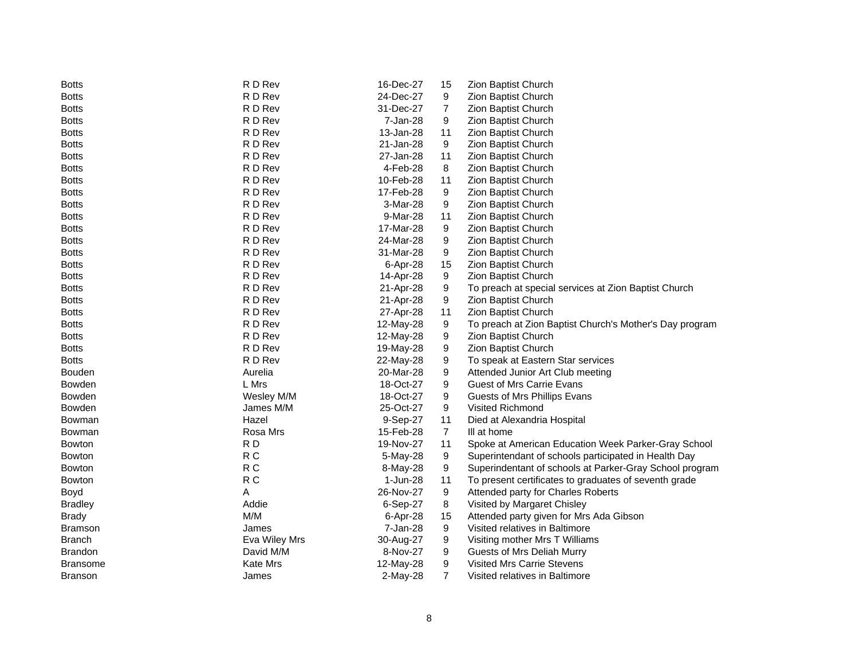| R D Rev<br>24-Dec-27<br><b>Botts</b><br>9<br>Zion Baptist Church<br>R D Rev<br>31-Dec-27<br>$\overline{7}$<br>Zion Baptist Church<br><b>Botts</b><br>R D Rev<br>7-Jan-28<br>9<br>Zion Baptist Church<br><b>Botts</b> |  |
|----------------------------------------------------------------------------------------------------------------------------------------------------------------------------------------------------------------------|--|
|                                                                                                                                                                                                                      |  |
|                                                                                                                                                                                                                      |  |
|                                                                                                                                                                                                                      |  |
| R D Rev<br>13-Jan-28<br>11<br>Zion Baptist Church<br><b>Botts</b>                                                                                                                                                    |  |
| R D Rev<br>9<br><b>Botts</b><br>21-Jan-28<br>Zion Baptist Church                                                                                                                                                     |  |
| R D Rev<br>27-Jan-28<br>Zion Baptist Church<br><b>Botts</b><br>11                                                                                                                                                    |  |
| R D Rev<br>4-Feb-28<br>Zion Baptist Church<br><b>Botts</b><br>8                                                                                                                                                      |  |
| R D Rev<br>10-Feb-28<br>11<br>Zion Baptist Church<br><b>Botts</b>                                                                                                                                                    |  |
| R D Rev<br>9<br>17-Feb-28<br>Zion Baptist Church<br><b>Botts</b>                                                                                                                                                     |  |
| R D Rev<br>9<br>3-Mar-28<br>Zion Baptist Church<br><b>Botts</b>                                                                                                                                                      |  |
| R D Rev<br>Zion Baptist Church<br>9-Mar-28<br>11<br><b>Botts</b>                                                                                                                                                     |  |
| R D Rev<br>Zion Baptist Church<br><b>Botts</b><br>17-Mar-28<br>9                                                                                                                                                     |  |
| R D Rev<br>24-Mar-28<br>9<br>Zion Baptist Church<br><b>Botts</b>                                                                                                                                                     |  |
| R D Rev<br>9<br>31-Mar-28<br>Zion Baptist Church<br><b>Botts</b>                                                                                                                                                     |  |
| R D Rev<br>Zion Baptist Church<br>6-Apr-28<br>15<br><b>Botts</b>                                                                                                                                                     |  |
| R D Rev<br><b>Botts</b><br>14-Apr-28<br>9<br>Zion Baptist Church                                                                                                                                                     |  |
| R D Rev<br>9<br><b>Botts</b><br>21-Apr-28<br>To preach at special services at Zion Baptist Church                                                                                                                    |  |
| R D Rev<br>21-Apr-28<br>9<br>Zion Baptist Church<br><b>Botts</b>                                                                                                                                                     |  |
| R D Rev<br>27-Apr-28<br>11<br>Zion Baptist Church<br><b>Botts</b>                                                                                                                                                    |  |
| R D Rev<br><b>Botts</b><br>12-May-28<br>9<br>To preach at Zion Baptist Church's Mother's Day program                                                                                                                 |  |
| R D Rev<br>9<br><b>Botts</b><br>Zion Baptist Church<br>12-May-28                                                                                                                                                     |  |
| R D Rev<br>9<br>Zion Baptist Church<br><b>Botts</b><br>19-May-28                                                                                                                                                     |  |
| 9<br>R D Rev<br>To speak at Eastern Star services<br><b>Botts</b><br>22-May-28                                                                                                                                       |  |
| <b>Bouden</b><br>Aurelia<br>20-Mar-28<br>9<br>Attended Junior Art Club meeting                                                                                                                                       |  |
| 9<br><b>Bowden</b><br>L Mrs<br>18-Oct-27<br>Guest of Mrs Carrie Evans                                                                                                                                                |  |
| 9<br><b>Bowden</b><br>Wesley M/M<br>18-Oct-27<br>Guests of Mrs Phillips Evans                                                                                                                                        |  |
| Visited Richmond<br>James M/M<br>25-Oct-27<br>9<br><b>Bowden</b>                                                                                                                                                     |  |
| Hazel<br>Bowman<br>9-Sep-27<br>11<br>Died at Alexandria Hospital                                                                                                                                                     |  |
| $\overline{7}$<br>Rosa Mrs<br>15-Feb-28<br>III at home<br>Bowman                                                                                                                                                     |  |
| RD<br>11<br>Spoke at American Education Week Parker-Gray School<br>19-Nov-27<br><b>Bowton</b>                                                                                                                        |  |
| R <sub>C</sub><br>Superintendant of schools participated in Health Day<br><b>Bowton</b><br>5-May-28<br>9                                                                                                             |  |
| R <sub>C</sub><br>9<br>Superindentant of schools at Parker-Gray School program<br><b>Bowton</b><br>8-May-28                                                                                                          |  |
| R <sub>C</sub><br>1-Jun-28<br>11<br>To present certificates to graduates of seventh grade<br><b>Bowton</b>                                                                                                           |  |
| A<br>26-Nov-27<br>9<br>Attended party for Charles Roberts<br>Boyd                                                                                                                                                    |  |
| Addie<br>8<br>6-Sep-27<br>Visited by Margaret Chisley<br><b>Bradley</b>                                                                                                                                              |  |
| M/M<br><b>Brady</b><br>6-Apr-28<br>15<br>Attended party given for Mrs Ada Gibson                                                                                                                                     |  |
| 7-Jan-28<br>9<br>Visited relatives in Baltimore<br><b>Bramson</b><br>James                                                                                                                                           |  |
| 9<br><b>Branch</b><br>Eva Wiley Mrs<br>30-Aug-27<br>Visiting mother Mrs T Williams                                                                                                                                   |  |
| <b>Brandon</b><br>David M/M<br>8-Nov-27<br>9<br>Guests of Mrs Deliah Murry                                                                                                                                           |  |
| 9<br><b>Visited Mrs Carrie Stevens</b><br><b>Kate Mrs</b><br>12-May-28<br><b>Bransome</b>                                                                                                                            |  |
| $\overline{7}$<br>Visited relatives in Baltimore<br><b>Branson</b><br>James<br>2-May-28                                                                                                                              |  |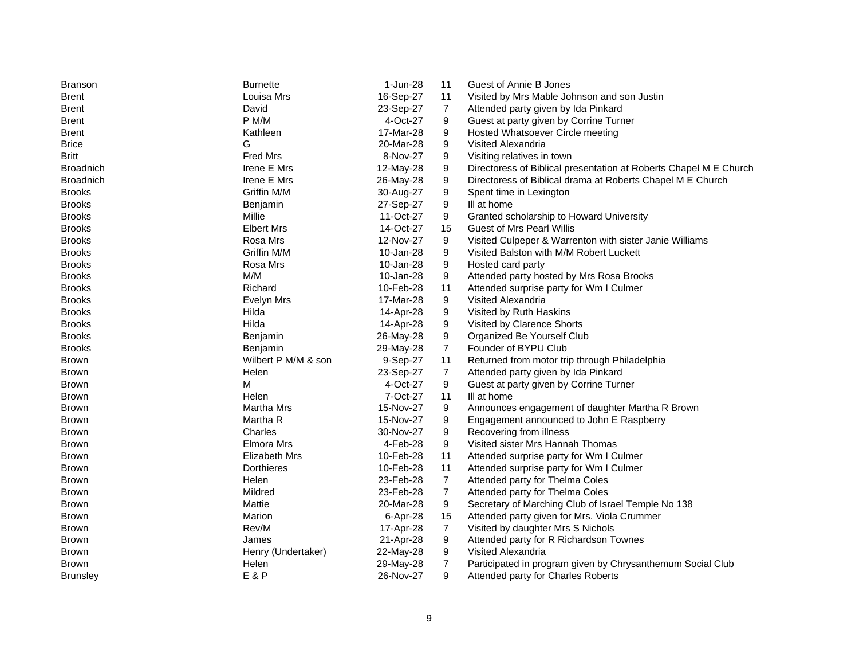| <b>Branson</b><br><b>Burnette</b>   | 1-Jun-28<br>11                           | Guest of Annie B Jones                                            |
|-------------------------------------|------------------------------------------|-------------------------------------------------------------------|
| Louisa Mrs<br><b>Brent</b>          | 16-Sep-27<br>11                          | Visited by Mrs Mable Johnson and son Justin                       |
| David<br><b>Brent</b>               | 23-Sep-27<br>$\overline{7}$              | Attended party given by Ida Pinkard                               |
| P M/M<br><b>Brent</b>               | 4-Oct-27<br>9                            | Guest at party given by Corrine Turner                            |
| Kathleen<br><b>Brent</b>            | 17-Mar-28<br>9                           | Hosted Whatsoever Circle meeting                                  |
| G<br><b>Brice</b>                   | 9<br>20-Mar-28                           | Visited Alexandria                                                |
| <b>Britt</b><br><b>Fred Mrs</b>     | 8-Nov-27<br>9                            | Visiting relatives in town                                        |
| Irene E Mrs<br><b>Broadnich</b>     | 12-May-28<br>9                           | Directoress of Biblical presentation at Roberts Chapel M E Church |
| <b>Broadnich</b><br>Irene E Mrs     | 9<br>26-May-28                           | Directoress of Biblical drama at Roberts Chapel M E Church        |
| <b>Brooks</b><br>Griffin M/M        | 9<br>30-Aug-27                           | Spent time in Lexington                                           |
| <b>Brooks</b><br>Benjamin           | 27-Sep-27<br>9                           | III at home                                                       |
| Millie<br><b>Brooks</b>             | 11-Oct-27<br>9                           | Granted scholarship to Howard University                          |
| <b>Brooks</b><br><b>Elbert Mrs</b>  | 14-Oct-27<br>15                          | <b>Guest of Mrs Pearl Willis</b>                                  |
| <b>Brooks</b><br>Rosa Mrs           | 12-Nov-27<br>9                           | Visited Culpeper & Warrenton with sister Janie Williams           |
| Griffin M/M<br><b>Brooks</b>        | 10-Jan-28<br>9                           | Visited Balston with M/M Robert Luckett                           |
| Rosa Mrs<br><b>Brooks</b>           | 9<br>10-Jan-28                           | Hosted card party                                                 |
| M/M<br><b>Brooks</b>                | 9<br>10-Jan-28                           | Attended party hosted by Mrs Rosa Brooks                          |
| <b>Brooks</b><br>Richard            | 11<br>10-Feb-28                          | Attended surprise party for Wm I Culmer                           |
| <b>Brooks</b><br>Evelyn Mrs         | 17-Mar-28<br>9                           | Visited Alexandria                                                |
| Hilda<br><b>Brooks</b>              | 14-Apr-28<br>9                           | Visited by Ruth Haskins                                           |
| Hilda<br><b>Brooks</b>              | 9<br>14-Apr-28                           | Visited by Clarence Shorts                                        |
| <b>Brooks</b><br>Benjamin           | 9<br>26-May-28                           | Organized Be Yourself Club                                        |
| <b>Brooks</b><br>Benjamin           | $\overline{7}$<br>29-May-28              | Founder of BYPU Club                                              |
| Wilbert P M/M & son<br><b>Brown</b> | 9-Sep-27<br>11                           | Returned from motor trip through Philadelphia                     |
| <b>Brown</b><br>Helen               | 23-Sep-27<br>$\overline{7}$              | Attended party given by Ida Pinkard                               |
| M<br><b>Brown</b>                   | 4-Oct-27<br>9                            | Guest at party given by Corrine Turner                            |
| Helen<br><b>Brown</b>               | 7-Oct-27<br>11                           | III at home                                                       |
| <b>Martha Mrs</b><br><b>Brown</b>   | 15-Nov-27<br>9                           | Announces engagement of daughter Martha R Brown                   |
| Martha R<br><b>Brown</b>            | 9<br>15-Nov-27                           | Engagement announced to John E Raspberry                          |
| Charles<br><b>Brown</b>             | 9<br>30-Nov-27                           | Recovering from illness                                           |
| Elmora Mrs<br><b>Brown</b>          | 4-Feb-28<br>9                            | Visited sister Mrs Hannah Thomas                                  |
| Elizabeth Mrs<br><b>Brown</b>       | 10-Feb-28<br>11                          | Attended surprise party for Wm I Culmer                           |
| <b>Dorthieres</b><br><b>Brown</b>   | 11<br>10-Feb-28                          | Attended surprise party for Wm I Culmer                           |
| Helen<br><b>Brown</b>               | $\overline{7}$<br>23-Feb-28              | Attended party for Thelma Coles                                   |
| Mildred<br><b>Brown</b>             | $\overline{7}$<br>23-Feb-28              | Attended party for Thelma Coles                                   |
| Mattie<br><b>Brown</b>              | 20-Mar-28<br>9                           | Secretary of Marching Club of Israel Temple No 138                |
| Marion<br><b>Brown</b>              | 6-Apr-28<br>15                           | Attended party given for Mrs. Viola Crummer                       |
| Rev/M<br><b>Brown</b>               | $\overline{7}$<br>17-Apr-28              | Visited by daughter Mrs S Nichols                                 |
| James<br><b>Brown</b>               | 9<br>21-Apr-28                           | Attended party for R Richardson Townes                            |
| <b>Brown</b><br>Henry (Undertaker)  |                                          |                                                                   |
|                                     | 22-May-28<br>9                           | Visited Alexandria                                                |
| Helen<br><b>Brown</b>               | $\overline{7}$<br>29-May-28<br>26-Nov-27 | Participated in program given by Chrysanthemum Social Club        |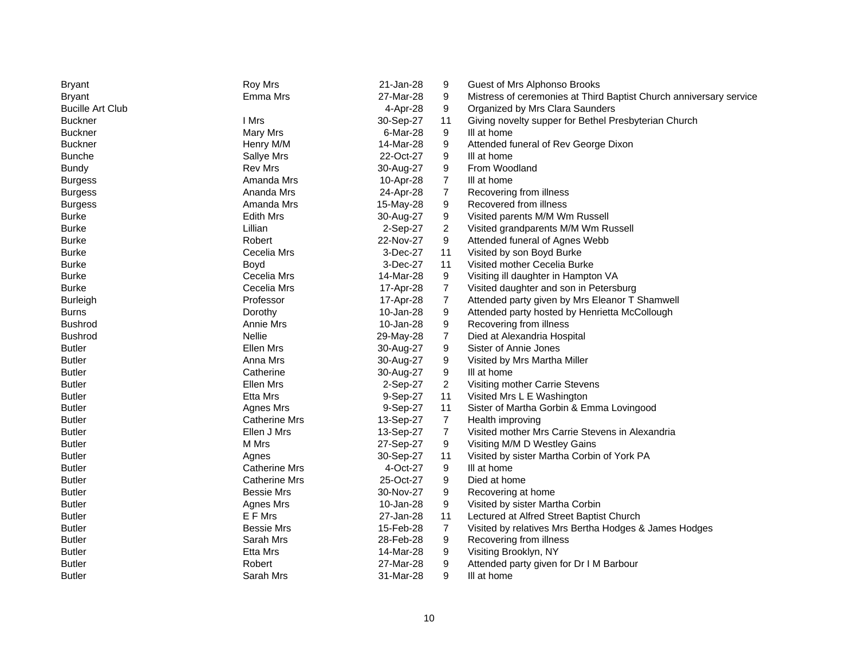| <b>Bryant</b>           | <b>Roy Mrs</b>       | 21-Jan-28 | 9              | Guest of Mrs Alphonso Brooks                                       |
|-------------------------|----------------------|-----------|----------------|--------------------------------------------------------------------|
| <b>Bryant</b>           | Emma Mrs             | 27-Mar-28 | 9              | Mistress of ceremonies at Third Baptist Church anniversary service |
| <b>Bucille Art Club</b> |                      | 4-Apr-28  | 9              | Organized by Mrs Clara Saunders                                    |
| <b>Buckner</b>          | I Mrs                | 30-Sep-27 | 11             | Giving novelty supper for Bethel Presbyterian Church               |
| <b>Buckner</b>          | Mary Mrs             | 6-Mar-28  | 9              | III at home                                                        |
| <b>Buckner</b>          | Henry M/M            | 14-Mar-28 | 9              | Attended funeral of Rev George Dixon                               |
| <b>Bunche</b>           | Sallye Mrs           | 22-Oct-27 | 9              | III at home                                                        |
| <b>Bundy</b>            | <b>Rev Mrs</b>       | 30-Aug-27 | 9              | From Woodland                                                      |
| <b>Burgess</b>          | Amanda Mrs           | 10-Apr-28 | 7              | III at home                                                        |
| <b>Burgess</b>          | Ananda Mrs           | 24-Apr-28 | $\overline{7}$ | Recovering from illness                                            |
| <b>Burgess</b>          | Amanda Mrs           | 15-May-28 | 9              | Recovered from illness                                             |
| <b>Burke</b>            | <b>Edith Mrs</b>     | 30-Aug-27 | 9              | Visited parents M/M Wm Russell                                     |
| <b>Burke</b>            | Lillian              | 2-Sep-27  | $\overline{2}$ | Visited grandparents M/M Wm Russell                                |
| <b>Burke</b>            | Robert               | 22-Nov-27 | 9              | Attended funeral of Agnes Webb                                     |
| <b>Burke</b>            | Cecelia Mrs          | 3-Dec-27  | 11             | Visited by son Boyd Burke                                          |
| <b>Burke</b>            | Boyd                 | 3-Dec-27  | 11             | Visited mother Cecelia Burke                                       |
| <b>Burke</b>            | Cecelia Mrs          | 14-Mar-28 | 9              | Visiting ill daughter in Hampton VA                                |
| <b>Burke</b>            | Cecelia Mrs          | 17-Apr-28 | $\overline{7}$ | Visited daughter and son in Petersburg                             |
| <b>Burleigh</b>         | Professor            | 17-Apr-28 | $\overline{7}$ | Attended party given by Mrs Eleanor T Shamwell                     |
| <b>Burns</b>            | Dorothy              | 10-Jan-28 | 9              | Attended party hosted by Henrietta McCollough                      |
| <b>Bushrod</b>          | Annie Mrs            | 10-Jan-28 | 9              | Recovering from illness                                            |
| <b>Bushrod</b>          | <b>Nellie</b>        | 29-May-28 | $\overline{7}$ | Died at Alexandria Hospital                                        |
| <b>Butler</b>           | Ellen Mrs            | 30-Aug-27 | 9              | Sister of Annie Jones                                              |
| <b>Butler</b>           | Anna Mrs             | 30-Aug-27 | 9              | Visited by Mrs Martha Miller                                       |
| <b>Butler</b>           | Catherine            | 30-Aug-27 | 9              | III at home                                                        |
| <b>Butler</b>           | Ellen Mrs            | 2-Sep-27  | 2              | Visiting mother Carrie Stevens                                     |
| <b>Butler</b>           | Etta Mrs             | 9-Sep-27  | 11             | Visited Mrs L E Washington                                         |
| <b>Butler</b>           | Agnes Mrs            | 9-Sep-27  | 11             | Sister of Martha Gorbin & Emma Lovingood                           |
| <b>Butler</b>           | <b>Catherine Mrs</b> | 13-Sep-27 | $\overline{7}$ | Health improving                                                   |
| <b>Butler</b>           | Ellen J Mrs          | 13-Sep-27 | $\overline{7}$ | Visited mother Mrs Carrie Stevens in Alexandria                    |
| <b>Butler</b>           | M Mrs                | 27-Sep-27 | 9              | Visiting M/M D Westley Gains                                       |
| <b>Butler</b>           | Agnes                | 30-Sep-27 | 11             | Visited by sister Martha Corbin of York PA                         |
| <b>Butler</b>           | <b>Catherine Mrs</b> | 4-Oct-27  | 9              | Ill at home                                                        |
| <b>Butler</b>           | <b>Catherine Mrs</b> | 25-Oct-27 | 9              | Died at home                                                       |
| Butler                  | <b>Bessie Mrs</b>    | 30-Nov-27 | 9              | Recovering at home                                                 |
| <b>Butler</b>           | Agnes Mrs            | 10-Jan-28 | 9              | Visited by sister Martha Corbin                                    |
| <b>Butler</b>           | E F Mrs              | 27-Jan-28 | 11             | Lectured at Alfred Street Baptist Church                           |
| <b>Butler</b>           | <b>Bessie Mrs</b>    | 15-Feb-28 | $\overline{7}$ | Visited by relatives Mrs Bertha Hodges & James Hodges              |
| <b>Butler</b>           | Sarah Mrs            | 28-Feb-28 | 9              | Recovering from illness                                            |
| <b>Butler</b>           | <b>Etta Mrs</b>      | 14-Mar-28 | 9              | Visiting Brooklyn, NY                                              |
| <b>Butler</b>           | Robert               | 27-Mar-28 | 9              | Attended party given for Dr I M Barbour                            |
| <b>Butler</b>           | Sarah Mrs            | 31-Mar-28 | 9              | III at home                                                        |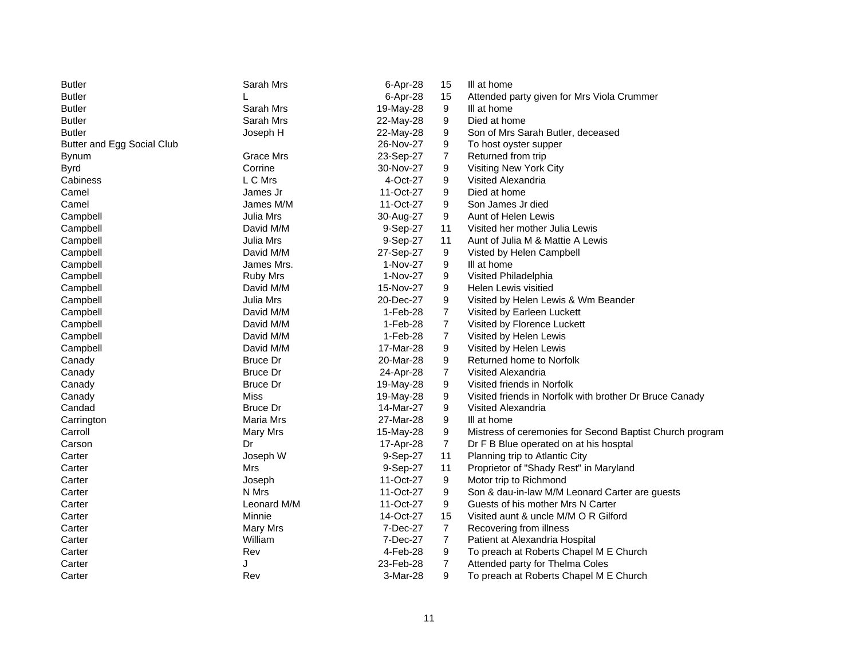| <b>Butler</b>              | Sarah Mrs       | 6-Apr-28   | 15             | III at home                                              |
|----------------------------|-----------------|------------|----------------|----------------------------------------------------------|
| <b>Butler</b>              |                 | 6-Apr-28   | 15             | Attended party given for Mrs Viola Crummer               |
| <b>Butler</b>              | Sarah Mrs       | 19-May-28  | 9              | III at home                                              |
| <b>Butler</b>              | Sarah Mrs       | 22-May-28  | 9              | Died at home                                             |
| <b>Butler</b>              | Joseph H        | 22-May-28  | 9              | Son of Mrs Sarah Butler, deceased                        |
| Butter and Egg Social Club |                 | 26-Nov-27  | 9              | To host oyster supper                                    |
| <b>Bynum</b>               | Grace Mrs       | 23-Sep-27  | $\overline{7}$ | Returned from trip                                       |
| <b>Byrd</b>                | Corrine         | 30-Nov-27  | 9              | Visiting New York City                                   |
| Cabiness                   | L C Mrs         | 4-Oct-27   | 9              | Visited Alexandria                                       |
| Camel                      | James Jr        | 11-Oct-27  | 9              | Died at home                                             |
| Camel                      | James M/M       | 11-Oct-27  | 9              | Son James Jr died                                        |
| Campbell                   | Julia Mrs       | 30-Aug-27  | 9              | Aunt of Helen Lewis                                      |
| Campbell                   | David M/M       | 9-Sep-27   | 11             | Visited her mother Julia Lewis                           |
| Campbell                   | Julia Mrs       | 9-Sep-27   | 11             | Aunt of Julia M & Mattie A Lewis                         |
| Campbell                   | David M/M       | 27-Sep-27  | 9              | Visted by Helen Campbell                                 |
| Campbell                   | James Mrs.      | 1-Nov-27   | 9              | III at home                                              |
| Campbell                   | <b>Ruby Mrs</b> | 1-Nov-27   | 9              | Visited Philadelphia                                     |
| Campbell                   | David M/M       | 15-Nov-27  | 9              | Helen Lewis visitied                                     |
| Campbell                   | Julia Mrs       | 20-Dec-27  | 9              | Visited by Helen Lewis & Wm Beander                      |
| Campbell                   | David M/M       | $1-Feb-28$ | $\overline{7}$ | Visited by Earleen Luckett                               |
| Campbell                   | David M/M       | 1-Feb-28   | $\overline{7}$ | Visited by Florence Luckett                              |
| Campbell                   | David M/M       | 1-Feb-28   | 7              | Visited by Helen Lewis                                   |
| Campbell                   | David M/M       | 17-Mar-28  | 9              | Visited by Helen Lewis                                   |
| Canady                     | <b>Bruce Dr</b> | 20-Mar-28  | 9              | Returned home to Norfolk                                 |
| Canady                     | <b>Bruce Dr</b> | 24-Apr-28  | $\overline{7}$ | Visited Alexandria                                       |
| Canady                     | <b>Bruce Dr</b> | 19-May-28  | 9              | Visited friends in Norfolk                               |
| Canady                     | <b>Miss</b>     | 19-May-28  | 9              | Visited friends in Norfolk with brother Dr Bruce Canady  |
| Candad                     | <b>Bruce Dr</b> | 14-Mar-27  | 9              | Visited Alexandria                                       |
| Carrington                 | Maria Mrs       | 27-Mar-28  | 9              | III at home                                              |
| Carroll                    | Mary Mrs        | 15-May-28  | 9              | Mistress of ceremonies for Second Baptist Church program |
| Carson                     | Dr              | 17-Apr-28  | $\overline{7}$ | Dr F B Blue operated on at his hosptal                   |
| Carter                     | Joseph W        | 9-Sep-27   | 11             | Planning trip to Atlantic City                           |
| Carter                     | Mrs             | 9-Sep-27   | 11             | Proprietor of "Shady Rest" in Maryland                   |
| Carter                     | Joseph          | 11-Oct-27  | 9              | Motor trip to Richmond                                   |
| Carter                     | N Mrs           | 11-Oct-27  | 9              | Son & dau-in-law M/M Leonard Carter are guests           |
| Carter                     | Leonard M/M     | 11-Oct-27  | 9              | Guests of his mother Mrs N Carter                        |
| Carter                     | Minnie          | 14-Oct-27  | 15             | Visited aunt & uncle M/M O R Gilford                     |
| Carter                     | Mary Mrs        | 7-Dec-27   | $\overline{7}$ | Recovering from illness                                  |
| Carter                     | William         | 7-Dec-27   | $\overline{7}$ | Patient at Alexandria Hospital                           |
| Carter                     | Rev             | 4-Feb-28   | 9              | To preach at Roberts Chapel M E Church                   |
| Carter                     | J               | 23-Feb-28  | $\overline{7}$ | Attended party for Thelma Coles                          |
| Carter                     | Rev             | 3-Mar-28   | 9              | To preach at Roberts Chapel M E Church                   |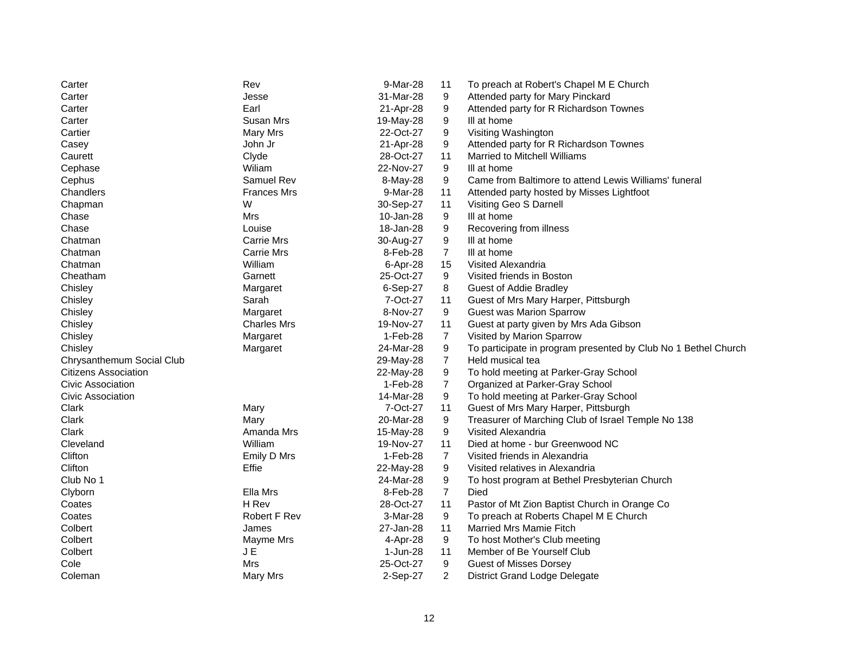| Carter                      | Rev                 | 9-Mar-28  | 11             | To preach at Robert's Chapel M E Church                        |
|-----------------------------|---------------------|-----------|----------------|----------------------------------------------------------------|
| Carter                      | Jesse               | 31-Mar-28 | 9              | Attended party for Mary Pinckard                               |
| Carter                      | Earl                | 21-Apr-28 | 9              | Attended party for R Richardson Townes                         |
| Carter                      | Susan Mrs           | 19-May-28 | 9              | III at home                                                    |
| Cartier                     | Mary Mrs            | 22-Oct-27 | 9              | Visiting Washington                                            |
| Casey                       | John Jr             | 21-Apr-28 | 9              | Attended party for R Richardson Townes                         |
| Caurett                     | Clyde               | 28-Oct-27 | 11             | Married to Mitchell Williams                                   |
| Cephase                     | Wiliam              | 22-Nov-27 | 9              | III at home                                                    |
| Cephus                      | Samuel Rev          | 8-May-28  | 9              | Came from Baltimore to attend Lewis Williams' funeral          |
| Chandlers                   | <b>Frances Mrs</b>  | 9-Mar-28  | 11             | Attended party hosted by Misses Lightfoot                      |
| Chapman                     | W                   | 30-Sep-27 | 11             | Visiting Geo S Darnell                                         |
| Chase                       | Mrs                 | 10-Jan-28 | 9              | III at home                                                    |
| Chase                       | Louise              | 18-Jan-28 | 9              | Recovering from illness                                        |
| Chatman                     | <b>Carrie Mrs</b>   | 30-Aug-27 | 9              | III at home                                                    |
| Chatman                     | Carrie Mrs          | 8-Feb-28  | $\overline{7}$ | III at home                                                    |
| Chatman                     | William             | 6-Apr-28  | 15             | Visited Alexandria                                             |
| Cheatham                    | Garnett             | 25-Oct-27 | 9              | Visited friends in Boston                                      |
| Chisley                     | Margaret            | 6-Sep-27  | 8              | <b>Guest of Addie Bradley</b>                                  |
| Chisley                     | Sarah               | 7-Oct-27  | 11             | Guest of Mrs Mary Harper, Pittsburgh                           |
| Chisley                     | Margaret            | 8-Nov-27  | 9              | <b>Guest was Marion Sparrow</b>                                |
| Chisley                     | <b>Charles Mrs</b>  | 19-Nov-27 | 11             | Guest at party given by Mrs Ada Gibson                         |
| Chisley                     | Margaret            | 1-Feb-28  | $\overline{7}$ | Visited by Marion Sparrow                                      |
| Chisley                     | Margaret            | 24-Mar-28 | 9              | To participate in program presented by Club No 1 Bethel Church |
| Chrysanthemum Social Club   |                     | 29-May-28 | $\overline{7}$ | Held musical tea                                               |
| <b>Citizens Association</b> |                     | 22-May-28 | 9              | To hold meeting at Parker-Gray School                          |
| Civic Association           |                     | 1-Feb-28  | $\overline{7}$ | Organized at Parker-Gray School                                |
| Civic Association           |                     | 14-Mar-28 | 9              | To hold meeting at Parker-Gray School                          |
| Clark                       | Mary                | 7-Oct-27  | 11             | Guest of Mrs Mary Harper, Pittsburgh                           |
| Clark                       | Mary                | 20-Mar-28 | 9              | Treasurer of Marching Club of Israel Temple No 138             |
| Clark                       | Amanda Mrs          | 15-May-28 | 9              | Visited Alexandria                                             |
| Cleveland                   | William             | 19-Nov-27 | 11             | Died at home - bur Greenwood NC                                |
| Clifton                     | Emily D Mrs         | 1-Feb-28  | $\overline{7}$ | Visited friends in Alexandria                                  |
| Clifton                     | Effie               | 22-May-28 | 9              | Visited relatives in Alexandria                                |
| Club No 1                   |                     | 24-Mar-28 | 9              | To host program at Bethel Presbyterian Church                  |
| Clyborn                     | Ella Mrs            | 8-Feb-28  | $\overline{7}$ | Died                                                           |
| Coates                      | H Rev               | 28-Oct-27 | 11             | Pastor of Mt Zion Baptist Church in Orange Co                  |
| Coates                      | <b>Robert F Rev</b> | 3-Mar-28  | 9              | To preach at Roberts Chapel M E Church                         |
| Colbert                     | James               | 27-Jan-28 | 11             | <b>Married Mrs Mamie Fitch</b>                                 |
| Colbert                     | Mayme Mrs           | 4-Apr-28  | 9              | To host Mother's Club meeting                                  |
| Colbert                     | J E                 | 1-Jun-28  | 11             | Member of Be Yourself Club                                     |
| Cole                        | Mrs                 | 25-Oct-27 | 9              | <b>Guest of Misses Dorsey</b>                                  |
| Coleman                     | <b>Mary Mrs</b>     | 2-Sep-27  | 2              | <b>District Grand Lodge Delegate</b>                           |
|                             |                     |           |                |                                                                |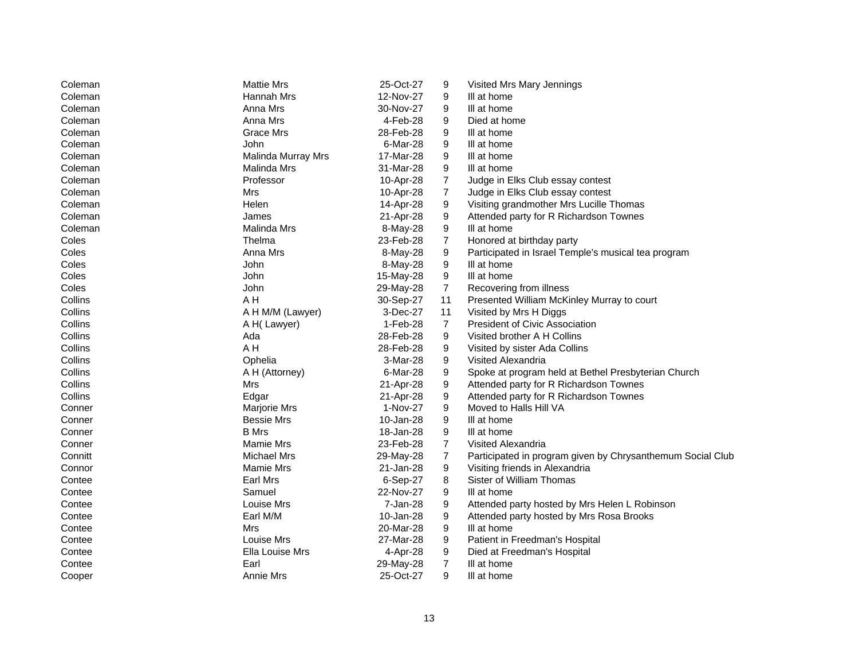| Coleman | <b>Mattie Mrs</b>  | 25-Oct-27 | 9              | Visited Mrs Mary Jennings                                  |
|---------|--------------------|-----------|----------------|------------------------------------------------------------|
| Coleman | Hannah Mrs         | 12-Nov-27 | 9              | III at home                                                |
| Coleman | Anna Mrs           | 30-Nov-27 | 9              | III at home                                                |
| Coleman | Anna Mrs           | 4-Feb-28  | 9              | Died at home                                               |
| Coleman | Grace Mrs          | 28-Feb-28 | 9              | III at home                                                |
| Coleman | John               | 6-Mar-28  | 9              | III at home                                                |
| Coleman | Malinda Murray Mrs | 17-Mar-28 | 9              | III at home                                                |
| Coleman | Malinda Mrs        | 31-Mar-28 | 9              | III at home                                                |
| Coleman | Professor          | 10-Apr-28 | $\overline{7}$ | Judge in Elks Club essay contest                           |
| Coleman | Mrs                | 10-Apr-28 | $\overline{7}$ | Judge in Elks Club essay contest                           |
| Coleman | Helen              | 14-Apr-28 | 9              | Visiting grandmother Mrs Lucille Thomas                    |
| Coleman | James              | 21-Apr-28 | 9              | Attended party for R Richardson Townes                     |
| Coleman | Malinda Mrs        | 8-May-28  | 9              | III at home                                                |
| Coles   | Thelma             | 23-Feb-28 | $\overline{7}$ | Honored at birthday party                                  |
| Coles   | Anna Mrs           | 8-May-28  | 9              | Participated in Israel Temple's musical tea program        |
| Coles   | John               | 8-May-28  | 9              | III at home                                                |
| Coles   | John               | 15-May-28 | 9              | III at home                                                |
| Coles   | John               | 29-May-28 | $\overline{7}$ | Recovering from illness                                    |
| Collins | A H                | 30-Sep-27 | 11             | Presented William McKinley Murray to court                 |
| Collins | A H M/M (Lawyer)   | 3-Dec-27  | 11             | Visited by Mrs H Diggs                                     |
| Collins | A H(Lawyer)        | 1-Feb-28  | $\overline{7}$ | <b>President of Civic Association</b>                      |
| Collins | Ada                | 28-Feb-28 | 9              | Visited brother A H Collins                                |
| Collins | A H                | 28-Feb-28 | 9              | Visited by sister Ada Collins                              |
| Collins | Ophelia            | 3-Mar-28  | 9              | Visited Alexandria                                         |
| Collins | A H (Attorney)     | 6-Mar-28  | 9              | Spoke at program held at Bethel Presbyterian Church        |
| Collins | Mrs                | 21-Apr-28 | 9              | Attended party for R Richardson Townes                     |
| Collins | Edgar              | 21-Apr-28 | 9              | Attended party for R Richardson Townes                     |
| Conner  | Marjorie Mrs       | 1-Nov-27  | 9              | Moved to Halls Hill VA                                     |
| Conner  | <b>Bessie Mrs</b>  | 10-Jan-28 | 9              | III at home                                                |
| Conner  | <b>B</b> Mrs       | 18-Jan-28 | 9              | III at home                                                |
| Conner  | Mamie Mrs          | 23-Feb-28 | $\overline{7}$ | Visited Alexandria                                         |
| Connitt | Michael Mrs        | 29-May-28 | $\overline{7}$ | Participated in program given by Chrysanthemum Social Club |
| Connor  | Mamie Mrs          | 21-Jan-28 | 9              | Visiting friends in Alexandria                             |
| Contee  | Earl Mrs           | 6-Sep-27  | 8              | Sister of William Thomas                                   |
| Contee  | Samuel             | 22-Nov-27 | 9              | III at home                                                |
| Contee  | Louise Mrs         | 7-Jan-28  | 9              | Attended party hosted by Mrs Helen L Robinson              |
| Contee  | Earl M/M           | 10-Jan-28 | 9              | Attended party hosted by Mrs Rosa Brooks                   |
| Contee  | Mrs                | 20-Mar-28 | 9              | III at home                                                |
| Contee  | Louise Mrs         | 27-Mar-28 | 9              | Patient in Freedman's Hospital                             |
| Contee  | Ella Louise Mrs    | 4-Apr-28  | 9              | Died at Freedman's Hospital                                |
| Contee  | Earl               | 29-May-28 | $\overline{7}$ | III at home                                                |
| Cooper  | Annie Mrs          | 25-Oct-27 | 9              | III at home                                                |
|         |                    |           |                |                                                            |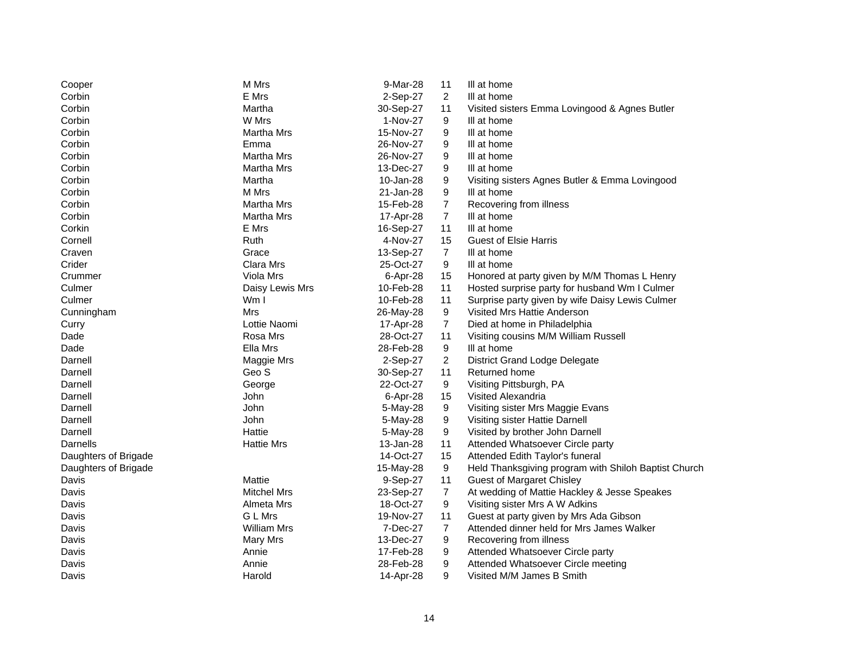| Cooper               | M Mrs              | 9-Mar-28  | 11             | Ill at home                                          |
|----------------------|--------------------|-----------|----------------|------------------------------------------------------|
| Corbin               | E Mrs              | 2-Sep-27  | $\overline{2}$ | Ill at home                                          |
| Corbin               | Martha             | 30-Sep-27 | 11             | Visited sisters Emma Lovingood & Agnes Butler        |
| Corbin               | W Mrs              | 1-Nov-27  | 9              | III at home                                          |
| Corbin               | Martha Mrs         | 15-Nov-27 | 9              | III at home                                          |
| Corbin               | Emma               | 26-Nov-27 | 9              | III at home                                          |
| Corbin               | Martha Mrs         | 26-Nov-27 | 9              | III at home                                          |
| Corbin               | Martha Mrs         | 13-Dec-27 | 9              | III at home                                          |
| Corbin               | Martha             | 10-Jan-28 | 9              | Visiting sisters Agnes Butler & Emma Lovingood       |
| Corbin               | M Mrs              | 21-Jan-28 | 9              | III at home                                          |
| Corbin               | Martha Mrs         | 15-Feb-28 | $\overline{7}$ | Recovering from illness                              |
| Corbin               | <b>Martha Mrs</b>  | 17-Apr-28 | $\overline{7}$ | III at home                                          |
| Corkin               | E Mrs              | 16-Sep-27 | 11             | III at home                                          |
| Cornell              | Ruth               | 4-Nov-27  | 15             | <b>Guest of Elsie Harris</b>                         |
| Craven               | Grace              | 13-Sep-27 | $\overline{7}$ | III at home                                          |
| Crider               | Clara Mrs          | 25-Oct-27 | 9              | III at home                                          |
| Crummer              | Viola Mrs          | 6-Apr-28  | 15             | Honored at party given by M/M Thomas L Henry         |
| Culmer               | Daisy Lewis Mrs    | 10-Feb-28 | 11             | Hosted surprise party for husband Wm I Culmer        |
| Culmer               | Wm I               | 10-Feb-28 | 11             | Surprise party given by wife Daisy Lewis Culmer      |
| Cunningham           | Mrs                | 26-May-28 | 9              | Visited Mrs Hattie Anderson                          |
| Curry                | Lottie Naomi       | 17-Apr-28 | $\overline{7}$ | Died at home in Philadelphia                         |
| Dade                 | Rosa Mrs           | 28-Oct-27 | 11             | Visiting cousins M/M William Russell                 |
| Dade                 | Ella Mrs           | 28-Feb-28 | 9              | III at home                                          |
| Darnell              | Maggie Mrs         | 2-Sep-27  | $\overline{2}$ | <b>District Grand Lodge Delegate</b>                 |
| Darnell              | Geo S              | 30-Sep-27 | 11             | Returned home                                        |
| Darnell              | George             | 22-Oct-27 | 9              | Visiting Pittsburgh, PA                              |
| Darnell              | John               | 6-Apr-28  | 15             | Visited Alexandria                                   |
| Darnell              | John               | 5-May-28  | 9              | Visiting sister Mrs Maggie Evans                     |
| Darnell              | John               | 5-May-28  | 9              | Visiting sister Hattie Darnell                       |
| Darnell              | Hattie             | 5-May-28  | 9              | Visited by brother John Darnell                      |
| Darnells             | <b>Hattie Mrs</b>  | 13-Jan-28 | 11             | Attended Whatsoever Circle party                     |
| Daughters of Brigade |                    | 14-Oct-27 | 15             | Attended Edith Taylor's funeral                      |
| Daughters of Brigade |                    | 15-May-28 | 9              | Held Thanksgiving program with Shiloh Baptist Church |
| Davis                | Mattie             | 9-Sep-27  | 11             | <b>Guest of Margaret Chisley</b>                     |
| Davis                | <b>Mitchel Mrs</b> | 23-Sep-27 | $\overline{7}$ | At wedding of Mattie Hackley & Jesse Speakes         |
| Davis                | Almeta Mrs         | 18-Oct-27 | 9              | Visiting sister Mrs A W Adkins                       |
| Davis                | G L Mrs            | 19-Nov-27 | 11             | Guest at party given by Mrs Ada Gibson               |
| Davis                | <b>William Mrs</b> | 7-Dec-27  | $\overline{7}$ | Attended dinner held for Mrs James Walker            |
| Davis                | Mary Mrs           | 13-Dec-27 | 9              | Recovering from illness                              |
| Davis                | Annie              | 17-Feb-28 | 9              | Attended Whatsoever Circle party                     |
| Davis                | Annie              | 28-Feb-28 | 9              | Attended Whatsoever Circle meeting                   |
| Davis                | Harold             | 14-Apr-28 | 9              | Visited M/M James B Smith                            |
|                      |                    |           |                |                                                      |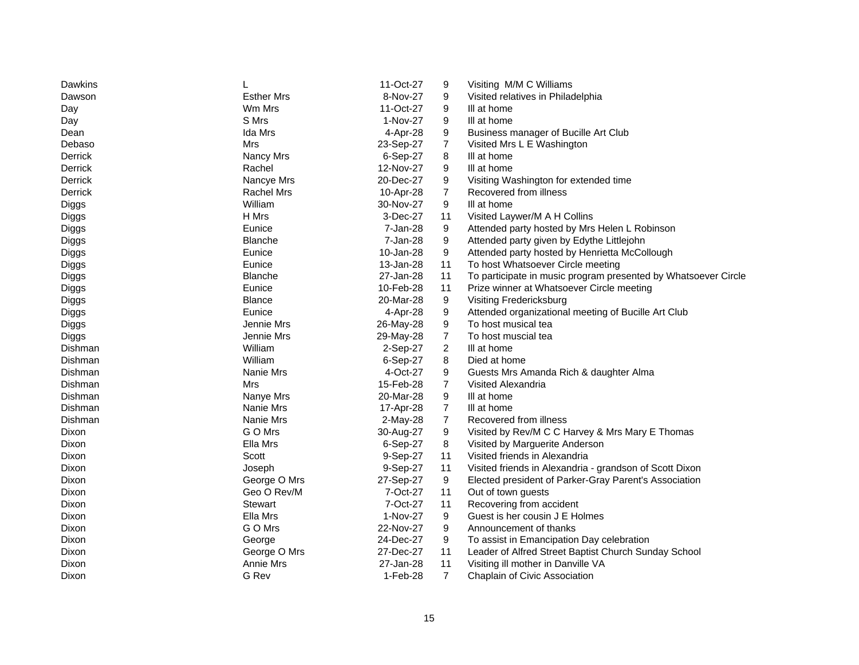| Dawkins<br>11-Oct-27<br>Visiting M/M C Williams<br>9                                  |                                                                |
|---------------------------------------------------------------------------------------|----------------------------------------------------------------|
| <b>Esther Mrs</b><br>9<br>Dawson<br>8-Nov-27                                          | Visited relatives in Philadelphia                              |
| Wm Mrs<br>11-Oct-27<br>9<br>III at home<br>Day                                        |                                                                |
| S Mrs<br>1-Nov-27<br>9<br>III at home<br>Day                                          |                                                                |
| Ida Mrs<br>9<br>4-Apr-28<br>Dean                                                      | Business manager of Bucille Art Club                           |
| $\overline{7}$<br>Mrs<br>23-Sep-27<br>Debaso                                          | Visited Mrs L E Washington                                     |
| Derrick<br>6-Sep-27<br>8<br>Nancy Mrs<br>III at home                                  |                                                                |
| Derrick<br>Rachel<br>12-Nov-27<br>9<br>III at home                                    |                                                                |
| Derrick<br>Nancye Mrs<br>20-Dec-27<br>9                                               | Visiting Washington for extended time                          |
| $\overline{7}$<br>Derrick<br><b>Rachel Mrs</b><br>10-Apr-28<br>Recovered from illness |                                                                |
| William<br>30-Nov-27<br>9<br>III at home<br>Diggs                                     |                                                                |
| H Mrs<br>3-Dec-27<br>Diggs<br>11                                                      | Visited Laywer/M A H Collins                                   |
| 7-Jan-28<br>9<br>Diggs<br>Eunice                                                      | Attended party hosted by Mrs Helen L Robinson                  |
| 9<br><b>Blanche</b><br>7-Jan-28<br>Diggs                                              | Attended party given by Edythe Littlejohn                      |
| 9<br>Eunice<br>10-Jan-28<br>Diggs                                                     | Attended party hosted by Henrietta McCollough                  |
| Eunice<br>13-Jan-28<br>Diggs<br>11                                                    | To host Whatsoever Circle meeting                              |
| 11<br>Diggs<br><b>Blanche</b><br>27-Jan-28                                            | To participate in music program presented by Whatsoever Circle |
| 11<br>Eunice<br>10-Feb-28<br>Diggs                                                    | Prize winner at Whatsoever Circle meeting                      |
| 9<br><b>Blance</b><br>20-Mar-28<br>Visiting Fredericksburg<br>Diggs                   |                                                                |
| Eunice<br>9<br>Diggs<br>4-Apr-28                                                      | Attended organizational meeting of Bucille Art Club            |
| Jennie Mrs<br>9<br>To host musical tea<br>26-May-28<br>Diggs                          |                                                                |
| $\overline{7}$<br>Jennie Mrs<br>To host muscial tea<br>29-May-28<br>Diggs             |                                                                |
| $\overline{a}$<br>Dishman<br>William<br>2-Sep-27<br>III at home                       |                                                                |
| William<br>8<br>Dishman<br>6-Sep-27<br>Died at home                                   |                                                                |
| 4-Oct-27<br>Dishman<br>Nanie Mrs<br>9                                                 | Guests Mrs Amanda Rich & daughter Alma                         |
| 15-Feb-28<br>$\overline{7}$<br>Dishman<br>Mrs<br>Visited Alexandria                   |                                                                |
| 9<br>20-Mar-28<br>III at home<br>Dishman<br>Nanye Mrs                                 |                                                                |
| $\overline{7}$<br>Dishman<br>Nanie Mrs<br>17-Apr-28<br>III at home                    |                                                                |
| $\overline{7}$<br>Dishman<br>Nanie Mrs<br>$2-May-28$<br>Recovered from illness        |                                                                |
| G O Mrs<br>30-Aug-27<br>9<br>Dixon                                                    | Visited by Rev/M C C Harvey & Mrs Mary E Thomas                |
| Ella Mrs<br>Dixon<br>6-Sep-27<br>8                                                    | Visited by Marguerite Anderson                                 |
| Scott<br>9-Sep-27<br>11<br>Dixon                                                      | Visited friends in Alexandria                                  |
| Dixon<br>Joseph<br>9-Sep-27<br>11                                                     | Visited friends in Alexandria - grandson of Scott Dixon        |
| Dixon<br>George O Mrs<br>27-Sep-27<br>9                                               | Elected president of Parker-Gray Parent's Association          |
| Geo O Rev/M<br>Dixon<br>7-Oct-27<br>11<br>Out of town guests                          |                                                                |
| Stewart<br>7-Oct-27<br>11<br>Dixon<br>Recovering from accident                        |                                                                |
| 9<br>Ella Mrs<br>Dixon<br>1-Nov-27                                                    | Guest is her cousin J E Holmes                                 |
| G O Mrs<br>9<br>Dixon<br>22-Nov-27<br>Announcement of thanks                          |                                                                |
| George<br>24-Dec-27<br>9<br>Dixon                                                     | To assist in Emancipation Day celebration                      |
| George O Mrs<br>27-Dec-27<br>11<br>Dixon                                              | Leader of Alfred Street Baptist Church Sunday School           |
| Annie Mrs<br>27-Jan-28<br>11<br>Dixon                                                 | Visiting ill mother in Danville VA                             |
| $\overline{7}$<br>G Rev<br>1-Feb-28<br>Dixon                                          | Chaplain of Civic Association                                  |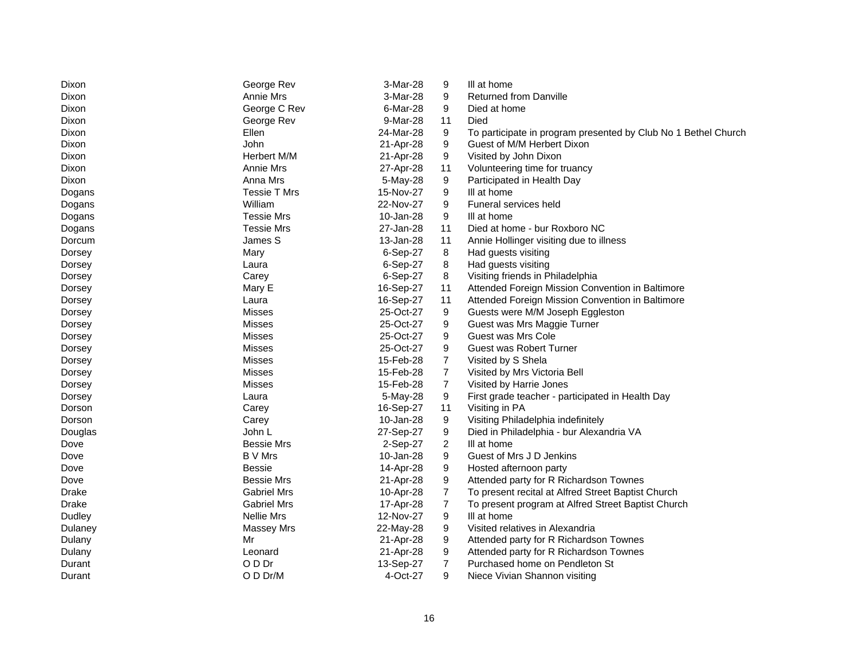| Dixon        | George Rev         | 3-Mar-28  | 9              | III at home                                                    |
|--------------|--------------------|-----------|----------------|----------------------------------------------------------------|
| Dixon        | Annie Mrs          | 3-Mar-28  | 9              | <b>Returned from Danville</b>                                  |
| Dixon        | George C Rev       | 6-Mar-28  | 9              | Died at home                                                   |
| Dixon        | George Rev         | 9-Mar-28  | 11             | Died                                                           |
| Dixon        | Ellen              | 24-Mar-28 | 9              | To participate in program presented by Club No 1 Bethel Church |
| Dixon        | John               | 21-Apr-28 | 9              | Guest of M/M Herbert Dixon                                     |
| Dixon        | Herbert M/M        | 21-Apr-28 | 9              | Visited by John Dixon                                          |
| Dixon        | Annie Mrs          | 27-Apr-28 | 11             | Volunteering time for truancy                                  |
| Dixon        | Anna Mrs           | 5-May-28  | 9              | Participated in Health Day                                     |
| Dogans       | Tessie T Mrs       | 15-Nov-27 | 9              | III at home                                                    |
| Dogans       | William            | 22-Nov-27 | 9              | Funeral services held                                          |
| Dogans       | <b>Tessie Mrs</b>  | 10-Jan-28 | 9              | III at home                                                    |
| Dogans       | <b>Tessie Mrs</b>  | 27-Jan-28 | 11             | Died at home - bur Roxboro NC                                  |
| Dorcum       | James S            | 13-Jan-28 | 11             | Annie Hollinger visiting due to illness                        |
| Dorsey       | Mary               | 6-Sep-27  | 8              | Had guests visiting                                            |
| Dorsey       | Laura              | 6-Sep-27  | 8              | Had guests visiting                                            |
| Dorsey       | Carey              | 6-Sep-27  | 8              | Visiting friends in Philadelphia                               |
| Dorsey       | Mary E             | 16-Sep-27 | 11             | Attended Foreign Mission Convention in Baltimore               |
| Dorsey       | Laura              | 16-Sep-27 | 11             | Attended Foreign Mission Convention in Baltimore               |
| Dorsey       | Misses             | 25-Oct-27 | 9              | Guests were M/M Joseph Eggleston                               |
| Dorsey       | Misses             | 25-Oct-27 | 9              | Guest was Mrs Maggie Turner                                    |
| Dorsey       | Misses             | 25-Oct-27 | 9              | Guest was Mrs Cole                                             |
| Dorsey       | Misses             | 25-Oct-27 | 9              | <b>Guest was Robert Turner</b>                                 |
| Dorsey       | Misses             | 15-Feb-28 | $\overline{7}$ | Visited by S Shela                                             |
| Dorsey       | <b>Misses</b>      | 15-Feb-28 | $\overline{7}$ | Visited by Mrs Victoria Bell                                   |
| Dorsey       | Misses             | 15-Feb-28 | $\overline{7}$ | Visited by Harrie Jones                                        |
| Dorsey       | Laura              | 5-May-28  | 9              | First grade teacher - participated in Health Day               |
| Dorson       | Carey              | 16-Sep-27 | 11             | Visiting in PA                                                 |
| Dorson       | Carey              | 10-Jan-28 | 9              | Visiting Philadelphia indefinitely                             |
| Douglas      | John L             | 27-Sep-27 | 9              | Died in Philadelphia - bur Alexandria VA                       |
| Dove         | <b>Bessie Mrs</b>  | 2-Sep-27  | $\overline{2}$ | III at home                                                    |
| Dove         | <b>B</b> V Mrs     | 10-Jan-28 | 9              | Guest of Mrs J D Jenkins                                       |
| Dove         | Bessie             | 14-Apr-28 | 9              | Hosted afternoon party                                         |
| Dove         | <b>Bessie Mrs</b>  | 21-Apr-28 | 9              | Attended party for R Richardson Townes                         |
| <b>Drake</b> | <b>Gabriel Mrs</b> | 10-Apr-28 | $\overline{7}$ | To present recital at Alfred Street Baptist Church             |
| Drake        | <b>Gabriel Mrs</b> | 17-Apr-28 | $\overline{7}$ | To present program at Alfred Street Baptist Church             |
| Dudley       | <b>Nellie Mrs</b>  | 12-Nov-27 | 9              | III at home                                                    |
| Dulaney      | Massey Mrs         | 22-May-28 | 9              | Visited relatives in Alexandria                                |
| Dulany       | Mr                 | 21-Apr-28 | 9              | Attended party for R Richardson Townes                         |
| Dulany       | Leonard            | 21-Apr-28 | 9              | Attended party for R Richardson Townes                         |
| Durant       | O D Dr             | 13-Sep-27 | $\overline{7}$ | Purchased home on Pendleton St                                 |
| Durant       | O D Dr/M           | 4-Oct-27  | 9              | Niece Vivian Shannon visiting                                  |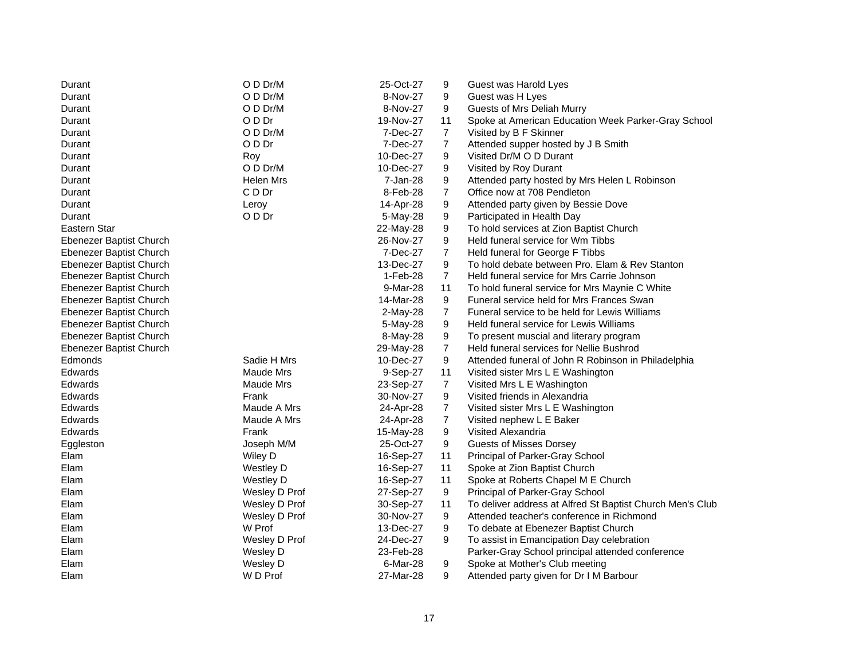| Durant                  | O D Dr/M         | 25-Oct-27 | 9              | Guest was Harold Lyes                                     |
|-------------------------|------------------|-----------|----------------|-----------------------------------------------------------|
| Durant                  | O D Dr/M         | 8-Nov-27  | 9              | Guest was H Lyes                                          |
| Durant                  | O D Dr/M         | 8-Nov-27  | 9              | Guests of Mrs Deliah Murry                                |
| Durant                  | O D Dr           | 19-Nov-27 | 11             | Spoke at American Education Week Parker-Gray School       |
| Durant                  | O D Dr/M         | 7-Dec-27  | 7              | Visited by B F Skinner                                    |
| Durant                  | O D Dr           | 7-Dec-27  | 7              | Attended supper hosted by J B Smith                       |
| Durant                  | Roy              | 10-Dec-27 | 9              | Visited Dr/M O D Durant                                   |
| Durant                  | O D Dr/M         | 10-Dec-27 | 9              | Visited by Roy Durant                                     |
| Durant                  | Helen Mrs        | 7-Jan-28  | 9              | Attended party hosted by Mrs Helen L Robinson             |
| Durant                  | C D Dr           | 8-Feb-28  | 7              | Office now at 708 Pendleton                               |
| Durant                  | Leroy            | 14-Apr-28 | 9              | Attended party given by Bessie Dove                       |
| Durant                  | O D Dr           | 5-May-28  | 9              | Participated in Health Day                                |
| Eastern Star            |                  | 22-May-28 | 9              | To hold services at Zion Baptist Church                   |
| Ebenezer Baptist Church |                  | 26-Nov-27 | 9              | Held funeral service for Wm Tibbs                         |
| Ebenezer Baptist Church |                  | 7-Dec-27  | $\overline{7}$ | Held funeral for George F Tibbs                           |
| Ebenezer Baptist Church |                  | 13-Dec-27 | 9              | To hold debate between Pro. Elam & Rev Stanton            |
| Ebenezer Baptist Church |                  | 1-Feb-28  | $\overline{7}$ | Held funeral service for Mrs Carrie Johnson               |
| Ebenezer Baptist Church |                  | 9-Mar-28  | 11             | To hold funeral service for Mrs Maynie C White            |
| Ebenezer Baptist Church |                  | 14-Mar-28 | 9              | Funeral service held for Mrs Frances Swan                 |
| Ebenezer Baptist Church |                  | 2-May-28  | $\overline{7}$ | Funeral service to be held for Lewis Williams             |
| Ebenezer Baptist Church |                  | 5-May-28  | 9              | Held funeral service for Lewis Williams                   |
| Ebenezer Baptist Church |                  | 8-May-28  | 9              | To present muscial and literary program                   |
| Ebenezer Baptist Church |                  | 29-May-28 | $\overline{7}$ | Held funeral services for Nellie Bushrod                  |
| Edmonds                 | Sadie H Mrs      | 10-Dec-27 | 9              | Attended funeral of John R Robinson in Philadelphia       |
| Edwards                 | <b>Maude Mrs</b> | 9-Sep-27  | 11             | Visited sister Mrs L E Washington                         |
| Edwards                 | Maude Mrs        | 23-Sep-27 | $\overline{7}$ | Visited Mrs L E Washington                                |
| Edwards                 | Frank            | 30-Nov-27 | 9              | Visited friends in Alexandria                             |
| Edwards                 | Maude A Mrs      | 24-Apr-28 | 7              | Visited sister Mrs L E Washington                         |
| Edwards                 | Maude A Mrs      | 24-Apr-28 | $\overline{7}$ | Visited nephew L E Baker                                  |
| Edwards                 | Frank            | 15-May-28 | 9              | Visited Alexandria                                        |
| Eggleston               | Joseph M/M       | 25-Oct-27 | 9              | <b>Guests of Misses Dorsey</b>                            |
| Elam                    | Wiley D          | 16-Sep-27 | 11             | Principal of Parker-Gray School                           |
| Elam                    | Westley D        | 16-Sep-27 | 11             | Spoke at Zion Baptist Church                              |
| Elam                    | <b>Westley D</b> | 16-Sep-27 | 11             | Spoke at Roberts Chapel M E Church                        |
| Elam                    | Wesley D Prof    | 27-Sep-27 | 9              | Principal of Parker-Gray School                           |
| Elam                    | Wesley D Prof    | 30-Sep-27 | 11             | To deliver address at Alfred St Baptist Church Men's Club |
| Elam                    | Wesley D Prof    | 30-Nov-27 | 9              | Attended teacher's conference in Richmond                 |
| Elam                    | W Prof           | 13-Dec-27 | 9              | To debate at Ebenezer Baptist Church                      |
| Elam                    | Wesley D Prof    | 24-Dec-27 | 9              | To assist in Emancipation Day celebration                 |
| Elam                    | Wesley D         | 23-Feb-28 |                | Parker-Gray School principal attended conference          |
| Elam                    | Wesley D         | 6-Mar-28  | 9              | Spoke at Mother's Club meeting                            |
| Elam                    | W D Prof         | 27-Mar-28 | 9              | Attended party given for Dr I M Barbour                   |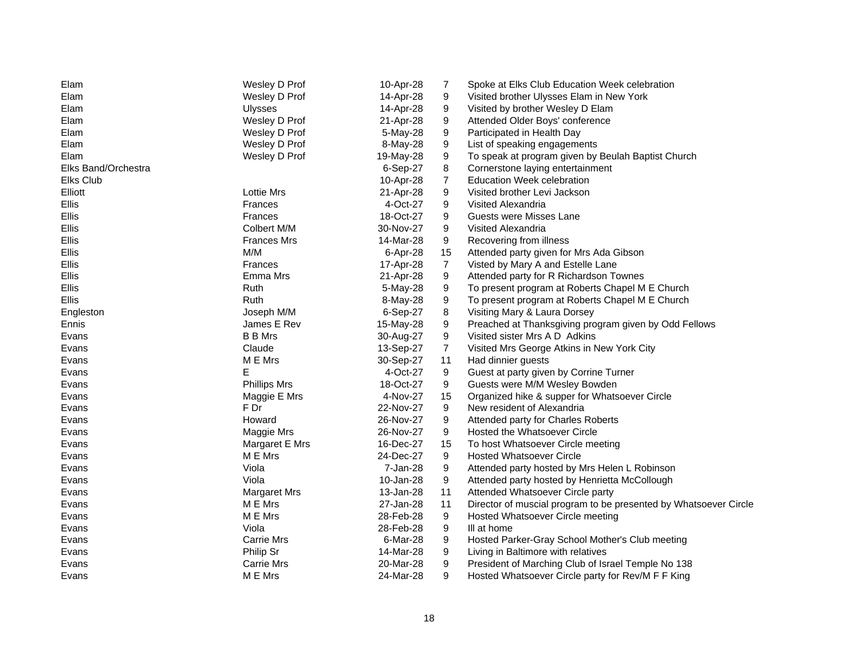| Elam                | Wesley D Prof       | 10-Apr-28 | 7              | Spoke at Elks Club Education Week celebration                    |
|---------------------|---------------------|-----------|----------------|------------------------------------------------------------------|
| Elam                | Wesley D Prof       | 14-Apr-28 | 9              | Visited brother Ulysses Elam in New York                         |
| Elam                | <b>Ulysses</b>      | 14-Apr-28 | 9              | Visited by brother Wesley D Elam                                 |
| Elam                | Wesley D Prof       | 21-Apr-28 | 9              | Attended Older Boys' conference                                  |
| Elam                | Wesley D Prof       | 5-May-28  | 9              | Participated in Health Day                                       |
| Elam                | Wesley D Prof       | 8-May-28  | 9              | List of speaking engagements                                     |
| Elam                | Wesley D Prof       | 19-May-28 | 9              | To speak at program given by Beulah Baptist Church               |
| Elks Band/Orchestra |                     | 6-Sep-27  | 8              | Cornerstone laying entertainment                                 |
| Elks Club           |                     | 10-Apr-28 | $\overline{7}$ | Education Week celebration                                       |
| Elliott             | <b>Lottie Mrs</b>   | 21-Apr-28 | 9              | Visited brother Levi Jackson                                     |
| <b>Ellis</b>        | Frances             | 4-Oct-27  | 9              | Visited Alexandria                                               |
| <b>Ellis</b>        | <b>Frances</b>      | 18-Oct-27 | 9              | Guests were Misses Lane                                          |
| <b>Ellis</b>        | Colbert M/M         | 30-Nov-27 | 9              | Visited Alexandria                                               |
| <b>Ellis</b>        | <b>Frances Mrs</b>  | 14-Mar-28 | 9              | Recovering from illness                                          |
| <b>Ellis</b>        | M/M                 | 6-Apr-28  | 15             | Attended party given for Mrs Ada Gibson                          |
| <b>Ellis</b>        | Frances             | 17-Apr-28 | $\overline{7}$ | Visted by Mary A and Estelle Lane                                |
| Ellis               | Emma Mrs            | 21-Apr-28 | 9              | Attended party for R Richardson Townes                           |
| Ellis               | Ruth                | 5-May-28  | 9              | To present program at Roberts Chapel M E Church                  |
| Ellis               | Ruth                | 8-May-28  | 9              | To present program at Roberts Chapel M E Church                  |
| Engleston           | Joseph M/M          | 6-Sep-27  | 8              | Visiting Mary & Laura Dorsey                                     |
| Ennis               | James E Rev         | 15-May-28 | 9              | Preached at Thanksgiving program given by Odd Fellows            |
| Evans               | <b>B B Mrs</b>      | 30-Aug-27 | 9              | Visited sister Mrs A D Adkins                                    |
| Evans               | Claude              | 13-Sep-27 | $\overline{7}$ | Visited Mrs George Atkins in New York City                       |
| Evans               | M E Mrs             | 30-Sep-27 | 11             | Had dinnier guests                                               |
| Evans               | E                   | 4-Oct-27  | 9              | Guest at party given by Corrine Turner                           |
| Evans               | <b>Phillips Mrs</b> | 18-Oct-27 | 9              | Guests were M/M Wesley Bowden                                    |
| Evans               | Maggie E Mrs        | 4-Nov-27  | 15             | Organized hike & supper for Whatsoever Circle                    |
| Evans               | F Dr                | 22-Nov-27 | 9              | New resident of Alexandria                                       |
| Evans               | Howard              | 26-Nov-27 | 9              | Attended party for Charles Roberts                               |
| Evans               | Maggie Mrs          | 26-Nov-27 | 9              | Hosted the Whatsoever Circle                                     |
| Evans               | Margaret E Mrs      | 16-Dec-27 | 15             | To host Whatsoever Circle meeting                                |
| Evans               | M E Mrs             | 24-Dec-27 | 9              | <b>Hosted Whatsoever Circle</b>                                  |
| Evans               | Viola               | 7-Jan-28  | 9              | Attended party hosted by Mrs Helen L Robinson                    |
| Evans               | Viola               | 10-Jan-28 | 9              | Attended party hosted by Henrietta McCollough                    |
| Evans               | Margaret Mrs        | 13-Jan-28 | 11             | Attended Whatsoever Circle party                                 |
| Evans               | M E Mrs             | 27-Jan-28 | 11             | Director of muscial program to be presented by Whatsoever Circle |
| Evans               | M E Mrs             | 28-Feb-28 | 9              | Hosted Whatsoever Circle meeting                                 |
| Evans               | Viola               | 28-Feb-28 | 9              | III at home                                                      |
| Evans               | <b>Carrie Mrs</b>   | 6-Mar-28  | 9              | Hosted Parker-Gray School Mother's Club meeting                  |
| Evans               | Philip Sr           | 14-Mar-28 | 9              | Living in Baltimore with relatives                               |
| Evans               | <b>Carrie Mrs</b>   | 20-Mar-28 | 9              | President of Marching Club of Israel Temple No 138               |
| Evans               | M E Mrs             | 24-Mar-28 | 9              | Hosted Whatsoever Circle party for Rev/M F F King                |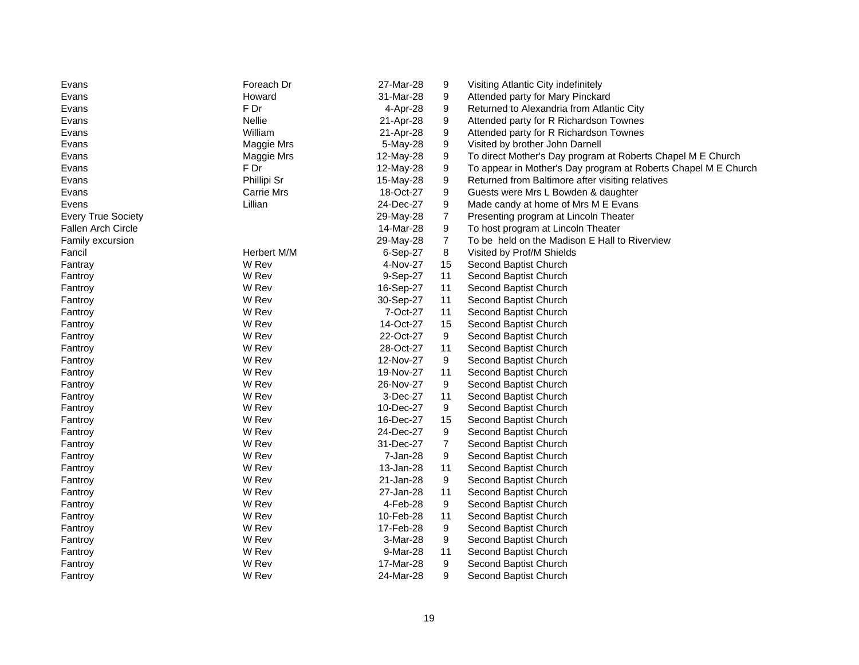| Evans                     | Foreach Dr        | 27-Mar-28 | 9              | Visiting Atlantic City indefinitely                            |
|---------------------------|-------------------|-----------|----------------|----------------------------------------------------------------|
| Evans                     | Howard            | 31-Mar-28 | 9              | Attended party for Mary Pinckard                               |
| Evans                     | F Dr              | 4-Apr-28  | 9              | Returned to Alexandria from Atlantic City                      |
| Evans                     | Nellie            | 21-Apr-28 | 9              | Attended party for R Richardson Townes                         |
| Evans                     | William           | 21-Apr-28 | 9              | Attended party for R Richardson Townes                         |
| Evans                     | Maggie Mrs        | 5-May-28  | 9              | Visited by brother John Darnell                                |
| Evans                     | Maggie Mrs        | 12-May-28 | 9              | To direct Mother's Day program at Roberts Chapel M E Church    |
| Evans                     | F Dr              | 12-May-28 | 9              | To appear in Mother's Day program at Roberts Chapel M E Church |
| Evans                     | Phillipi Sr       | 15-May-28 | 9              | Returned from Baltimore after visiting relatives               |
| Evans                     | <b>Carrie Mrs</b> | 18-Oct-27 | 9              | Guests were Mrs L Bowden & daughter                            |
| Evens                     | Lillian           | 24-Dec-27 | 9              | Made candy at home of Mrs M E Evans                            |
| <b>Every True Society</b> |                   | 29-May-28 | $\overline{7}$ | Presenting program at Lincoln Theater                          |
| Fallen Arch Circle        |                   | 14-Mar-28 | 9              | To host program at Lincoln Theater                             |
| Family excursion          |                   | 29-May-28 | $\overline{7}$ | To be held on the Madison E Hall to Riverview                  |
| Fancil                    | Herbert M/M       | 6-Sep-27  | 8              | Visited by Prof/M Shields                                      |
| Fantray                   | W Rev             | 4-Nov-27  | 15             | Second Baptist Church                                          |
| Fantroy                   | W Rev             | 9-Sep-27  | 11             | Second Baptist Church                                          |
| Fantroy                   | W Rev             | 16-Sep-27 | 11             | Second Baptist Church                                          |
| Fantroy                   | W Rev             | 30-Sep-27 | 11             | Second Baptist Church                                          |
| Fantroy                   | W Rev             | 7-Oct-27  | 11             | Second Baptist Church                                          |
| Fantroy                   | W Rev             | 14-Oct-27 | 15             | Second Baptist Church                                          |
| Fantroy                   | W Rev             | 22-Oct-27 | 9              | Second Baptist Church                                          |
| Fantroy                   | W Rev             | 28-Oct-27 | 11             | Second Baptist Church                                          |
| Fantroy                   | W Rev             | 12-Nov-27 | 9              | Second Baptist Church                                          |
| Fantroy                   | W Rev             | 19-Nov-27 | 11             | Second Baptist Church                                          |
| Fantroy                   | W Rev             | 26-Nov-27 | 9              | Second Baptist Church                                          |
| Fantroy                   | W Rev             | 3-Dec-27  | 11             | Second Baptist Church                                          |
| Fantroy                   | W Rev             | 10-Dec-27 | 9              | Second Baptist Church                                          |
| Fantroy                   | W Rev             | 16-Dec-27 | 15             | Second Baptist Church                                          |
| Fantroy                   | W Rev             | 24-Dec-27 | 9              | Second Baptist Church                                          |
| Fantroy                   | W Rev             | 31-Dec-27 | 7              | Second Baptist Church                                          |
| Fantroy                   | W Rev             | 7-Jan-28  | 9              | Second Baptist Church                                          |
| Fantroy                   | W Rev             | 13-Jan-28 | 11             | Second Baptist Church                                          |
| Fantroy                   | W Rev             | 21-Jan-28 | 9              | Second Baptist Church                                          |
| Fantroy                   | W Rev             | 27-Jan-28 | 11             | Second Baptist Church                                          |
| Fantroy                   | W Rev             | 4-Feb-28  | 9              | Second Baptist Church                                          |
| Fantroy                   | W Rev             | 10-Feb-28 | 11             | Second Baptist Church                                          |
| Fantroy                   | W Rev             | 17-Feb-28 | 9              | Second Baptist Church                                          |
| Fantroy                   | W Rev             | 3-Mar-28  | 9              | Second Baptist Church                                          |
| Fantroy                   | W Rev             | 9-Mar-28  | 11             | Second Baptist Church                                          |
| Fantroy                   | W Rev             | 17-Mar-28 | 9              | Second Baptist Church                                          |
| Fantroy                   | W Rev             | 24-Mar-28 | 9              | Second Baptist Church                                          |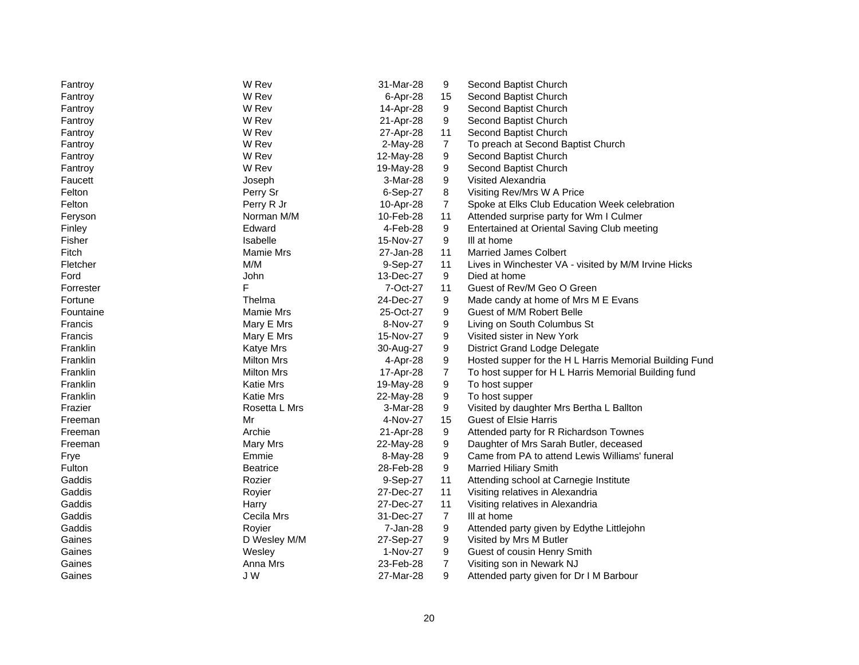| Fantroy       | W Rev            | 31-Mar-28 | 9              | Second Baptist Church                                   |
|---------------|------------------|-----------|----------------|---------------------------------------------------------|
| Fantroy       | W Rev            | 6-Apr-28  | 15             | Second Baptist Church                                   |
| Fantroy       | W Rev            | 14-Apr-28 | 9              | Second Baptist Church                                   |
| Fantroy       | W Rev            | 21-Apr-28 | 9              | Second Baptist Church                                   |
| Fantroy       | W Rev            | 27-Apr-28 | 11             | Second Baptist Church                                   |
| Fantroy       | W Rev            | 2-May-28  | $\overline{7}$ | To preach at Second Baptist Church                      |
| Fantroy       | W Rev            | 12-May-28 | 9              | Second Baptist Church                                   |
| Fantroy       | W Rev            | 19-May-28 | 9              | Second Baptist Church                                   |
| Faucett       | Joseph           | 3-Mar-28  | 9              | Visited Alexandria                                      |
| Felton        | Perry Sr         | 6-Sep-27  | 8              | Visiting Rev/Mrs W A Price                              |
| Felton        | Perry R Jr       | 10-Apr-28 | 7              | Spoke at Elks Club Education Week celebration           |
| Feryson       | Norman M/M       | 10-Feb-28 | 11             | Attended surprise party for Wm I Culmer                 |
| Finley        | Edward           | 4-Feb-28  | 9              | Entertained at Oriental Saving Club meeting             |
| Fisher        | Isabelle         | 15-Nov-27 | 9              | III at home                                             |
| Fitch         | Mamie Mrs        | 27-Jan-28 | 11             | <b>Married James Colbert</b>                            |
| Fletcher      | M/M              | 9-Sep-27  | 11             | Lives in Winchester VA - visited by M/M Irvine Hicks    |
| Ford          | John             | 13-Dec-27 | 9              | Died at home                                            |
| Forrester     | F                | 7-Oct-27  | 11             | Guest of Rev/M Geo O Green                              |
| Fortune       | Thelma           | 24-Dec-27 | 9              | Made candy at home of Mrs M E Evans                     |
| Fountaine     | <b>Mamie Mrs</b> | 25-Oct-27 | 9              | Guest of M/M Robert Belle                               |
| Francis       | Mary E Mrs       | 8-Nov-27  | 9              | Living on South Columbus St                             |
| Francis       | Mary E Mrs       | 15-Nov-27 | 9              | Visited sister in New York                              |
| Franklin      | <b>Katye Mrs</b> | 30-Aug-27 | 9              | <b>District Grand Lodge Delegate</b>                    |
| Franklin      | Milton Mrs       | 4-Apr-28  | 9              | Hosted supper for the H L Harris Memorial Building Fund |
| Franklin      | Milton Mrs       | 17-Apr-28 | $\overline{7}$ | To host supper for H L Harris Memorial Building fund    |
| Franklin      | <b>Katie Mrs</b> | 19-May-28 | 9              | To host supper                                          |
| Franklin      | <b>Katie Mrs</b> | 22-May-28 | 9              | To host supper                                          |
| Frazier       | Rosetta L Mrs    | 3-Mar-28  | 9              | Visited by daughter Mrs Bertha L Ballton                |
| Freeman       | Mr               | 4-Nov-27  | 15             | <b>Guest of Elsie Harris</b>                            |
| Freeman       | Archie           | 21-Apr-28 | 9              | Attended party for R Richardson Townes                  |
| Freeman       | Mary Mrs         | 22-May-28 | 9              | Daughter of Mrs Sarah Butler, deceased                  |
| Frye          | Emmie            | 8-May-28  | 9              | Came from PA to attend Lewis Williams' funeral          |
| <b>Fulton</b> | <b>Beatrice</b>  | 28-Feb-28 | 9              | <b>Married Hiliary Smith</b>                            |
| Gaddis        | Rozier           | 9-Sep-27  | 11             | Attending school at Carnegie Institute                  |
| Gaddis        | Royier           | 27-Dec-27 | 11             | Visiting relatives in Alexandria                        |
| Gaddis        | Harry            | 27-Dec-27 | 11             | Visiting relatives in Alexandria                        |
| Gaddis        | Cecila Mrs       | 31-Dec-27 | $\overline{7}$ | III at home                                             |
| Gaddis        | Royier           | 7-Jan-28  | 9              | Attended party given by Edythe Littlejohn               |
| Gaines        | D Wesley M/M     | 27-Sep-27 | 9              | Visited by Mrs M Butler                                 |
| Gaines        | Wesley           | 1-Nov-27  | 9              | Guest of cousin Henry Smith                             |
| Gaines        | Anna Mrs         | 23-Feb-28 | $\overline{7}$ | Visiting son in Newark NJ                               |
| Gaines        | JW               | 27-Mar-28 | 9              | Attended party given for Dr I M Barbour                 |
|               |                  |           |                |                                                         |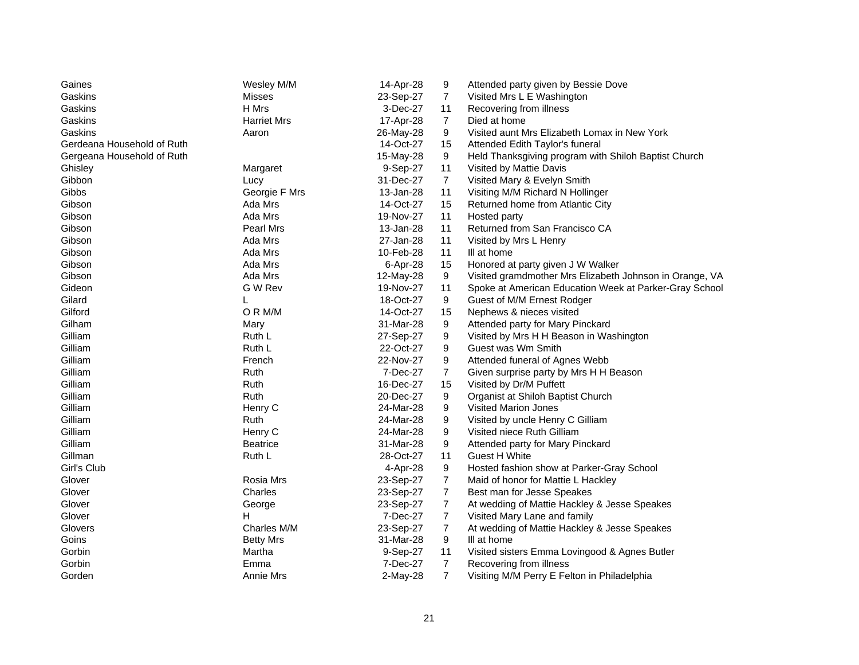| Gaines                     | Wesley M/M         | 14-Apr-28 | 9              | Attended party given by Bessie Dove                     |
|----------------------------|--------------------|-----------|----------------|---------------------------------------------------------|
| Gaskins                    | <b>Misses</b>      | 23-Sep-27 | $\overline{7}$ | Visited Mrs L E Washington                              |
| Gaskins                    | H Mrs              | 3-Dec-27  | 11             | Recovering from illness                                 |
| Gaskins                    | <b>Harriet Mrs</b> | 17-Apr-28 | $\overline{7}$ | Died at home                                            |
| Gaskins                    | Aaron              | 26-May-28 | 9              | Visited aunt Mrs Elizabeth Lomax in New York            |
| Gerdeana Household of Ruth |                    | 14-Oct-27 | 15             | Attended Edith Taylor's funeral                         |
| Gergeana Household of Ruth |                    | 15-May-28 | 9              | Held Thanksgiving program with Shiloh Baptist Church    |
| Ghisley                    | Margaret           | 9-Sep-27  | 11             | Visited by Mattie Davis                                 |
| Gibbon                     | Lucy               | 31-Dec-27 | $\overline{7}$ | Visited Mary & Evelyn Smith                             |
| Gibbs                      | Georgie F Mrs      | 13-Jan-28 | 11             | Visiting M/M Richard N Hollinger                        |
| Gibson                     | Ada Mrs            | 14-Oct-27 | 15             | Returned home from Atlantic City                        |
| Gibson                     | Ada Mrs            | 19-Nov-27 | 11             | Hosted party                                            |
| Gibson                     | Pearl Mrs          | 13-Jan-28 | 11             | Returned from San Francisco CA                          |
| Gibson                     | Ada Mrs            | 27-Jan-28 | 11             | Visited by Mrs L Henry                                  |
| Gibson                     | Ada Mrs            | 10-Feb-28 | 11             | III at home                                             |
| Gibson                     | Ada Mrs            | 6-Apr-28  | 15             | Honored at party given J W Walker                       |
| Gibson                     | Ada Mrs            | 12-May-28 | 9              | Visited gramdmother Mrs Elizabeth Johnson in Orange, VA |
| Gideon                     | G W Rev            | 19-Nov-27 | 11             | Spoke at American Education Week at Parker-Gray School  |
| Gilard                     | L                  | 18-Oct-27 | 9              | Guest of M/M Ernest Rodger                              |
| Gilford                    | OR M/M             | 14-Oct-27 | 15             | Nephews & nieces visited                                |
| Gilham                     | Mary               | 31-Mar-28 | 9              | Attended party for Mary Pinckard                        |
| Gilliam                    | Ruth L             | 27-Sep-27 | 9              | Visited by Mrs H H Beason in Washington                 |
| Gilliam                    | Ruth L             | 22-Oct-27 | 9              | Guest was Wm Smith                                      |
| Gilliam                    | French             | 22-Nov-27 | 9              | Attended funeral of Agnes Webb                          |
| Gilliam                    | Ruth               | 7-Dec-27  | $\overline{7}$ | Given surprise party by Mrs H H Beason                  |
| Gilliam                    | Ruth               | 16-Dec-27 | 15             | Visited by Dr/M Puffett                                 |
| Gilliam                    | Ruth               | 20-Dec-27 | 9              | Organist at Shiloh Baptist Church                       |
| Gilliam                    | Henry C            | 24-Mar-28 | 9              | Visited Marion Jones                                    |
| Gilliam                    | Ruth               | 24-Mar-28 | 9              | Visited by uncle Henry C Gilliam                        |
| Gilliam                    | Henry C            | 24-Mar-28 | 9              | Visited niece Ruth Gilliam                              |
| Gilliam                    | <b>Beatrice</b>    | 31-Mar-28 | 9              | Attended party for Mary Pinckard                        |
| Gillman                    | Ruth L             | 28-Oct-27 | 11             | Guest H White                                           |
| Girl's Club                |                    | 4-Apr-28  | 9              | Hosted fashion show at Parker-Gray School               |
| Glover                     | Rosia Mrs          | 23-Sep-27 | $\overline{7}$ | Maid of honor for Mattie L Hackley                      |
| Glover                     | Charles            | 23-Sep-27 | $\overline{7}$ | Best man for Jesse Speakes                              |
| Glover                     | George             | 23-Sep-27 | $\overline{7}$ | At wedding of Mattie Hackley & Jesse Speakes            |
| Glover                     | H                  | 7-Dec-27  | $\overline{7}$ | Visited Mary Lane and family                            |
| Glovers                    | Charles M/M        | 23-Sep-27 | $\overline{7}$ | At wedding of Mattie Hackley & Jesse Speakes            |
| Goins                      | <b>Betty Mrs</b>   | 31-Mar-28 | 9              | III at home                                             |
| Gorbin                     | Martha             | 9-Sep-27  | 11             | Visited sisters Emma Lovingood & Agnes Butler           |
| Gorbin                     | Emma               | 7-Dec-27  | $\overline{7}$ | Recovering from illness                                 |
| Gorden                     | Annie Mrs          | 2-May-28  | $\overline{7}$ | Visiting M/M Perry E Felton in Philadelphia             |
|                            |                    |           |                |                                                         |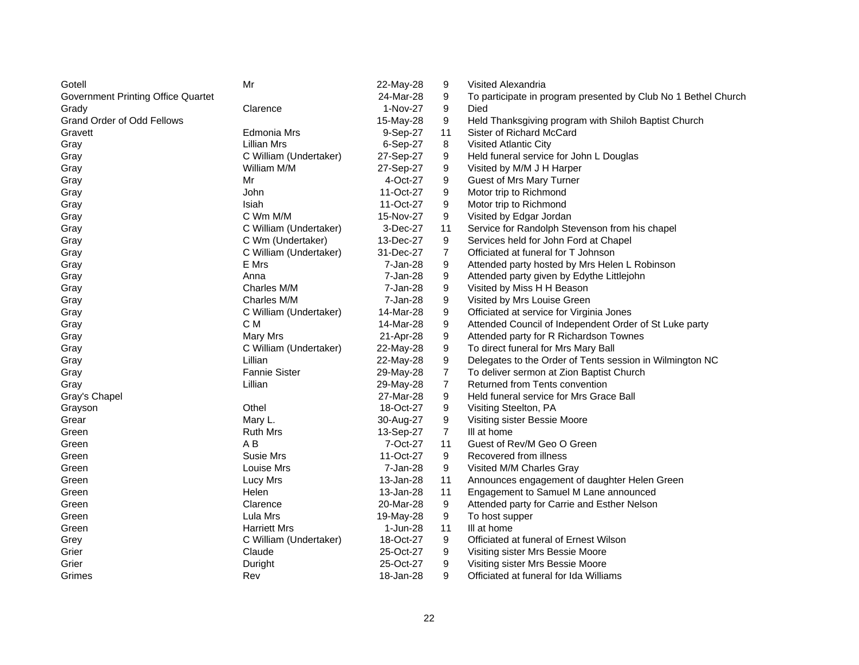| Gotell                                    | Mr                     | 22-May-28 | 9              | <b>Visited Alexandria</b>                                      |
|-------------------------------------------|------------------------|-----------|----------------|----------------------------------------------------------------|
| <b>Government Printing Office Quartet</b> |                        | 24-Mar-28 | 9              | To participate in program presented by Club No 1 Bethel Church |
| Grady                                     | Clarence               | 1-Nov-27  | 9              | Died                                                           |
| <b>Grand Order of Odd Fellows</b>         |                        | 15-May-28 | 9              | Held Thanksgiving program with Shiloh Baptist Church           |
| Gravett                                   | Edmonia Mrs            | 9-Sep-27  | 11             | Sister of Richard McCard                                       |
| Gray                                      | <b>Lillian Mrs</b>     | 6-Sep-27  | 8              | Visited Atlantic City                                          |
| Gray                                      | C William (Undertaker) | 27-Sep-27 | 9              | Held funeral service for John L Douglas                        |
| Gray                                      | William M/M            | 27-Sep-27 | 9              | Visited by M/M J H Harper                                      |
| Gray                                      | Mr                     | 4-Oct-27  | 9              | Guest of Mrs Mary Turner                                       |
| Gray                                      | John                   | 11-Oct-27 | 9              | Motor trip to Richmond                                         |
| Gray                                      | Isiah                  | 11-Oct-27 | 9              | Motor trip to Richmond                                         |
| Gray                                      | C Wm M/M               | 15-Nov-27 | 9              | Visited by Edgar Jordan                                        |
| Gray                                      | C William (Undertaker) | 3-Dec-27  | 11             | Service for Randolph Stevenson from his chapel                 |
| Gray                                      | C Wm (Undertaker)      | 13-Dec-27 | 9              | Services held for John Ford at Chapel                          |
| Gray                                      | C William (Undertaker) | 31-Dec-27 | $\overline{7}$ | Officiated at funeral for T Johnson                            |
| Gray                                      | E Mrs                  | 7-Jan-28  | 9              | Attended party hosted by Mrs Helen L Robinson                  |
| Gray                                      | Anna                   | 7-Jan-28  | 9              | Attended party given by Edythe Littlejohn                      |
| Gray                                      | Charles M/M            | 7-Jan-28  | 9              | Visited by Miss H H Beason                                     |
| Gray                                      | Charles M/M            | 7-Jan-28  | 9              | Visited by Mrs Louise Green                                    |
| Gray                                      | C William (Undertaker) | 14-Mar-28 | 9              | Officiated at service for Virginia Jones                       |
| Gray                                      | C M                    | 14-Mar-28 | 9              | Attended Council of Independent Order of St Luke party         |
| Gray                                      | Mary Mrs               | 21-Apr-28 | 9              | Attended party for R Richardson Townes                         |
| Gray                                      | C William (Undertaker) | 22-May-28 | 9              | To direct funeral for Mrs Mary Ball                            |
| Gray                                      | Lillian                | 22-May-28 | 9              | Delegates to the Order of Tents session in Wilmington NC       |
| Gray                                      | <b>Fannie Sister</b>   | 29-May-28 | $\overline{7}$ | To deliver sermon at Zion Baptist Church                       |
| Gray                                      | Lillian                | 29-May-28 | $\overline{7}$ | Returned from Tents convention                                 |
| Gray's Chapel                             |                        | 27-Mar-28 | 9              | Held funeral service for Mrs Grace Ball                        |
| Grayson                                   | Othel                  | 18-Oct-27 | 9              | Visiting Steelton, PA                                          |
| Grear                                     | Mary L.                | 30-Aug-27 | 9              | Visiting sister Bessie Moore                                   |
| Green                                     | <b>Ruth Mrs</b>        | 13-Sep-27 | $\overline{7}$ | III at home                                                    |
| Green                                     | A B                    | 7-Oct-27  | 11             | Guest of Rev/M Geo O Green                                     |
| Green                                     | Susie Mrs              | 11-Oct-27 | 9              | Recovered from illness                                         |
| Green                                     | Louise Mrs             | 7-Jan-28  | 9              | Visited M/M Charles Gray                                       |
| Green                                     | Lucy Mrs               | 13-Jan-28 | 11             | Announces engagement of daughter Helen Green                   |
| Green                                     | Helen                  | 13-Jan-28 | 11             | Engagement to Samuel M Lane announced                          |
| Green                                     | Clarence               | 20-Mar-28 | 9              | Attended party for Carrie and Esther Nelson                    |
| Green                                     | Lula Mrs               | 19-May-28 | 9              | To host supper                                                 |
| Green                                     | <b>Harriett Mrs</b>    | 1-Jun-28  | 11             | III at home                                                    |
| Grey                                      | C William (Undertaker) | 18-Oct-27 | 9              | Officiated at funeral of Ernest Wilson                         |
| Grier                                     | Claude                 | 25-Oct-27 | 9              | Visiting sister Mrs Bessie Moore                               |
| Grier                                     | Duright                | 25-Oct-27 | 9              | Visiting sister Mrs Bessie Moore                               |
| Grimes                                    | Rev                    | 18-Jan-28 | 9              | Officiated at funeral for Ida Williams                         |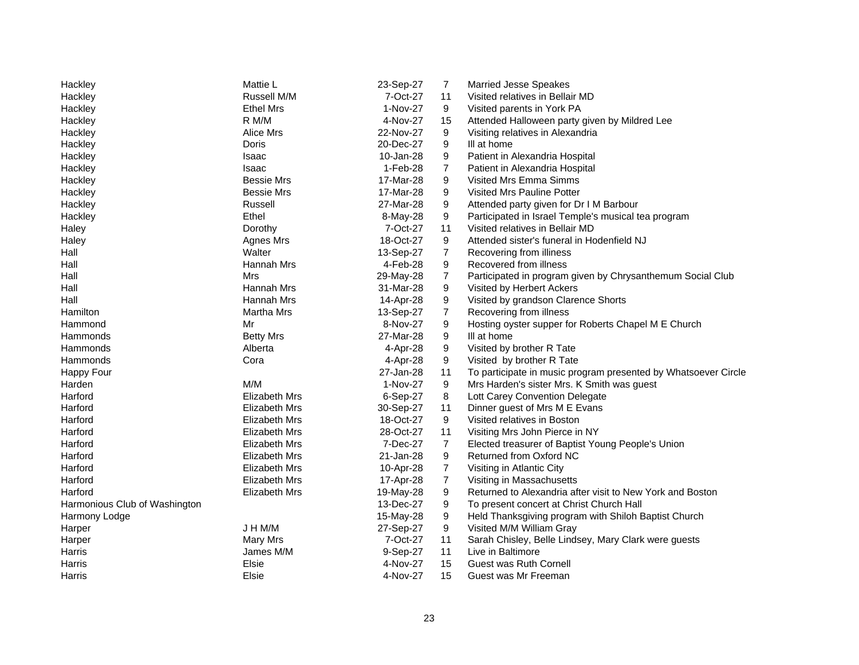| Hackley                       | Mattie L             | 23-Sep-27 | 7              | <b>Married Jesse Speakes</b>                                   |
|-------------------------------|----------------------|-----------|----------------|----------------------------------------------------------------|
| Hackley                       | Russell M/M          | 7-Oct-27  | 11             | Visited relatives in Bellair MD                                |
| Hackley                       | <b>Ethel Mrs</b>     | 1-Nov-27  | 9              | Visited parents in York PA                                     |
| Hackley                       | R M/M                | 4-Nov-27  | 15             | Attended Halloween party given by Mildred Lee                  |
| Hackley                       | Alice Mrs            | 22-Nov-27 | 9              | Visiting relatives in Alexandria                               |
| Hackley                       | Doris                | 20-Dec-27 | 9              | III at home                                                    |
| Hackley                       | Isaac                | 10-Jan-28 | 9              | Patient in Alexandria Hospital                                 |
| Hackley                       | Isaac                | 1-Feb-28  | $\overline{7}$ | Patient in Alexandria Hospital                                 |
| Hackley                       | <b>Bessie Mrs</b>    | 17-Mar-28 | 9              | Visited Mrs Emma Simms                                         |
| Hackley                       | <b>Bessie Mrs</b>    | 17-Mar-28 | 9              | Visited Mrs Pauline Potter                                     |
| Hackley                       | Russell              | 27-Mar-28 | 9              | Attended party given for Dr I M Barbour                        |
| Hackley                       | Ethel                | 8-May-28  | 9              | Participated in Israel Temple's musical tea program            |
| Haley                         | Dorothy              | 7-Oct-27  | 11             | Visited relatives in Bellair MD                                |
| Haley                         | Agnes Mrs            | 18-Oct-27 | 9              | Attended sister's funeral in Hodenfield NJ                     |
| Hall                          | Walter               | 13-Sep-27 | $\overline{7}$ | Recovering from illiness                                       |
| Hall                          | Hannah Mrs           | 4-Feb-28  | 9              | Recovered from illness                                         |
| Hall                          | Mrs                  | 29-May-28 | $\overline{7}$ | Participated in program given by Chrysanthemum Social Club     |
| Hall                          | Hannah Mrs           | 31-Mar-28 | 9              | Visited by Herbert Ackers                                      |
| Hall                          | Hannah Mrs           | 14-Apr-28 | 9              | Visited by grandson Clarence Shorts                            |
| Hamilton                      | Martha Mrs           | 13-Sep-27 | $\overline{7}$ | Recovering from illness                                        |
| Hammond                       | Mr                   | 8-Nov-27  | 9              | Hosting oyster supper for Roberts Chapel M E Church            |
| Hammonds                      | <b>Betty Mrs</b>     | 27-Mar-28 | 9              | III at home                                                    |
| Hammonds                      | Alberta              | 4-Apr-28  | 9              | Visited by brother R Tate                                      |
| Hammonds                      | Cora                 | 4-Apr-28  | 9              | Visited by brother R Tate                                      |
| Happy Four                    |                      | 27-Jan-28 | 11             | To participate in music program presented by Whatsoever Circle |
| Harden                        | M/M                  | 1-Nov-27  | 9              | Mrs Harden's sister Mrs. K Smith was guest                     |
| Harford                       | Elizabeth Mrs        | 6-Sep-27  | 8              | Lott Carey Convention Delegate                                 |
| Harford                       | <b>Elizabeth Mrs</b> | 30-Sep-27 | 11             | Dinner guest of Mrs M E Evans                                  |
| Harford                       | Elizabeth Mrs        | 18-Oct-27 | 9              | Visited relatives in Boston                                    |
| Harford                       | Elizabeth Mrs        | 28-Oct-27 | 11             | Visiting Mrs John Pierce in NY                                 |
| Harford                       | Elizabeth Mrs        | 7-Dec-27  | $\overline{7}$ | Elected treasurer of Baptist Young People's Union              |
| Harford                       | <b>Elizabeth Mrs</b> | 21-Jan-28 | 9              | Returned from Oxford NC                                        |
| Harford                       | <b>Elizabeth Mrs</b> | 10-Apr-28 | $\overline{7}$ | Visiting in Atlantic City                                      |
| Harford                       | Elizabeth Mrs        | 17-Apr-28 | $\overline{7}$ | Visiting in Massachusetts                                      |
| Harford                       | Elizabeth Mrs        | 19-May-28 | 9              | Returned to Alexandria after visit to New York and Boston      |
| Harmonious Club of Washington |                      | 13-Dec-27 | 9              | To present concert at Christ Church Hall                       |
| Harmony Lodge                 |                      | 15-May-28 | 9              | Held Thanksgiving program with Shiloh Baptist Church           |
| Harper                        | J H M/M              | 27-Sep-27 | 9              | Visited M/M William Gray                                       |
| Harper                        | Mary Mrs             | 7-Oct-27  | 11             | Sarah Chisley, Belle Lindsey, Mary Clark were guests           |
| Harris                        | James M/M            | 9-Sep-27  | 11             | Live in Baltimore                                              |
| Harris                        | Elsie                | 4-Nov-27  | 15             | Guest was Ruth Cornell                                         |
| Harris                        | Elsie                | 4-Nov-27  | 15             | Guest was Mr Freeman                                           |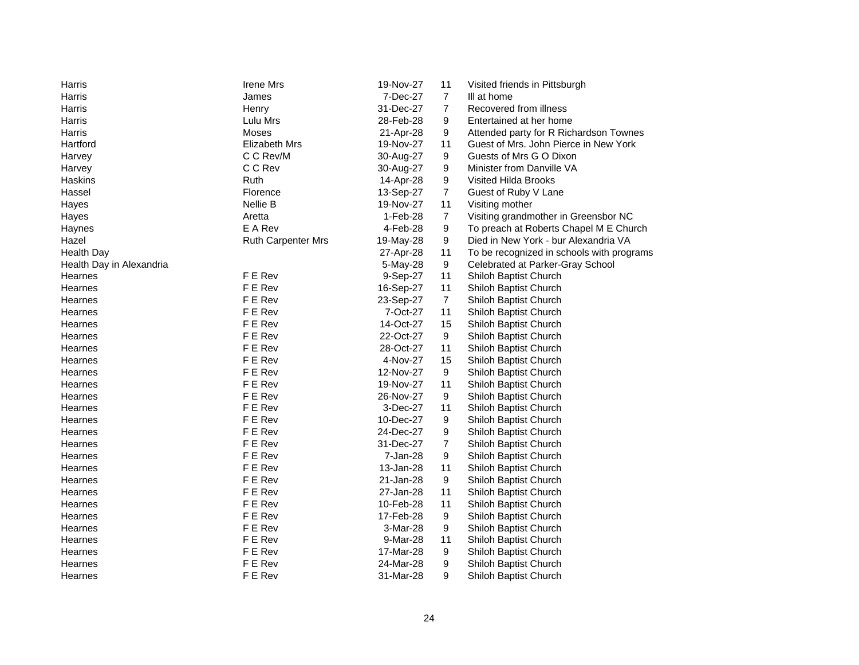| Harris                   | <b>Irene Mrs</b>          | 19-Nov-27 | 11               | Visited friends in Pittsburgh             |
|--------------------------|---------------------------|-----------|------------------|-------------------------------------------|
| Harris                   | James                     | 7-Dec-27  | $\overline{7}$   | III at home                               |
| Harris                   | Henry                     | 31-Dec-27 | $\overline{7}$   | Recovered from illness                    |
| Harris                   | Lulu Mrs                  | 28-Feb-28 | 9                | Entertained at her home                   |
| Harris                   | Moses                     | 21-Apr-28 | 9                | Attended party for R Richardson Townes    |
| Hartford                 | <b>Elizabeth Mrs</b>      | 19-Nov-27 | 11               | Guest of Mrs. John Pierce in New York     |
| Harvey                   | C C Rev/M                 | 30-Aug-27 | 9                | Guests of Mrs G O Dixon                   |
| Harvey                   | C C Rev                   | 30-Aug-27 | 9                | Minister from Danville VA                 |
| Haskins                  | Ruth                      | 14-Apr-28 | 9                | Visited Hilda Brooks                      |
| Hassel                   | Florence                  | 13-Sep-27 | $\overline{7}$   | Guest of Ruby V Lane                      |
| Hayes                    | Nellie B                  | 19-Nov-27 | 11               | Visiting mother                           |
| Hayes                    | Aretta                    | 1-Feb-28  | $\overline{7}$   | Visiting grandmother in Greensbor NC      |
| Haynes                   | E A Rev                   | 4-Feb-28  | 9                | To preach at Roberts Chapel M E Church    |
| Hazel                    | <b>Ruth Carpenter Mrs</b> | 19-May-28 | 9                | Died in New York - bur Alexandria VA      |
| <b>Health Day</b>        |                           | 27-Apr-28 | 11               | To be recognized in schools with programs |
| Health Day in Alexandria |                           | 5-May-28  | 9                | Celebrated at Parker-Gray School          |
| Hearnes                  | F E Rev                   | 9-Sep-27  | 11               | Shiloh Baptist Church                     |
| Hearnes                  | F E Rev                   | 16-Sep-27 | 11               | Shiloh Baptist Church                     |
| Hearnes                  | F E Rev                   | 23-Sep-27 | $\overline{7}$   | Shiloh Baptist Church                     |
| Hearnes                  | F E Rev                   | 7-Oct-27  | 11               | Shiloh Baptist Church                     |
| Hearnes                  | F E Rev                   | 14-Oct-27 | 15               | Shiloh Baptist Church                     |
| Hearnes                  | F E Rev                   | 22-Oct-27 | 9                | Shiloh Baptist Church                     |
| Hearnes                  | F E Rev                   | 28-Oct-27 | 11               | Shiloh Baptist Church                     |
| Hearnes                  | F E Rev                   | 4-Nov-27  | 15               | Shiloh Baptist Church                     |
| Hearnes                  | F E Rev                   | 12-Nov-27 | $\boldsymbol{9}$ | Shiloh Baptist Church                     |
| Hearnes                  | F E Rev                   | 19-Nov-27 | 11               | Shiloh Baptist Church                     |
| Hearnes                  | F E Rev                   | 26-Nov-27 | 9                | Shiloh Baptist Church                     |
| Hearnes                  | F E Rev                   | 3-Dec-27  | 11               | Shiloh Baptist Church                     |
| Hearnes                  | F E Rev                   | 10-Dec-27 | 9                | Shiloh Baptist Church                     |
| Hearnes                  | F E Rev                   | 24-Dec-27 | 9                | Shiloh Baptist Church                     |
| Hearnes                  | F E Rev                   | 31-Dec-27 | 7                | Shiloh Baptist Church                     |
| Hearnes                  | F E Rev                   | 7-Jan-28  | 9                | Shiloh Baptist Church                     |
| Hearnes                  | F E Rev                   | 13-Jan-28 | 11               | Shiloh Baptist Church                     |
| Hearnes                  | F E Rev                   | 21-Jan-28 | $\boldsymbol{9}$ | Shiloh Baptist Church                     |
| Hearnes                  | F E Rev                   | 27-Jan-28 | 11               | Shiloh Baptist Church                     |
| Hearnes                  | F E Rev                   | 10-Feb-28 | 11               | Shiloh Baptist Church                     |
| Hearnes                  | F E Rev                   | 17-Feb-28 | 9                | Shiloh Baptist Church                     |
| Hearnes                  | F E Rev                   | 3-Mar-28  | 9                | Shiloh Baptist Church                     |
| Hearnes                  | F E Rev                   | 9-Mar-28  | 11               | Shiloh Baptist Church                     |
| Hearnes                  | F E Rev                   | 17-Mar-28 | 9                | Shiloh Baptist Church                     |
| Hearnes                  | F E Rev                   | 24-Mar-28 | 9                | Shiloh Baptist Church                     |
| Hearnes                  | F E Rev                   | 31-Mar-28 | 9                | Shiloh Baptist Church                     |
|                          |                           |           |                  |                                           |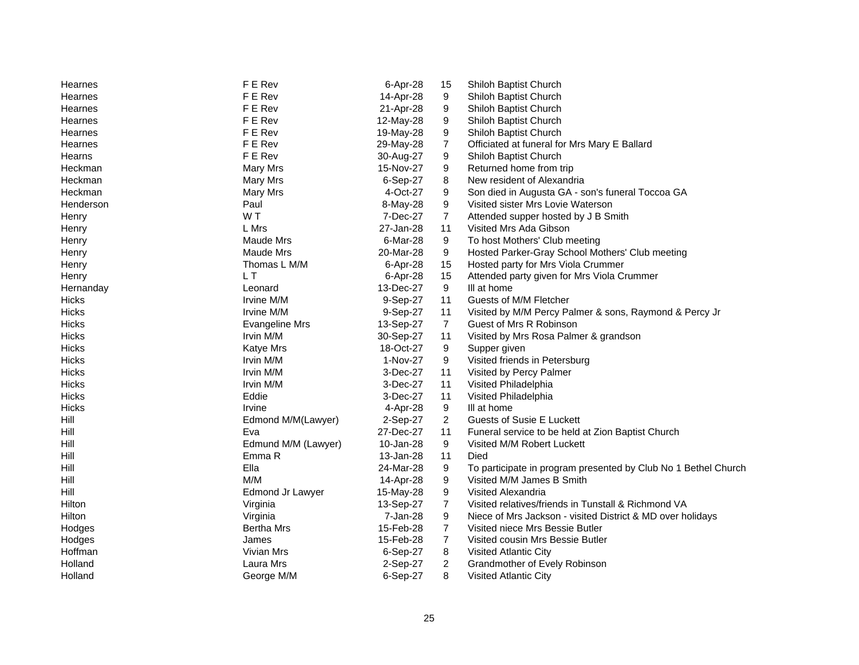| F E Rev<br>9<br>14-Apr-28<br>Shiloh Baptist Church<br>Hearnes<br>F E Rev<br>9<br>Hearnes<br>21-Apr-28<br>Shiloh Baptist Church<br>F E Rev<br>9<br>Shiloh Baptist Church<br>Hearnes<br>12-May-28<br>9<br>F E Rev<br>19-May-28<br>Shiloh Baptist Church<br>Hearnes<br>F E Rev<br>$\overline{7}$<br>29-May-28<br>Hearnes<br>Officiated at funeral for Mrs Mary E Ballard<br>F E Rev<br>9<br>Hearns<br>30-Aug-27<br>Shiloh Baptist Church<br>Mary Mrs<br>9<br>Returned home from trip<br>Heckman<br>15-Nov-27<br>8<br>Heckman<br>Mary Mrs<br>6-Sep-27<br>New resident of Alexandria<br>9<br>Heckman<br>4-Oct-27<br>Son died in Augusta GA - son's funeral Toccoa GA<br>Mary Mrs<br>9<br>Paul<br>Visited sister Mrs Lovie Waterson<br>Henderson<br>8-May-28<br>$\overline{7}$<br>WT.<br>7-Dec-27<br>Attended supper hosted by J B Smith<br>Henry<br>L Mrs<br>11<br>27-Jan-28<br>Visited Mrs Ada Gibson<br>Henry<br>Maude Mrs<br>6-Mar-28<br>9<br>To host Mothers' Club meeting<br>Henry<br>Maude Mrs<br>20-Mar-28<br>9<br>Hosted Parker-Gray School Mothers' Club meeting<br>Henry<br>15<br>Thomas L M/M<br>6-Apr-28<br>Hosted party for Mrs Viola Crummer<br>Henry<br>L T<br>15<br>6-Apr-28<br>Attended party given for Mrs Viola Crummer<br>Henry<br>13-Dec-27<br>9<br>III at home<br>Leonard<br>Hernanday<br><b>Hicks</b><br>9-Sep-27<br>11<br>Guests of M/M Fletcher<br>Irvine M/M<br>Irvine M/M<br>9-Sep-27<br>11<br>Visited by M/M Percy Palmer & sons, Raymond & Percy Jr<br>Hicks<br>$\overline{7}$<br>Hicks<br><b>Evangeline Mrs</b><br>13-Sep-27<br>Guest of Mrs R Robinson |
|----------------------------------------------------------------------------------------------------------------------------------------------------------------------------------------------------------------------------------------------------------------------------------------------------------------------------------------------------------------------------------------------------------------------------------------------------------------------------------------------------------------------------------------------------------------------------------------------------------------------------------------------------------------------------------------------------------------------------------------------------------------------------------------------------------------------------------------------------------------------------------------------------------------------------------------------------------------------------------------------------------------------------------------------------------------------------------------------------------------------------------------------------------------------------------------------------------------------------------------------------------------------------------------------------------------------------------------------------------------------------------------------------------------------------------------------------------------------------------------------------------------------------------------------------------------------------------|
|                                                                                                                                                                                                                                                                                                                                                                                                                                                                                                                                                                                                                                                                                                                                                                                                                                                                                                                                                                                                                                                                                                                                                                                                                                                                                                                                                                                                                                                                                                                                                                                  |
|                                                                                                                                                                                                                                                                                                                                                                                                                                                                                                                                                                                                                                                                                                                                                                                                                                                                                                                                                                                                                                                                                                                                                                                                                                                                                                                                                                                                                                                                                                                                                                                  |
|                                                                                                                                                                                                                                                                                                                                                                                                                                                                                                                                                                                                                                                                                                                                                                                                                                                                                                                                                                                                                                                                                                                                                                                                                                                                                                                                                                                                                                                                                                                                                                                  |
|                                                                                                                                                                                                                                                                                                                                                                                                                                                                                                                                                                                                                                                                                                                                                                                                                                                                                                                                                                                                                                                                                                                                                                                                                                                                                                                                                                                                                                                                                                                                                                                  |
|                                                                                                                                                                                                                                                                                                                                                                                                                                                                                                                                                                                                                                                                                                                                                                                                                                                                                                                                                                                                                                                                                                                                                                                                                                                                                                                                                                                                                                                                                                                                                                                  |
|                                                                                                                                                                                                                                                                                                                                                                                                                                                                                                                                                                                                                                                                                                                                                                                                                                                                                                                                                                                                                                                                                                                                                                                                                                                                                                                                                                                                                                                                                                                                                                                  |
|                                                                                                                                                                                                                                                                                                                                                                                                                                                                                                                                                                                                                                                                                                                                                                                                                                                                                                                                                                                                                                                                                                                                                                                                                                                                                                                                                                                                                                                                                                                                                                                  |
|                                                                                                                                                                                                                                                                                                                                                                                                                                                                                                                                                                                                                                                                                                                                                                                                                                                                                                                                                                                                                                                                                                                                                                                                                                                                                                                                                                                                                                                                                                                                                                                  |
|                                                                                                                                                                                                                                                                                                                                                                                                                                                                                                                                                                                                                                                                                                                                                                                                                                                                                                                                                                                                                                                                                                                                                                                                                                                                                                                                                                                                                                                                                                                                                                                  |
|                                                                                                                                                                                                                                                                                                                                                                                                                                                                                                                                                                                                                                                                                                                                                                                                                                                                                                                                                                                                                                                                                                                                                                                                                                                                                                                                                                                                                                                                                                                                                                                  |
|                                                                                                                                                                                                                                                                                                                                                                                                                                                                                                                                                                                                                                                                                                                                                                                                                                                                                                                                                                                                                                                                                                                                                                                                                                                                                                                                                                                                                                                                                                                                                                                  |
|                                                                                                                                                                                                                                                                                                                                                                                                                                                                                                                                                                                                                                                                                                                                                                                                                                                                                                                                                                                                                                                                                                                                                                                                                                                                                                                                                                                                                                                                                                                                                                                  |
|                                                                                                                                                                                                                                                                                                                                                                                                                                                                                                                                                                                                                                                                                                                                                                                                                                                                                                                                                                                                                                                                                                                                                                                                                                                                                                                                                                                                                                                                                                                                                                                  |
|                                                                                                                                                                                                                                                                                                                                                                                                                                                                                                                                                                                                                                                                                                                                                                                                                                                                                                                                                                                                                                                                                                                                                                                                                                                                                                                                                                                                                                                                                                                                                                                  |
|                                                                                                                                                                                                                                                                                                                                                                                                                                                                                                                                                                                                                                                                                                                                                                                                                                                                                                                                                                                                                                                                                                                                                                                                                                                                                                                                                                                                                                                                                                                                                                                  |
|                                                                                                                                                                                                                                                                                                                                                                                                                                                                                                                                                                                                                                                                                                                                                                                                                                                                                                                                                                                                                                                                                                                                                                                                                                                                                                                                                                                                                                                                                                                                                                                  |
|                                                                                                                                                                                                                                                                                                                                                                                                                                                                                                                                                                                                                                                                                                                                                                                                                                                                                                                                                                                                                                                                                                                                                                                                                                                                                                                                                                                                                                                                                                                                                                                  |
|                                                                                                                                                                                                                                                                                                                                                                                                                                                                                                                                                                                                                                                                                                                                                                                                                                                                                                                                                                                                                                                                                                                                                                                                                                                                                                                                                                                                                                                                                                                                                                                  |
|                                                                                                                                                                                                                                                                                                                                                                                                                                                                                                                                                                                                                                                                                                                                                                                                                                                                                                                                                                                                                                                                                                                                                                                                                                                                                                                                                                                                                                                                                                                                                                                  |
|                                                                                                                                                                                                                                                                                                                                                                                                                                                                                                                                                                                                                                                                                                                                                                                                                                                                                                                                                                                                                                                                                                                                                                                                                                                                                                                                                                                                                                                                                                                                                                                  |
| Hicks<br>Irvin M/M<br>30-Sep-27<br>11<br>Visited by Mrs Rosa Palmer & grandson                                                                                                                                                                                                                                                                                                                                                                                                                                                                                                                                                                                                                                                                                                                                                                                                                                                                                                                                                                                                                                                                                                                                                                                                                                                                                                                                                                                                                                                                                                   |
| 9<br>Hicks<br><b>Katye Mrs</b><br>18-Oct-27<br>Supper given                                                                                                                                                                                                                                                                                                                                                                                                                                                                                                                                                                                                                                                                                                                                                                                                                                                                                                                                                                                                                                                                                                                                                                                                                                                                                                                                                                                                                                                                                                                      |
| 9<br>Hicks<br>Irvin M/M<br>1-Nov-27<br>Visited friends in Petersburg                                                                                                                                                                                                                                                                                                                                                                                                                                                                                                                                                                                                                                                                                                                                                                                                                                                                                                                                                                                                                                                                                                                                                                                                                                                                                                                                                                                                                                                                                                             |
| Hicks<br>Irvin M/M<br>3-Dec-27<br>11<br>Visited by Percy Palmer                                                                                                                                                                                                                                                                                                                                                                                                                                                                                                                                                                                                                                                                                                                                                                                                                                                                                                                                                                                                                                                                                                                                                                                                                                                                                                                                                                                                                                                                                                                  |
| Irvin M/M<br>11<br>Hicks<br>3-Dec-27<br>Visited Philadelphia                                                                                                                                                                                                                                                                                                                                                                                                                                                                                                                                                                                                                                                                                                                                                                                                                                                                                                                                                                                                                                                                                                                                                                                                                                                                                                                                                                                                                                                                                                                     |
| Eddie<br>3-Dec-27<br>11<br>Hicks<br>Visited Philadelphia                                                                                                                                                                                                                                                                                                                                                                                                                                                                                                                                                                                                                                                                                                                                                                                                                                                                                                                                                                                                                                                                                                                                                                                                                                                                                                                                                                                                                                                                                                                         |
| 9<br>Irvine<br>4-Apr-28<br>III at home<br>Hicks                                                                                                                                                                                                                                                                                                                                                                                                                                                                                                                                                                                                                                                                                                                                                                                                                                                                                                                                                                                                                                                                                                                                                                                                                                                                                                                                                                                                                                                                                                                                  |
| $\overline{2}$<br><b>Guests of Susie E Luckett</b><br>Hill<br>Edmond M/M(Lawyer)<br>2-Sep-27                                                                                                                                                                                                                                                                                                                                                                                                                                                                                                                                                                                                                                                                                                                                                                                                                                                                                                                                                                                                                                                                                                                                                                                                                                                                                                                                                                                                                                                                                     |
| Hill<br>11<br>Eva<br>27-Dec-27<br>Funeral service to be held at Zion Baptist Church                                                                                                                                                                                                                                                                                                                                                                                                                                                                                                                                                                                                                                                                                                                                                                                                                                                                                                                                                                                                                                                                                                                                                                                                                                                                                                                                                                                                                                                                                              |
| 9<br>Hill<br>Edmund M/M (Lawyer)<br>10-Jan-28<br>Visited M/M Robert Luckett                                                                                                                                                                                                                                                                                                                                                                                                                                                                                                                                                                                                                                                                                                                                                                                                                                                                                                                                                                                                                                                                                                                                                                                                                                                                                                                                                                                                                                                                                                      |
| 11<br>Hill<br>Emma R<br>13-Jan-28<br>Died                                                                                                                                                                                                                                                                                                                                                                                                                                                                                                                                                                                                                                                                                                                                                                                                                                                                                                                                                                                                                                                                                                                                                                                                                                                                                                                                                                                                                                                                                                                                        |
| Ella<br>Hill<br>24-Mar-28<br>9<br>To participate in program presented by Club No 1 Bethel Church                                                                                                                                                                                                                                                                                                                                                                                                                                                                                                                                                                                                                                                                                                                                                                                                                                                                                                                                                                                                                                                                                                                                                                                                                                                                                                                                                                                                                                                                                 |
| M/M<br>Hill<br>9<br>Visited M/M James B Smith<br>14-Apr-28                                                                                                                                                                                                                                                                                                                                                                                                                                                                                                                                                                                                                                                                                                                                                                                                                                                                                                                                                                                                                                                                                                                                                                                                                                                                                                                                                                                                                                                                                                                       |
| Hill<br>9<br>Visited Alexandria<br>Edmond Jr Lawyer<br>15-May-28                                                                                                                                                                                                                                                                                                                                                                                                                                                                                                                                                                                                                                                                                                                                                                                                                                                                                                                                                                                                                                                                                                                                                                                                                                                                                                                                                                                                                                                                                                                 |
| $\overline{7}$<br>Visited relatives/friends in Tunstall & Richmond VA<br>13-Sep-27<br>Hilton<br>Virginia                                                                                                                                                                                                                                                                                                                                                                                                                                                                                                                                                                                                                                                                                                                                                                                                                                                                                                                                                                                                                                                                                                                                                                                                                                                                                                                                                                                                                                                                         |
| 9<br>Hilton<br>Virginia<br>7-Jan-28<br>Niece of Mrs Jackson - visited District & MD over holidays                                                                                                                                                                                                                                                                                                                                                                                                                                                                                                                                                                                                                                                                                                                                                                                                                                                                                                                                                                                                                                                                                                                                                                                                                                                                                                                                                                                                                                                                                |
| 7<br><b>Bertha Mrs</b><br>15-Feb-28<br>Visited niece Mrs Bessie Butler<br>Hodges                                                                                                                                                                                                                                                                                                                                                                                                                                                                                                                                                                                                                                                                                                                                                                                                                                                                                                                                                                                                                                                                                                                                                                                                                                                                                                                                                                                                                                                                                                 |
| 15-Feb-28<br>$\overline{7}$<br>Hodges<br>Visited cousin Mrs Bessie Butler<br>James                                                                                                                                                                                                                                                                                                                                                                                                                                                                                                                                                                                                                                                                                                                                                                                                                                                                                                                                                                                                                                                                                                                                                                                                                                                                                                                                                                                                                                                                                               |
| Hoffman<br>6-Sep-27<br>8<br>Vivian Mrs<br>Visited Atlantic City                                                                                                                                                                                                                                                                                                                                                                                                                                                                                                                                                                                                                                                                                                                                                                                                                                                                                                                                                                                                                                                                                                                                                                                                                                                                                                                                                                                                                                                                                                                  |
| $\overline{c}$<br>Holland<br>Laura Mrs<br>2-Sep-27<br>Grandmother of Evely Robinson                                                                                                                                                                                                                                                                                                                                                                                                                                                                                                                                                                                                                                                                                                                                                                                                                                                                                                                                                                                                                                                                                                                                                                                                                                                                                                                                                                                                                                                                                              |
| 8<br>Holland<br>George M/M<br>6-Sep-27<br><b>Visited Atlantic City</b>                                                                                                                                                                                                                                                                                                                                                                                                                                                                                                                                                                                                                                                                                                                                                                                                                                                                                                                                                                                                                                                                                                                                                                                                                                                                                                                                                                                                                                                                                                           |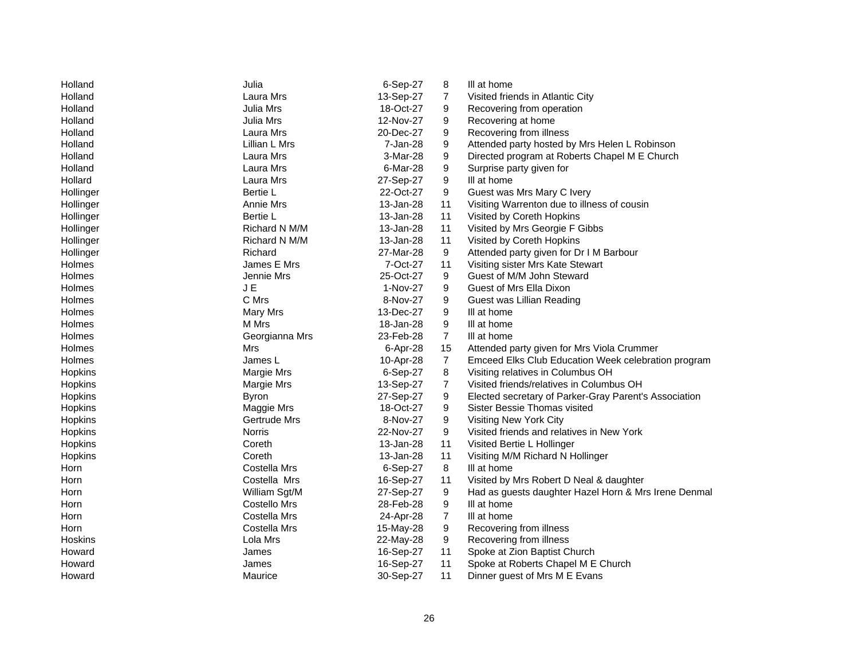| Holland   | Julia          | 6-Sep-27  | 8              | III at home                                           |
|-----------|----------------|-----------|----------------|-------------------------------------------------------|
| Holland   | Laura Mrs      | 13-Sep-27 | $\overline{7}$ | Visited friends in Atlantic City                      |
| Holland   | Julia Mrs      | 18-Oct-27 | 9              | Recovering from operation                             |
| Holland   | Julia Mrs      | 12-Nov-27 | 9              | Recovering at home                                    |
| Holland   | Laura Mrs      | 20-Dec-27 | 9              | Recovering from illness                               |
| Holland   | Lillian L Mrs  | 7-Jan-28  | 9              | Attended party hosted by Mrs Helen L Robinson         |
| Holland   | Laura Mrs      | 3-Mar-28  | 9              | Directed program at Roberts Chapel M E Church         |
| Holland   | Laura Mrs      | 6-Mar-28  | 9              | Surprise party given for                              |
| Hollard   | Laura Mrs      | 27-Sep-27 | 9              | III at home                                           |
| Hollinger | Bertie L       | 22-Oct-27 | 9              | Guest was Mrs Mary C Ivery                            |
| Hollinger | Annie Mrs      | 13-Jan-28 | 11             | Visiting Warrenton due to illness of cousin           |
| Hollinger | Bertie L       | 13-Jan-28 | 11             | Visited by Coreth Hopkins                             |
| Hollinger | Richard N M/M  | 13-Jan-28 | 11             | Visited by Mrs Georgie F Gibbs                        |
| Hollinger | Richard N M/M  | 13-Jan-28 | 11             | Visited by Coreth Hopkins                             |
| Hollinger | Richard        | 27-Mar-28 | 9              | Attended party given for Dr I M Barbour               |
| Holmes    | James E Mrs    | 7-Oct-27  | 11             | Visiting sister Mrs Kate Stewart                      |
| Holmes    | Jennie Mrs     | 25-Oct-27 | 9              | Guest of M/M John Steward                             |
| Holmes    | J E            | 1-Nov-27  | 9              | Guest of Mrs Ella Dixon                               |
| Holmes    | C Mrs          | 8-Nov-27  | 9              | Guest was Lillian Reading                             |
| Holmes    | Mary Mrs       | 13-Dec-27 | 9              | III at home                                           |
| Holmes    | M Mrs          | 18-Jan-28 | 9              | III at home                                           |
| Holmes    | Georgianna Mrs | 23-Feb-28 | $\overline{7}$ | III at home                                           |
| Holmes    | Mrs            | 6-Apr-28  | 15             | Attended party given for Mrs Viola Crummer            |
| Holmes    | James L        | 10-Apr-28 | $\overline{7}$ | Emceed Elks Club Education Week celebration program   |
| Hopkins   | Margie Mrs     | 6-Sep-27  | 8              | Visiting relatives in Columbus OH                     |
| Hopkins   | Margie Mrs     | 13-Sep-27 | 7              | Visited friends/relatives in Columbus OH              |
| Hopkins   | <b>Byron</b>   | 27-Sep-27 | 9              | Elected secretary of Parker-Gray Parent's Association |
| Hopkins   | Maggie Mrs     | 18-Oct-27 | 9              | Sister Bessie Thomas visited                          |
| Hopkins   | Gertrude Mrs   | 8-Nov-27  | 9              | Visiting New York City                                |
| Hopkins   | Norris         | 22-Nov-27 | 9              | Visited friends and relatives in New York             |
| Hopkins   | Coreth         | 13-Jan-28 | 11             | Visited Bertie L Hollinger                            |
| Hopkins   | Coreth         | 13-Jan-28 | 11             | Visiting M/M Richard N Hollinger                      |
| Horn      | Costella Mrs   | 6-Sep-27  | 8              | III at home                                           |
| Horn      | Costella Mrs   | 16-Sep-27 | 11             | Visited by Mrs Robert D Neal & daughter               |
| Horn      | William Sgt/M  | 27-Sep-27 | 9              | Had as guests daughter Hazel Horn & Mrs Irene Denmal  |
| Horn      | Costello Mrs   | 28-Feb-28 | 9              | III at home                                           |
| Horn      | Costella Mrs   | 24-Apr-28 | 7              | III at home                                           |
| Horn      | Costella Mrs   | 15-May-28 | 9              | Recovering from illness                               |
| Hoskins   | Lola Mrs       | 22-May-28 | 9              | Recovering from illness                               |
| Howard    | James          | 16-Sep-27 | 11             | Spoke at Zion Baptist Church                          |
| Howard    | James          | 16-Sep-27 | 11             | Spoke at Roberts Chapel M E Church                    |
| Howard    | Maurice        | 30-Sep-27 | 11             | Dinner guest of Mrs M E Evans                         |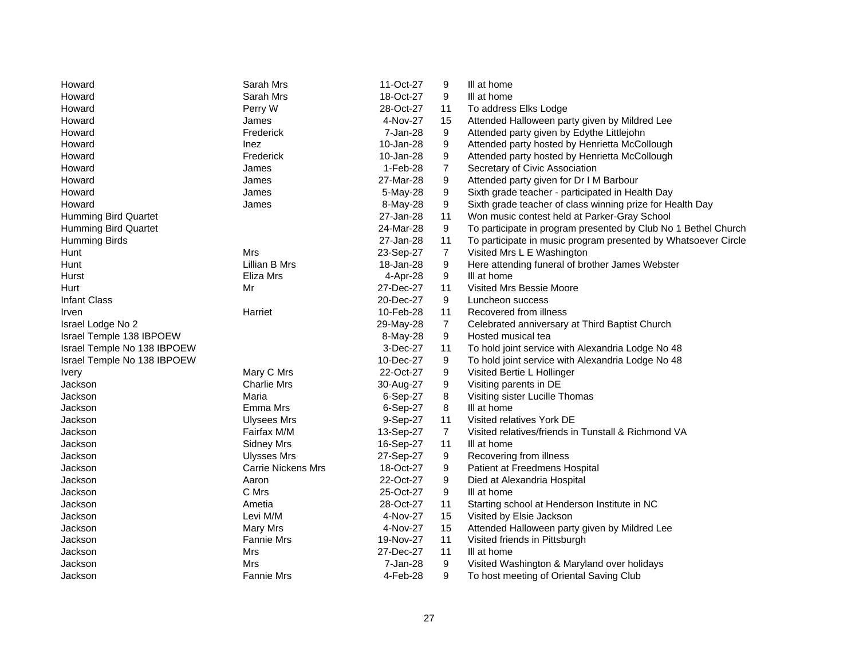| Howard                      | Sarah Mrs                 | 11-Oct-27 | 9              | III at home                                                    |
|-----------------------------|---------------------------|-----------|----------------|----------------------------------------------------------------|
| Howard                      | Sarah Mrs                 | 18-Oct-27 | 9              | III at home                                                    |
| Howard                      | Perry W                   | 28-Oct-27 | 11             | To address Elks Lodge                                          |
| Howard                      | James                     | 4-Nov-27  | 15             | Attended Halloween party given by Mildred Lee                  |
| Howard                      | Frederick                 | 7-Jan-28  | 9              | Attended party given by Edythe Littlejohn                      |
| Howard                      | Inez                      | 10-Jan-28 | 9              | Attended party hosted by Henrietta McCollough                  |
| Howard                      | Frederick                 | 10-Jan-28 | 9              | Attended party hosted by Henrietta McCollough                  |
| Howard                      | James                     | 1-Feb-28  | $\overline{7}$ | Secretary of Civic Association                                 |
| Howard                      | James                     | 27-Mar-28 | 9              | Attended party given for Dr I M Barbour                        |
| Howard                      | James                     | 5-May-28  | 9              | Sixth grade teacher - participated in Health Day               |
| Howard                      | James                     | 8-May-28  | 9              | Sixth grade teacher of class winning prize for Health Day      |
| <b>Humming Bird Quartet</b> |                           | 27-Jan-28 | 11             | Won music contest held at Parker-Gray School                   |
| Humming Bird Quartet        |                           | 24-Mar-28 | 9              | To participate in program presented by Club No 1 Bethel Church |
| <b>Humming Birds</b>        |                           | 27-Jan-28 | 11             | To participate in music program presented by Whatsoever Circle |
| Hunt                        | Mrs                       | 23-Sep-27 | $\overline{7}$ | Visited Mrs L E Washington                                     |
| Hunt                        | Lillian B Mrs             | 18-Jan-28 | 9              | Here attending funeral of brother James Webster                |
| Hurst                       | Eliza Mrs                 | 4-Apr-28  | 9              | III at home                                                    |
| Hurt                        | Mr                        | 27-Dec-27 | 11             | <b>Visited Mrs Bessie Moore</b>                                |
| <b>Infant Class</b>         |                           | 20-Dec-27 | 9              | Luncheon success                                               |
| Irven                       | Harriet                   | 10-Feb-28 | 11             | Recovered from illness                                         |
| Israel Lodge No 2           |                           | 29-May-28 | $\overline{7}$ | Celebrated anniversary at Third Baptist Church                 |
| Israel Temple 138 IBPOEW    |                           | 8-May-28  | 9              | Hosted musical tea                                             |
| Israel Temple No 138 IBPOEW |                           | 3-Dec-27  | 11             | To hold joint service with Alexandria Lodge No 48              |
| Israel Temple No 138 IBPOEW |                           | 10-Dec-27 | 9              | To hold joint service with Alexandria Lodge No 48              |
| <b>Ivery</b>                | Mary C Mrs                | 22-Oct-27 | 9              | Visited Bertie L Hollinger                                     |
| Jackson                     | <b>Charlie Mrs</b>        | 30-Aug-27 | 9              | Visiting parents in DE                                         |
| Jackson                     | Maria                     | 6-Sep-27  | 8              | Visiting sister Lucille Thomas                                 |
| Jackson                     | Emma Mrs                  | 6-Sep-27  | 8              | III at home                                                    |
| Jackson                     | <b>Ulysees Mrs</b>        | 9-Sep-27  | 11             | Visited relatives York DE                                      |
| Jackson                     | Fairfax M/M               | 13-Sep-27 | $\overline{7}$ | Visited relatives/friends in Tunstall & Richmond VA            |
| Jackson                     | Sidney Mrs                | 16-Sep-27 | 11             | III at home                                                    |
| Jackson                     | <b>Ulysses Mrs</b>        | 27-Sep-27 | 9              | Recovering from illness                                        |
| Jackson                     | <b>Carrie Nickens Mrs</b> | 18-Oct-27 | 9              | Patient at Freedmens Hospital                                  |
| Jackson                     | Aaron                     | 22-Oct-27 | 9              | Died at Alexandria Hospital                                    |
| Jackson                     | C Mrs                     | 25-Oct-27 | 9              | III at home                                                    |
| Jackson                     | Ametia                    | 28-Oct-27 | 11             | Starting school at Henderson Institute in NC                   |
| Jackson                     | Levi M/M                  | 4-Nov-27  | 15             | Visited by Elsie Jackson                                       |
| Jackson                     | <b>Mary Mrs</b>           | 4-Nov-27  | 15             | Attended Halloween party given by Mildred Lee                  |
| Jackson                     | <b>Fannie Mrs</b>         | 19-Nov-27 | 11             | Visited friends in Pittsburgh                                  |
| Jackson                     | Mrs                       | 27-Dec-27 | 11             | III at home                                                    |
| Jackson                     | Mrs                       | 7-Jan-28  | 9              | Visited Washington & Maryland over holidays                    |
| Jackson                     | <b>Fannie Mrs</b>         | 4-Feb-28  | 9              | To host meeting of Oriental Saving Club                        |
|                             |                           |           |                |                                                                |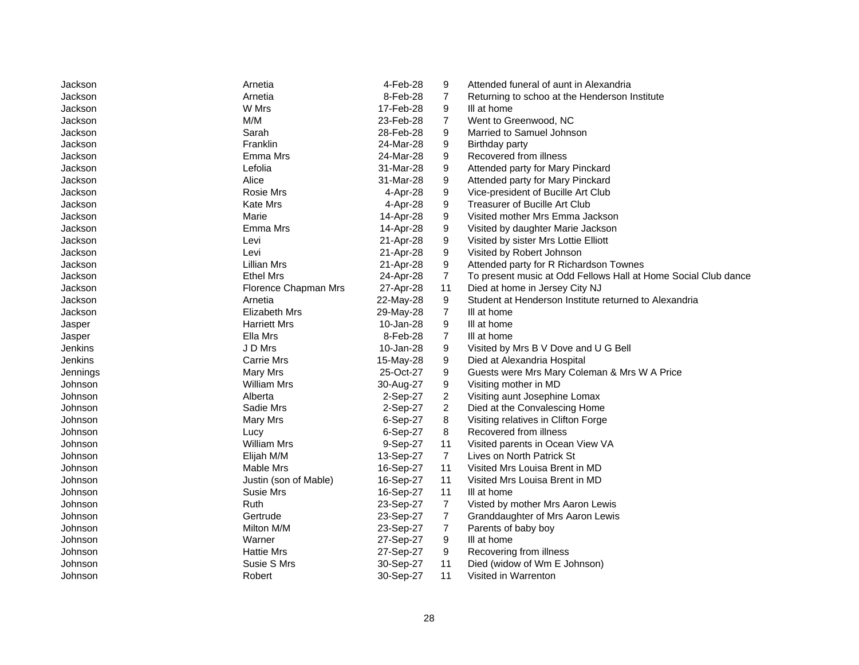| Jackson  | Arnetia               | 4-Feb-28  | 9              | Attended funeral of aunt in Alexandria                         |
|----------|-----------------------|-----------|----------------|----------------------------------------------------------------|
| Jackson  | Arnetia               | 8-Feb-28  | $\overline{7}$ | Returning to schoo at the Henderson Institute                  |
| Jackson  | W Mrs                 | 17-Feb-28 | 9              | III at home                                                    |
| Jackson  | M/M                   | 23-Feb-28 | $\overline{7}$ | Went to Greenwood, NC                                          |
| Jackson  | Sarah                 | 28-Feb-28 | 9              | Married to Samuel Johnson                                      |
| Jackson  | Franklin              | 24-Mar-28 | 9              | Birthday party                                                 |
| Jackson  | Emma Mrs              | 24-Mar-28 | 9              | Recovered from illness                                         |
| Jackson  | Lefolia               | 31-Mar-28 | 9              | Attended party for Mary Pinckard                               |
| Jackson  | Alice                 | 31-Mar-28 | 9              | Attended party for Mary Pinckard                               |
| Jackson  | Rosie Mrs             | 4-Apr-28  | 9              | Vice-president of Bucille Art Club                             |
| Jackson  | Kate Mrs              | 4-Apr-28  | 9              | Treasurer of Bucille Art Club                                  |
| Jackson  | Marie                 | 14-Apr-28 | 9              | Visited mother Mrs Emma Jackson                                |
| Jackson  | Emma Mrs              | 14-Apr-28 | 9              | Visited by daughter Marie Jackson                              |
| Jackson  | Levi                  | 21-Apr-28 | 9              | Visited by sister Mrs Lottie Elliott                           |
| Jackson  | Levi                  | 21-Apr-28 | 9              | Visited by Robert Johnson                                      |
| Jackson  | Lillian Mrs           | 21-Apr-28 | 9              | Attended party for R Richardson Townes                         |
| Jackson  | <b>Ethel Mrs</b>      | 24-Apr-28 | $\overline{7}$ | To present music at Odd Fellows Hall at Home Social Club dance |
| Jackson  | Florence Chapman Mrs  | 27-Apr-28 | 11             | Died at home in Jersey City NJ                                 |
| Jackson  | Arnetia               | 22-May-28 | 9              | Student at Henderson Institute returned to Alexandria          |
| Jackson  | <b>Elizabeth Mrs</b>  | 29-May-28 | $\overline{7}$ | III at home                                                    |
| Jasper   | <b>Harriett Mrs</b>   | 10-Jan-28 | 9              | III at home                                                    |
| Jasper   | Ella Mrs              | 8-Feb-28  | $\overline{7}$ | III at home                                                    |
| Jenkins  | J D Mrs               | 10-Jan-28 | 9              | Visited by Mrs B V Dove and U G Bell                           |
| Jenkins  | Carrie Mrs            | 15-May-28 | 9              | Died at Alexandria Hospital                                    |
| Jennings | Mary Mrs              | 25-Oct-27 | 9              | Guests were Mrs Mary Coleman & Mrs W A Price                   |
| Johnson  | <b>William Mrs</b>    | 30-Aug-27 | 9              | Visiting mother in MD                                          |
| Johnson  | Alberta               | 2-Sep-27  | 2              | Visiting aunt Josephine Lomax                                  |
| Johnson  | Sadie Mrs             | 2-Sep-27  | $\overline{a}$ | Died at the Convalescing Home                                  |
| Johnson  | Mary Mrs              | 6-Sep-27  | 8              | Visiting relatives in Clifton Forge                            |
| Johnson  | Lucy                  | 6-Sep-27  | 8              | Recovered from illness                                         |
| Johnson  | <b>William Mrs</b>    | 9-Sep-27  | 11             | Visited parents in Ocean View VA                               |
| Johnson  | Elijah M/M            | 13-Sep-27 | $\overline{7}$ | Lives on North Patrick St                                      |
| Johnson  | Mable Mrs             | 16-Sep-27 | 11             | Visited Mrs Louisa Brent in MD                                 |
| Johnson  | Justin (son of Mable) | 16-Sep-27 | 11             | Visited Mrs Louisa Brent in MD                                 |
| Johnson  | <b>Susie Mrs</b>      | 16-Sep-27 | 11             | III at home                                                    |
| Johnson  | Ruth                  | 23-Sep-27 | 7              | Visted by mother Mrs Aaron Lewis                               |
| Johnson  | Gertrude              | 23-Sep-27 | 7              | Granddaughter of Mrs Aaron Lewis                               |
| Johnson  | Milton M/M            | 23-Sep-27 | $\overline{7}$ | Parents of baby boy                                            |
| Johnson  | Warner                | 27-Sep-27 | 9              | III at home                                                    |
| Johnson  | <b>Hattie Mrs</b>     | 27-Sep-27 | 9              | Recovering from illness                                        |
| Johnson  | Susie S Mrs           | 30-Sep-27 | 11             | Died (widow of Wm E Johnson)                                   |
| Johnson  | Robert                | 30-Sep-27 | 11             | Visited in Warrenton                                           |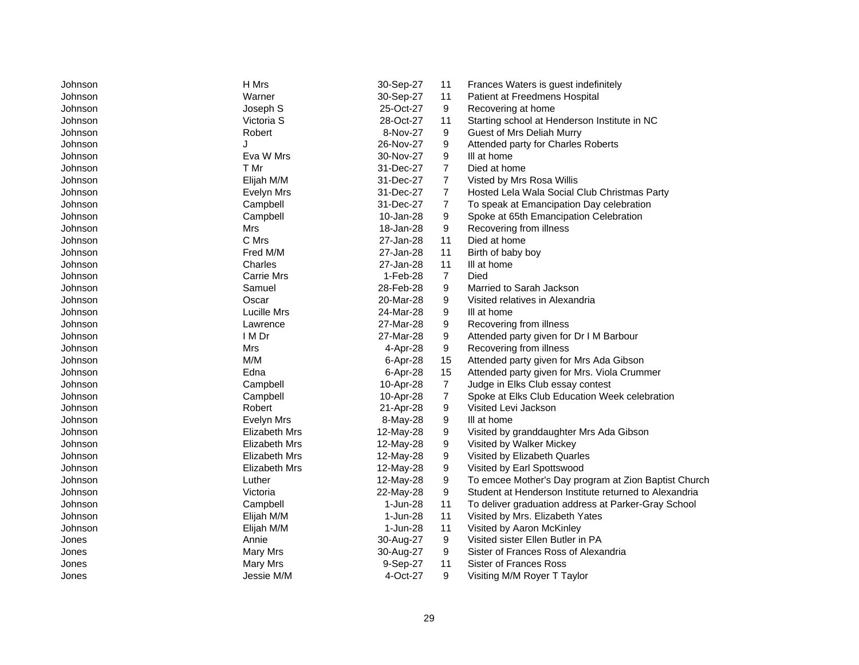| Johnson | H Mrs             | 30-Sep-27 | 11             | Frances Waters is guest indefinitely                  |
|---------|-------------------|-----------|----------------|-------------------------------------------------------|
| Johnson | Warner            | 30-Sep-27 | 11             | Patient at Freedmens Hospital                         |
| Johnson | Joseph S          | 25-Oct-27 | 9              | Recovering at home                                    |
| Johnson | Victoria S        | 28-Oct-27 | 11             | Starting school at Henderson Institute in NC          |
| Johnson | Robert            | 8-Nov-27  | 9              | Guest of Mrs Deliah Murry                             |
| Johnson | J                 | 26-Nov-27 | 9              | Attended party for Charles Roberts                    |
| Johnson | Eva W Mrs         | 30-Nov-27 | 9              | III at home                                           |
| Johnson | T Mr              | 31-Dec-27 | $\overline{7}$ | Died at home                                          |
| Johnson | Elijah M/M        | 31-Dec-27 | 7              | Visted by Mrs Rosa Willis                             |
| Johnson | Evelyn Mrs        | 31-Dec-27 | $\overline{7}$ | Hosted Lela Wala Social Club Christmas Party          |
| Johnson | Campbell          | 31-Dec-27 | $\overline{7}$ | To speak at Emancipation Day celebration              |
| Johnson | Campbell          | 10-Jan-28 | 9              | Spoke at 65th Emancipation Celebration                |
| Johnson | Mrs               | 18-Jan-28 | 9              | Recovering from illness                               |
| Johnson | C Mrs             | 27-Jan-28 | 11             | Died at home                                          |
| Johnson | Fred M/M          | 27-Jan-28 | 11             | Birth of baby boy                                     |
| Johnson | Charles           | 27-Jan-28 | 11             | III at home                                           |
| Johnson | <b>Carrie Mrs</b> | 1-Feb-28  | $\overline{7}$ | Died                                                  |
| Johnson | Samuel            | 28-Feb-28 | 9              | Married to Sarah Jackson                              |
| Johnson | Oscar             | 20-Mar-28 | 9              | Visited relatives in Alexandria                       |
| Johnson | Lucille Mrs       | 24-Mar-28 | 9              | III at home                                           |
| Johnson | Lawrence          | 27-Mar-28 | 9              | Recovering from illness                               |
| Johnson | I M Dr            | 27-Mar-28 | 9              | Attended party given for Dr I M Barbour               |
| Johnson | Mrs               | 4-Apr-28  | 9              | Recovering from illness                               |
| Johnson | M/M               | 6-Apr-28  | 15             | Attended party given for Mrs Ada Gibson               |
| Johnson | Edna              | 6-Apr-28  | 15             | Attended party given for Mrs. Viola Crummer           |
| Johnson | Campbell          | 10-Apr-28 | $\overline{7}$ | Judge in Elks Club essay contest                      |
| Johnson | Campbell          | 10-Apr-28 | 7              | Spoke at Elks Club Education Week celebration         |
| Johnson | Robert            | 21-Apr-28 | 9              | Visited Levi Jackson                                  |
| Johnson | Evelyn Mrs        | 8-May-28  | 9              | III at home                                           |
| Johnson | Elizabeth Mrs     | 12-May-28 | 9              | Visited by granddaughter Mrs Ada Gibson               |
| Johnson | Elizabeth Mrs     | 12-May-28 | 9              | Visited by Walker Mickey                              |
| Johnson | Elizabeth Mrs     | 12-May-28 | 9              | Visited by Elizabeth Quarles                          |
| Johnson | Elizabeth Mrs     | 12-May-28 | 9              | Visited by Earl Spottswood                            |
| Johnson | Luther            | 12-May-28 | 9              | To emcee Mother's Day program at Zion Baptist Church  |
| Johnson | Victoria          | 22-May-28 | 9              | Student at Henderson Institute returned to Alexandria |
| Johnson | Campbell          | 1-Jun-28  | 11             | To deliver graduation address at Parker-Gray School   |
| Johnson | Elijah M/M        | 1-Jun-28  | 11             | Visited by Mrs. Elizabeth Yates                       |
| Johnson | Elijah M/M        | 1-Jun-28  | 11             | Visited by Aaron McKinley                             |
| Jones   | Annie             | 30-Aug-27 | 9              | Visited sister Ellen Butler in PA                     |
| Jones   | Mary Mrs          | 30-Aug-27 | 9              | Sister of Frances Ross of Alexandria                  |
| Jones   | Mary Mrs          | 9-Sep-27  | 11             | Sister of Frances Ross                                |
| Jones   | Jessie M/M        | 4-Oct-27  | 9              | Visiting M/M Royer T Taylor                           |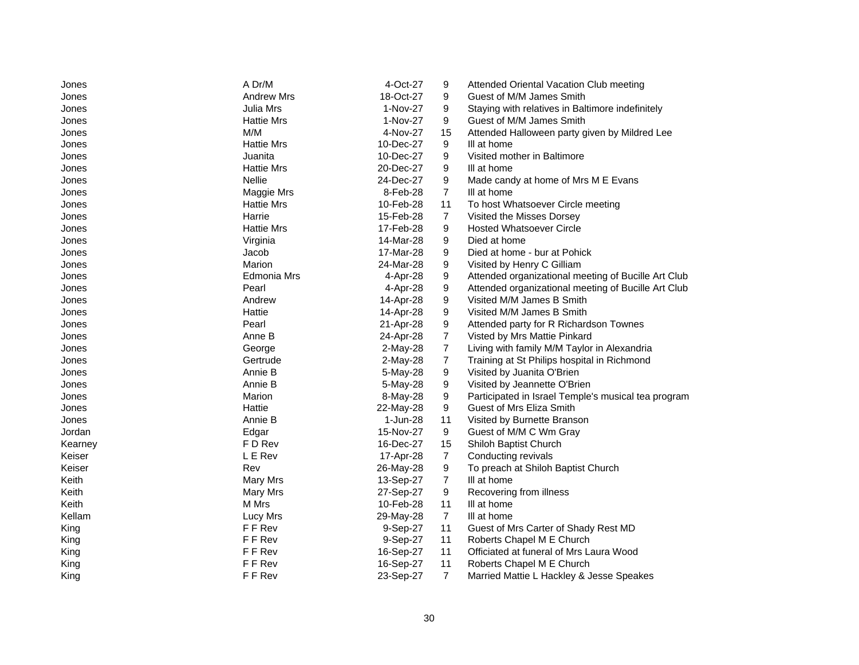| Jones   | A Dr/M            | 4-Oct-27   | 9              | Attended Oriental Vacation Club meeting             |
|---------|-------------------|------------|----------------|-----------------------------------------------------|
| Jones   | <b>Andrew Mrs</b> | 18-Oct-27  | 9              | Guest of M/M James Smith                            |
| Jones   | Julia Mrs         | 1-Nov-27   | 9              | Staying with relatives in Baltimore indefinitely    |
| Jones   | <b>Hattie Mrs</b> | 1-Nov-27   | 9              | Guest of M/M James Smith                            |
| Jones   | M/M               | 4-Nov-27   | 15             | Attended Halloween party given by Mildred Lee       |
| Jones   | <b>Hattie Mrs</b> | 10-Dec-27  | 9              | III at home                                         |
| Jones   | Juanita           | 10-Dec-27  | 9              | Visited mother in Baltimore                         |
| Jones   | <b>Hattie Mrs</b> | 20-Dec-27  | 9              | III at home                                         |
| Jones   | <b>Nellie</b>     | 24-Dec-27  | 9              | Made candy at home of Mrs M E Evans                 |
| Jones   | Maggie Mrs        | 8-Feb-28   | $\overline{7}$ | III at home                                         |
| Jones   | <b>Hattie Mrs</b> | 10-Feb-28  | 11             | To host Whatsoever Circle meeting                   |
| Jones   | Harrie            | 15-Feb-28  | $\overline{7}$ | Visited the Misses Dorsey                           |
| Jones   | <b>Hattie Mrs</b> | 17-Feb-28  | 9              | <b>Hosted Whatsoever Circle</b>                     |
| Jones   | Virginia          | 14-Mar-28  | 9              | Died at home                                        |
| Jones   | Jacob             | 17-Mar-28  | 9              | Died at home - bur at Pohick                        |
| Jones   | Marion            | 24-Mar-28  | 9              | Visited by Henry C Gilliam                          |
| Jones   | Edmonia Mrs       | 4-Apr-28   | 9              | Attended organizational meeting of Bucille Art Club |
| Jones   | Pearl             | 4-Apr-28   | 9              | Attended organizational meeting of Bucille Art Club |
| Jones   | Andrew            | 14-Apr-28  | 9              | Visited M/M James B Smith                           |
| Jones   | Hattie            | 14-Apr-28  | 9              | Visited M/M James B Smith                           |
| Jones   | Pearl             | 21-Apr-28  | 9              | Attended party for R Richardson Townes              |
| Jones   | Anne B            | 24-Apr-28  | $\overline{7}$ | Visted by Mrs Mattie Pinkard                        |
| Jones   | George            | $2-May-28$ | $\overline{7}$ | Living with family M/M Taylor in Alexandria         |
| Jones   | Gertrude          | $2-May-28$ | $\overline{7}$ | Training at St Philips hospital in Richmond         |
| Jones   | Annie B           | 5-May-28   | 9              | Visited by Juanita O'Brien                          |
| Jones   | Annie B           | 5-May-28   | 9              | Visited by Jeannette O'Brien                        |
| Jones   | Marion            | 8-May-28   | 9              | Participated in Israel Temple's musical tea program |
| Jones   | Hattie            | 22-May-28  | 9              | Guest of Mrs Eliza Smith                            |
| Jones   | Annie B           | 1-Jun-28   | 11             | Visited by Burnette Branson                         |
| Jordan  | Edgar             | 15-Nov-27  | 9              | Guest of M/M C Wm Gray                              |
| Kearney | F D Rev           | 16-Dec-27  | 15             | Shiloh Baptist Church                               |
| Keiser  | L E Rev           | 17-Apr-28  | 7              | Conducting revivals                                 |
| Keiser  | Rev               | 26-May-28  | 9              | To preach at Shiloh Baptist Church                  |
| Keith   | Mary Mrs          | 13-Sep-27  | $\overline{7}$ | III at home                                         |
| Keith   | Mary Mrs          | 27-Sep-27  | 9              | Recovering from illness                             |
| Keith   | M Mrs             | 10-Feb-28  | 11             | III at home                                         |
| Kellam  | Lucy Mrs          | 29-May-28  | $\overline{7}$ | III at home                                         |
| King    | F F Rev           | 9-Sep-27   | 11             | Guest of Mrs Carter of Shady Rest MD                |
| King    | F F Rev           | 9-Sep-27   | 11             | Roberts Chapel M E Church                           |
| King    | F F Rev           | 16-Sep-27  | 11             | Officiated at funeral of Mrs Laura Wood             |
| King    | F F Rev           | 16-Sep-27  | 11             | Roberts Chapel M E Church                           |
| King    | F F Rev           | 23-Sep-27  | $\overline{7}$ | Married Mattie L Hackley & Jesse Speakes            |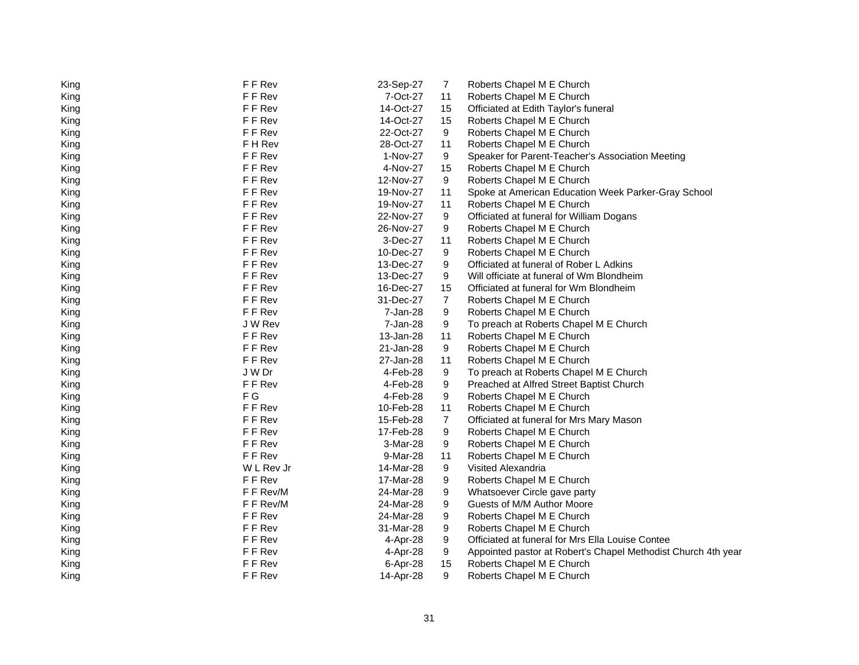| King | F F Rev    | 23-Sep-27 | 7  | Roberts Chapel M E Church                                     |
|------|------------|-----------|----|---------------------------------------------------------------|
| King | F F Rev    | 7-Oct-27  | 11 | Roberts Chapel M E Church                                     |
| King | F F Rev    | 14-Oct-27 | 15 | Officiated at Edith Taylor's funeral                          |
| King | F F Rev    | 14-Oct-27 | 15 | Roberts Chapel M E Church                                     |
| King | F F Rev    | 22-Oct-27 | 9  | Roberts Chapel M E Church                                     |
| King | F H Rev    | 28-Oct-27 | 11 | Roberts Chapel M E Church                                     |
| King | F F Rev    | 1-Nov-27  | 9  | Speaker for Parent-Teacher's Association Meeting              |
| King | F F Rev    | 4-Nov-27  | 15 | Roberts Chapel M E Church                                     |
| King | F F Rev    | 12-Nov-27 | 9  | Roberts Chapel M E Church                                     |
| King | F F Rev    | 19-Nov-27 | 11 | Spoke at American Education Week Parker-Gray School           |
| King | F F Rev    | 19-Nov-27 | 11 | Roberts Chapel M E Church                                     |
| King | F F Rev    | 22-Nov-27 | 9  | Officiated at funeral for William Dogans                      |
| King | F F Rev    | 26-Nov-27 | 9  | Roberts Chapel M E Church                                     |
| King | F F Rev    | 3-Dec-27  | 11 | Roberts Chapel M E Church                                     |
| King | F F Rev    | 10-Dec-27 | 9  | Roberts Chapel M E Church                                     |
| King | F F Rev    | 13-Dec-27 | 9  | Officiated at funeral of Rober L Adkins                       |
| King | F F Rev    | 13-Dec-27 | 9  | Will officiate at funeral of Wm Blondheim                     |
| King | F F Rev    | 16-Dec-27 | 15 | Officiated at funeral for Wm Blondheim                        |
| King | F F Rev    | 31-Dec-27 | 7  | Roberts Chapel M E Church                                     |
| King | F F Rev    | 7-Jan-28  | 9  | Roberts Chapel M E Church                                     |
| King | J W Rev    | 7-Jan-28  | 9  | To preach at Roberts Chapel M E Church                        |
| King | F F Rev    | 13-Jan-28 | 11 | Roberts Chapel M E Church                                     |
| King | F F Rev    | 21-Jan-28 | 9  | Roberts Chapel M E Church                                     |
| King | F F Rev    | 27-Jan-28 | 11 | Roberts Chapel M E Church                                     |
| King | J W Dr     | 4-Feb-28  | 9  | To preach at Roberts Chapel M E Church                        |
| King | F F Rev    | 4-Feb-28  | 9  | Preached at Alfred Street Baptist Church                      |
| King | F G        | 4-Feb-28  | 9  | Roberts Chapel M E Church                                     |
| King | F F Rev    | 10-Feb-28 | 11 | Roberts Chapel M E Church                                     |
| King | F F Rev    | 15-Feb-28 | 7  | Officiated at funeral for Mrs Mary Mason                      |
| King | F F Rev    | 17-Feb-28 | 9  | Roberts Chapel M E Church                                     |
| King | F F Rev    | 3-Mar-28  | 9  | Roberts Chapel M E Church                                     |
| King | F F Rev    | 9-Mar-28  | 11 | Roberts Chapel M E Church                                     |
| King | W L Rev Jr | 14-Mar-28 | 9  | Visited Alexandria                                            |
| King | F F Rev    | 17-Mar-28 | 9  | Roberts Chapel M E Church                                     |
| King | F F Rev/M  | 24-Mar-28 | 9  | Whatsoever Circle gave party                                  |
| King | F F Rev/M  | 24-Mar-28 | 9  | Guests of M/M Author Moore                                    |
| King | F F Rev    | 24-Mar-28 | 9  | Roberts Chapel M E Church                                     |
| King | F F Rev    | 31-Mar-28 | 9  | Roberts Chapel M E Church                                     |
| King | F F Rev    | 4-Apr-28  | 9  | Officiated at funeral for Mrs Ella Louise Contee              |
| King | F F Rev    | 4-Apr-28  | 9  | Appointed pastor at Robert's Chapel Methodist Church 4th year |
| King | F F Rev    | 6-Apr-28  | 15 | Roberts Chapel M E Church                                     |
| King | F F Rev    | 14-Apr-28 | 9  | Roberts Chapel M E Church                                     |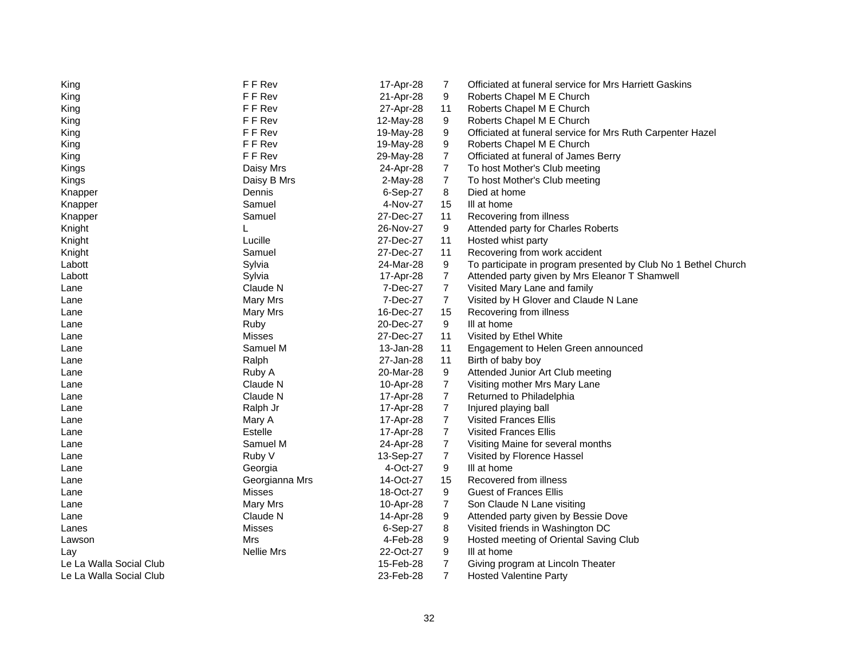| King                    | F F Rev           | 17-Apr-28 | 7              | Officiated at funeral service for Mrs Harriett Gaskins         |
|-------------------------|-------------------|-----------|----------------|----------------------------------------------------------------|
| King                    | F F Rev           | 21-Apr-28 | 9              | Roberts Chapel M E Church                                      |
| King                    | F F Rev           | 27-Apr-28 | 11             | Roberts Chapel M E Church                                      |
| King                    | F F Rev           | 12-May-28 | 9              | Roberts Chapel M E Church                                      |
| King                    | F F Rev           | 19-May-28 | 9              | Officiated at funeral service for Mrs Ruth Carpenter Hazel     |
| King                    | F F Rev           | 19-May-28 | 9              | Roberts Chapel M E Church                                      |
| King                    | F F Rev           | 29-May-28 | $\overline{7}$ | Officiated at funeral of James Berry                           |
| Kings                   | Daisy Mrs         | 24-Apr-28 | $\overline{7}$ | To host Mother's Club meeting                                  |
| Kings                   | Daisy B Mrs       | 2-May-28  | $\overline{7}$ | To host Mother's Club meeting                                  |
| Knapper                 | Dennis            | 6-Sep-27  | 8              | Died at home                                                   |
| Knapper                 | Samuel            | 4-Nov-27  | 15             | III at home                                                    |
| Knapper                 | Samuel            | 27-Dec-27 | 11             | Recovering from illness                                        |
| Knight                  | L                 | 26-Nov-27 | 9              | Attended party for Charles Roberts                             |
| Knight                  | Lucille           | 27-Dec-27 | 11             | Hosted whist party                                             |
| Knight                  | Samuel            | 27-Dec-27 | 11             | Recovering from work accident                                  |
| Labott                  | Sylvia            | 24-Mar-28 | 9              | To participate in program presented by Club No 1 Bethel Church |
| Labott                  | Sylvia            | 17-Apr-28 | 7              | Attended party given by Mrs Eleanor T Shamwell                 |
| Lane                    | Claude N          | 7-Dec-27  | $\overline{7}$ | Visited Mary Lane and family                                   |
| Lane                    | Mary Mrs          | 7-Dec-27  | $\overline{7}$ | Visited by H Glover and Claude N Lane                          |
| Lane                    | Mary Mrs          | 16-Dec-27 | 15             | Recovering from illness                                        |
| Lane                    | Ruby              | 20-Dec-27 | 9              | III at home                                                    |
| Lane                    | <b>Misses</b>     | 27-Dec-27 | 11             | Visited by Ethel White                                         |
| Lane                    | Samuel M          | 13-Jan-28 | 11             | Engagement to Helen Green announced                            |
| Lane                    | Ralph             | 27-Jan-28 | 11             | Birth of baby boy                                              |
| Lane                    | Ruby A            | 20-Mar-28 | 9              | Attended Junior Art Club meeting                               |
| Lane                    | Claude N          | 10-Apr-28 | 7              | Visiting mother Mrs Mary Lane                                  |
| Lane                    | Claude N          | 17-Apr-28 | $\overline{7}$ | Returned to Philadelphia                                       |
| Lane                    | Ralph Jr          | 17-Apr-28 | $\overline{7}$ | Injured playing ball                                           |
| Lane                    | Mary A            | 17-Apr-28 | $\overline{7}$ | Visited Frances Ellis                                          |
| Lane                    | Estelle           | 17-Apr-28 | $\overline{7}$ | <b>Visited Frances Ellis</b>                                   |
| Lane                    | Samuel M          | 24-Apr-28 | $\overline{7}$ | Visiting Maine for several months                              |
| Lane                    | Ruby V            | 13-Sep-27 | $\overline{7}$ | Visited by Florence Hassel                                     |
| Lane                    | Georgia           | 4-Oct-27  | 9              | III at home                                                    |
| Lane                    | Georgianna Mrs    | 14-Oct-27 | 15             | Recovered from illness                                         |
| Lane                    | <b>Misses</b>     | 18-Oct-27 | 9              | <b>Guest of Frances Ellis</b>                                  |
| Lane                    | Mary Mrs          | 10-Apr-28 | $\overline{7}$ | Son Claude N Lane visiting                                     |
| Lane                    | Claude N          | 14-Apr-28 | 9              | Attended party given by Bessie Dove                            |
| Lanes                   | Misses            | 6-Sep-27  | 8              | Visited friends in Washington DC                               |
| Lawson                  | Mrs               | 4-Feb-28  | 9              | Hosted meeting of Oriental Saving Club                         |
| Lay                     | <b>Nellie Mrs</b> | 22-Oct-27 | 9              | III at home                                                    |
| Le La Walla Social Club |                   | 15-Feb-28 | $\overline{7}$ | Giving program at Lincoln Theater                              |
| Le La Walla Social Club |                   | 23-Feb-28 | $\overline{7}$ | <b>Hosted Valentine Party</b>                                  |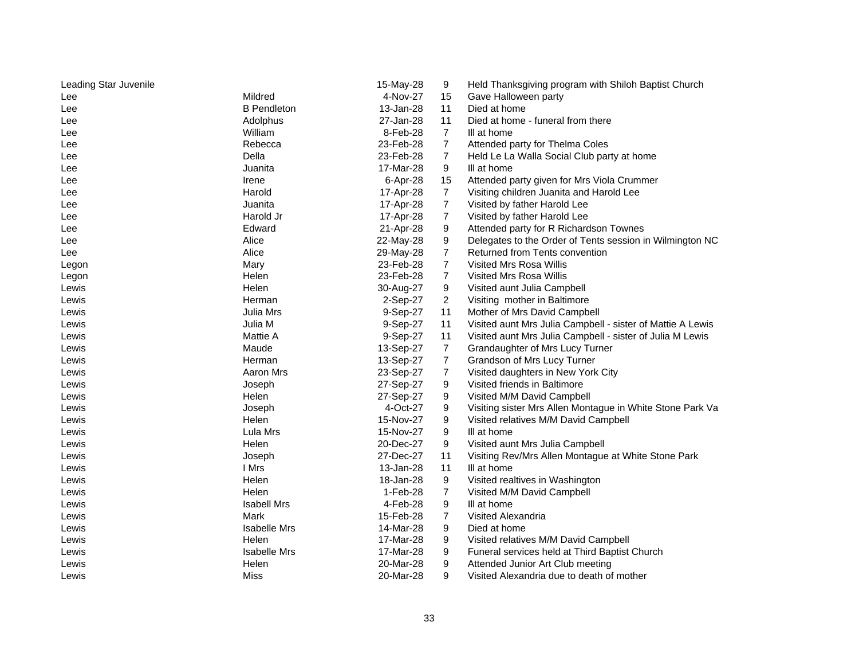| Leading Star Juvenile |                     | 15-May-28 | 9              | Held Thanksgiving program with Shiloh Baptist Church       |
|-----------------------|---------------------|-----------|----------------|------------------------------------------------------------|
| Lee                   | Mildred             | 4-Nov-27  | 15             | Gave Halloween party                                       |
| Lee                   | <b>B</b> Pendleton  | 13-Jan-28 | 11             | Died at home                                               |
| Lee                   | Adolphus            | 27-Jan-28 | 11             | Died at home - funeral from there                          |
| Lee                   | William             | 8-Feb-28  | $\overline{7}$ | III at home                                                |
| Lee                   | Rebecca             | 23-Feb-28 | $\overline{7}$ | Attended party for Thelma Coles                            |
| Lee                   | Della               | 23-Feb-28 | $\overline{7}$ | Held Le La Walla Social Club party at home                 |
| Lee                   | Juanita             | 17-Mar-28 | 9              | III at home                                                |
| Lee                   | Irene               | 6-Apr-28  | 15             | Attended party given for Mrs Viola Crummer                 |
| Lee                   | Harold              | 17-Apr-28 | $\overline{7}$ | Visiting children Juanita and Harold Lee                   |
| Lee                   | Juanita             | 17-Apr-28 | $\overline{7}$ | Visited by father Harold Lee                               |
| Lee                   | Harold Jr           | 17-Apr-28 | $\overline{7}$ | Visited by father Harold Lee                               |
| Lee                   | Edward              | 21-Apr-28 | 9              | Attended party for R Richardson Townes                     |
| Lee                   | Alice               | 22-May-28 | 9              | Delegates to the Order of Tents session in Wilmington NC   |
| Lee                   | Alice               | 29-May-28 | $\overline{7}$ | Returned from Tents convention                             |
| Legon                 | Mary                | 23-Feb-28 | $\overline{7}$ | Visited Mrs Rosa Willis                                    |
| Legon                 | Helen               | 23-Feb-28 | 7              | Visited Mrs Rosa Willis                                    |
| Lewis                 | Helen               | 30-Aug-27 | 9              | Visited aunt Julia Campbell                                |
| Lewis                 | Herman              | 2-Sep-27  | $\overline{2}$ | Visiting mother in Baltimore                               |
| Lewis                 | Julia Mrs           | 9-Sep-27  | 11             | Mother of Mrs David Campbell                               |
| Lewis                 | Julia M             | 9-Sep-27  | 11             | Visited aunt Mrs Julia Campbell - sister of Mattie A Lewis |
| Lewis                 | Mattie A            | 9-Sep-27  | 11             | Visited aunt Mrs Julia Campbell - sister of Julia M Lewis  |
| Lewis                 | Maude               | 13-Sep-27 | $\overline{7}$ | Grandaughter of Mrs Lucy Turner                            |
| Lewis                 | Herman              | 13-Sep-27 | $\overline{7}$ | Grandson of Mrs Lucy Turner                                |
| Lewis                 | Aaron Mrs           | 23-Sep-27 | $\overline{7}$ | Visited daughters in New York City                         |
| Lewis                 | Joseph              | 27-Sep-27 | 9              | Visited friends in Baltimore                               |
| Lewis                 | Helen               | 27-Sep-27 | 9              | Visited M/M David Campbell                                 |
| Lewis                 | Joseph              | 4-Oct-27  | 9              | Visiting sister Mrs Allen Montague in White Stone Park Va  |
| Lewis                 | Helen               | 15-Nov-27 | 9              | Visited relatives M/M David Campbell                       |
| Lewis                 | Lula Mrs            | 15-Nov-27 | 9              | III at home                                                |
| Lewis                 | Helen               | 20-Dec-27 | 9              | Visited aunt Mrs Julia Campbell                            |
| Lewis                 | Joseph              | 27-Dec-27 | 11             | Visiting Rev/Mrs Allen Montague at White Stone Park        |
| Lewis                 | I Mrs               | 13-Jan-28 | 11             | III at home                                                |
| Lewis                 | Helen               | 18-Jan-28 | 9              | Visited realtives in Washington                            |
| Lewis                 | Helen               | 1-Feb-28  | 7              | Visited M/M David Campbell                                 |
| Lewis                 | <b>Isabell Mrs</b>  | 4-Feb-28  | 9              | III at home                                                |
| Lewis                 | Mark                | 15-Feb-28 | $\overline{7}$ | Visited Alexandria                                         |
| Lewis                 | <b>Isabelle Mrs</b> | 14-Mar-28 | 9              | Died at home                                               |
| Lewis                 | Helen               | 17-Mar-28 | 9              | Visited relatives M/M David Campbell                       |
| Lewis                 | <b>Isabelle Mrs</b> | 17-Mar-28 | 9              | Funeral services held at Third Baptist Church              |
| Lewis                 | Helen               | 20-Mar-28 | 9              | Attended Junior Art Club meeting                           |
| Lewis                 | Miss                | 20-Mar-28 | 9              | Visited Alexandria due to death of mother                  |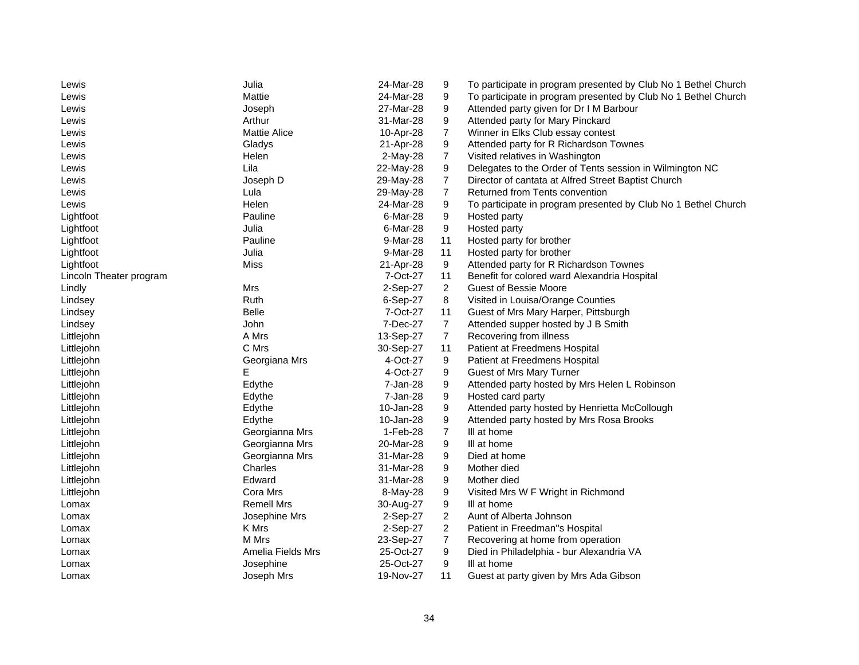| Lewis                   | Julia               | 24-Mar-28 | 9              | To participate in program presented by Club No 1 Bethel Church |
|-------------------------|---------------------|-----------|----------------|----------------------------------------------------------------|
| Lewis                   | Mattie              | 24-Mar-28 | 9              | To participate in program presented by Club No 1 Bethel Church |
| Lewis                   | Joseph              | 27-Mar-28 | 9              | Attended party given for Dr I M Barbour                        |
| Lewis                   | Arthur              | 31-Mar-28 | 9              | Attended party for Mary Pinckard                               |
| Lewis                   | <b>Mattie Alice</b> | 10-Apr-28 | $\overline{7}$ | Winner in Elks Club essay contest                              |
| Lewis                   | Gladys              | 21-Apr-28 | 9              | Attended party for R Richardson Townes                         |
| Lewis                   | Helen               | 2-May-28  | $\overline{7}$ | Visited relatives in Washington                                |
| Lewis                   | Lila                | 22-May-28 | 9              | Delegates to the Order of Tents session in Wilmington NC       |
| Lewis                   | Joseph D            | 29-May-28 | 7              | Director of cantata at Alfred Street Baptist Church            |
| Lewis                   | Lula                | 29-May-28 | $\overline{7}$ | Returned from Tents convention                                 |
| Lewis                   | Helen               | 24-Mar-28 | 9              | To participate in program presented by Club No 1 Bethel Church |
| Lightfoot               | Pauline             | 6-Mar-28  | 9              | Hosted party                                                   |
| Lightfoot               | Julia               | 6-Mar-28  | 9              | Hosted party                                                   |
| Lightfoot               | Pauline             | 9-Mar-28  | 11             | Hosted party for brother                                       |
| Lightfoot               | Julia               | 9-Mar-28  | 11             | Hosted party for brother                                       |
| Lightfoot               | Miss                | 21-Apr-28 | 9              | Attended party for R Richardson Townes                         |
| Lincoln Theater program |                     | 7-Oct-27  | 11             | Benefit for colored ward Alexandria Hospital                   |
| Lindly                  | Mrs                 | 2-Sep-27  | $\overline{2}$ | <b>Guest of Bessie Moore</b>                                   |
| Lindsey                 | Ruth                | 6-Sep-27  | 8              | Visited in Louisa/Orange Counties                              |
| Lindsey                 | <b>Belle</b>        | 7-Oct-27  | 11             | Guest of Mrs Mary Harper, Pittsburgh                           |
| Lindsey                 | John                | 7-Dec-27  | $\overline{7}$ | Attended supper hosted by J B Smith                            |
| Littlejohn              | A Mrs               | 13-Sep-27 | 7              | Recovering from illness                                        |
| Littlejohn              | C Mrs               | 30-Sep-27 | 11             | Patient at Freedmens Hospital                                  |
| Littlejohn              | Georgiana Mrs       | 4-Oct-27  | 9              | Patient at Freedmens Hospital                                  |
| Littlejohn              | Е                   | 4-Oct-27  | 9              | Guest of Mrs Mary Turner                                       |
| Littlejohn              | Edythe              | 7-Jan-28  | 9              | Attended party hosted by Mrs Helen L Robinson                  |
| Littlejohn              | Edythe              | 7-Jan-28  | 9              | Hosted card party                                              |
| Littlejohn              | Edythe              | 10-Jan-28 | 9              | Attended party hosted by Henrietta McCollough                  |
| Littlejohn              | Edythe              | 10-Jan-28 | 9              | Attended party hosted by Mrs Rosa Brooks                       |
| Littlejohn              | Georgianna Mrs      | 1-Feb-28  | $\overline{7}$ | III at home                                                    |
| Littlejohn              | Georgianna Mrs      | 20-Mar-28 | 9              | III at home                                                    |
| Littlejohn              | Georgianna Mrs      | 31-Mar-28 | 9              | Died at home                                                   |
| Littlejohn              | Charles             | 31-Mar-28 | 9              | Mother died                                                    |
| Littlejohn              | Edward              | 31-Mar-28 | 9              | Mother died                                                    |
| Littlejohn              | Cora Mrs            | 8-May-28  | 9              | Visited Mrs W F Wright in Richmond                             |
| Lomax                   | Remell Mrs          | 30-Aug-27 | 9              | III at home                                                    |
| Lomax                   | Josephine Mrs       | 2-Sep-27  | $\overline{c}$ | Aunt of Alberta Johnson                                        |
| Lomax                   | K Mrs               | 2-Sep-27  | $\overline{2}$ | Patient in Freedman"s Hospital                                 |
| Lomax                   | M Mrs               | 23-Sep-27 | $\overline{7}$ | Recovering at home from operation                              |
| Lomax                   | Amelia Fields Mrs   | 25-Oct-27 | 9              | Died in Philadelphia - bur Alexandria VA                       |
| Lomax                   | Josephine           | 25-Oct-27 | 9              | III at home                                                    |
| Lomax                   | Joseph Mrs          | 19-Nov-27 | 11             | Guest at party given by Mrs Ada Gibson                         |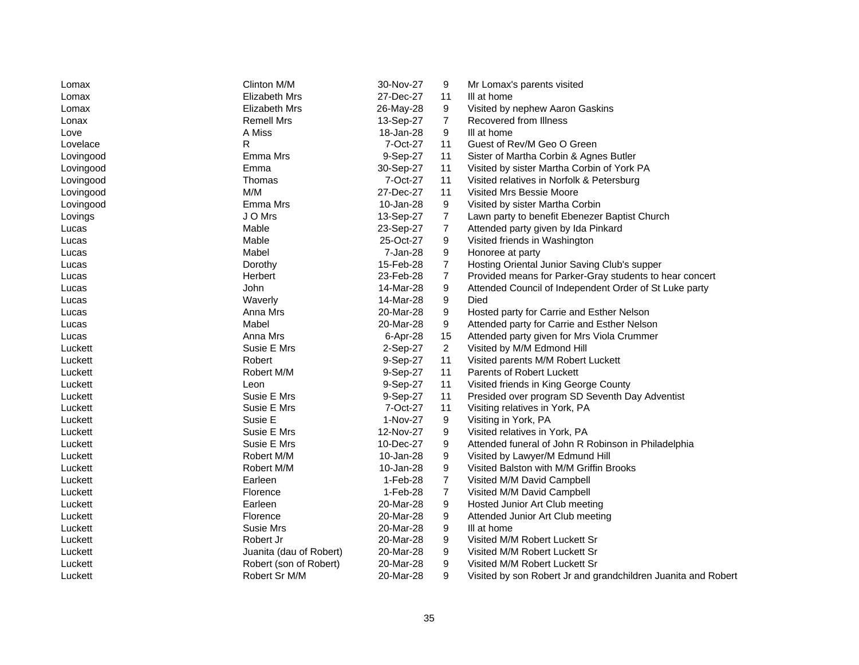| Lomax     | Clinton M/M             | 30-Nov-27 | 9              | Mr Lomax's parents visited                                    |
|-----------|-------------------------|-----------|----------------|---------------------------------------------------------------|
| Lomax     | Elizabeth Mrs           | 27-Dec-27 | 11             | III at home                                                   |
| Lomax     | Elizabeth Mrs           | 26-May-28 | 9              | Visited by nephew Aaron Gaskins                               |
| Lonax     | <b>Remell Mrs</b>       | 13-Sep-27 | $\overline{7}$ | Recovered from Illness                                        |
| Love      | A Miss                  | 18-Jan-28 | 9              | III at home                                                   |
| Lovelace  | R                       | 7-Oct-27  | 11             | Guest of Rev/M Geo O Green                                    |
| Lovingood | Emma Mrs                | 9-Sep-27  | 11             | Sister of Martha Corbin & Agnes Butler                        |
| Lovingood | Emma                    | 30-Sep-27 | 11             | Visited by sister Martha Corbin of York PA                    |
| Lovingood | Thomas                  | 7-Oct-27  | 11             | Visited relatives in Norfolk & Petersburg                     |
| Lovingood | M/M                     | 27-Dec-27 | 11             | Visited Mrs Bessie Moore                                      |
| Lovingood | Emma Mrs                | 10-Jan-28 | 9              | Visited by sister Martha Corbin                               |
| Lovings   | J O Mrs                 | 13-Sep-27 | $\overline{7}$ | Lawn party to benefit Ebenezer Baptist Church                 |
| Lucas     | Mable                   | 23-Sep-27 | 7              | Attended party given by Ida Pinkard                           |
| Lucas     | Mable                   | 25-Oct-27 | 9              | Visited friends in Washington                                 |
| Lucas     | Mabel                   | 7-Jan-28  | 9              | Honoree at party                                              |
| Lucas     | Dorothy                 | 15-Feb-28 | $\overline{7}$ | Hosting Oriental Junior Saving Club's supper                  |
| Lucas     | Herbert                 | 23-Feb-28 | 7              | Provided means for Parker-Gray students to hear concert       |
| Lucas     | John                    | 14-Mar-28 | 9              | Attended Council of Independent Order of St Luke party        |
| Lucas     | Waverly                 | 14-Mar-28 | 9              | Died                                                          |
| Lucas     | Anna Mrs                | 20-Mar-28 | 9              | Hosted party for Carrie and Esther Nelson                     |
| Lucas     | Mabel                   | 20-Mar-28 | 9              | Attended party for Carrie and Esther Nelson                   |
| Lucas     | Anna Mrs                | 6-Apr-28  | 15             | Attended party given for Mrs Viola Crummer                    |
| Luckett   | Susie E Mrs             | 2-Sep-27  | $\overline{2}$ | Visited by M/M Edmond Hill                                    |
| Luckett   | Robert                  | 9-Sep-27  | 11             | Visited parents M/M Robert Luckett                            |
| Luckett   | Robert M/M              | 9-Sep-27  | 11             | Parents of Robert Luckett                                     |
| Luckett   | Leon                    | 9-Sep-27  | 11             | Visited friends in King George County                         |
| Luckett   | Susie E Mrs             | 9-Sep-27  | 11             | Presided over program SD Seventh Day Adventist                |
| Luckett   | Susie E Mrs             | 7-Oct-27  | 11             | Visiting relatives in York, PA                                |
| Luckett   | Susie E                 | 1-Nov-27  | 9              | Visiting in York, PA                                          |
| Luckett   | Susie E Mrs             | 12-Nov-27 | 9              | Visited relatives in York, PA                                 |
| Luckett   | Susie E Mrs             | 10-Dec-27 | 9              | Attended funeral of John R Robinson in Philadelphia           |
| Luckett   | Robert M/M              | 10-Jan-28 | 9              | Visited by Lawyer/M Edmund Hill                               |
| Luckett   | Robert M/M              | 10-Jan-28 | 9              | Visited Balston with M/M Griffin Brooks                       |
| Luckett   | Earleen                 | 1-Feb-28  | $\overline{7}$ | Visited M/M David Campbell                                    |
| Luckett   | Florence                | 1-Feb-28  | $\overline{7}$ | Visited M/M David Campbell                                    |
| Luckett   | Earleen                 | 20-Mar-28 | 9              | Hosted Junior Art Club meeting                                |
| Luckett   | Florence                | 20-Mar-28 | 9              | Attended Junior Art Club meeting                              |
| Luckett   | Susie Mrs               | 20-Mar-28 | 9              | III at home                                                   |
| Luckett   | Robert Jr               | 20-Mar-28 | 9              | Visited M/M Robert Luckett Sr                                 |
| Luckett   | Juanita (dau of Robert) | 20-Mar-28 | 9              | Visited M/M Robert Luckett Sr                                 |
| Luckett   | Robert (son of Robert)  | 20-Mar-28 | 9              | Visited M/M Robert Luckett Sr                                 |
| Luckett   | Robert Sr M/M           | 20-Mar-28 | 9              | Visited by son Robert Jr and grandchildren Juanita and Robert |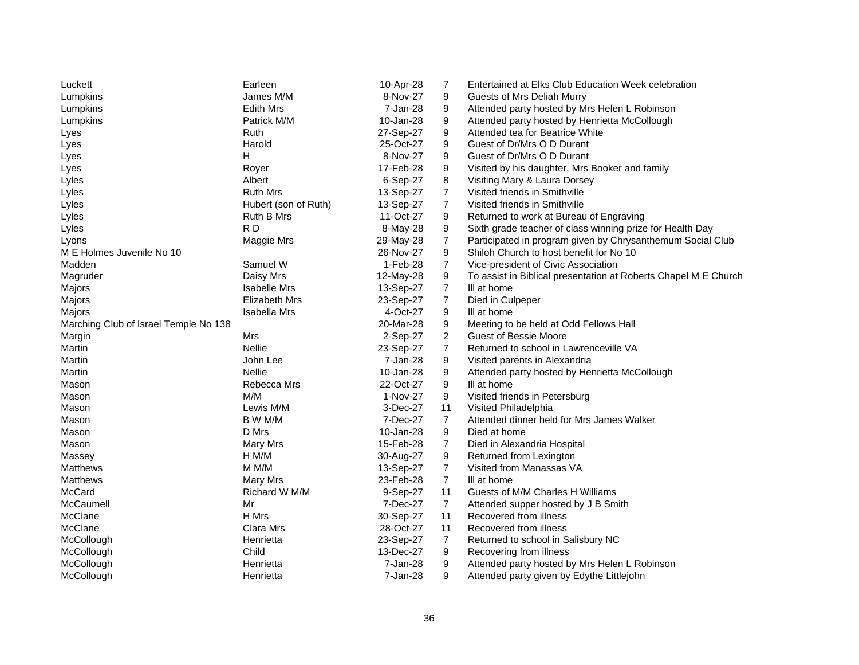| Luckett                               | Earleen              | 10-Apr-28 | 7              | Entertained at Elks Club Education Week celebration             |
|---------------------------------------|----------------------|-----------|----------------|-----------------------------------------------------------------|
| Lumpkins                              | James M/M            | 8-Nov-27  | 9              | Guests of Mrs Deliah Murry                                      |
| Lumpkins                              | <b>Edith Mrs</b>     | 7-Jan-28  | 9              | Attended party hosted by Mrs Helen L Robinson                   |
| Lumpkins                              | Patrick M/M          | 10-Jan-28 | 9              | Attended party hosted by Henrietta McCollough                   |
| Lyes                                  | Ruth                 | 27-Sep-27 | 9              | Attended tea for Beatrice White                                 |
| Lyes                                  | Harold               | 25-Oct-27 | 9              | Guest of Dr/Mrs O D Durant                                      |
| Lyes                                  | H                    | 8-Nov-27  | 9              | Guest of Dr/Mrs O D Durant                                      |
| Lyes                                  | Royer                | 17-Feb-28 | 9              | Visited by his daughter, Mrs Booker and family                  |
| Lyles                                 | Albert               | 6-Sep-27  | 8              | Visiting Mary & Laura Dorsey                                    |
| Lyles                                 | <b>Ruth Mrs</b>      | 13-Sep-27 | $\overline{7}$ | Visited friends in Smithville                                   |
| Lyles                                 | Hubert (son of Ruth) | 13-Sep-27 | $\overline{7}$ | Visited friends in Smithville                                   |
| Lyles                                 | Ruth B Mrs           | 11-Oct-27 | 9              | Returned to work at Bureau of Engraving                         |
| Lyles                                 | RD                   | 8-May-28  | 9              | Sixth grade teacher of class winning prize for Health Day       |
| Lyons                                 | Maggie Mrs           | 29-May-28 | $\overline{7}$ | Participated in program given by Chrysanthemum Social Club      |
| M E Holmes Juvenile No 10             |                      | 26-Nov-27 | 9              | Shiloh Church to host benefit for No 10                         |
| Madden                                | Samuel W             | 1-Feb-28  | $\overline{7}$ | Vice-president of Civic Association                             |
| Magruder                              | Daisy Mrs            | 12-May-28 | 9              | To assist in Biblical presentation at Roberts Chapel M E Church |
| Majors                                | <b>Isabelle Mrs</b>  | 13-Sep-27 | 7              | III at home                                                     |
| Majors                                | Elizabeth Mrs        | 23-Sep-27 | $\overline{7}$ | Died in Culpeper                                                |
| Majors                                | Isabella Mrs         | 4-Oct-27  | 9              | III at home                                                     |
| Marching Club of Israel Temple No 138 |                      | 20-Mar-28 | 9              | Meeting to be held at Odd Fellows Hall                          |
| Margin                                | Mrs                  | 2-Sep-27  | $\overline{2}$ | <b>Guest of Bessie Moore</b>                                    |
| Martin                                | <b>Nellie</b>        | 23-Sep-27 | $\overline{7}$ | Returned to school in Lawrenceville VA                          |
| Martin                                | John Lee             | 7-Jan-28  | 9              | Visited parents in Alexandria                                   |
| Martin                                | Nellie               | 10-Jan-28 | 9              | Attended party hosted by Henrietta McCollough                   |
| Mason                                 | Rebecca Mrs          | 22-Oct-27 | 9              | III at home                                                     |
| Mason                                 | M/M                  | 1-Nov-27  | 9              | Visited friends in Petersburg                                   |
| Mason                                 | Lewis M/M            | 3-Dec-27  | 11             | Visited Philadelphia                                            |
| Mason                                 | B W M/M              | 7-Dec-27  | 7              | Attended dinner held for Mrs James Walker                       |
| Mason                                 | D Mrs                | 10-Jan-28 | 9              | Died at home                                                    |
| Mason                                 | Mary Mrs             | 15-Feb-28 | 7              | Died in Alexandria Hospital                                     |
| Massey                                | H M/M                | 30-Aug-27 | 9              | Returned from Lexington                                         |
| Matthews                              | M M/M                | 13-Sep-27 | $\overline{7}$ | Visited from Manassas VA                                        |
| Matthews                              | Mary Mrs             | 23-Feb-28 | $\overline{7}$ | III at home                                                     |
| McCard                                | Richard W M/M        | 9-Sep-27  | 11             | Guests of M/M Charles H Williams                                |
| McCaumell                             | Mr                   | 7-Dec-27  | $\overline{7}$ | Attended supper hosted by J B Smith                             |
| McClane                               | H Mrs                | 30-Sep-27 | 11             | Recovered from illness                                          |
| McClane                               | Clara Mrs            | 28-Oct-27 | 11             | Recovered from illness                                          |
| McCollough                            | Henrietta            | 23-Sep-27 | $\overline{7}$ | Returned to school in Salisbury NC                              |
| McCollough                            | Child                | 13-Dec-27 | 9              | Recovering from illness                                         |
| McCollough                            | Henrietta            | 7-Jan-28  | 9              | Attended party hosted by Mrs Helen L Robinson                   |
| McCollough                            | Henrietta            | 7-Jan-28  | 9              | Attended party given by Edythe Littlejohn                       |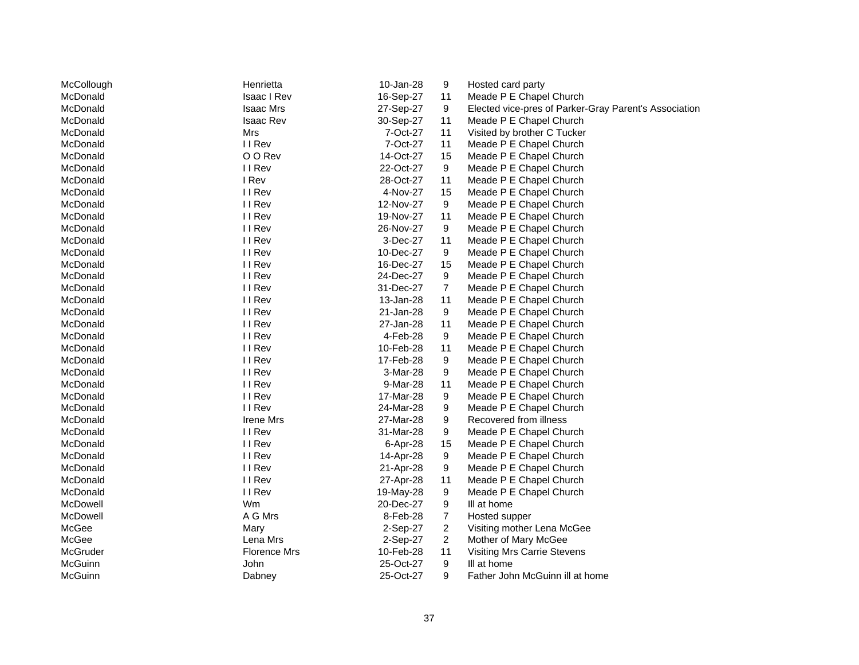| McCollough | Henrietta           | 10-Jan-28 | 9                | Hosted card party                                     |
|------------|---------------------|-----------|------------------|-------------------------------------------------------|
| McDonald   | <b>Isaac I Rev</b>  | 16-Sep-27 | 11               | Meade P E Chapel Church                               |
| McDonald   | <b>Isaac Mrs</b>    | 27-Sep-27 | 9                | Elected vice-pres of Parker-Gray Parent's Association |
| McDonald   | Isaac Rev           | 30-Sep-27 | 11               | Meade P E Chapel Church                               |
| McDonald   | Mrs                 | 7-Oct-27  | 11               | Visited by brother C Tucker                           |
| McDonald   | II Rev              | 7-Oct-27  | 11               | Meade P E Chapel Church                               |
| McDonald   | O O Rev             | 14-Oct-27 | 15               | Meade P E Chapel Church                               |
| McDonald   | II Rev              | 22-Oct-27 | 9                | Meade P E Chapel Church                               |
| McDonald   | I Rev               | 28-Oct-27 | 11               | Meade P E Chapel Church                               |
| McDonald   | II Rev              | 4-Nov-27  | 15               | Meade P E Chapel Church                               |
| McDonald   | II Rev              | 12-Nov-27 | 9                | Meade P E Chapel Church                               |
| McDonald   | II Rev              | 19-Nov-27 | 11               | Meade P E Chapel Church                               |
| McDonald   | II Rev              | 26-Nov-27 | 9                | Meade P E Chapel Church                               |
| McDonald   | II Rev              | 3-Dec-27  | 11               | Meade P E Chapel Church                               |
| McDonald   | II Rev              | 10-Dec-27 | 9                | Meade P E Chapel Church                               |
| McDonald   | II Rev              | 16-Dec-27 | 15               | Meade P E Chapel Church                               |
| McDonald   | II Rev              | 24-Dec-27 | 9                | Meade P E Chapel Church                               |
| McDonald   | II Rev              | 31-Dec-27 | $\overline{7}$   | Meade P E Chapel Church                               |
| McDonald   | II Rev              | 13-Jan-28 | 11               | Meade P E Chapel Church                               |
| McDonald   | II Rev              | 21-Jan-28 | 9                | Meade P E Chapel Church                               |
| McDonald   | II Rev              | 27-Jan-28 | 11               | Meade P E Chapel Church                               |
| McDonald   | II Rev              | 4-Feb-28  | 9                | Meade P E Chapel Church                               |
| McDonald   | II Rev              | 10-Feb-28 | 11               | Meade P E Chapel Church                               |
| McDonald   | II Rev              | 17-Feb-28 | 9                | Meade P E Chapel Church                               |
| McDonald   | II Rev              | 3-Mar-28  | 9                | Meade P E Chapel Church                               |
| McDonald   | II Rev              | 9-Mar-28  | 11               | Meade P E Chapel Church                               |
| McDonald   | II Rev              | 17-Mar-28 | 9                | Meade P E Chapel Church                               |
| McDonald   | II Rev              | 24-Mar-28 | 9                | Meade P E Chapel Church                               |
| McDonald   | Irene Mrs           | 27-Mar-28 | 9                | Recovered from illness                                |
| McDonald   | II Rev              | 31-Mar-28 | 9                | Meade P E Chapel Church                               |
| McDonald   | II Rev              | 6-Apr-28  | 15               | Meade P E Chapel Church                               |
| McDonald   | II Rev              | 14-Apr-28 | 9                | Meade P E Chapel Church                               |
| McDonald   | II Rev              | 21-Apr-28 | 9                | Meade P E Chapel Church                               |
| McDonald   | II Rev              | 27-Apr-28 | 11               | Meade P E Chapel Church                               |
| McDonald   | II Rev              | 19-May-28 | 9                | Meade P E Chapel Church                               |
| McDowell   | Wm                  | 20-Dec-27 | 9                | III at home                                           |
| McDowell   | A G Mrs             | 8-Feb-28  | $\boldsymbol{7}$ | Hosted supper                                         |
| McGee      | Mary                | 2-Sep-27  | $\overline{c}$   | Visiting mother Lena McGee                            |
| McGee      | Lena Mrs            | 2-Sep-27  | $\overline{2}$   | Mother of Mary McGee                                  |
| McGruder   | <b>Florence Mrs</b> | 10-Feb-28 | 11               | Visiting Mrs Carrie Stevens                           |
| McGuinn    | John                | 25-Oct-27 | 9                | III at home                                           |
| McGuinn    | Dabney              | 25-Oct-27 | 9                | Father John McGuinn ill at home                       |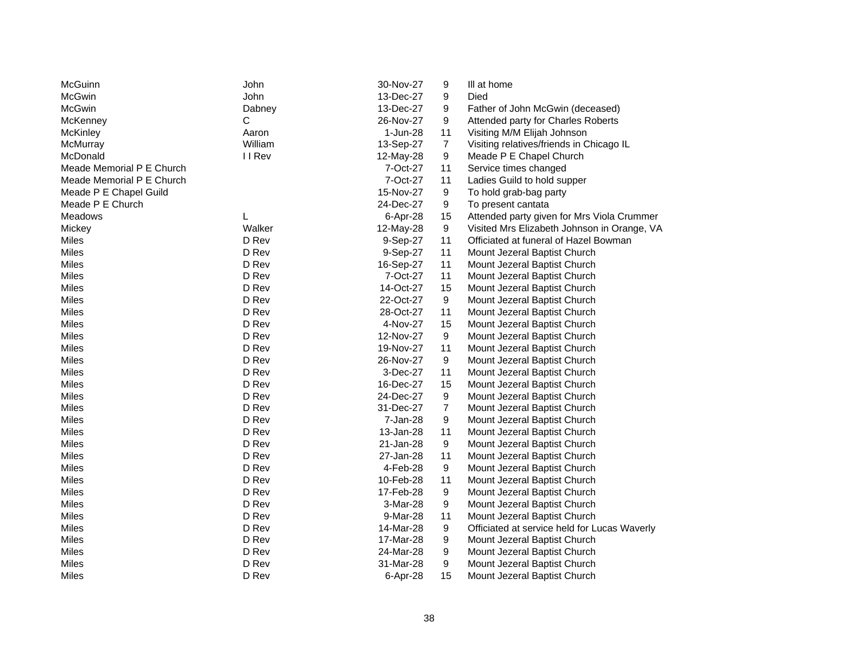| McGuinn                   | <b>John</b> | 30-Nov-27 | 9                | III at home                                  |
|---------------------------|-------------|-----------|------------------|----------------------------------------------|
| <b>McGwin</b>             | <b>John</b> | 13-Dec-27 | 9                | Died                                         |
| McGwin                    | Dabney      | 13-Dec-27 | 9                | Father of John McGwin (deceased)             |
| McKenney                  | С           | 26-Nov-27 | 9                | Attended party for Charles Roberts           |
| <b>McKinley</b>           | Aaron       | 1-Jun-28  | 11               | Visiting M/M Elijah Johnson                  |
| McMurray                  | William     | 13-Sep-27 | $\overline{7}$   | Visiting relatives/friends in Chicago IL     |
| McDonald                  | II Rev      | 12-May-28 | 9                | Meade P E Chapel Church                      |
| Meade Memorial P E Church |             | 7-Oct-27  | 11               | Service times changed                        |
| Meade Memorial P E Church |             | 7-Oct-27  | 11               | Ladies Guild to hold supper                  |
| Meade P E Chapel Guild    |             | 15-Nov-27 | 9                | To hold grab-bag party                       |
| Meade P E Church          |             | 24-Dec-27 | 9                | To present cantata                           |
| <b>Meadows</b>            | L           | 6-Apr-28  | 15               | Attended party given for Mrs Viola Crummer   |
| Mickey                    | Walker      | 12-May-28 | 9                | Visited Mrs Elizabeth Johnson in Orange, VA  |
| Miles                     | D Rev       | 9-Sep-27  | 11               | Officiated at funeral of Hazel Bowman        |
| Miles                     | D Rev       | 9-Sep-27  | 11               | Mount Jezeral Baptist Church                 |
| Miles                     | D Rev       | 16-Sep-27 | 11               | Mount Jezeral Baptist Church                 |
| Miles                     | D Rev       | 7-Oct-27  | 11               | Mount Jezeral Baptist Church                 |
| Miles                     | D Rev       | 14-Oct-27 | 15               | Mount Jezeral Baptist Church                 |
| <b>Miles</b>              | D Rev       | 22-Oct-27 | 9                | Mount Jezeral Baptist Church                 |
| Miles                     | D Rev       | 28-Oct-27 | 11               | Mount Jezeral Baptist Church                 |
| <b>Miles</b>              | D Rev       | 4-Nov-27  | 15               | Mount Jezeral Baptist Church                 |
| <b>Miles</b>              | D Rev       | 12-Nov-27 | 9                | Mount Jezeral Baptist Church                 |
| <b>Miles</b>              | D Rev       | 19-Nov-27 | 11               | Mount Jezeral Baptist Church                 |
| <b>Miles</b>              | D Rev       | 26-Nov-27 | 9                | Mount Jezeral Baptist Church                 |
| <b>Miles</b>              | D Rev       | 3-Dec-27  | 11               | Mount Jezeral Baptist Church                 |
| <b>Miles</b>              | D Rev       | 16-Dec-27 | 15               | Mount Jezeral Baptist Church                 |
| Miles                     | D Rev       | 24-Dec-27 | 9                | Mount Jezeral Baptist Church                 |
| Miles                     | D Rev       | 31-Dec-27 | $\boldsymbol{7}$ | Mount Jezeral Baptist Church                 |
| Miles                     | D Rev       | 7-Jan-28  | 9                | Mount Jezeral Baptist Church                 |
| Miles                     | D Rev       | 13-Jan-28 | 11               | Mount Jezeral Baptist Church                 |
| Miles                     | D Rev       | 21-Jan-28 | 9                | Mount Jezeral Baptist Church                 |
| Miles                     | D Rev       | 27-Jan-28 | 11               | Mount Jezeral Baptist Church                 |
| Miles                     | D Rev       | 4-Feb-28  | 9                | Mount Jezeral Baptist Church                 |
| Miles                     | D Rev       | 10-Feb-28 | 11               | Mount Jezeral Baptist Church                 |
| Miles                     | D Rev       | 17-Feb-28 | 9                | Mount Jezeral Baptist Church                 |
| Miles                     | D Rev       | 3-Mar-28  | 9                | Mount Jezeral Baptist Church                 |
| Miles                     | D Rev       | 9-Mar-28  | 11               | Mount Jezeral Baptist Church                 |
| Miles                     | D Rev       | 14-Mar-28 | 9                | Officiated at service held for Lucas Waverly |
| Miles                     | D Rev       | 17-Mar-28 | 9                | Mount Jezeral Baptist Church                 |
| <b>Miles</b>              | D Rev       | 24-Mar-28 | 9                | Mount Jezeral Baptist Church                 |
| <b>Miles</b>              | D Rev       | 31-Mar-28 | 9                | Mount Jezeral Baptist Church                 |
| <b>Miles</b>              | D Rev       | 6-Apr-28  | 15               | Mount Jezeral Baptist Church                 |
|                           |             |           |                  |                                              |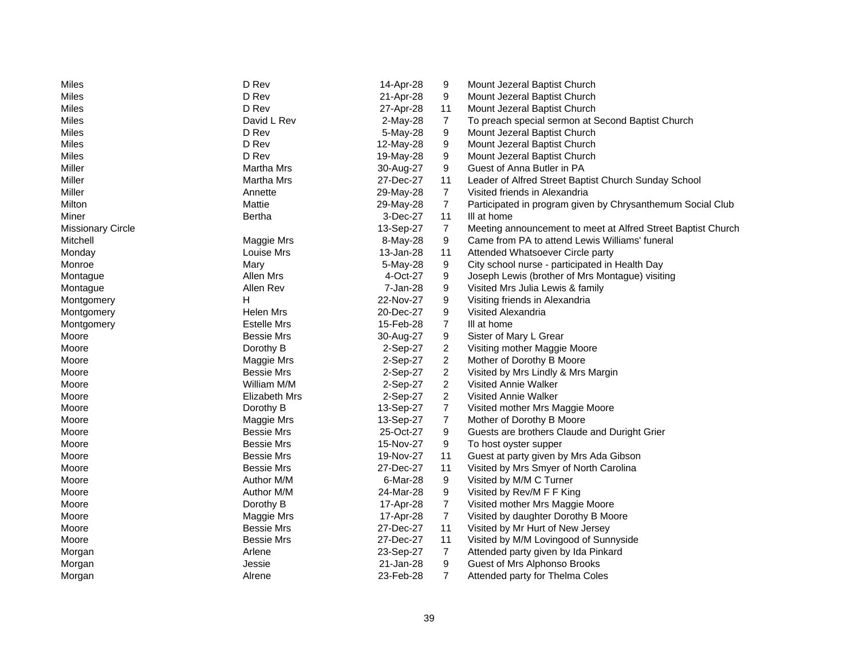| Miles                    | D Rev              | 14-Apr-28  | 9              | Mount Jezeral Baptist Church                                 |
|--------------------------|--------------------|------------|----------------|--------------------------------------------------------------|
| <b>Miles</b>             | D Rev              | 21-Apr-28  | 9              | Mount Jezeral Baptist Church                                 |
| Miles                    | D Rev              | 27-Apr-28  | 11             | Mount Jezeral Baptist Church                                 |
| Miles                    | David L Rev        | $2-May-28$ | 7              | To preach special sermon at Second Baptist Church            |
| Miles                    | D Rev              | 5-May-28   | 9              | Mount Jezeral Baptist Church                                 |
| Miles                    | D Rev              | 12-May-28  | 9              | Mount Jezeral Baptist Church                                 |
| Miles                    | D Rev              | 19-May-28  | 9              | Mount Jezeral Baptist Church                                 |
| Miller                   | Martha Mrs         | 30-Aug-27  | 9              | Guest of Anna Butler in PA                                   |
| Miller                   | <b>Martha Mrs</b>  | 27-Dec-27  | 11             | Leader of Alfred Street Baptist Church Sunday School         |
| Miller                   | Annette            | 29-May-28  | $\overline{7}$ | Visited friends in Alexandria                                |
| Milton                   | Mattie             | 29-May-28  | $\overline{7}$ | Participated in program given by Chrysanthemum Social Club   |
| Miner                    | Bertha             | 3-Dec-27   | 11             | III at home                                                  |
| <b>Missionary Circle</b> |                    | 13-Sep-27  | $\overline{7}$ | Meeting announcement to meet at Alfred Street Baptist Church |
| Mitchell                 | Maggie Mrs         | 8-May-28   | 9              | Came from PA to attend Lewis Williams' funeral               |
| Monday                   | Louise Mrs         | 13-Jan-28  | 11             | Attended Whatsoever Circle party                             |
| Monroe                   | Mary               | 5-May-28   | 9              | City school nurse - participated in Health Day               |
| Montague                 | Allen Mrs          | 4-Oct-27   | 9              | Joseph Lewis (brother of Mrs Montague) visiting              |
| Montague                 | Allen Rev          | 7-Jan-28   | 9              | Visited Mrs Julia Lewis & family                             |
| Montgomery               | н                  | 22-Nov-27  | 9              | Visiting friends in Alexandria                               |
| Montgomery               | Helen Mrs          | 20-Dec-27  | 9              | Visited Alexandria                                           |
| Montgomery               | <b>Estelle Mrs</b> | 15-Feb-28  | $\overline{7}$ | III at home                                                  |
| Moore                    | <b>Bessie Mrs</b>  | 30-Aug-27  | 9              | Sister of Mary L Grear                                       |
| Moore                    | Dorothy B          | 2-Sep-27   | $\overline{c}$ | Visiting mother Maggie Moore                                 |
| Moore                    | Maggie Mrs         | 2-Sep-27   | $\overline{c}$ | Mother of Dorothy B Moore                                    |
| Moore                    | <b>Bessie Mrs</b>  | 2-Sep-27   | $\overline{2}$ | Visited by Mrs Lindly & Mrs Margin                           |
| Moore                    | William M/M        | 2-Sep-27   | $\overline{c}$ | Visited Annie Walker                                         |
| Moore                    | Elizabeth Mrs      | 2-Sep-27   | 2              | Visited Annie Walker                                         |
| Moore                    | Dorothy B          | 13-Sep-27  | $\overline{7}$ | Visited mother Mrs Maggie Moore                              |
| Moore                    | Maggie Mrs         | 13-Sep-27  | $\overline{7}$ | Mother of Dorothy B Moore                                    |
| Moore                    | <b>Bessie Mrs</b>  | 25-Oct-27  | 9              | Guests are brothers Claude and Duright Grier                 |
| Moore                    | <b>Bessie Mrs</b>  | 15-Nov-27  | 9              | To host oyster supper                                        |
| Moore                    | <b>Bessie Mrs</b>  | 19-Nov-27  | 11             | Guest at party given by Mrs Ada Gibson                       |
| Moore                    | <b>Bessie Mrs</b>  | 27-Dec-27  | 11             | Visited by Mrs Smyer of North Carolina                       |
| Moore                    | Author M/M         | 6-Mar-28   | 9              | Visited by M/M C Turner                                      |
| Moore                    | Author M/M         | 24-Mar-28  | 9              | Visited by Rev/M F F King                                    |
| Moore                    | Dorothy B          | 17-Apr-28  | $\overline{7}$ | Visited mother Mrs Maggie Moore                              |
| Moore                    | Maggie Mrs         | 17-Apr-28  | $\overline{7}$ | Visited by daughter Dorothy B Moore                          |
| Moore                    | <b>Bessie Mrs</b>  | 27-Dec-27  | 11             | Visited by Mr Hurt of New Jersey                             |
| Moore                    | <b>Bessie Mrs</b>  | 27-Dec-27  | 11             | Visited by M/M Lovingood of Sunnyside                        |
| Morgan                   | Arlene             | 23-Sep-27  | $\overline{7}$ | Attended party given by Ida Pinkard                          |
| Morgan                   | Jessie             | 21-Jan-28  | 9              | Guest of Mrs Alphonso Brooks                                 |
| Morgan                   | Alrene             | 23-Feb-28  | $\overline{7}$ | Attended party for Thelma Coles                              |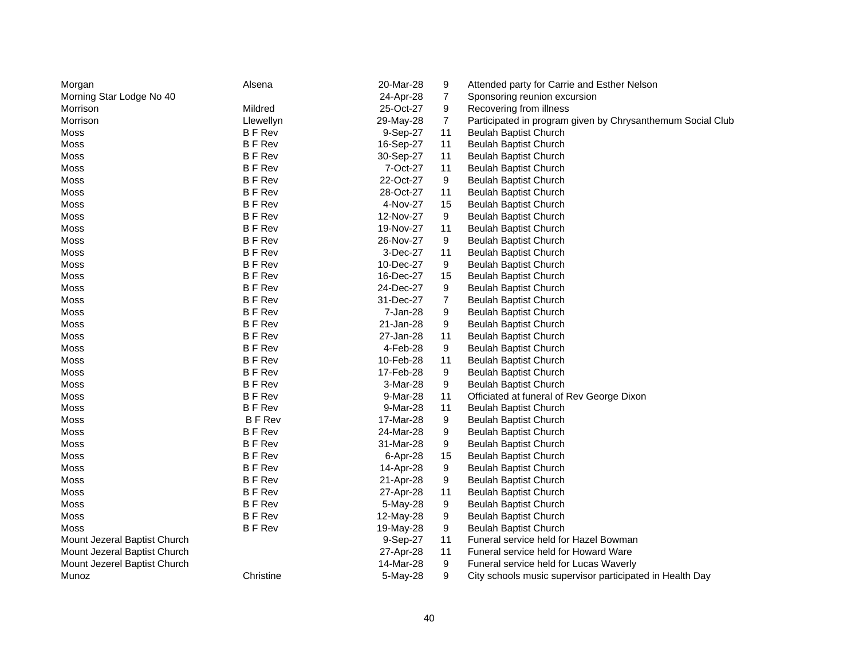| Morgan                       | Alsena        | 20-Mar-28 | 9  | Attended party for Carrie and Esther Nelson                |
|------------------------------|---------------|-----------|----|------------------------------------------------------------|
| Morning Star Lodge No 40     |               | 24-Apr-28 | 7  | Sponsoring reunion excursion                               |
| Morrison                     | Mildred       | 25-Oct-27 | 9  | Recovering from illness                                    |
| Morrison                     | Llewellyn     | 29-May-28 | 7  | Participated in program given by Chrysanthemum Social Club |
| Moss                         | <b>BFRev</b>  | 9-Sep-27  | 11 | <b>Beulah Baptist Church</b>                               |
| Moss                         | <b>BFRev</b>  | 16-Sep-27 | 11 | Beulah Baptist Church                                      |
| Moss                         | <b>BF</b> Rev | 30-Sep-27 | 11 | <b>Beulah Baptist Church</b>                               |
| Moss                         | <b>BFRev</b>  | 7-Oct-27  | 11 | Beulah Baptist Church                                      |
| Moss                         | <b>BFRev</b>  | 22-Oct-27 | 9  | <b>Beulah Baptist Church</b>                               |
| Moss                         | <b>BFRev</b>  | 28-Oct-27 | 11 | <b>Beulah Baptist Church</b>                               |
| Moss                         | <b>BF</b> Rev | 4-Nov-27  | 15 | <b>Beulah Baptist Church</b>                               |
| Moss                         | <b>BFRev</b>  | 12-Nov-27 | 9  | <b>Beulah Baptist Church</b>                               |
| Moss                         | <b>BFRev</b>  | 19-Nov-27 | 11 | <b>Beulah Baptist Church</b>                               |
| Moss                         | <b>BFRev</b>  | 26-Nov-27 | 9  | Beulah Baptist Church                                      |
| Moss                         | <b>BFRev</b>  | 3-Dec-27  | 11 | <b>Beulah Baptist Church</b>                               |
| Moss                         | <b>BFRev</b>  | 10-Dec-27 | 9  | <b>Beulah Baptist Church</b>                               |
| Moss                         | <b>BFRev</b>  | 16-Dec-27 | 15 | <b>Beulah Baptist Church</b>                               |
| Moss                         | <b>BFRev</b>  | 24-Dec-27 | 9  | <b>Beulah Baptist Church</b>                               |
| Moss                         | <b>BF</b> Rev | 31-Dec-27 | 7  | <b>Beulah Baptist Church</b>                               |
| Moss                         | <b>BF</b> Rev | 7-Jan-28  | 9  | Beulah Baptist Church                                      |
| Moss                         | <b>BFRev</b>  | 21-Jan-28 | 9  | <b>Beulah Baptist Church</b>                               |
| Moss                         | <b>BFRev</b>  | 27-Jan-28 | 11 | <b>Beulah Baptist Church</b>                               |
| Moss                         | <b>BF</b> Rev | 4-Feb-28  | 9  | <b>Beulah Baptist Church</b>                               |
| Moss                         | <b>BF</b> Rev | 10-Feb-28 | 11 | Beulah Baptist Church                                      |
| Moss                         | <b>BF</b> Rev | 17-Feb-28 | 9  | <b>Beulah Baptist Church</b>                               |
| Moss                         | <b>BF</b> Rev | 3-Mar-28  | 9  | <b>Beulah Baptist Church</b>                               |
| Moss                         | <b>BFRev</b>  | 9-Mar-28  | 11 | Officiated at funeral of Rev George Dixon                  |
| Moss                         | <b>BFRev</b>  | 9-Mar-28  | 11 | <b>Beulah Baptist Church</b>                               |
| Moss                         | <b>BFRev</b>  | 17-Mar-28 | 9  | <b>Beulah Baptist Church</b>                               |
| Moss                         | <b>BF</b> Rev | 24-Mar-28 | 9  | <b>Beulah Baptist Church</b>                               |
| Moss                         | <b>BFRev</b>  | 31-Mar-28 | 9  | <b>Beulah Baptist Church</b>                               |
| Moss                         | <b>BFRev</b>  | 6-Apr-28  | 15 | Beulah Baptist Church                                      |
| Moss                         | <b>BFRev</b>  | 14-Apr-28 | 9  | Beulah Baptist Church                                      |
| Moss                         | <b>BFRev</b>  | 21-Apr-28 | 9  | <b>Beulah Baptist Church</b>                               |
| Moss                         | <b>BFRev</b>  | 27-Apr-28 | 11 | <b>Beulah Baptist Church</b>                               |
| Moss                         | <b>BFRev</b>  | 5-May-28  | 9  | <b>Beulah Baptist Church</b>                               |
| Moss                         | <b>BF</b> Rev | 12-May-28 | 9  | <b>Beulah Baptist Church</b>                               |
| Moss                         | <b>BF</b> Rev | 19-May-28 | 9  | <b>Beulah Baptist Church</b>                               |
| Mount Jezeral Baptist Church |               | 9-Sep-27  | 11 | Funeral service held for Hazel Bowman                      |
| Mount Jezeral Baptist Church |               | 27-Apr-28 | 11 | Funeral service held for Howard Ware                       |
| Mount Jezerel Baptist Church |               | 14-Mar-28 | 9  | Funeral service held for Lucas Waverly                     |
| Munoz                        | Christine     | 5-May-28  | 9  | City schools music supervisor participated in Health Day   |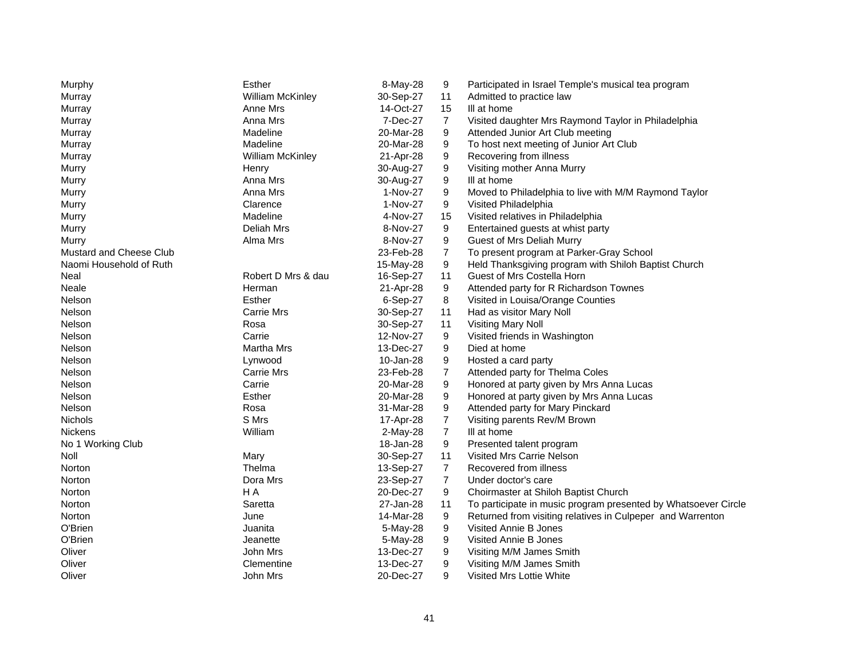| Murphy                  | Esther                  | 8-May-28   | 9                | Participated in Israel Temple's musical tea program            |
|-------------------------|-------------------------|------------|------------------|----------------------------------------------------------------|
| Murray                  | <b>William McKinley</b> | 30-Sep-27  | 11               | Admitted to practice law                                       |
| Murray                  | Anne Mrs                | 14-Oct-27  | 15               | III at home                                                    |
| Murray                  | Anna Mrs                | 7-Dec-27   | 7                | Visited daughter Mrs Raymond Taylor in Philadelphia            |
| Murray                  | Madeline                | 20-Mar-28  | 9                | Attended Junior Art Club meeting                               |
| Murray                  | Madeline                | 20-Mar-28  | 9                | To host next meeting of Junior Art Club                        |
| Murray                  | <b>William McKinley</b> | 21-Apr-28  | 9                | Recovering from illness                                        |
| Murry                   | Henry                   | 30-Aug-27  | 9                | Visiting mother Anna Murry                                     |
| Murry                   | Anna Mrs                | 30-Aug-27  | 9                | III at home                                                    |
| Murry                   | Anna Mrs                | 1-Nov-27   | 9                | Moved to Philadelphia to live with M/M Raymond Taylor          |
| Murry                   | Clarence                | 1-Nov-27   | 9                | Visited Philadelphia                                           |
| Murry                   | Madeline                | 4-Nov-27   | 15               | Visited relatives in Philadelphia                              |
| Murry                   | Deliah Mrs              | 8-Nov-27   | 9                | Entertained guests at whist party                              |
| Murry                   | Alma Mrs                | 8-Nov-27   | 9                | Guest of Mrs Deliah Murry                                      |
| Mustard and Cheese Club |                         | 23-Feb-28  | $\overline{7}$   | To present program at Parker-Gray School                       |
| Naomi Household of Ruth |                         | 15-May-28  | 9                | Held Thanksgiving program with Shiloh Baptist Church           |
| Neal                    | Robert D Mrs & dau      | 16-Sep-27  | 11               | Guest of Mrs Costella Horn                                     |
| Neale                   | Herman                  | 21-Apr-28  | 9                | Attended party for R Richardson Townes                         |
| Nelson                  | Esther                  | 6-Sep-27   | 8                | Visited in Louisa/Orange Counties                              |
| Nelson                  | <b>Carrie Mrs</b>       | 30-Sep-27  | 11               | Had as visitor Mary Noll                                       |
| Nelson                  | Rosa                    | 30-Sep-27  | 11               | <b>Visiting Mary Noll</b>                                      |
| Nelson                  | Carrie                  | 12-Nov-27  | 9                | Visited friends in Washington                                  |
| Nelson                  | <b>Martha Mrs</b>       | 13-Dec-27  | 9                | Died at home                                                   |
| Nelson                  | Lynwood                 | 10-Jan-28  | 9                | Hosted a card party                                            |
| Nelson                  | <b>Carrie Mrs</b>       | 23-Feb-28  | 7                | Attended party for Thelma Coles                                |
| Nelson                  | Carrie                  | 20-Mar-28  | 9                | Honored at party given by Mrs Anna Lucas                       |
| Nelson                  | Esther                  | 20-Mar-28  | 9                | Honored at party given by Mrs Anna Lucas                       |
| <b>Nelson</b>           | Rosa                    | 31-Mar-28  | 9                | Attended party for Mary Pinckard                               |
| Nichols                 | S Mrs                   | 17-Apr-28  | $\overline{7}$   | Visiting parents Rev/M Brown                                   |
| Nickens                 | William                 | $2-May-28$ | $\boldsymbol{7}$ | III at home                                                    |
| No 1 Working Club       |                         | 18-Jan-28  | 9                | Presented talent program                                       |
| Noll                    | Mary                    | 30-Sep-27  | 11               | Visited Mrs Carrie Nelson                                      |
| Norton                  | Thelma                  | 13-Sep-27  | $\overline{7}$   | Recovered from illness                                         |
| Norton                  | Dora Mrs                | 23-Sep-27  | 7                | Under doctor's care                                            |
| Norton                  | H A                     | 20-Dec-27  | 9                | Choirmaster at Shiloh Baptist Church                           |
| Norton                  | Saretta                 | 27-Jan-28  | 11               | To participate in music program presented by Whatsoever Circle |
| Norton                  | June                    | 14-Mar-28  | 9                | Returned from visiting relatives in Culpeper and Warrenton     |
| O'Brien                 | Juanita                 | 5-May-28   | 9                | Visited Annie B Jones                                          |
| O'Brien                 | Jeanette                | 5-May-28   | 9                | Visited Annie B Jones                                          |
| Oliver                  | John Mrs                | 13-Dec-27  | 9                | Visiting M/M James Smith                                       |
| Oliver                  | Clementine              | 13-Dec-27  | 9                | Visiting M/M James Smith                                       |
| Oliver                  | John Mrs                | 20-Dec-27  | 9                | Visited Mrs Lottie White                                       |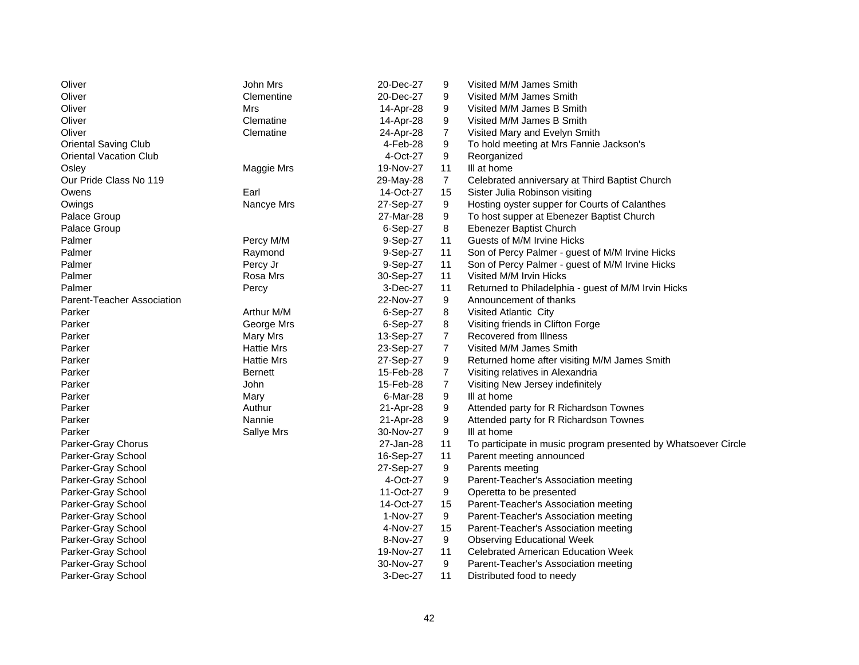| Oliver                        | John Mrs       | 20-Dec-27 | 9              | Visited M/M James Smith                                        |
|-------------------------------|----------------|-----------|----------------|----------------------------------------------------------------|
| Oliver                        | Clementine     | 20-Dec-27 | 9              | Visited M/M James Smith                                        |
| Oliver                        | Mrs            | 14-Apr-28 | 9              | Visited M/M James B Smith                                      |
| Oliver                        | Clematine      | 14-Apr-28 | 9              | Visited M/M James B Smith                                      |
| Oliver                        | Clematine      | 24-Apr-28 | 7              | Visited Mary and Evelyn Smith                                  |
| <b>Oriental Saving Club</b>   |                | 4-Feb-28  | 9              | To hold meeting at Mrs Fannie Jackson's                        |
| <b>Oriental Vacation Club</b> |                | 4-Oct-27  | 9              | Reorganized                                                    |
| Osley                         | Maggie Mrs     | 19-Nov-27 | 11             | III at home                                                    |
| Our Pride Class No 119        |                | 29-May-28 | $\overline{7}$ | Celebrated anniversary at Third Baptist Church                 |
| Owens                         | Earl           | 14-Oct-27 | 15             | Sister Julia Robinson visiting                                 |
| Owings                        | Nancye Mrs     | 27-Sep-27 | 9              | Hosting oyster supper for Courts of Calanthes                  |
| Palace Group                  |                | 27-Mar-28 | 9              | To host supper at Ebenezer Baptist Church                      |
| Palace Group                  |                | 6-Sep-27  | 8              | Ebenezer Baptist Church                                        |
| Palmer                        | Percy M/M      | 9-Sep-27  | 11             | Guests of M/M Irvine Hicks                                     |
| Palmer                        | Raymond        | 9-Sep-27  | 11             | Son of Percy Palmer - guest of M/M Irvine Hicks                |
| Palmer                        | Percy Jr       | 9-Sep-27  | 11             | Son of Percy Palmer - guest of M/M Irvine Hicks                |
| Palmer                        | Rosa Mrs       | 30-Sep-27 | 11             | Visited M/M Irvin Hicks                                        |
| Palmer                        | Percy          | 3-Dec-27  | 11             | Returned to Philadelphia - guest of M/M Irvin Hicks            |
| Parent-Teacher Association    |                | 22-Nov-27 | 9              | Announcement of thanks                                         |
| Parker                        | Arthur M/M     | 6-Sep-27  | 8              | Visited Atlantic City                                          |
| Parker                        | George Mrs     | 6-Sep-27  | 8              | Visiting friends in Clifton Forge                              |
| Parker                        | Mary Mrs       | 13-Sep-27 | 7              | Recovered from Illness                                         |
| Parker                        | Hattie Mrs     | 23-Sep-27 | 7              | Visited M/M James Smith                                        |
| Parker                        | Hattie Mrs     | 27-Sep-27 | 9              | Returned home after visiting M/M James Smith                   |
| Parker                        | <b>Bernett</b> | 15-Feb-28 | $\overline{7}$ | Visiting relatives in Alexandria                               |
| Parker                        | John           | 15-Feb-28 | 7              | Visiting New Jersey indefinitely                               |
| Parker                        | Mary           | 6-Mar-28  | 9              | III at home                                                    |
| Parker                        | Authur         | 21-Apr-28 | 9              | Attended party for R Richardson Townes                         |
| Parker                        | Nannie         | 21-Apr-28 | 9              | Attended party for R Richardson Townes                         |
| Parker                        | Sallye Mrs     | 30-Nov-27 | 9              | III at home                                                    |
| Parker-Gray Chorus            |                | 27-Jan-28 | 11             | To participate in music program presented by Whatsoever Circle |
| Parker-Gray School            |                | 16-Sep-27 | 11             | Parent meeting announced                                       |
| Parker-Gray School            |                | 27-Sep-27 | 9              | Parents meeting                                                |
| Parker-Gray School            |                | 4-Oct-27  | 9              | Parent-Teacher's Association meeting                           |
| Parker-Gray School            |                | 11-Oct-27 | 9              | Operetta to be presented                                       |
| Parker-Gray School            |                | 14-Oct-27 | 15             | Parent-Teacher's Association meeting                           |
| Parker-Gray School            |                | 1-Nov-27  | 9              | Parent-Teacher's Association meeting                           |
| Parker-Gray School            |                | 4-Nov-27  | 15             | Parent-Teacher's Association meeting                           |
| Parker-Gray School            |                | 8-Nov-27  | 9              | <b>Observing Educational Week</b>                              |
| Parker-Gray School            |                | 19-Nov-27 | 11             | <b>Celebrated American Education Week</b>                      |
| Parker-Gray School            |                | 30-Nov-27 | 9              | Parent-Teacher's Association meeting                           |
| Parker-Gray School            |                | 3-Dec-27  | 11             | Distributed food to needy                                      |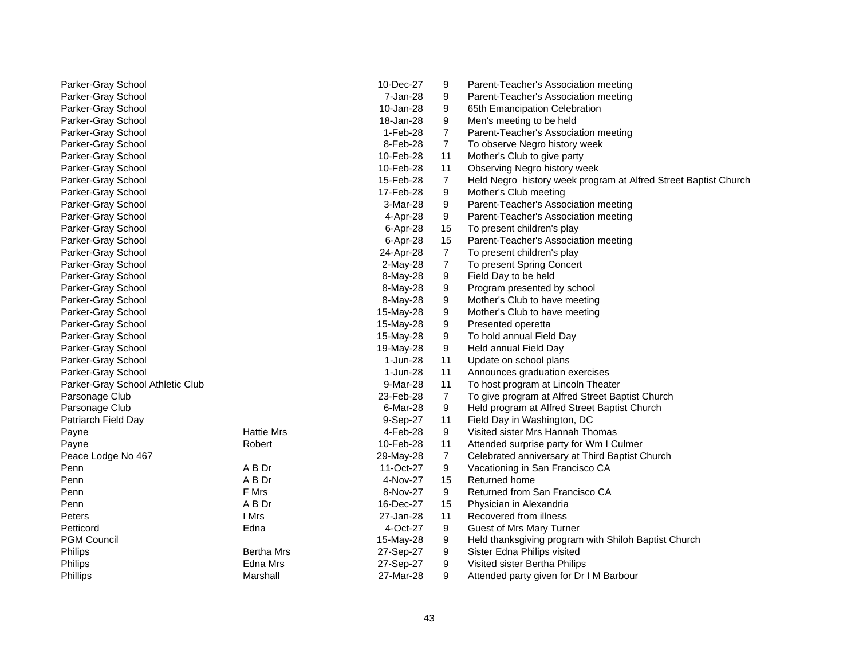| Parker-Gray School               |                   | 10-Dec-27 | 9                | Parent-Teacher's Association meeting                            |
|----------------------------------|-------------------|-----------|------------------|-----------------------------------------------------------------|
| Parker-Gray School               |                   | 7-Jan-28  | 9                | Parent-Teacher's Association meeting                            |
| Parker-Gray School               |                   | 10-Jan-28 | 9                | 65th Emancipation Celebration                                   |
| Parker-Gray School               |                   | 18-Jan-28 | 9                | Men's meeting to be held                                        |
| Parker-Gray School               |                   | 1-Feb-28  | $\overline{7}$   | Parent-Teacher's Association meeting                            |
| Parker-Gray School               |                   | 8-Feb-28  | 7                | To observe Negro history week                                   |
| Parker-Gray School               |                   | 10-Feb-28 | 11               | Mother's Club to give party                                     |
| Parker-Gray School               |                   | 10-Feb-28 | 11               | Observing Negro history week                                    |
| Parker-Gray School               |                   | 15-Feb-28 | $\overline{7}$   | Held Negro history week program at Alfred Street Baptist Church |
| Parker-Gray School               |                   | 17-Feb-28 | 9                | Mother's Club meeting                                           |
| Parker-Gray School               |                   | 3-Mar-28  | 9                | Parent-Teacher's Association meeting                            |
| Parker-Gray School               |                   | 4-Apr-28  | 9                | Parent-Teacher's Association meeting                            |
| Parker-Gray School               |                   | 6-Apr-28  | 15               | To present children's play                                      |
| Parker-Gray School               |                   | 6-Apr-28  | 15               | Parent-Teacher's Association meeting                            |
| Parker-Gray School               |                   | 24-Apr-28 | $\overline{7}$   | To present children's play                                      |
| Parker-Gray School               |                   | 2-May-28  | $\overline{7}$   | To present Spring Concert                                       |
| Parker-Gray School               |                   | 8-May-28  | 9                | Field Day to be held                                            |
| Parker-Gray School               |                   | 8-May-28  | 9                | Program presented by school                                     |
| Parker-Gray School               |                   | 8-May-28  | 9                | Mother's Club to have meeting                                   |
| Parker-Gray School               |                   | 15-May-28 | 9                | Mother's Club to have meeting                                   |
| Parker-Gray School               |                   | 15-May-28 | $\boldsymbol{9}$ | Presented operetta                                              |
| Parker-Gray School               |                   | 15-May-28 | 9                | To hold annual Field Day                                        |
| Parker-Gray School               |                   | 19-May-28 | 9                | Held annual Field Day                                           |
| Parker-Gray School               |                   | 1-Jun-28  | 11               | Update on school plans                                          |
| Parker-Gray School               |                   | 1-Jun-28  | 11               | Announces graduation exercises                                  |
| Parker-Gray School Athletic Club |                   | 9-Mar-28  | 11               | To host program at Lincoln Theater                              |
| Parsonage Club                   |                   | 23-Feb-28 | $\overline{7}$   | To give program at Alfred Street Baptist Church                 |
| Parsonage Club                   |                   | 6-Mar-28  | 9                | Held program at Alfred Street Baptist Church                    |
| Patriarch Field Day              |                   | 9-Sep-27  | 11               | Field Day in Washington, DC                                     |
| Payne                            | <b>Hattie Mrs</b> | 4-Feb-28  | 9                | Visited sister Mrs Hannah Thomas                                |
| Payne                            | Robert            | 10-Feb-28 | 11               | Attended surprise party for Wm I Culmer                         |
| Peace Lodge No 467               |                   | 29-May-28 | 7                | Celebrated anniversary at Third Baptist Church                  |
| Penn                             | A B Dr            | 11-Oct-27 | 9                | Vacationing in San Francisco CA                                 |
| Penn                             | A B Dr            | 4-Nov-27  | 15               | Returned home                                                   |
| Penn                             | F Mrs             | 8-Nov-27  | 9                | Returned from San Francisco CA                                  |
| Penn                             | A B Dr            | 16-Dec-27 | 15               | Physician in Alexandria                                         |
| Peters                           | I Mrs             | 27-Jan-28 | 11               | Recovered from illness                                          |
| Petticord                        | Edna              | 4-Oct-27  | 9                | Guest of Mrs Mary Turner                                        |
| <b>PGM Council</b>               |                   | 15-May-28 | 9                | Held thanksgiving program with Shiloh Baptist Church            |
| Philips                          | <b>Bertha Mrs</b> | 27-Sep-27 | 9                | Sister Edna Philips visited                                     |
| Philips                          | Edna Mrs          | 27-Sep-27 | 9                | Visited sister Bertha Philips                                   |
| <b>Phillips</b>                  | Marshall          | 27-Mar-28 | 9                | Attended party given for Dr I M Barbour                         |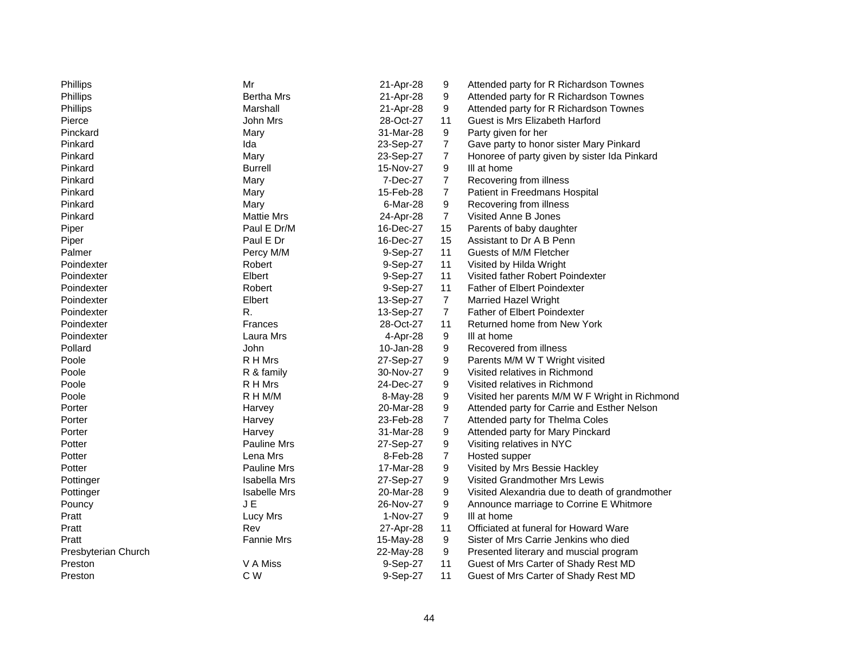| Phillips            | Mr                  | 21-Apr-28 | 9                | Attended party for R Richardson Townes         |
|---------------------|---------------------|-----------|------------------|------------------------------------------------|
| Phillips            | <b>Bertha Mrs</b>   | 21-Apr-28 | 9                | Attended party for R Richardson Townes         |
| Phillips            | Marshall            | 21-Apr-28 | 9                | Attended party for R Richardson Townes         |
| Pierce              | John Mrs            | 28-Oct-27 | 11               | Guest is Mrs Elizabeth Harford                 |
| Pinckard            | Mary                | 31-Mar-28 | 9                | Party given for her                            |
| Pinkard             | Ida                 | 23-Sep-27 | 7                | Gave party to honor sister Mary Pinkard        |
| Pinkard             | Mary                | 23-Sep-27 | $\overline{7}$   | Honoree of party given by sister Ida Pinkard   |
| Pinkard             | <b>Burrell</b>      | 15-Nov-27 | $\boldsymbol{9}$ | III at home                                    |
| Pinkard             | Mary                | 7-Dec-27  | 7                | Recovering from illness                        |
| Pinkard             | Mary                | 15-Feb-28 | $\overline{7}$   | Patient in Freedmans Hospital                  |
| Pinkard             | Mary                | 6-Mar-28  | 9                | Recovering from illness                        |
| Pinkard             | <b>Mattie Mrs</b>   | 24-Apr-28 | $\overline{7}$   | Visited Anne B Jones                           |
| Piper               | Paul E Dr/M         | 16-Dec-27 | 15               | Parents of baby daughter                       |
| Piper               | Paul E Dr           | 16-Dec-27 | 15               | Assistant to Dr A B Penn                       |
| Palmer              | Percy M/M           | 9-Sep-27  | 11               | Guests of M/M Fletcher                         |
| Poindexter          | Robert              | 9-Sep-27  | 11               | Visited by Hilda Wright                        |
| Poindexter          | Elbert              | 9-Sep-27  | 11               | Visited father Robert Poindexter               |
| Poindexter          | Robert              | 9-Sep-27  | 11               | Father of Elbert Poindexter                    |
| Poindexter          | Elbert              | 13-Sep-27 | $\overline{7}$   | <b>Married Hazel Wright</b>                    |
| Poindexter          | R.                  | 13-Sep-27 | $\overline{7}$   | Father of Elbert Poindexter                    |
| Poindexter          | <b>Frances</b>      | 28-Oct-27 | 11               | Returned home from New York                    |
| Poindexter          | Laura Mrs           | 4-Apr-28  | 9                | III at home                                    |
| Pollard             | John                | 10-Jan-28 | 9                | Recovered from illness                         |
| Poole               | R H Mrs             | 27-Sep-27 | 9                | Parents M/M W T Wright visited                 |
| Poole               | R & family          | 30-Nov-27 | 9                | Visited relatives in Richmond                  |
| Poole               | R H Mrs             | 24-Dec-27 | 9                | Visited relatives in Richmond                  |
| Poole               | R H M/M             | 8-May-28  | 9                | Visited her parents M/M W F Wright in Richmond |
| Porter              | Harvey              | 20-Mar-28 | 9                | Attended party for Carrie and Esther Nelson    |
| Porter              | Harvey              | 23-Feb-28 | $\boldsymbol{7}$ | Attended party for Thelma Coles                |
| Porter              | Harvey              | 31-Mar-28 | $\boldsymbol{9}$ | Attended party for Mary Pinckard               |
| Potter              | Pauline Mrs         | 27-Sep-27 | 9                | Visiting relatives in NYC                      |
| Potter              | Lena Mrs            | 8-Feb-28  | $\overline{7}$   | Hosted supper                                  |
| Potter              | <b>Pauline Mrs</b>  | 17-Mar-28 | 9                | Visited by Mrs Bessie Hackley                  |
| Pottinger           | Isabella Mrs        | 27-Sep-27 | 9                | Visited Grandmother Mrs Lewis                  |
| Pottinger           | <b>Isabelle Mrs</b> | 20-Mar-28 | 9                | Visited Alexandria due to death of grandmother |
| Pouncy              | J E                 | 26-Nov-27 | 9                | Announce marriage to Corrine E Whitmore        |
| Pratt               | Lucy Mrs            | 1-Nov-27  | 9                | III at home                                    |
| Pratt               | Rev                 | 27-Apr-28 | 11               | Officiated at funeral for Howard Ware          |
| Pratt               | <b>Fannie Mrs</b>   | 15-May-28 | 9                | Sister of Mrs Carrie Jenkins who died          |
| Presbyterian Church |                     | 22-May-28 | 9                | Presented literary and muscial program         |
| Preston             | V A Miss            | 9-Sep-27  | 11               | Guest of Mrs Carter of Shady Rest MD           |
| Preston             | C W                 | 9-Sep-27  | 11               | Guest of Mrs Carter of Shady Rest MD           |
|                     |                     |           |                  |                                                |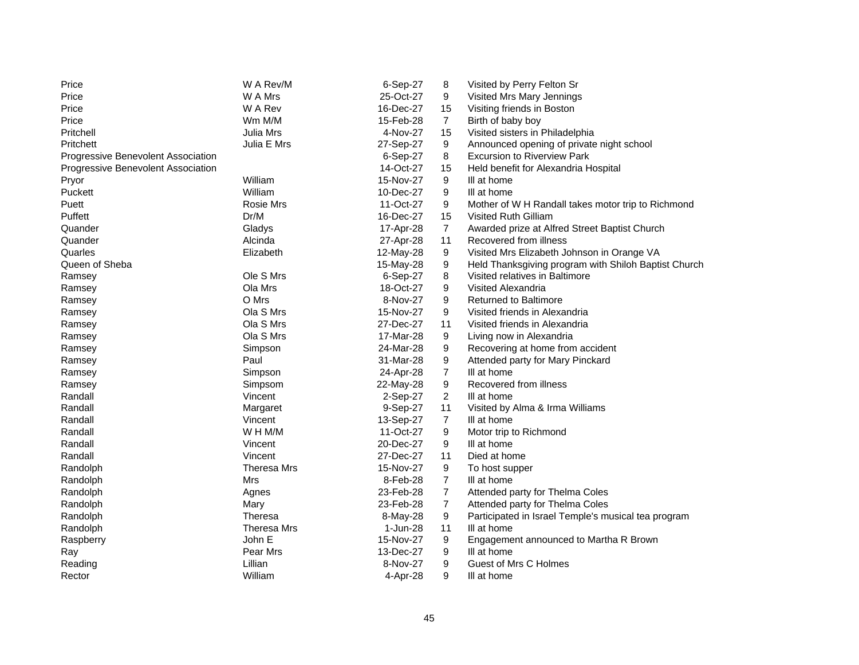| W A Mrs<br>25-Oct-27<br>9<br>Visited Mrs Mary Jennings<br>Price<br>W A Rev<br>16-Dec-27<br>Visiting friends in Boston<br>Price<br>15<br>Wm M/M<br>15-Feb-28<br>Price<br>$\overline{7}$<br>Birth of baby boy<br>Pritchell<br>Julia Mrs<br>4-Nov-27<br>15<br>Visited sisters in Philadelphia<br>Pritchett<br>Julia E Mrs<br>27-Sep-27<br>9<br>Announced opening of private night school<br>6-Sep-27<br>8<br><b>Excursion to Riverview Park</b><br>Progressive Benevolent Association<br>Progressive Benevolent Association<br>14-Oct-27<br>15<br>Held benefit for Alexandria Hospital<br>William<br>15-Nov-27<br>9<br>III at home<br>Pryor<br>Puckett<br>William<br>9<br>10-Dec-27<br>III at home<br>Rosie Mrs<br>9<br>Puett<br>11-Oct-27<br>Mother of W H Randall takes motor trip to Richmond<br>Puffett<br>Dr/M<br>16-Dec-27<br>15<br><b>Visited Ruth Gilliam</b><br>Quander<br>$\overline{7}$<br>Awarded prize at Alfred Street Baptist Church<br>Gladys<br>17-Apr-28<br>Quander<br>Alcinda<br>27-Apr-28<br>11<br>Recovered from illness<br>9<br>Visited Mrs Elizabeth Johnson in Orange VA<br>Quarles<br>Elizabeth<br>12-May-28<br>Held Thanksgiving program with Shiloh Baptist Church<br>Queen of Sheba<br>15-May-28<br>9<br>Ole S Mrs<br>8<br>6-Sep-27<br>Visited relatives in Baltimore<br>Ramsey<br>Ola Mrs<br>18-Oct-27<br>9<br>Visited Alexandria<br>Ramsey<br>O Mrs<br>8-Nov-27<br>9<br><b>Returned to Baltimore</b><br>Ramsey<br>Ola S Mrs<br>15-Nov-27<br>9<br>Visited friends in Alexandria<br>Ramsey<br>Ola S Mrs<br>27-Dec-27<br>Visited friends in Alexandria<br>11<br>Ramsey<br>Ola S Mrs<br>9<br>17-Mar-28<br>Living now in Alexandria<br>Ramsey<br>9<br>Simpson<br>24-Mar-28<br>Recovering at home from accident<br>Ramsey<br>Paul<br>9<br>31-Mar-28<br>Attended party for Mary Pinckard<br>Ramsey<br>7<br>III at home<br>Simpson<br>24-Apr-28<br>Ramsey<br>9<br>Recovered from illness<br>22-May-28<br>Ramsey<br>Simpsom<br>Randall<br>2-Sep-27<br>2<br>Vincent<br>III at home<br>Randall<br>9-Sep-27<br>11<br>Visited by Alma & Irma Williams<br>Margaret<br>Randall<br>Vincent<br>13-Sep-27<br>$\overline{7}$<br>III at home<br>11-Oct-27<br>Randall<br>W H M/M<br>9<br>Motor trip to Richmond<br>20-Dec-27<br>9<br>Randall<br>Vincent<br>III at home<br>Vincent<br>Randall<br>27-Dec-27<br>11<br>Died at home<br>9<br>Randolph<br>Theresa Mrs<br>15-Nov-27<br>To host supper<br>7<br>Randolph<br>Mrs<br>8-Feb-28<br>III at home<br>23-Feb-28<br>$\overline{7}$<br>Attended party for Thelma Coles<br>Randolph<br>Agnes<br>$\overline{7}$<br>23-Feb-28<br>Attended party for Thelma Coles<br>Randolph<br>Mary<br>9<br>Randolph<br>Theresa<br>Participated in Israel Temple's musical tea program<br>8-May-28<br>Randolph<br>Theresa Mrs<br>1-Jun-28<br>11<br>III at home<br>9<br>John E<br>15-Nov-27<br>Engagement announced to Martha R Brown<br>Raspberry<br>9<br>Pear Mrs<br>13-Dec-27<br>III at home<br>Ray<br>Lillian<br>9<br>Guest of Mrs C Holmes<br>Reading<br>8-Nov-27 | Price  | W A Rev/M | 6-Sep-27 | 8 | Visited by Perry Felton Sr |
|--------------------------------------------------------------------------------------------------------------------------------------------------------------------------------------------------------------------------------------------------------------------------------------------------------------------------------------------------------------------------------------------------------------------------------------------------------------------------------------------------------------------------------------------------------------------------------------------------------------------------------------------------------------------------------------------------------------------------------------------------------------------------------------------------------------------------------------------------------------------------------------------------------------------------------------------------------------------------------------------------------------------------------------------------------------------------------------------------------------------------------------------------------------------------------------------------------------------------------------------------------------------------------------------------------------------------------------------------------------------------------------------------------------------------------------------------------------------------------------------------------------------------------------------------------------------------------------------------------------------------------------------------------------------------------------------------------------------------------------------------------------------------------------------------------------------------------------------------------------------------------------------------------------------------------------------------------------------------------------------------------------------------------------------------------------------------------------------------------------------------------------------------------------------------------------------------------------------------------------------------------------------------------------------------------------------------------------------------------------------------------------------------------------------------------------------------------------------------------------------------------------------------------------------------------------------------------------------------------------------------------------------------------------------------------------------------------------------------------------------------------------------------------------------------------------------------------------------------------------------------------------------------------------------------------------------------------------------------------------------------------|--------|-----------|----------|---|----------------------------|
|                                                                                                                                                                                                                                                                                                                                                                                                                                                                                                                                                                                                                                                                                                                                                                                                                                                                                                                                                                                                                                                                                                                                                                                                                                                                                                                                                                                                                                                                                                                                                                                                                                                                                                                                                                                                                                                                                                                                                                                                                                                                                                                                                                                                                                                                                                                                                                                                                                                                                                                                                                                                                                                                                                                                                                                                                                                                                                                                                                                                        |        |           |          |   |                            |
|                                                                                                                                                                                                                                                                                                                                                                                                                                                                                                                                                                                                                                                                                                                                                                                                                                                                                                                                                                                                                                                                                                                                                                                                                                                                                                                                                                                                                                                                                                                                                                                                                                                                                                                                                                                                                                                                                                                                                                                                                                                                                                                                                                                                                                                                                                                                                                                                                                                                                                                                                                                                                                                                                                                                                                                                                                                                                                                                                                                                        |        |           |          |   |                            |
|                                                                                                                                                                                                                                                                                                                                                                                                                                                                                                                                                                                                                                                                                                                                                                                                                                                                                                                                                                                                                                                                                                                                                                                                                                                                                                                                                                                                                                                                                                                                                                                                                                                                                                                                                                                                                                                                                                                                                                                                                                                                                                                                                                                                                                                                                                                                                                                                                                                                                                                                                                                                                                                                                                                                                                                                                                                                                                                                                                                                        |        |           |          |   |                            |
|                                                                                                                                                                                                                                                                                                                                                                                                                                                                                                                                                                                                                                                                                                                                                                                                                                                                                                                                                                                                                                                                                                                                                                                                                                                                                                                                                                                                                                                                                                                                                                                                                                                                                                                                                                                                                                                                                                                                                                                                                                                                                                                                                                                                                                                                                                                                                                                                                                                                                                                                                                                                                                                                                                                                                                                                                                                                                                                                                                                                        |        |           |          |   |                            |
|                                                                                                                                                                                                                                                                                                                                                                                                                                                                                                                                                                                                                                                                                                                                                                                                                                                                                                                                                                                                                                                                                                                                                                                                                                                                                                                                                                                                                                                                                                                                                                                                                                                                                                                                                                                                                                                                                                                                                                                                                                                                                                                                                                                                                                                                                                                                                                                                                                                                                                                                                                                                                                                                                                                                                                                                                                                                                                                                                                                                        |        |           |          |   |                            |
|                                                                                                                                                                                                                                                                                                                                                                                                                                                                                                                                                                                                                                                                                                                                                                                                                                                                                                                                                                                                                                                                                                                                                                                                                                                                                                                                                                                                                                                                                                                                                                                                                                                                                                                                                                                                                                                                                                                                                                                                                                                                                                                                                                                                                                                                                                                                                                                                                                                                                                                                                                                                                                                                                                                                                                                                                                                                                                                                                                                                        |        |           |          |   |                            |
|                                                                                                                                                                                                                                                                                                                                                                                                                                                                                                                                                                                                                                                                                                                                                                                                                                                                                                                                                                                                                                                                                                                                                                                                                                                                                                                                                                                                                                                                                                                                                                                                                                                                                                                                                                                                                                                                                                                                                                                                                                                                                                                                                                                                                                                                                                                                                                                                                                                                                                                                                                                                                                                                                                                                                                                                                                                                                                                                                                                                        |        |           |          |   |                            |
|                                                                                                                                                                                                                                                                                                                                                                                                                                                                                                                                                                                                                                                                                                                                                                                                                                                                                                                                                                                                                                                                                                                                                                                                                                                                                                                                                                                                                                                                                                                                                                                                                                                                                                                                                                                                                                                                                                                                                                                                                                                                                                                                                                                                                                                                                                                                                                                                                                                                                                                                                                                                                                                                                                                                                                                                                                                                                                                                                                                                        |        |           |          |   |                            |
|                                                                                                                                                                                                                                                                                                                                                                                                                                                                                                                                                                                                                                                                                                                                                                                                                                                                                                                                                                                                                                                                                                                                                                                                                                                                                                                                                                                                                                                                                                                                                                                                                                                                                                                                                                                                                                                                                                                                                                                                                                                                                                                                                                                                                                                                                                                                                                                                                                                                                                                                                                                                                                                                                                                                                                                                                                                                                                                                                                                                        |        |           |          |   |                            |
|                                                                                                                                                                                                                                                                                                                                                                                                                                                                                                                                                                                                                                                                                                                                                                                                                                                                                                                                                                                                                                                                                                                                                                                                                                                                                                                                                                                                                                                                                                                                                                                                                                                                                                                                                                                                                                                                                                                                                                                                                                                                                                                                                                                                                                                                                                                                                                                                                                                                                                                                                                                                                                                                                                                                                                                                                                                                                                                                                                                                        |        |           |          |   |                            |
|                                                                                                                                                                                                                                                                                                                                                                                                                                                                                                                                                                                                                                                                                                                                                                                                                                                                                                                                                                                                                                                                                                                                                                                                                                                                                                                                                                                                                                                                                                                                                                                                                                                                                                                                                                                                                                                                                                                                                                                                                                                                                                                                                                                                                                                                                                                                                                                                                                                                                                                                                                                                                                                                                                                                                                                                                                                                                                                                                                                                        |        |           |          |   |                            |
|                                                                                                                                                                                                                                                                                                                                                                                                                                                                                                                                                                                                                                                                                                                                                                                                                                                                                                                                                                                                                                                                                                                                                                                                                                                                                                                                                                                                                                                                                                                                                                                                                                                                                                                                                                                                                                                                                                                                                                                                                                                                                                                                                                                                                                                                                                                                                                                                                                                                                                                                                                                                                                                                                                                                                                                                                                                                                                                                                                                                        |        |           |          |   |                            |
|                                                                                                                                                                                                                                                                                                                                                                                                                                                                                                                                                                                                                                                                                                                                                                                                                                                                                                                                                                                                                                                                                                                                                                                                                                                                                                                                                                                                                                                                                                                                                                                                                                                                                                                                                                                                                                                                                                                                                                                                                                                                                                                                                                                                                                                                                                                                                                                                                                                                                                                                                                                                                                                                                                                                                                                                                                                                                                                                                                                                        |        |           |          |   |                            |
|                                                                                                                                                                                                                                                                                                                                                                                                                                                                                                                                                                                                                                                                                                                                                                                                                                                                                                                                                                                                                                                                                                                                                                                                                                                                                                                                                                                                                                                                                                                                                                                                                                                                                                                                                                                                                                                                                                                                                                                                                                                                                                                                                                                                                                                                                                                                                                                                                                                                                                                                                                                                                                                                                                                                                                                                                                                                                                                                                                                                        |        |           |          |   |                            |
|                                                                                                                                                                                                                                                                                                                                                                                                                                                                                                                                                                                                                                                                                                                                                                                                                                                                                                                                                                                                                                                                                                                                                                                                                                                                                                                                                                                                                                                                                                                                                                                                                                                                                                                                                                                                                                                                                                                                                                                                                                                                                                                                                                                                                                                                                                                                                                                                                                                                                                                                                                                                                                                                                                                                                                                                                                                                                                                                                                                                        |        |           |          |   |                            |
|                                                                                                                                                                                                                                                                                                                                                                                                                                                                                                                                                                                                                                                                                                                                                                                                                                                                                                                                                                                                                                                                                                                                                                                                                                                                                                                                                                                                                                                                                                                                                                                                                                                                                                                                                                                                                                                                                                                                                                                                                                                                                                                                                                                                                                                                                                                                                                                                                                                                                                                                                                                                                                                                                                                                                                                                                                                                                                                                                                                                        |        |           |          |   |                            |
|                                                                                                                                                                                                                                                                                                                                                                                                                                                                                                                                                                                                                                                                                                                                                                                                                                                                                                                                                                                                                                                                                                                                                                                                                                                                                                                                                                                                                                                                                                                                                                                                                                                                                                                                                                                                                                                                                                                                                                                                                                                                                                                                                                                                                                                                                                                                                                                                                                                                                                                                                                                                                                                                                                                                                                                                                                                                                                                                                                                                        |        |           |          |   |                            |
|                                                                                                                                                                                                                                                                                                                                                                                                                                                                                                                                                                                                                                                                                                                                                                                                                                                                                                                                                                                                                                                                                                                                                                                                                                                                                                                                                                                                                                                                                                                                                                                                                                                                                                                                                                                                                                                                                                                                                                                                                                                                                                                                                                                                                                                                                                                                                                                                                                                                                                                                                                                                                                                                                                                                                                                                                                                                                                                                                                                                        |        |           |          |   |                            |
|                                                                                                                                                                                                                                                                                                                                                                                                                                                                                                                                                                                                                                                                                                                                                                                                                                                                                                                                                                                                                                                                                                                                                                                                                                                                                                                                                                                                                                                                                                                                                                                                                                                                                                                                                                                                                                                                                                                                                                                                                                                                                                                                                                                                                                                                                                                                                                                                                                                                                                                                                                                                                                                                                                                                                                                                                                                                                                                                                                                                        |        |           |          |   |                            |
|                                                                                                                                                                                                                                                                                                                                                                                                                                                                                                                                                                                                                                                                                                                                                                                                                                                                                                                                                                                                                                                                                                                                                                                                                                                                                                                                                                                                                                                                                                                                                                                                                                                                                                                                                                                                                                                                                                                                                                                                                                                                                                                                                                                                                                                                                                                                                                                                                                                                                                                                                                                                                                                                                                                                                                                                                                                                                                                                                                                                        |        |           |          |   |                            |
|                                                                                                                                                                                                                                                                                                                                                                                                                                                                                                                                                                                                                                                                                                                                                                                                                                                                                                                                                                                                                                                                                                                                                                                                                                                                                                                                                                                                                                                                                                                                                                                                                                                                                                                                                                                                                                                                                                                                                                                                                                                                                                                                                                                                                                                                                                                                                                                                                                                                                                                                                                                                                                                                                                                                                                                                                                                                                                                                                                                                        |        |           |          |   |                            |
|                                                                                                                                                                                                                                                                                                                                                                                                                                                                                                                                                                                                                                                                                                                                                                                                                                                                                                                                                                                                                                                                                                                                                                                                                                                                                                                                                                                                                                                                                                                                                                                                                                                                                                                                                                                                                                                                                                                                                                                                                                                                                                                                                                                                                                                                                                                                                                                                                                                                                                                                                                                                                                                                                                                                                                                                                                                                                                                                                                                                        |        |           |          |   |                            |
|                                                                                                                                                                                                                                                                                                                                                                                                                                                                                                                                                                                                                                                                                                                                                                                                                                                                                                                                                                                                                                                                                                                                                                                                                                                                                                                                                                                                                                                                                                                                                                                                                                                                                                                                                                                                                                                                                                                                                                                                                                                                                                                                                                                                                                                                                                                                                                                                                                                                                                                                                                                                                                                                                                                                                                                                                                                                                                                                                                                                        |        |           |          |   |                            |
|                                                                                                                                                                                                                                                                                                                                                                                                                                                                                                                                                                                                                                                                                                                                                                                                                                                                                                                                                                                                                                                                                                                                                                                                                                                                                                                                                                                                                                                                                                                                                                                                                                                                                                                                                                                                                                                                                                                                                                                                                                                                                                                                                                                                                                                                                                                                                                                                                                                                                                                                                                                                                                                                                                                                                                                                                                                                                                                                                                                                        |        |           |          |   |                            |
|                                                                                                                                                                                                                                                                                                                                                                                                                                                                                                                                                                                                                                                                                                                                                                                                                                                                                                                                                                                                                                                                                                                                                                                                                                                                                                                                                                                                                                                                                                                                                                                                                                                                                                                                                                                                                                                                                                                                                                                                                                                                                                                                                                                                                                                                                                                                                                                                                                                                                                                                                                                                                                                                                                                                                                                                                                                                                                                                                                                                        |        |           |          |   |                            |
|                                                                                                                                                                                                                                                                                                                                                                                                                                                                                                                                                                                                                                                                                                                                                                                                                                                                                                                                                                                                                                                                                                                                                                                                                                                                                                                                                                                                                                                                                                                                                                                                                                                                                                                                                                                                                                                                                                                                                                                                                                                                                                                                                                                                                                                                                                                                                                                                                                                                                                                                                                                                                                                                                                                                                                                                                                                                                                                                                                                                        |        |           |          |   |                            |
|                                                                                                                                                                                                                                                                                                                                                                                                                                                                                                                                                                                                                                                                                                                                                                                                                                                                                                                                                                                                                                                                                                                                                                                                                                                                                                                                                                                                                                                                                                                                                                                                                                                                                                                                                                                                                                                                                                                                                                                                                                                                                                                                                                                                                                                                                                                                                                                                                                                                                                                                                                                                                                                                                                                                                                                                                                                                                                                                                                                                        |        |           |          |   |                            |
|                                                                                                                                                                                                                                                                                                                                                                                                                                                                                                                                                                                                                                                                                                                                                                                                                                                                                                                                                                                                                                                                                                                                                                                                                                                                                                                                                                                                                                                                                                                                                                                                                                                                                                                                                                                                                                                                                                                                                                                                                                                                                                                                                                                                                                                                                                                                                                                                                                                                                                                                                                                                                                                                                                                                                                                                                                                                                                                                                                                                        |        |           |          |   |                            |
|                                                                                                                                                                                                                                                                                                                                                                                                                                                                                                                                                                                                                                                                                                                                                                                                                                                                                                                                                                                                                                                                                                                                                                                                                                                                                                                                                                                                                                                                                                                                                                                                                                                                                                                                                                                                                                                                                                                                                                                                                                                                                                                                                                                                                                                                                                                                                                                                                                                                                                                                                                                                                                                                                                                                                                                                                                                                                                                                                                                                        |        |           |          |   |                            |
|                                                                                                                                                                                                                                                                                                                                                                                                                                                                                                                                                                                                                                                                                                                                                                                                                                                                                                                                                                                                                                                                                                                                                                                                                                                                                                                                                                                                                                                                                                                                                                                                                                                                                                                                                                                                                                                                                                                                                                                                                                                                                                                                                                                                                                                                                                                                                                                                                                                                                                                                                                                                                                                                                                                                                                                                                                                                                                                                                                                                        |        |           |          |   |                            |
|                                                                                                                                                                                                                                                                                                                                                                                                                                                                                                                                                                                                                                                                                                                                                                                                                                                                                                                                                                                                                                                                                                                                                                                                                                                                                                                                                                                                                                                                                                                                                                                                                                                                                                                                                                                                                                                                                                                                                                                                                                                                                                                                                                                                                                                                                                                                                                                                                                                                                                                                                                                                                                                                                                                                                                                                                                                                                                                                                                                                        |        |           |          |   |                            |
|                                                                                                                                                                                                                                                                                                                                                                                                                                                                                                                                                                                                                                                                                                                                                                                                                                                                                                                                                                                                                                                                                                                                                                                                                                                                                                                                                                                                                                                                                                                                                                                                                                                                                                                                                                                                                                                                                                                                                                                                                                                                                                                                                                                                                                                                                                                                                                                                                                                                                                                                                                                                                                                                                                                                                                                                                                                                                                                                                                                                        |        |           |          |   |                            |
|                                                                                                                                                                                                                                                                                                                                                                                                                                                                                                                                                                                                                                                                                                                                                                                                                                                                                                                                                                                                                                                                                                                                                                                                                                                                                                                                                                                                                                                                                                                                                                                                                                                                                                                                                                                                                                                                                                                                                                                                                                                                                                                                                                                                                                                                                                                                                                                                                                                                                                                                                                                                                                                                                                                                                                                                                                                                                                                                                                                                        |        |           |          |   |                            |
|                                                                                                                                                                                                                                                                                                                                                                                                                                                                                                                                                                                                                                                                                                                                                                                                                                                                                                                                                                                                                                                                                                                                                                                                                                                                                                                                                                                                                                                                                                                                                                                                                                                                                                                                                                                                                                                                                                                                                                                                                                                                                                                                                                                                                                                                                                                                                                                                                                                                                                                                                                                                                                                                                                                                                                                                                                                                                                                                                                                                        |        |           |          |   |                            |
|                                                                                                                                                                                                                                                                                                                                                                                                                                                                                                                                                                                                                                                                                                                                                                                                                                                                                                                                                                                                                                                                                                                                                                                                                                                                                                                                                                                                                                                                                                                                                                                                                                                                                                                                                                                                                                                                                                                                                                                                                                                                                                                                                                                                                                                                                                                                                                                                                                                                                                                                                                                                                                                                                                                                                                                                                                                                                                                                                                                                        |        |           |          |   |                            |
|                                                                                                                                                                                                                                                                                                                                                                                                                                                                                                                                                                                                                                                                                                                                                                                                                                                                                                                                                                                                                                                                                                                                                                                                                                                                                                                                                                                                                                                                                                                                                                                                                                                                                                                                                                                                                                                                                                                                                                                                                                                                                                                                                                                                                                                                                                                                                                                                                                                                                                                                                                                                                                                                                                                                                                                                                                                                                                                                                                                                        |        |           |          |   |                            |
|                                                                                                                                                                                                                                                                                                                                                                                                                                                                                                                                                                                                                                                                                                                                                                                                                                                                                                                                                                                                                                                                                                                                                                                                                                                                                                                                                                                                                                                                                                                                                                                                                                                                                                                                                                                                                                                                                                                                                                                                                                                                                                                                                                                                                                                                                                                                                                                                                                                                                                                                                                                                                                                                                                                                                                                                                                                                                                                                                                                                        |        |           |          |   |                            |
|                                                                                                                                                                                                                                                                                                                                                                                                                                                                                                                                                                                                                                                                                                                                                                                                                                                                                                                                                                                                                                                                                                                                                                                                                                                                                                                                                                                                                                                                                                                                                                                                                                                                                                                                                                                                                                                                                                                                                                                                                                                                                                                                                                                                                                                                                                                                                                                                                                                                                                                                                                                                                                                                                                                                                                                                                                                                                                                                                                                                        |        |           |          |   |                            |
|                                                                                                                                                                                                                                                                                                                                                                                                                                                                                                                                                                                                                                                                                                                                                                                                                                                                                                                                                                                                                                                                                                                                                                                                                                                                                                                                                                                                                                                                                                                                                                                                                                                                                                                                                                                                                                                                                                                                                                                                                                                                                                                                                                                                                                                                                                                                                                                                                                                                                                                                                                                                                                                                                                                                                                                                                                                                                                                                                                                                        |        |           |          |   |                            |
|                                                                                                                                                                                                                                                                                                                                                                                                                                                                                                                                                                                                                                                                                                                                                                                                                                                                                                                                                                                                                                                                                                                                                                                                                                                                                                                                                                                                                                                                                                                                                                                                                                                                                                                                                                                                                                                                                                                                                                                                                                                                                                                                                                                                                                                                                                                                                                                                                                                                                                                                                                                                                                                                                                                                                                                                                                                                                                                                                                                                        |        |           |          |   |                            |
|                                                                                                                                                                                                                                                                                                                                                                                                                                                                                                                                                                                                                                                                                                                                                                                                                                                                                                                                                                                                                                                                                                                                                                                                                                                                                                                                                                                                                                                                                                                                                                                                                                                                                                                                                                                                                                                                                                                                                                                                                                                                                                                                                                                                                                                                                                                                                                                                                                                                                                                                                                                                                                                                                                                                                                                                                                                                                                                                                                                                        | Rector | William   | 4-Apr-28 | 9 | III at home                |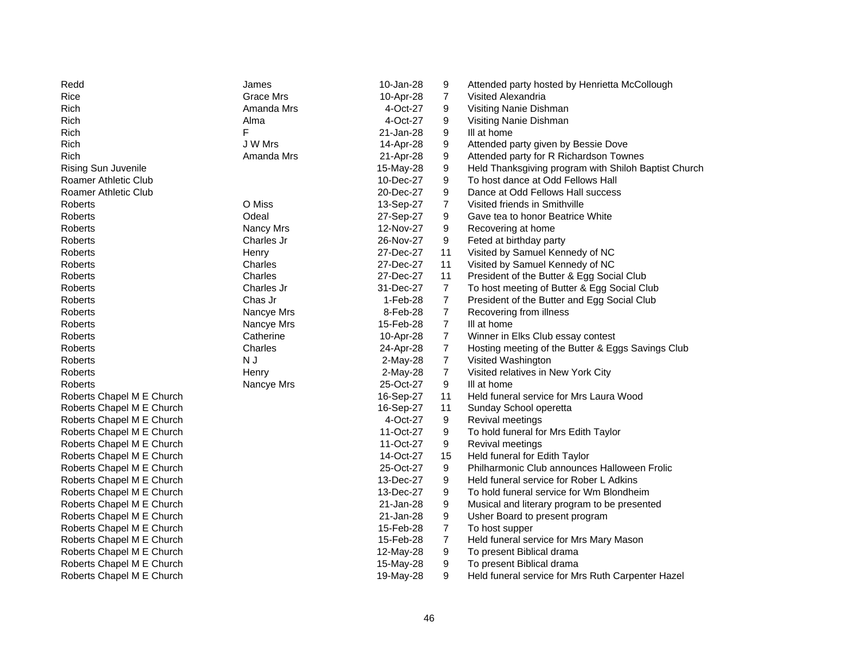| $\overline{7}$<br>Rice<br>Grace Mrs<br>10-Apr-28<br>Visited Alexandria<br>Amanda Mrs<br>Rich<br>4-Oct-27<br>9<br>Visiting Nanie Dishman<br>4-Oct-27<br>9<br>Rich<br>Alma<br>Visiting Nanie Dishman<br>F<br>Rich<br>21-Jan-28<br>9<br>III at home<br>Rich<br>J W Mrs<br>9<br>Attended party given by Bessie Dove<br>14-Apr-28<br>Rich<br>Amanda Mrs<br>9<br>Attended party for R Richardson Townes<br>21-Apr-28<br>9<br><b>Rising Sun Juvenile</b><br>15-May-28<br>Held Thanksgiving program with Shiloh Baptist Church<br>9<br>Roamer Athletic Club<br>10-Dec-27<br>To host dance at Odd Fellows Hall<br>9<br>Roamer Athletic Club<br>20-Dec-27<br>Dance at Odd Fellows Hall success<br>O Miss<br>Visited friends in Smithville<br>Roberts<br>13-Sep-27<br>7<br><b>Roberts</b><br>Odeal<br>27-Sep-27<br>9<br>Gave tea to honor Beatrice White<br>Nancy Mrs<br>12-Nov-27<br>9<br>Recovering at home<br>Roberts<br>Charles Jr<br>26-Nov-27<br>9<br>Feted at birthday party<br>Roberts<br>Visited by Samuel Kennedy of NC<br>Roberts<br>27-Dec-27<br>11<br>Henry<br>Visited by Samuel Kennedy of NC<br>Roberts<br>Charles<br>27-Dec-27<br>11<br>President of the Butter & Egg Social Club<br>Charles<br>27-Dec-27<br>11<br>Roberts<br>$\overline{7}$<br>Charles Jr<br>31-Dec-27<br>To host meeting of Butter & Egg Social Club<br>Roberts<br>$\overline{7}$<br>Chas Jr<br>Roberts<br>1-Feb-28<br>President of the Butter and Egg Social Club<br>$\overline{7}$<br>Roberts<br>Nancye Mrs<br>8-Feb-28<br>Recovering from illness<br>$\overline{7}$<br>Roberts<br>Nancye Mrs<br>15-Feb-28<br>III at home<br>$\overline{7}$<br>Roberts<br>Catherine<br>10-Apr-28<br>Winner in Elks Club essay contest<br>$\overline{7}$<br>Charles<br>Hosting meeting of the Butter & Eggs Savings Club<br>Roberts<br>24-Apr-28<br>$\overline{7}$<br><b>Roberts</b><br>N J<br>2-May-28<br>Visited Washington<br>$\overline{7}$<br><b>Roberts</b><br>Visited relatives in New York City<br>Henry<br>2-May-28<br>25-Oct-27<br>9<br>III at home<br>Roberts<br>Nancye Mrs<br>Roberts Chapel M E Church<br>16-Sep-27<br>11<br>Held funeral service for Mrs Laura Wood<br>16-Sep-27<br>Roberts Chapel M E Church<br>11<br>Sunday School operetta<br>Roberts Chapel M E Church<br>4-Oct-27<br>9<br>Revival meetings<br>Roberts Chapel M E Church<br>11-Oct-27<br>9<br>To hold funeral for Mrs Edith Taylor<br>Roberts Chapel M E Church<br>11-Oct-27<br>9<br>Revival meetings<br>Roberts Chapel M E Church<br>14-Oct-27<br>15<br>Held funeral for Edith Taylor<br>9<br>Philharmonic Club announces Halloween Frolic<br>Roberts Chapel M E Church<br>25-Oct-27<br>Roberts Chapel M E Church<br>13-Dec-27<br>9<br>Held funeral service for Rober L Adkins<br>9<br>Roberts Chapel M E Church<br>13-Dec-27<br>To hold funeral service for Wm Blondheim<br>9<br>Roberts Chapel M E Church<br>21-Jan-28<br>Musical and literary program to be presented<br>9<br>Roberts Chapel M E Church<br>21-Jan-28<br>Usher Board to present program<br>Roberts Chapel M E Church<br>15-Feb-28<br>7<br>To host supper<br>$\overline{7}$<br>Held funeral service for Mrs Mary Mason<br>Roberts Chapel M E Church<br>15-Feb-28<br>9<br>Roberts Chapel M E Church<br>12-May-28<br>To present Biblical drama<br>9<br>Roberts Chapel M E Church<br>15-May-28<br>To present Biblical drama<br>9<br>Held funeral service for Mrs Ruth Carpenter Hazel<br>Roberts Chapel M E Church<br>19-May-28 | Redd | James | 10-Jan-28 | 9 | Attended party hosted by Henrietta McCollough |
|------------------------------------------------------------------------------------------------------------------------------------------------------------------------------------------------------------------------------------------------------------------------------------------------------------------------------------------------------------------------------------------------------------------------------------------------------------------------------------------------------------------------------------------------------------------------------------------------------------------------------------------------------------------------------------------------------------------------------------------------------------------------------------------------------------------------------------------------------------------------------------------------------------------------------------------------------------------------------------------------------------------------------------------------------------------------------------------------------------------------------------------------------------------------------------------------------------------------------------------------------------------------------------------------------------------------------------------------------------------------------------------------------------------------------------------------------------------------------------------------------------------------------------------------------------------------------------------------------------------------------------------------------------------------------------------------------------------------------------------------------------------------------------------------------------------------------------------------------------------------------------------------------------------------------------------------------------------------------------------------------------------------------------------------------------------------------------------------------------------------------------------------------------------------------------------------------------------------------------------------------------------------------------------------------------------------------------------------------------------------------------------------------------------------------------------------------------------------------------------------------------------------------------------------------------------------------------------------------------------------------------------------------------------------------------------------------------------------------------------------------------------------------------------------------------------------------------------------------------------------------------------------------------------------------------------------------------------------------------------------------------------------------------------------------------------------------------------------------------------------------------------------------------------------------------------------------------------------------------------------------------------------------------------------------------------------------------------------------------------------------------------------------------------------------------------|------|-------|-----------|---|-----------------------------------------------|
|                                                                                                                                                                                                                                                                                                                                                                                                                                                                                                                                                                                                                                                                                                                                                                                                                                                                                                                                                                                                                                                                                                                                                                                                                                                                                                                                                                                                                                                                                                                                                                                                                                                                                                                                                                                                                                                                                                                                                                                                                                                                                                                                                                                                                                                                                                                                                                                                                                                                                                                                                                                                                                                                                                                                                                                                                                                                                                                                                                                                                                                                                                                                                                                                                                                                                                                                                                                                                                          |      |       |           |   |                                               |
|                                                                                                                                                                                                                                                                                                                                                                                                                                                                                                                                                                                                                                                                                                                                                                                                                                                                                                                                                                                                                                                                                                                                                                                                                                                                                                                                                                                                                                                                                                                                                                                                                                                                                                                                                                                                                                                                                                                                                                                                                                                                                                                                                                                                                                                                                                                                                                                                                                                                                                                                                                                                                                                                                                                                                                                                                                                                                                                                                                                                                                                                                                                                                                                                                                                                                                                                                                                                                                          |      |       |           |   |                                               |
|                                                                                                                                                                                                                                                                                                                                                                                                                                                                                                                                                                                                                                                                                                                                                                                                                                                                                                                                                                                                                                                                                                                                                                                                                                                                                                                                                                                                                                                                                                                                                                                                                                                                                                                                                                                                                                                                                                                                                                                                                                                                                                                                                                                                                                                                                                                                                                                                                                                                                                                                                                                                                                                                                                                                                                                                                                                                                                                                                                                                                                                                                                                                                                                                                                                                                                                                                                                                                                          |      |       |           |   |                                               |
|                                                                                                                                                                                                                                                                                                                                                                                                                                                                                                                                                                                                                                                                                                                                                                                                                                                                                                                                                                                                                                                                                                                                                                                                                                                                                                                                                                                                                                                                                                                                                                                                                                                                                                                                                                                                                                                                                                                                                                                                                                                                                                                                                                                                                                                                                                                                                                                                                                                                                                                                                                                                                                                                                                                                                                                                                                                                                                                                                                                                                                                                                                                                                                                                                                                                                                                                                                                                                                          |      |       |           |   |                                               |
|                                                                                                                                                                                                                                                                                                                                                                                                                                                                                                                                                                                                                                                                                                                                                                                                                                                                                                                                                                                                                                                                                                                                                                                                                                                                                                                                                                                                                                                                                                                                                                                                                                                                                                                                                                                                                                                                                                                                                                                                                                                                                                                                                                                                                                                                                                                                                                                                                                                                                                                                                                                                                                                                                                                                                                                                                                                                                                                                                                                                                                                                                                                                                                                                                                                                                                                                                                                                                                          |      |       |           |   |                                               |
|                                                                                                                                                                                                                                                                                                                                                                                                                                                                                                                                                                                                                                                                                                                                                                                                                                                                                                                                                                                                                                                                                                                                                                                                                                                                                                                                                                                                                                                                                                                                                                                                                                                                                                                                                                                                                                                                                                                                                                                                                                                                                                                                                                                                                                                                                                                                                                                                                                                                                                                                                                                                                                                                                                                                                                                                                                                                                                                                                                                                                                                                                                                                                                                                                                                                                                                                                                                                                                          |      |       |           |   |                                               |
|                                                                                                                                                                                                                                                                                                                                                                                                                                                                                                                                                                                                                                                                                                                                                                                                                                                                                                                                                                                                                                                                                                                                                                                                                                                                                                                                                                                                                                                                                                                                                                                                                                                                                                                                                                                                                                                                                                                                                                                                                                                                                                                                                                                                                                                                                                                                                                                                                                                                                                                                                                                                                                                                                                                                                                                                                                                                                                                                                                                                                                                                                                                                                                                                                                                                                                                                                                                                                                          |      |       |           |   |                                               |
|                                                                                                                                                                                                                                                                                                                                                                                                                                                                                                                                                                                                                                                                                                                                                                                                                                                                                                                                                                                                                                                                                                                                                                                                                                                                                                                                                                                                                                                                                                                                                                                                                                                                                                                                                                                                                                                                                                                                                                                                                                                                                                                                                                                                                                                                                                                                                                                                                                                                                                                                                                                                                                                                                                                                                                                                                                                                                                                                                                                                                                                                                                                                                                                                                                                                                                                                                                                                                                          |      |       |           |   |                                               |
|                                                                                                                                                                                                                                                                                                                                                                                                                                                                                                                                                                                                                                                                                                                                                                                                                                                                                                                                                                                                                                                                                                                                                                                                                                                                                                                                                                                                                                                                                                                                                                                                                                                                                                                                                                                                                                                                                                                                                                                                                                                                                                                                                                                                                                                                                                                                                                                                                                                                                                                                                                                                                                                                                                                                                                                                                                                                                                                                                                                                                                                                                                                                                                                                                                                                                                                                                                                                                                          |      |       |           |   |                                               |
|                                                                                                                                                                                                                                                                                                                                                                                                                                                                                                                                                                                                                                                                                                                                                                                                                                                                                                                                                                                                                                                                                                                                                                                                                                                                                                                                                                                                                                                                                                                                                                                                                                                                                                                                                                                                                                                                                                                                                                                                                                                                                                                                                                                                                                                                                                                                                                                                                                                                                                                                                                                                                                                                                                                                                                                                                                                                                                                                                                                                                                                                                                                                                                                                                                                                                                                                                                                                                                          |      |       |           |   |                                               |
|                                                                                                                                                                                                                                                                                                                                                                                                                                                                                                                                                                                                                                                                                                                                                                                                                                                                                                                                                                                                                                                                                                                                                                                                                                                                                                                                                                                                                                                                                                                                                                                                                                                                                                                                                                                                                                                                                                                                                                                                                                                                                                                                                                                                                                                                                                                                                                                                                                                                                                                                                                                                                                                                                                                                                                                                                                                                                                                                                                                                                                                                                                                                                                                                                                                                                                                                                                                                                                          |      |       |           |   |                                               |
|                                                                                                                                                                                                                                                                                                                                                                                                                                                                                                                                                                                                                                                                                                                                                                                                                                                                                                                                                                                                                                                                                                                                                                                                                                                                                                                                                                                                                                                                                                                                                                                                                                                                                                                                                                                                                                                                                                                                                                                                                                                                                                                                                                                                                                                                                                                                                                                                                                                                                                                                                                                                                                                                                                                                                                                                                                                                                                                                                                                                                                                                                                                                                                                                                                                                                                                                                                                                                                          |      |       |           |   |                                               |
|                                                                                                                                                                                                                                                                                                                                                                                                                                                                                                                                                                                                                                                                                                                                                                                                                                                                                                                                                                                                                                                                                                                                                                                                                                                                                                                                                                                                                                                                                                                                                                                                                                                                                                                                                                                                                                                                                                                                                                                                                                                                                                                                                                                                                                                                                                                                                                                                                                                                                                                                                                                                                                                                                                                                                                                                                                                                                                                                                                                                                                                                                                                                                                                                                                                                                                                                                                                                                                          |      |       |           |   |                                               |
|                                                                                                                                                                                                                                                                                                                                                                                                                                                                                                                                                                                                                                                                                                                                                                                                                                                                                                                                                                                                                                                                                                                                                                                                                                                                                                                                                                                                                                                                                                                                                                                                                                                                                                                                                                                                                                                                                                                                                                                                                                                                                                                                                                                                                                                                                                                                                                                                                                                                                                                                                                                                                                                                                                                                                                                                                                                                                                                                                                                                                                                                                                                                                                                                                                                                                                                                                                                                                                          |      |       |           |   |                                               |
|                                                                                                                                                                                                                                                                                                                                                                                                                                                                                                                                                                                                                                                                                                                                                                                                                                                                                                                                                                                                                                                                                                                                                                                                                                                                                                                                                                                                                                                                                                                                                                                                                                                                                                                                                                                                                                                                                                                                                                                                                                                                                                                                                                                                                                                                                                                                                                                                                                                                                                                                                                                                                                                                                                                                                                                                                                                                                                                                                                                                                                                                                                                                                                                                                                                                                                                                                                                                                                          |      |       |           |   |                                               |
|                                                                                                                                                                                                                                                                                                                                                                                                                                                                                                                                                                                                                                                                                                                                                                                                                                                                                                                                                                                                                                                                                                                                                                                                                                                                                                                                                                                                                                                                                                                                                                                                                                                                                                                                                                                                                                                                                                                                                                                                                                                                                                                                                                                                                                                                                                                                                                                                                                                                                                                                                                                                                                                                                                                                                                                                                                                                                                                                                                                                                                                                                                                                                                                                                                                                                                                                                                                                                                          |      |       |           |   |                                               |
|                                                                                                                                                                                                                                                                                                                                                                                                                                                                                                                                                                                                                                                                                                                                                                                                                                                                                                                                                                                                                                                                                                                                                                                                                                                                                                                                                                                                                                                                                                                                                                                                                                                                                                                                                                                                                                                                                                                                                                                                                                                                                                                                                                                                                                                                                                                                                                                                                                                                                                                                                                                                                                                                                                                                                                                                                                                                                                                                                                                                                                                                                                                                                                                                                                                                                                                                                                                                                                          |      |       |           |   |                                               |
|                                                                                                                                                                                                                                                                                                                                                                                                                                                                                                                                                                                                                                                                                                                                                                                                                                                                                                                                                                                                                                                                                                                                                                                                                                                                                                                                                                                                                                                                                                                                                                                                                                                                                                                                                                                                                                                                                                                                                                                                                                                                                                                                                                                                                                                                                                                                                                                                                                                                                                                                                                                                                                                                                                                                                                                                                                                                                                                                                                                                                                                                                                                                                                                                                                                                                                                                                                                                                                          |      |       |           |   |                                               |
|                                                                                                                                                                                                                                                                                                                                                                                                                                                                                                                                                                                                                                                                                                                                                                                                                                                                                                                                                                                                                                                                                                                                                                                                                                                                                                                                                                                                                                                                                                                                                                                                                                                                                                                                                                                                                                                                                                                                                                                                                                                                                                                                                                                                                                                                                                                                                                                                                                                                                                                                                                                                                                                                                                                                                                                                                                                                                                                                                                                                                                                                                                                                                                                                                                                                                                                                                                                                                                          |      |       |           |   |                                               |
|                                                                                                                                                                                                                                                                                                                                                                                                                                                                                                                                                                                                                                                                                                                                                                                                                                                                                                                                                                                                                                                                                                                                                                                                                                                                                                                                                                                                                                                                                                                                                                                                                                                                                                                                                                                                                                                                                                                                                                                                                                                                                                                                                                                                                                                                                                                                                                                                                                                                                                                                                                                                                                                                                                                                                                                                                                                                                                                                                                                                                                                                                                                                                                                                                                                                                                                                                                                                                                          |      |       |           |   |                                               |
|                                                                                                                                                                                                                                                                                                                                                                                                                                                                                                                                                                                                                                                                                                                                                                                                                                                                                                                                                                                                                                                                                                                                                                                                                                                                                                                                                                                                                                                                                                                                                                                                                                                                                                                                                                                                                                                                                                                                                                                                                                                                                                                                                                                                                                                                                                                                                                                                                                                                                                                                                                                                                                                                                                                                                                                                                                                                                                                                                                                                                                                                                                                                                                                                                                                                                                                                                                                                                                          |      |       |           |   |                                               |
|                                                                                                                                                                                                                                                                                                                                                                                                                                                                                                                                                                                                                                                                                                                                                                                                                                                                                                                                                                                                                                                                                                                                                                                                                                                                                                                                                                                                                                                                                                                                                                                                                                                                                                                                                                                                                                                                                                                                                                                                                                                                                                                                                                                                                                                                                                                                                                                                                                                                                                                                                                                                                                                                                                                                                                                                                                                                                                                                                                                                                                                                                                                                                                                                                                                                                                                                                                                                                                          |      |       |           |   |                                               |
|                                                                                                                                                                                                                                                                                                                                                                                                                                                                                                                                                                                                                                                                                                                                                                                                                                                                                                                                                                                                                                                                                                                                                                                                                                                                                                                                                                                                                                                                                                                                                                                                                                                                                                                                                                                                                                                                                                                                                                                                                                                                                                                                                                                                                                                                                                                                                                                                                                                                                                                                                                                                                                                                                                                                                                                                                                                                                                                                                                                                                                                                                                                                                                                                                                                                                                                                                                                                                                          |      |       |           |   |                                               |
|                                                                                                                                                                                                                                                                                                                                                                                                                                                                                                                                                                                                                                                                                                                                                                                                                                                                                                                                                                                                                                                                                                                                                                                                                                                                                                                                                                                                                                                                                                                                                                                                                                                                                                                                                                                                                                                                                                                                                                                                                                                                                                                                                                                                                                                                                                                                                                                                                                                                                                                                                                                                                                                                                                                                                                                                                                                                                                                                                                                                                                                                                                                                                                                                                                                                                                                                                                                                                                          |      |       |           |   |                                               |
|                                                                                                                                                                                                                                                                                                                                                                                                                                                                                                                                                                                                                                                                                                                                                                                                                                                                                                                                                                                                                                                                                                                                                                                                                                                                                                                                                                                                                                                                                                                                                                                                                                                                                                                                                                                                                                                                                                                                                                                                                                                                                                                                                                                                                                                                                                                                                                                                                                                                                                                                                                                                                                                                                                                                                                                                                                                                                                                                                                                                                                                                                                                                                                                                                                                                                                                                                                                                                                          |      |       |           |   |                                               |
|                                                                                                                                                                                                                                                                                                                                                                                                                                                                                                                                                                                                                                                                                                                                                                                                                                                                                                                                                                                                                                                                                                                                                                                                                                                                                                                                                                                                                                                                                                                                                                                                                                                                                                                                                                                                                                                                                                                                                                                                                                                                                                                                                                                                                                                                                                                                                                                                                                                                                                                                                                                                                                                                                                                                                                                                                                                                                                                                                                                                                                                                                                                                                                                                                                                                                                                                                                                                                                          |      |       |           |   |                                               |
|                                                                                                                                                                                                                                                                                                                                                                                                                                                                                                                                                                                                                                                                                                                                                                                                                                                                                                                                                                                                                                                                                                                                                                                                                                                                                                                                                                                                                                                                                                                                                                                                                                                                                                                                                                                                                                                                                                                                                                                                                                                                                                                                                                                                                                                                                                                                                                                                                                                                                                                                                                                                                                                                                                                                                                                                                                                                                                                                                                                                                                                                                                                                                                                                                                                                                                                                                                                                                                          |      |       |           |   |                                               |
|                                                                                                                                                                                                                                                                                                                                                                                                                                                                                                                                                                                                                                                                                                                                                                                                                                                                                                                                                                                                                                                                                                                                                                                                                                                                                                                                                                                                                                                                                                                                                                                                                                                                                                                                                                                                                                                                                                                                                                                                                                                                                                                                                                                                                                                                                                                                                                                                                                                                                                                                                                                                                                                                                                                                                                                                                                                                                                                                                                                                                                                                                                                                                                                                                                                                                                                                                                                                                                          |      |       |           |   |                                               |
|                                                                                                                                                                                                                                                                                                                                                                                                                                                                                                                                                                                                                                                                                                                                                                                                                                                                                                                                                                                                                                                                                                                                                                                                                                                                                                                                                                                                                                                                                                                                                                                                                                                                                                                                                                                                                                                                                                                                                                                                                                                                                                                                                                                                                                                                                                                                                                                                                                                                                                                                                                                                                                                                                                                                                                                                                                                                                                                                                                                                                                                                                                                                                                                                                                                                                                                                                                                                                                          |      |       |           |   |                                               |
|                                                                                                                                                                                                                                                                                                                                                                                                                                                                                                                                                                                                                                                                                                                                                                                                                                                                                                                                                                                                                                                                                                                                                                                                                                                                                                                                                                                                                                                                                                                                                                                                                                                                                                                                                                                                                                                                                                                                                                                                                                                                                                                                                                                                                                                                                                                                                                                                                                                                                                                                                                                                                                                                                                                                                                                                                                                                                                                                                                                                                                                                                                                                                                                                                                                                                                                                                                                                                                          |      |       |           |   |                                               |
|                                                                                                                                                                                                                                                                                                                                                                                                                                                                                                                                                                                                                                                                                                                                                                                                                                                                                                                                                                                                                                                                                                                                                                                                                                                                                                                                                                                                                                                                                                                                                                                                                                                                                                                                                                                                                                                                                                                                                                                                                                                                                                                                                                                                                                                                                                                                                                                                                                                                                                                                                                                                                                                                                                                                                                                                                                                                                                                                                                                                                                                                                                                                                                                                                                                                                                                                                                                                                                          |      |       |           |   |                                               |
|                                                                                                                                                                                                                                                                                                                                                                                                                                                                                                                                                                                                                                                                                                                                                                                                                                                                                                                                                                                                                                                                                                                                                                                                                                                                                                                                                                                                                                                                                                                                                                                                                                                                                                                                                                                                                                                                                                                                                                                                                                                                                                                                                                                                                                                                                                                                                                                                                                                                                                                                                                                                                                                                                                                                                                                                                                                                                                                                                                                                                                                                                                                                                                                                                                                                                                                                                                                                                                          |      |       |           |   |                                               |
|                                                                                                                                                                                                                                                                                                                                                                                                                                                                                                                                                                                                                                                                                                                                                                                                                                                                                                                                                                                                                                                                                                                                                                                                                                                                                                                                                                                                                                                                                                                                                                                                                                                                                                                                                                                                                                                                                                                                                                                                                                                                                                                                                                                                                                                                                                                                                                                                                                                                                                                                                                                                                                                                                                                                                                                                                                                                                                                                                                                                                                                                                                                                                                                                                                                                                                                                                                                                                                          |      |       |           |   |                                               |
|                                                                                                                                                                                                                                                                                                                                                                                                                                                                                                                                                                                                                                                                                                                                                                                                                                                                                                                                                                                                                                                                                                                                                                                                                                                                                                                                                                                                                                                                                                                                                                                                                                                                                                                                                                                                                                                                                                                                                                                                                                                                                                                                                                                                                                                                                                                                                                                                                                                                                                                                                                                                                                                                                                                                                                                                                                                                                                                                                                                                                                                                                                                                                                                                                                                                                                                                                                                                                                          |      |       |           |   |                                               |
|                                                                                                                                                                                                                                                                                                                                                                                                                                                                                                                                                                                                                                                                                                                                                                                                                                                                                                                                                                                                                                                                                                                                                                                                                                                                                                                                                                                                                                                                                                                                                                                                                                                                                                                                                                                                                                                                                                                                                                                                                                                                                                                                                                                                                                                                                                                                                                                                                                                                                                                                                                                                                                                                                                                                                                                                                                                                                                                                                                                                                                                                                                                                                                                                                                                                                                                                                                                                                                          |      |       |           |   |                                               |
|                                                                                                                                                                                                                                                                                                                                                                                                                                                                                                                                                                                                                                                                                                                                                                                                                                                                                                                                                                                                                                                                                                                                                                                                                                                                                                                                                                                                                                                                                                                                                                                                                                                                                                                                                                                                                                                                                                                                                                                                                                                                                                                                                                                                                                                                                                                                                                                                                                                                                                                                                                                                                                                                                                                                                                                                                                                                                                                                                                                                                                                                                                                                                                                                                                                                                                                                                                                                                                          |      |       |           |   |                                               |
|                                                                                                                                                                                                                                                                                                                                                                                                                                                                                                                                                                                                                                                                                                                                                                                                                                                                                                                                                                                                                                                                                                                                                                                                                                                                                                                                                                                                                                                                                                                                                                                                                                                                                                                                                                                                                                                                                                                                                                                                                                                                                                                                                                                                                                                                                                                                                                                                                                                                                                                                                                                                                                                                                                                                                                                                                                                                                                                                                                                                                                                                                                                                                                                                                                                                                                                                                                                                                                          |      |       |           |   |                                               |
|                                                                                                                                                                                                                                                                                                                                                                                                                                                                                                                                                                                                                                                                                                                                                                                                                                                                                                                                                                                                                                                                                                                                                                                                                                                                                                                                                                                                                                                                                                                                                                                                                                                                                                                                                                                                                                                                                                                                                                                                                                                                                                                                                                                                                                                                                                                                                                                                                                                                                                                                                                                                                                                                                                                                                                                                                                                                                                                                                                                                                                                                                                                                                                                                                                                                                                                                                                                                                                          |      |       |           |   |                                               |
|                                                                                                                                                                                                                                                                                                                                                                                                                                                                                                                                                                                                                                                                                                                                                                                                                                                                                                                                                                                                                                                                                                                                                                                                                                                                                                                                                                                                                                                                                                                                                                                                                                                                                                                                                                                                                                                                                                                                                                                                                                                                                                                                                                                                                                                                                                                                                                                                                                                                                                                                                                                                                                                                                                                                                                                                                                                                                                                                                                                                                                                                                                                                                                                                                                                                                                                                                                                                                                          |      |       |           |   |                                               |
|                                                                                                                                                                                                                                                                                                                                                                                                                                                                                                                                                                                                                                                                                                                                                                                                                                                                                                                                                                                                                                                                                                                                                                                                                                                                                                                                                                                                                                                                                                                                                                                                                                                                                                                                                                                                                                                                                                                                                                                                                                                                                                                                                                                                                                                                                                                                                                                                                                                                                                                                                                                                                                                                                                                                                                                                                                                                                                                                                                                                                                                                                                                                                                                                                                                                                                                                                                                                                                          |      |       |           |   |                                               |
|                                                                                                                                                                                                                                                                                                                                                                                                                                                                                                                                                                                                                                                                                                                                                                                                                                                                                                                                                                                                                                                                                                                                                                                                                                                                                                                                                                                                                                                                                                                                                                                                                                                                                                                                                                                                                                                                                                                                                                                                                                                                                                                                                                                                                                                                                                                                                                                                                                                                                                                                                                                                                                                                                                                                                                                                                                                                                                                                                                                                                                                                                                                                                                                                                                                                                                                                                                                                                                          |      |       |           |   |                                               |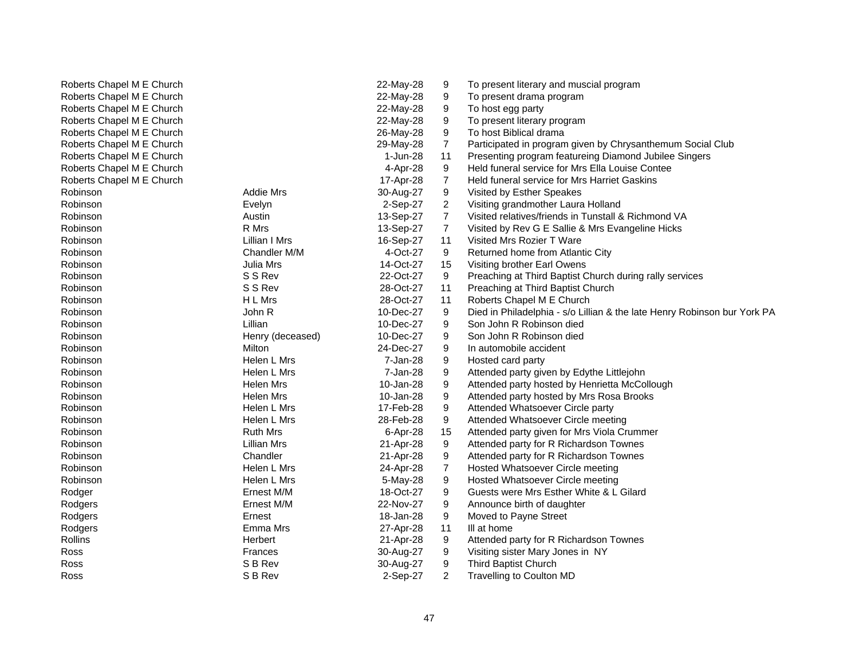| Roberts Chapel M E Church |                  | 22-May-28 | 9                       | To present literary and muscial program                                  |
|---------------------------|------------------|-----------|-------------------------|--------------------------------------------------------------------------|
| Roberts Chapel M E Church |                  | 22-May-28 | 9                       | To present drama program                                                 |
| Roberts Chapel M E Church |                  | 22-May-28 | 9                       | To host egg party                                                        |
| Roberts Chapel M E Church |                  | 22-May-28 | 9                       | To present literary program                                              |
| Roberts Chapel M E Church |                  | 26-May-28 | 9                       | To host Biblical drama                                                   |
| Roberts Chapel M E Church |                  | 29-May-28 | $\overline{7}$          | Participated in program given by Chrysanthemum Social Club               |
| Roberts Chapel M E Church |                  | 1-Jun-28  | 11                      | Presenting program featureing Diamond Jubilee Singers                    |
| Roberts Chapel M E Church |                  | 4-Apr-28  | 9                       | Held funeral service for Mrs Ella Louise Contee                          |
| Roberts Chapel M E Church |                  | 17-Apr-28 | 7                       | Held funeral service for Mrs Harriet Gaskins                             |
| Robinson                  | <b>Addie Mrs</b> | 30-Aug-27 | 9                       | Visited by Esther Speakes                                                |
| Robinson                  | Evelyn           | 2-Sep-27  | $\overline{\mathbf{c}}$ | Visiting grandmother Laura Holland                                       |
| Robinson                  | Austin           | 13-Sep-27 | $\overline{7}$          | Visited relatives/friends in Tunstall & Richmond VA                      |
| Robinson                  | R Mrs            | 13-Sep-27 | $\overline{7}$          | Visited by Rev G E Sallie & Mrs Evangeline Hicks                         |
| Robinson                  | Lillian I Mrs    | 16-Sep-27 | 11                      | Visited Mrs Rozier T Ware                                                |
| Robinson                  | Chandler M/M     | 4-Oct-27  | 9                       | Returned home from Atlantic City                                         |
| Robinson                  | Julia Mrs        | 14-Oct-27 | 15                      | Visiting brother Earl Owens                                              |
| Robinson                  | S S Rev          | 22-Oct-27 | 9                       | Preaching at Third Baptist Church during rally services                  |
| Robinson                  | S S Rev          | 28-Oct-27 | 11                      | Preaching at Third Baptist Church                                        |
| Robinson                  | H L Mrs          | 28-Oct-27 | 11                      | Roberts Chapel M E Church                                                |
| Robinson                  | John R           | 10-Dec-27 | 9                       | Died in Philadelphia - s/o Lillian & the late Henry Robinson bur York PA |
| Robinson                  | Lillian          | 10-Dec-27 | 9                       | Son John R Robinson died                                                 |
| Robinson                  | Henry (deceased) | 10-Dec-27 | 9                       | Son John R Robinson died                                                 |
| Robinson                  | Milton           | 24-Dec-27 | 9                       | In automobile accident                                                   |
| Robinson                  | Helen L Mrs      | 7-Jan-28  | 9                       | Hosted card party                                                        |
| Robinson                  | Helen L Mrs      | 7-Jan-28  | 9                       | Attended party given by Edythe Littlejohn                                |
| Robinson                  | Helen Mrs        | 10-Jan-28 | 9                       | Attended party hosted by Henrietta McCollough                            |
| Robinson                  | Helen Mrs        | 10-Jan-28 | 9                       | Attended party hosted by Mrs Rosa Brooks                                 |
| Robinson                  | Helen L Mrs      | 17-Feb-28 | 9                       | Attended Whatsoever Circle party                                         |
| Robinson                  | Helen L Mrs      | 28-Feb-28 | 9                       | Attended Whatsoever Circle meeting                                       |
| Robinson                  | <b>Ruth Mrs</b>  | 6-Apr-28  | 15                      | Attended party given for Mrs Viola Crummer                               |
| Robinson                  | Lillian Mrs      | 21-Apr-28 | 9                       | Attended party for R Richardson Townes                                   |
| Robinson                  | Chandler         | 21-Apr-28 | 9                       | Attended party for R Richardson Townes                                   |
| Robinson                  | Helen L Mrs      | 24-Apr-28 | 7                       | Hosted Whatsoever Circle meeting                                         |
| Robinson                  | Helen L Mrs      | 5-May-28  | 9                       | Hosted Whatsoever Circle meeting                                         |
| Rodger                    | Ernest M/M       | 18-Oct-27 | 9                       | Guests were Mrs Esther White & L Gilard                                  |
| Rodgers                   | Ernest M/M       | 22-Nov-27 | 9                       | Announce birth of daughter                                               |
| Rodgers                   | Ernest           | 18-Jan-28 | 9                       | Moved to Payne Street                                                    |
| Rodgers                   | Emma Mrs         | 27-Apr-28 | 11                      | III at home                                                              |
| Rollins                   | Herbert          | 21-Apr-28 | 9                       | Attended party for R Richardson Townes                                   |
| Ross                      | Frances          | 30-Aug-27 | 9                       | Visiting sister Mary Jones in NY                                         |
| Ross                      | S B Rev          | 30-Aug-27 | 9                       | Third Baptist Church                                                     |
| Ross                      | S B Rev          | 2-Sep-27  | $\overline{2}$          | <b>Travelling to Coulton MD</b>                                          |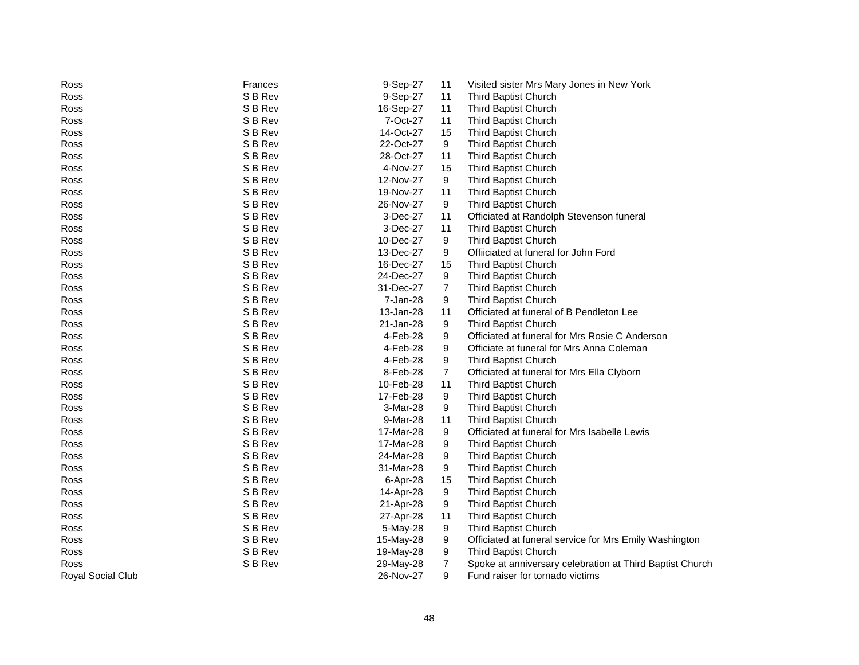| Ross              | Frances | 9-Sep-27  | 11 | Visited sister Mrs Mary Jones in New York                |
|-------------------|---------|-----------|----|----------------------------------------------------------|
| Ross              | S B Rev | 9-Sep-27  | 11 | Third Baptist Church                                     |
| Ross              | S B Rev | 16-Sep-27 | 11 | Third Baptist Church                                     |
| Ross              | S B Rev | 7-Oct-27  | 11 | Third Baptist Church                                     |
| Ross              | S B Rev | 14-Oct-27 | 15 | Third Baptist Church                                     |
| Ross              | S B Rev | 22-Oct-27 | 9  | Third Baptist Church                                     |
| Ross              | S B Rev | 28-Oct-27 | 11 | Third Baptist Church                                     |
| Ross              | S B Rev | 4-Nov-27  | 15 | Third Baptist Church                                     |
| Ross              | S B Rev | 12-Nov-27 | 9  | Third Baptist Church                                     |
| Ross              | S B Rev | 19-Nov-27 | 11 | Third Baptist Church                                     |
| Ross              | S B Rev | 26-Nov-27 | 9  | Third Baptist Church                                     |
| Ross              | S B Rev | 3-Dec-27  | 11 | Officiated at Randolph Stevenson funeral                 |
| Ross              | S B Rev | 3-Dec-27  | 11 | Third Baptist Church                                     |
| Ross              | S B Rev | 10-Dec-27 | 9  | Third Baptist Church                                     |
| Ross              | S B Rev | 13-Dec-27 | 9  | Offiiciated at funeral for John Ford                     |
| Ross              | S B Rev | 16-Dec-27 | 15 | Third Baptist Church                                     |
| Ross              | S B Rev | 24-Dec-27 | 9  | Third Baptist Church                                     |
| Ross              | S B Rev | 31-Dec-27 | 7  | Third Baptist Church                                     |
| Ross              | S B Rev | 7-Jan-28  | 9  | <b>Third Baptist Church</b>                              |
| Ross              | S B Rev | 13-Jan-28 | 11 | Officiated at funeral of B Pendleton Lee                 |
| Ross              | S B Rev | 21-Jan-28 | 9  | Third Baptist Church                                     |
| Ross              | S B Rev | 4-Feb-28  | 9  | Officiated at funeral for Mrs Rosie C Anderson           |
| Ross              | S B Rev | 4-Feb-28  | 9  | Officiate at funeral for Mrs Anna Coleman                |
| Ross              | S B Rev | 4-Feb-28  | 9  | Third Baptist Church                                     |
| Ross              | S B Rev | 8-Feb-28  | 7  | Officiated at funeral for Mrs Ella Clyborn               |
| Ross              | S B Rev | 10-Feb-28 | 11 | Third Baptist Church                                     |
| Ross              | S B Rev | 17-Feb-28 | 9  | Third Baptist Church                                     |
| Ross              | S B Rev | 3-Mar-28  | 9  | Third Baptist Church                                     |
| Ross              | S B Rev | 9-Mar-28  | 11 | <b>Third Baptist Church</b>                              |
| Ross              | S B Rev | 17-Mar-28 | 9  | Officiated at funeral for Mrs Isabelle Lewis             |
| Ross              | S B Rev | 17-Mar-28 | 9  | Third Baptist Church                                     |
| Ross              | S B Rev | 24-Mar-28 | 9  | Third Baptist Church                                     |
| Ross              | S B Rev | 31-Mar-28 | 9  | Third Baptist Church                                     |
| Ross              | S B Rev | 6-Apr-28  | 15 | Third Baptist Church                                     |
| Ross              | S B Rev | 14-Apr-28 | 9  | Third Baptist Church                                     |
| Ross              | S B Rev | 21-Apr-28 | 9  | Third Baptist Church                                     |
| Ross              | S B Rev | 27-Apr-28 | 11 | Third Baptist Church                                     |
| Ross              | S B Rev | 5-May-28  | 9  | Third Baptist Church                                     |
| Ross              | S B Rev | 15-May-28 | 9  | Officiated at funeral service for Mrs Emily Washington   |
| Ross              | S B Rev | 19-May-28 | 9  | Third Baptist Church                                     |
| Ross              | S B Rev | 29-May-28 | 7  | Spoke at anniversary celebration at Third Baptist Church |
| Royal Social Club |         | 26-Nov-27 | 9  | Fund raiser for tornado victims                          |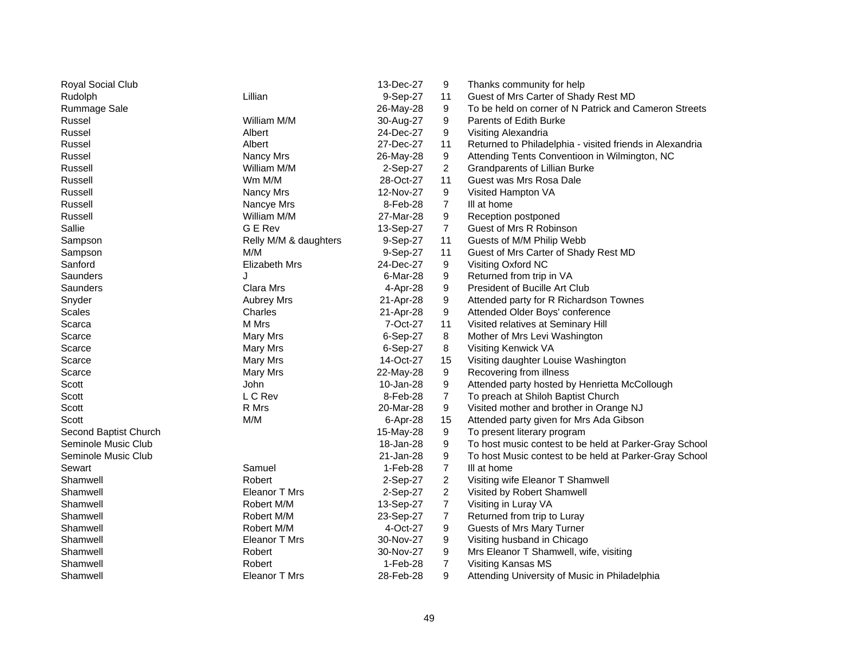| Royal Social Club     |                       | 13-Dec-27 | 9              | Thanks community for help                                |
|-----------------------|-----------------------|-----------|----------------|----------------------------------------------------------|
| Rudolph               | Lillian               | 9-Sep-27  | 11             | Guest of Mrs Carter of Shady Rest MD                     |
| <b>Rummage Sale</b>   |                       | 26-May-28 | 9              | To be held on corner of N Patrick and Cameron Streets    |
| Russel                | William M/M           | 30-Aug-27 | 9              | Parents of Edith Burke                                   |
| Russel                | Albert                | 24-Dec-27 | 9              | Visiting Alexandria                                      |
| Russel                | Albert                | 27-Dec-27 | 11             | Returned to Philadelphia - visited friends in Alexandria |
| Russel                | Nancy Mrs             | 26-May-28 | 9              | Attending Tents Conventioon in Wilmington, NC            |
| Russell               | William M/M           | 2-Sep-27  | 2              | Grandparents of Lillian Burke                            |
| Russell               | Wm M/M                | 28-Oct-27 | 11             | Guest was Mrs Rosa Dale                                  |
| Russell               | Nancy Mrs             | 12-Nov-27 | 9              | Visited Hampton VA                                       |
| Russell               | Nancye Mrs            | 8-Feb-28  | $\overline{7}$ | III at home                                              |
| Russell               | William M/M           | 27-Mar-28 | 9              | Reception postponed                                      |
| Sallie                | G E Rev               | 13-Sep-27 | $\overline{7}$ | Guest of Mrs R Robinson                                  |
| Sampson               | Relly M/M & daughters | 9-Sep-27  | 11             | Guests of M/M Philip Webb                                |
| Sampson               | M/M                   | 9-Sep-27  | 11             | Guest of Mrs Carter of Shady Rest MD                     |
| Sanford               | <b>Elizabeth Mrs</b>  | 24-Dec-27 | 9              | Visiting Oxford NC                                       |
| Saunders              | J                     | 6-Mar-28  | 9              | Returned from trip in VA                                 |
| Saunders              | Clara Mrs             | 4-Apr-28  | 9              | President of Bucille Art Club                            |
| Snyder                | <b>Aubrey Mrs</b>     | 21-Apr-28 | 9              | Attended party for R Richardson Townes                   |
| Scales                | Charles               | 21-Apr-28 | 9              | Attended Older Boys' conference                          |
| Scarca                | M Mrs                 | 7-Oct-27  | 11             | Visited relatives at Seminary Hill                       |
| Scarce                | Mary Mrs              | 6-Sep-27  | 8              | Mother of Mrs Levi Washington                            |
| Scarce                | Mary Mrs              | 6-Sep-27  | 8              | Visiting Kenwick VA                                      |
| Scarce                | Mary Mrs              | 14-Oct-27 | 15             | Visiting daughter Louise Washington                      |
| Scarce                | Mary Mrs              | 22-May-28 | 9              | Recovering from illness                                  |
| Scott                 | John                  | 10-Jan-28 | 9              | Attended party hosted by Henrietta McCollough            |
| Scott                 | L C Rev               | 8-Feb-28  | $\overline{7}$ | To preach at Shiloh Baptist Church                       |
| Scott                 | R Mrs                 | 20-Mar-28 | 9              | Visited mother and brother in Orange NJ                  |
| Scott                 | M/M                   | 6-Apr-28  | 15             | Attended party given for Mrs Ada Gibson                  |
| Second Baptist Church |                       | 15-May-28 | 9              | To present literary program                              |
| Seminole Music Club   |                       | 18-Jan-28 | 9              | To host music contest to be held at Parker-Gray School   |
| Seminole Music Club   |                       | 21-Jan-28 | 9              | To host Music contest to be held at Parker-Gray School   |
| Sewart                | Samuel                | 1-Feb-28  | $\overline{7}$ | III at home                                              |
| Shamwell              | Robert                | 2-Sep-27  | 2              | Visiting wife Eleanor T Shamwell                         |
| Shamwell              | Eleanor T Mrs         | 2-Sep-27  | $\overline{c}$ | Visited by Robert Shamwell                               |
| Shamwell              | Robert M/M            | 13-Sep-27 | $\overline{7}$ | Visiting in Luray VA                                     |
| Shamwell              | Robert M/M            | 23-Sep-27 | $\overline{7}$ | Returned from trip to Luray                              |
| Shamwell              | Robert M/M            | 4-Oct-27  | 9              | Guests of Mrs Mary Turner                                |
| Shamwell              | Eleanor T Mrs         | 30-Nov-27 | 9              | Visiting husband in Chicago                              |
| Shamwell              | Robert                | 30-Nov-27 | 9              | Mrs Eleanor T Shamwell, wife, visiting                   |
| Shamwell              | Robert                | 1-Feb-28  | $\overline{7}$ | Visiting Kansas MS                                       |
| Shamwell              | Eleanor T Mrs         | 28-Feb-28 | 9              | Attending University of Music in Philadelphia            |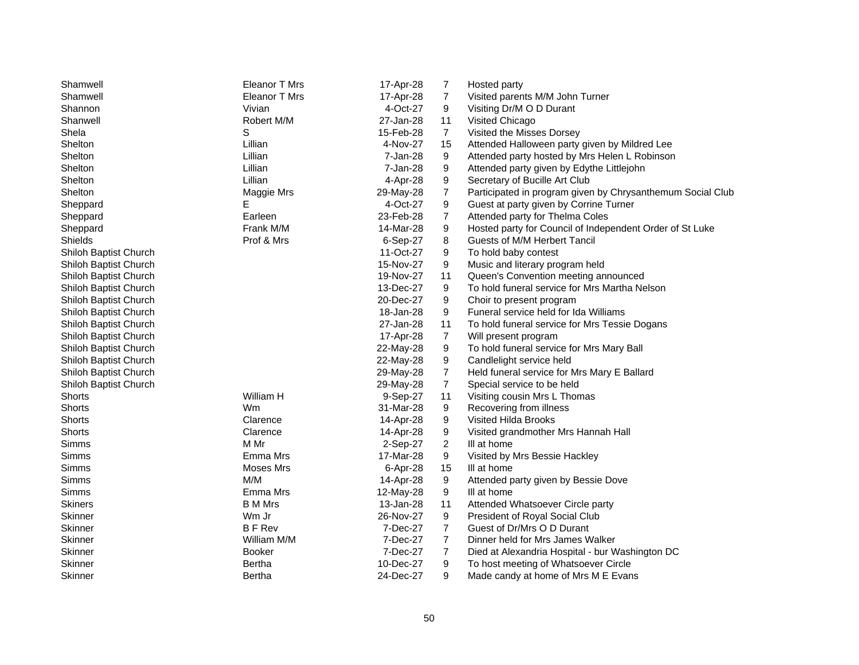| Shamwell              | Eleanor T Mrs  | 17-Apr-28 | 7              | Hosted party                                               |
|-----------------------|----------------|-----------|----------------|------------------------------------------------------------|
| Shamwell              | Eleanor T Mrs  | 17-Apr-28 | $\overline{7}$ | Visited parents M/M John Turner                            |
| Shannon               | Vivian         | 4-Oct-27  | 9              | Visiting Dr/M O D Durant                                   |
| Shanwell              | Robert M/M     | 27-Jan-28 | 11             | Visited Chicago                                            |
| Shela                 | S              | 15-Feb-28 | $\overline{7}$ | Visited the Misses Dorsey                                  |
| Shelton               | Lillian        | 4-Nov-27  | 15             | Attended Halloween party given by Mildred Lee              |
| Shelton               | Lillian        | 7-Jan-28  | 9              | Attended party hosted by Mrs Helen L Robinson              |
| Shelton               | Lillian        | 7-Jan-28  | 9              | Attended party given by Edythe Littlejohn                  |
| Shelton               | Lillian        | 4-Apr-28  | 9              | Secretary of Bucille Art Club                              |
| Shelton               | Maggie Mrs     | 29-May-28 | 7              | Participated in program given by Chrysanthemum Social Club |
| Sheppard              | Е              | 4-Oct-27  | 9              | Guest at party given by Corrine Turner                     |
| Sheppard              | Earleen        | 23-Feb-28 | $\overline{7}$ | Attended party for Thelma Coles                            |
| Sheppard              | Frank M/M      | 14-Mar-28 | 9              | Hosted party for Council of Independent Order of St Luke   |
| Shields               | Prof & Mrs     | 6-Sep-27  | 8              | Guests of M/M Herbert Tancil                               |
| Shiloh Baptist Church |                | 11-Oct-27 | 9              | To hold baby contest                                       |
| Shiloh Baptist Church |                | 15-Nov-27 | 9              | Music and literary program held                            |
| Shiloh Baptist Church |                | 19-Nov-27 | 11             | Queen's Convention meeting announced                       |
| Shiloh Baptist Church |                | 13-Dec-27 | 9              | To hold funeral service for Mrs Martha Nelson              |
| Shiloh Baptist Church |                | 20-Dec-27 | 9              | Choir to present program                                   |
| Shiloh Baptist Church |                | 18-Jan-28 | 9              | Funeral service held for Ida Williams                      |
| Shiloh Baptist Church |                | 27-Jan-28 | 11             | To hold funeral service for Mrs Tessie Dogans              |
| Shiloh Baptist Church |                | 17-Apr-28 | $\overline{7}$ | Will present program                                       |
| Shiloh Baptist Church |                | 22-May-28 | 9              | To hold funeral service for Mrs Mary Ball                  |
| Shiloh Baptist Church |                | 22-May-28 | 9              | Candlelight service held                                   |
| Shiloh Baptist Church |                | 29-May-28 | $\overline{7}$ | Held funeral service for Mrs Mary E Ballard                |
| Shiloh Baptist Church |                | 29-May-28 | $\overline{7}$ | Special service to be held                                 |
| Shorts                | William H      | 9-Sep-27  | 11             | Visiting cousin Mrs L Thomas                               |
| Shorts                | Wm             | 31-Mar-28 | 9              | Recovering from illness                                    |
| Shorts                | Clarence       | 14-Apr-28 | 9              | Visited Hilda Brooks                                       |
| Shorts                | Clarence       | 14-Apr-28 | 9              | Visited grandmother Mrs Hannah Hall                        |
| Simms                 | M Mr           | 2-Sep-27  | $\overline{2}$ | III at home                                                |
| Simms                 | Emma Mrs       | 17-Mar-28 | 9              | Visited by Mrs Bessie Hackley                              |
| Simms                 | Moses Mrs      | 6-Apr-28  | 15             | III at home                                                |
| Simms                 | M/M            | 14-Apr-28 | 9              | Attended party given by Bessie Dove                        |
| Simms                 | Emma Mrs       | 12-May-28 | 9              | III at home                                                |
| <b>Skiners</b>        | <b>B</b> M Mrs | 13-Jan-28 | 11             | Attended Whatsoever Circle party                           |
| Skinner               | Wm Jr          | 26-Nov-27 | 9              | President of Royal Social Club                             |
| Skinner               | <b>BFRev</b>   | 7-Dec-27  | $\overline{7}$ | Guest of Dr/Mrs O D Durant                                 |
| Skinner               | William M/M    | 7-Dec-27  | $\overline{7}$ | Dinner held for Mrs James Walker                           |
| Skinner               | <b>Booker</b>  | 7-Dec-27  | $\overline{7}$ | Died at Alexandria Hospital - bur Washington DC            |
| Skinner               | Bertha         | 10-Dec-27 | 9              | To host meeting of Whatsoever Circle                       |
| Skinner               | <b>Bertha</b>  | 24-Dec-27 | 9              | Made candy at home of Mrs M E Evans                        |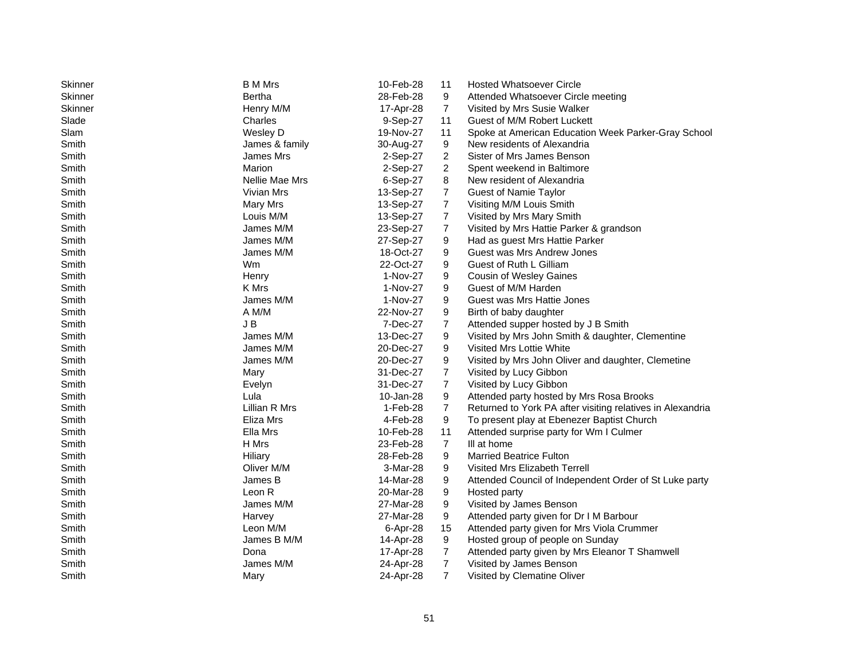| Skinner<br>28-Feb-28<br>9<br>Bertha<br>Attended Whatsoever Circle meeting<br><b>Skinner</b><br>$\overline{7}$<br>Henry M/M<br>17-Apr-28<br>Visited by Mrs Susie Walker<br>Slade<br>11<br>Charles<br>9-Sep-27<br>Guest of M/M Robert Luckett<br>11<br>Slam<br>Wesley D<br>19-Nov-27<br>Spoke at American Education Week Parker-Gray School<br>9<br>Smith<br>James & family<br>30-Aug-27<br>New residents of Alexandria<br>2<br>Sister of Mrs James Benson<br>Smith<br>James Mrs<br>2-Sep-27<br>$\overline{2}$<br>Smith<br>Marion<br>2-Sep-27<br>Spent weekend in Baltimore<br>8<br>Smith<br>Nellie Mae Mrs<br>6-Sep-27<br>New resident of Alexandria<br>$\overline{7}$<br>Smith<br>Vivian Mrs<br>13-Sep-27<br><b>Guest of Namie Taylor</b><br>$\overline{7}$<br>Smith<br>13-Sep-27<br>Mary Mrs<br>Visiting M/M Louis Smith<br>Smith<br>Louis M/M<br>13-Sep-27<br>7<br>Visited by Mrs Mary Smith<br>7<br>Smith<br>James M/M<br>23-Sep-27<br>Visited by Mrs Hattie Parker & grandson<br>Smith<br>27-Sep-27<br>9<br>James M/M<br>Had as guest Mrs Hattie Parker<br>Smith<br>18-Oct-27<br>9<br>Guest was Mrs Andrew Jones<br>James M/M<br>Guest of Ruth L Gilliam<br>Smith<br>Wm<br>22-Oct-27<br>9<br>Smith<br>1-Nov-27<br>9<br><b>Cousin of Wesley Gaines</b><br>Henry<br>Smith<br>K Mrs<br>1-Nov-27<br>9<br>Guest of M/M Harden<br>Smith<br>9<br>Guest was Mrs Hattie Jones<br>James M/M<br>1-Nov-27<br>Smith<br>A M/M<br>22-Nov-27<br>9<br>Birth of baby daughter<br>$\overline{7}$<br>Smith<br>J B<br>Attended supper hosted by J B Smith<br>7-Dec-27<br>Smith<br>James M/M<br>13-Dec-27<br>9<br>Visited by Mrs John Smith & daughter, Clementine<br>9<br>Smith<br>James M/M<br>20-Dec-27<br>Visited Mrs Lottie White<br>9<br>Smith<br>James M/M<br>20-Dec-27<br>Visited by Mrs John Oliver and daughter, Clemetine<br>7<br>Smith<br>31-Dec-27<br>Visited by Lucy Gibbon<br>Mary<br>$\overline{7}$<br>Smith<br>Visited by Lucy Gibbon<br>31-Dec-27<br>Evelyn<br>Lula<br>9<br>Smith<br>Attended party hosted by Mrs Rosa Brooks<br>10-Jan-28<br>Lillian R Mrs<br>$\overline{7}$<br>Smith<br>1-Feb-28<br>Returned to York PA after visiting relatives in Alexandria<br>Smith<br>Eliza Mrs<br>4-Feb-28<br>9<br>To present play at Ebenezer Baptist Church<br>Ella Mrs<br>11<br>Smith<br>10-Feb-28<br>Attended surprise party for Wm I Culmer<br>$\overline{7}$<br>Smith<br>H Mrs<br>III at home<br>23-Feb-28<br>Smith<br>Hiliary<br>28-Feb-28<br>9<br><b>Married Beatrice Fulton</b><br>Smith<br>Oliver M/M<br>9<br>Visited Mrs Elizabeth Terrell<br>3-Mar-28<br>Smith<br>James B<br>14-Mar-28<br>9<br>Attended Council of Independent Order of St Luke party<br>Smith<br>9<br>Leon R<br>20-Mar-28<br>Hosted party<br>9<br>Smith<br>James M/M<br>27-Mar-28<br>Visited by James Benson<br>Smith<br>27-Mar-28<br>9<br>Harvey<br>Attended party given for Dr I M Barbour<br>Smith<br>Leon M/M<br>15<br>Attended party given for Mrs Viola Crummer<br>6-Apr-28<br>9<br>Smith<br>James B M/M<br>Hosted group of people on Sunday<br>14-Apr-28<br>$\overline{7}$<br>Smith<br>Dona<br>Attended party given by Mrs Eleanor T Shamwell<br>17-Apr-28<br>$\overline{7}$<br>Smith<br>James M/M<br>24-Apr-28<br>Visited by James Benson | Skinner | <b>B</b> M Mrs | 10-Feb-28 | 11 | <b>Hosted Whatsoever Circle</b> |
|------------------------------------------------------------------------------------------------------------------------------------------------------------------------------------------------------------------------------------------------------------------------------------------------------------------------------------------------------------------------------------------------------------------------------------------------------------------------------------------------------------------------------------------------------------------------------------------------------------------------------------------------------------------------------------------------------------------------------------------------------------------------------------------------------------------------------------------------------------------------------------------------------------------------------------------------------------------------------------------------------------------------------------------------------------------------------------------------------------------------------------------------------------------------------------------------------------------------------------------------------------------------------------------------------------------------------------------------------------------------------------------------------------------------------------------------------------------------------------------------------------------------------------------------------------------------------------------------------------------------------------------------------------------------------------------------------------------------------------------------------------------------------------------------------------------------------------------------------------------------------------------------------------------------------------------------------------------------------------------------------------------------------------------------------------------------------------------------------------------------------------------------------------------------------------------------------------------------------------------------------------------------------------------------------------------------------------------------------------------------------------------------------------------------------------------------------------------------------------------------------------------------------------------------------------------------------------------------------------------------------------------------------------------------------------------------------------------------------------------------------------------------------------------------------------------------------------------------------------------------------------------------------------------------------------------------------------------------------------------------------------------------------------------------------------------------------------------------------------------------------------------------------------------------------------------------------------------------|---------|----------------|-----------|----|---------------------------------|
|                                                                                                                                                                                                                                                                                                                                                                                                                                                                                                                                                                                                                                                                                                                                                                                                                                                                                                                                                                                                                                                                                                                                                                                                                                                                                                                                                                                                                                                                                                                                                                                                                                                                                                                                                                                                                                                                                                                                                                                                                                                                                                                                                                                                                                                                                                                                                                                                                                                                                                                                                                                                                                                                                                                                                                                                                                                                                                                                                                                                                                                                                                                                                                                                                        |         |                |           |    |                                 |
|                                                                                                                                                                                                                                                                                                                                                                                                                                                                                                                                                                                                                                                                                                                                                                                                                                                                                                                                                                                                                                                                                                                                                                                                                                                                                                                                                                                                                                                                                                                                                                                                                                                                                                                                                                                                                                                                                                                                                                                                                                                                                                                                                                                                                                                                                                                                                                                                                                                                                                                                                                                                                                                                                                                                                                                                                                                                                                                                                                                                                                                                                                                                                                                                                        |         |                |           |    |                                 |
|                                                                                                                                                                                                                                                                                                                                                                                                                                                                                                                                                                                                                                                                                                                                                                                                                                                                                                                                                                                                                                                                                                                                                                                                                                                                                                                                                                                                                                                                                                                                                                                                                                                                                                                                                                                                                                                                                                                                                                                                                                                                                                                                                                                                                                                                                                                                                                                                                                                                                                                                                                                                                                                                                                                                                                                                                                                                                                                                                                                                                                                                                                                                                                                                                        |         |                |           |    |                                 |
|                                                                                                                                                                                                                                                                                                                                                                                                                                                                                                                                                                                                                                                                                                                                                                                                                                                                                                                                                                                                                                                                                                                                                                                                                                                                                                                                                                                                                                                                                                                                                                                                                                                                                                                                                                                                                                                                                                                                                                                                                                                                                                                                                                                                                                                                                                                                                                                                                                                                                                                                                                                                                                                                                                                                                                                                                                                                                                                                                                                                                                                                                                                                                                                                                        |         |                |           |    |                                 |
|                                                                                                                                                                                                                                                                                                                                                                                                                                                                                                                                                                                                                                                                                                                                                                                                                                                                                                                                                                                                                                                                                                                                                                                                                                                                                                                                                                                                                                                                                                                                                                                                                                                                                                                                                                                                                                                                                                                                                                                                                                                                                                                                                                                                                                                                                                                                                                                                                                                                                                                                                                                                                                                                                                                                                                                                                                                                                                                                                                                                                                                                                                                                                                                                                        |         |                |           |    |                                 |
|                                                                                                                                                                                                                                                                                                                                                                                                                                                                                                                                                                                                                                                                                                                                                                                                                                                                                                                                                                                                                                                                                                                                                                                                                                                                                                                                                                                                                                                                                                                                                                                                                                                                                                                                                                                                                                                                                                                                                                                                                                                                                                                                                                                                                                                                                                                                                                                                                                                                                                                                                                                                                                                                                                                                                                                                                                                                                                                                                                                                                                                                                                                                                                                                                        |         |                |           |    |                                 |
|                                                                                                                                                                                                                                                                                                                                                                                                                                                                                                                                                                                                                                                                                                                                                                                                                                                                                                                                                                                                                                                                                                                                                                                                                                                                                                                                                                                                                                                                                                                                                                                                                                                                                                                                                                                                                                                                                                                                                                                                                                                                                                                                                                                                                                                                                                                                                                                                                                                                                                                                                                                                                                                                                                                                                                                                                                                                                                                                                                                                                                                                                                                                                                                                                        |         |                |           |    |                                 |
|                                                                                                                                                                                                                                                                                                                                                                                                                                                                                                                                                                                                                                                                                                                                                                                                                                                                                                                                                                                                                                                                                                                                                                                                                                                                                                                                                                                                                                                                                                                                                                                                                                                                                                                                                                                                                                                                                                                                                                                                                                                                                                                                                                                                                                                                                                                                                                                                                                                                                                                                                                                                                                                                                                                                                                                                                                                                                                                                                                                                                                                                                                                                                                                                                        |         |                |           |    |                                 |
|                                                                                                                                                                                                                                                                                                                                                                                                                                                                                                                                                                                                                                                                                                                                                                                                                                                                                                                                                                                                                                                                                                                                                                                                                                                                                                                                                                                                                                                                                                                                                                                                                                                                                                                                                                                                                                                                                                                                                                                                                                                                                                                                                                                                                                                                                                                                                                                                                                                                                                                                                                                                                                                                                                                                                                                                                                                                                                                                                                                                                                                                                                                                                                                                                        |         |                |           |    |                                 |
|                                                                                                                                                                                                                                                                                                                                                                                                                                                                                                                                                                                                                                                                                                                                                                                                                                                                                                                                                                                                                                                                                                                                                                                                                                                                                                                                                                                                                                                                                                                                                                                                                                                                                                                                                                                                                                                                                                                                                                                                                                                                                                                                                                                                                                                                                                                                                                                                                                                                                                                                                                                                                                                                                                                                                                                                                                                                                                                                                                                                                                                                                                                                                                                                                        |         |                |           |    |                                 |
|                                                                                                                                                                                                                                                                                                                                                                                                                                                                                                                                                                                                                                                                                                                                                                                                                                                                                                                                                                                                                                                                                                                                                                                                                                                                                                                                                                                                                                                                                                                                                                                                                                                                                                                                                                                                                                                                                                                                                                                                                                                                                                                                                                                                                                                                                                                                                                                                                                                                                                                                                                                                                                                                                                                                                                                                                                                                                                                                                                                                                                                                                                                                                                                                                        |         |                |           |    |                                 |
|                                                                                                                                                                                                                                                                                                                                                                                                                                                                                                                                                                                                                                                                                                                                                                                                                                                                                                                                                                                                                                                                                                                                                                                                                                                                                                                                                                                                                                                                                                                                                                                                                                                                                                                                                                                                                                                                                                                                                                                                                                                                                                                                                                                                                                                                                                                                                                                                                                                                                                                                                                                                                                                                                                                                                                                                                                                                                                                                                                                                                                                                                                                                                                                                                        |         |                |           |    |                                 |
|                                                                                                                                                                                                                                                                                                                                                                                                                                                                                                                                                                                                                                                                                                                                                                                                                                                                                                                                                                                                                                                                                                                                                                                                                                                                                                                                                                                                                                                                                                                                                                                                                                                                                                                                                                                                                                                                                                                                                                                                                                                                                                                                                                                                                                                                                                                                                                                                                                                                                                                                                                                                                                                                                                                                                                                                                                                                                                                                                                                                                                                                                                                                                                                                                        |         |                |           |    |                                 |
|                                                                                                                                                                                                                                                                                                                                                                                                                                                                                                                                                                                                                                                                                                                                                                                                                                                                                                                                                                                                                                                                                                                                                                                                                                                                                                                                                                                                                                                                                                                                                                                                                                                                                                                                                                                                                                                                                                                                                                                                                                                                                                                                                                                                                                                                                                                                                                                                                                                                                                                                                                                                                                                                                                                                                                                                                                                                                                                                                                                                                                                                                                                                                                                                                        |         |                |           |    |                                 |
|                                                                                                                                                                                                                                                                                                                                                                                                                                                                                                                                                                                                                                                                                                                                                                                                                                                                                                                                                                                                                                                                                                                                                                                                                                                                                                                                                                                                                                                                                                                                                                                                                                                                                                                                                                                                                                                                                                                                                                                                                                                                                                                                                                                                                                                                                                                                                                                                                                                                                                                                                                                                                                                                                                                                                                                                                                                                                                                                                                                                                                                                                                                                                                                                                        |         |                |           |    |                                 |
|                                                                                                                                                                                                                                                                                                                                                                                                                                                                                                                                                                                                                                                                                                                                                                                                                                                                                                                                                                                                                                                                                                                                                                                                                                                                                                                                                                                                                                                                                                                                                                                                                                                                                                                                                                                                                                                                                                                                                                                                                                                                                                                                                                                                                                                                                                                                                                                                                                                                                                                                                                                                                                                                                                                                                                                                                                                                                                                                                                                                                                                                                                                                                                                                                        |         |                |           |    |                                 |
|                                                                                                                                                                                                                                                                                                                                                                                                                                                                                                                                                                                                                                                                                                                                                                                                                                                                                                                                                                                                                                                                                                                                                                                                                                                                                                                                                                                                                                                                                                                                                                                                                                                                                                                                                                                                                                                                                                                                                                                                                                                                                                                                                                                                                                                                                                                                                                                                                                                                                                                                                                                                                                                                                                                                                                                                                                                                                                                                                                                                                                                                                                                                                                                                                        |         |                |           |    |                                 |
|                                                                                                                                                                                                                                                                                                                                                                                                                                                                                                                                                                                                                                                                                                                                                                                                                                                                                                                                                                                                                                                                                                                                                                                                                                                                                                                                                                                                                                                                                                                                                                                                                                                                                                                                                                                                                                                                                                                                                                                                                                                                                                                                                                                                                                                                                                                                                                                                                                                                                                                                                                                                                                                                                                                                                                                                                                                                                                                                                                                                                                                                                                                                                                                                                        |         |                |           |    |                                 |
|                                                                                                                                                                                                                                                                                                                                                                                                                                                                                                                                                                                                                                                                                                                                                                                                                                                                                                                                                                                                                                                                                                                                                                                                                                                                                                                                                                                                                                                                                                                                                                                                                                                                                                                                                                                                                                                                                                                                                                                                                                                                                                                                                                                                                                                                                                                                                                                                                                                                                                                                                                                                                                                                                                                                                                                                                                                                                                                                                                                                                                                                                                                                                                                                                        |         |                |           |    |                                 |
|                                                                                                                                                                                                                                                                                                                                                                                                                                                                                                                                                                                                                                                                                                                                                                                                                                                                                                                                                                                                                                                                                                                                                                                                                                                                                                                                                                                                                                                                                                                                                                                                                                                                                                                                                                                                                                                                                                                                                                                                                                                                                                                                                                                                                                                                                                                                                                                                                                                                                                                                                                                                                                                                                                                                                                                                                                                                                                                                                                                                                                                                                                                                                                                                                        |         |                |           |    |                                 |
|                                                                                                                                                                                                                                                                                                                                                                                                                                                                                                                                                                                                                                                                                                                                                                                                                                                                                                                                                                                                                                                                                                                                                                                                                                                                                                                                                                                                                                                                                                                                                                                                                                                                                                                                                                                                                                                                                                                                                                                                                                                                                                                                                                                                                                                                                                                                                                                                                                                                                                                                                                                                                                                                                                                                                                                                                                                                                                                                                                                                                                                                                                                                                                                                                        |         |                |           |    |                                 |
|                                                                                                                                                                                                                                                                                                                                                                                                                                                                                                                                                                                                                                                                                                                                                                                                                                                                                                                                                                                                                                                                                                                                                                                                                                                                                                                                                                                                                                                                                                                                                                                                                                                                                                                                                                                                                                                                                                                                                                                                                                                                                                                                                                                                                                                                                                                                                                                                                                                                                                                                                                                                                                                                                                                                                                                                                                                                                                                                                                                                                                                                                                                                                                                                                        |         |                |           |    |                                 |
|                                                                                                                                                                                                                                                                                                                                                                                                                                                                                                                                                                                                                                                                                                                                                                                                                                                                                                                                                                                                                                                                                                                                                                                                                                                                                                                                                                                                                                                                                                                                                                                                                                                                                                                                                                                                                                                                                                                                                                                                                                                                                                                                                                                                                                                                                                                                                                                                                                                                                                                                                                                                                                                                                                                                                                                                                                                                                                                                                                                                                                                                                                                                                                                                                        |         |                |           |    |                                 |
|                                                                                                                                                                                                                                                                                                                                                                                                                                                                                                                                                                                                                                                                                                                                                                                                                                                                                                                                                                                                                                                                                                                                                                                                                                                                                                                                                                                                                                                                                                                                                                                                                                                                                                                                                                                                                                                                                                                                                                                                                                                                                                                                                                                                                                                                                                                                                                                                                                                                                                                                                                                                                                                                                                                                                                                                                                                                                                                                                                                                                                                                                                                                                                                                                        |         |                |           |    |                                 |
|                                                                                                                                                                                                                                                                                                                                                                                                                                                                                                                                                                                                                                                                                                                                                                                                                                                                                                                                                                                                                                                                                                                                                                                                                                                                                                                                                                                                                                                                                                                                                                                                                                                                                                                                                                                                                                                                                                                                                                                                                                                                                                                                                                                                                                                                                                                                                                                                                                                                                                                                                                                                                                                                                                                                                                                                                                                                                                                                                                                                                                                                                                                                                                                                                        |         |                |           |    |                                 |
|                                                                                                                                                                                                                                                                                                                                                                                                                                                                                                                                                                                                                                                                                                                                                                                                                                                                                                                                                                                                                                                                                                                                                                                                                                                                                                                                                                                                                                                                                                                                                                                                                                                                                                                                                                                                                                                                                                                                                                                                                                                                                                                                                                                                                                                                                                                                                                                                                                                                                                                                                                                                                                                                                                                                                                                                                                                                                                                                                                                                                                                                                                                                                                                                                        |         |                |           |    |                                 |
|                                                                                                                                                                                                                                                                                                                                                                                                                                                                                                                                                                                                                                                                                                                                                                                                                                                                                                                                                                                                                                                                                                                                                                                                                                                                                                                                                                                                                                                                                                                                                                                                                                                                                                                                                                                                                                                                                                                                                                                                                                                                                                                                                                                                                                                                                                                                                                                                                                                                                                                                                                                                                                                                                                                                                                                                                                                                                                                                                                                                                                                                                                                                                                                                                        |         |                |           |    |                                 |
|                                                                                                                                                                                                                                                                                                                                                                                                                                                                                                                                                                                                                                                                                                                                                                                                                                                                                                                                                                                                                                                                                                                                                                                                                                                                                                                                                                                                                                                                                                                                                                                                                                                                                                                                                                                                                                                                                                                                                                                                                                                                                                                                                                                                                                                                                                                                                                                                                                                                                                                                                                                                                                                                                                                                                                                                                                                                                                                                                                                                                                                                                                                                                                                                                        |         |                |           |    |                                 |
|                                                                                                                                                                                                                                                                                                                                                                                                                                                                                                                                                                                                                                                                                                                                                                                                                                                                                                                                                                                                                                                                                                                                                                                                                                                                                                                                                                                                                                                                                                                                                                                                                                                                                                                                                                                                                                                                                                                                                                                                                                                                                                                                                                                                                                                                                                                                                                                                                                                                                                                                                                                                                                                                                                                                                                                                                                                                                                                                                                                                                                                                                                                                                                                                                        |         |                |           |    |                                 |
|                                                                                                                                                                                                                                                                                                                                                                                                                                                                                                                                                                                                                                                                                                                                                                                                                                                                                                                                                                                                                                                                                                                                                                                                                                                                                                                                                                                                                                                                                                                                                                                                                                                                                                                                                                                                                                                                                                                                                                                                                                                                                                                                                                                                                                                                                                                                                                                                                                                                                                                                                                                                                                                                                                                                                                                                                                                                                                                                                                                                                                                                                                                                                                                                                        |         |                |           |    |                                 |
|                                                                                                                                                                                                                                                                                                                                                                                                                                                                                                                                                                                                                                                                                                                                                                                                                                                                                                                                                                                                                                                                                                                                                                                                                                                                                                                                                                                                                                                                                                                                                                                                                                                                                                                                                                                                                                                                                                                                                                                                                                                                                                                                                                                                                                                                                                                                                                                                                                                                                                                                                                                                                                                                                                                                                                                                                                                                                                                                                                                                                                                                                                                                                                                                                        |         |                |           |    |                                 |
|                                                                                                                                                                                                                                                                                                                                                                                                                                                                                                                                                                                                                                                                                                                                                                                                                                                                                                                                                                                                                                                                                                                                                                                                                                                                                                                                                                                                                                                                                                                                                                                                                                                                                                                                                                                                                                                                                                                                                                                                                                                                                                                                                                                                                                                                                                                                                                                                                                                                                                                                                                                                                                                                                                                                                                                                                                                                                                                                                                                                                                                                                                                                                                                                                        |         |                |           |    |                                 |
|                                                                                                                                                                                                                                                                                                                                                                                                                                                                                                                                                                                                                                                                                                                                                                                                                                                                                                                                                                                                                                                                                                                                                                                                                                                                                                                                                                                                                                                                                                                                                                                                                                                                                                                                                                                                                                                                                                                                                                                                                                                                                                                                                                                                                                                                                                                                                                                                                                                                                                                                                                                                                                                                                                                                                                                                                                                                                                                                                                                                                                                                                                                                                                                                                        |         |                |           |    |                                 |
|                                                                                                                                                                                                                                                                                                                                                                                                                                                                                                                                                                                                                                                                                                                                                                                                                                                                                                                                                                                                                                                                                                                                                                                                                                                                                                                                                                                                                                                                                                                                                                                                                                                                                                                                                                                                                                                                                                                                                                                                                                                                                                                                                                                                                                                                                                                                                                                                                                                                                                                                                                                                                                                                                                                                                                                                                                                                                                                                                                                                                                                                                                                                                                                                                        |         |                |           |    |                                 |
|                                                                                                                                                                                                                                                                                                                                                                                                                                                                                                                                                                                                                                                                                                                                                                                                                                                                                                                                                                                                                                                                                                                                                                                                                                                                                                                                                                                                                                                                                                                                                                                                                                                                                                                                                                                                                                                                                                                                                                                                                                                                                                                                                                                                                                                                                                                                                                                                                                                                                                                                                                                                                                                                                                                                                                                                                                                                                                                                                                                                                                                                                                                                                                                                                        |         |                |           |    |                                 |
|                                                                                                                                                                                                                                                                                                                                                                                                                                                                                                                                                                                                                                                                                                                                                                                                                                                                                                                                                                                                                                                                                                                                                                                                                                                                                                                                                                                                                                                                                                                                                                                                                                                                                                                                                                                                                                                                                                                                                                                                                                                                                                                                                                                                                                                                                                                                                                                                                                                                                                                                                                                                                                                                                                                                                                                                                                                                                                                                                                                                                                                                                                                                                                                                                        |         |                |           |    |                                 |
|                                                                                                                                                                                                                                                                                                                                                                                                                                                                                                                                                                                                                                                                                                                                                                                                                                                                                                                                                                                                                                                                                                                                                                                                                                                                                                                                                                                                                                                                                                                                                                                                                                                                                                                                                                                                                                                                                                                                                                                                                                                                                                                                                                                                                                                                                                                                                                                                                                                                                                                                                                                                                                                                                                                                                                                                                                                                                                                                                                                                                                                                                                                                                                                                                        |         |                |           |    |                                 |
|                                                                                                                                                                                                                                                                                                                                                                                                                                                                                                                                                                                                                                                                                                                                                                                                                                                                                                                                                                                                                                                                                                                                                                                                                                                                                                                                                                                                                                                                                                                                                                                                                                                                                                                                                                                                                                                                                                                                                                                                                                                                                                                                                                                                                                                                                                                                                                                                                                                                                                                                                                                                                                                                                                                                                                                                                                                                                                                                                                                                                                                                                                                                                                                                                        |         |                |           |    |                                 |
|                                                                                                                                                                                                                                                                                                                                                                                                                                                                                                                                                                                                                                                                                                                                                                                                                                                                                                                                                                                                                                                                                                                                                                                                                                                                                                                                                                                                                                                                                                                                                                                                                                                                                                                                                                                                                                                                                                                                                                                                                                                                                                                                                                                                                                                                                                                                                                                                                                                                                                                                                                                                                                                                                                                                                                                                                                                                                                                                                                                                                                                                                                                                                                                                                        |         |                |           |    |                                 |
|                                                                                                                                                                                                                                                                                                                                                                                                                                                                                                                                                                                                                                                                                                                                                                                                                                                                                                                                                                                                                                                                                                                                                                                                                                                                                                                                                                                                                                                                                                                                                                                                                                                                                                                                                                                                                                                                                                                                                                                                                                                                                                                                                                                                                                                                                                                                                                                                                                                                                                                                                                                                                                                                                                                                                                                                                                                                                                                                                                                                                                                                                                                                                                                                                        |         |                |           |    |                                 |
| Smith<br>$\overline{7}$<br>Visited by Clematine Oliver<br>Mary<br>24-Apr-28                                                                                                                                                                                                                                                                                                                                                                                                                                                                                                                                                                                                                                                                                                                                                                                                                                                                                                                                                                                                                                                                                                                                                                                                                                                                                                                                                                                                                                                                                                                                                                                                                                                                                                                                                                                                                                                                                                                                                                                                                                                                                                                                                                                                                                                                                                                                                                                                                                                                                                                                                                                                                                                                                                                                                                                                                                                                                                                                                                                                                                                                                                                                            |         |                |           |    |                                 |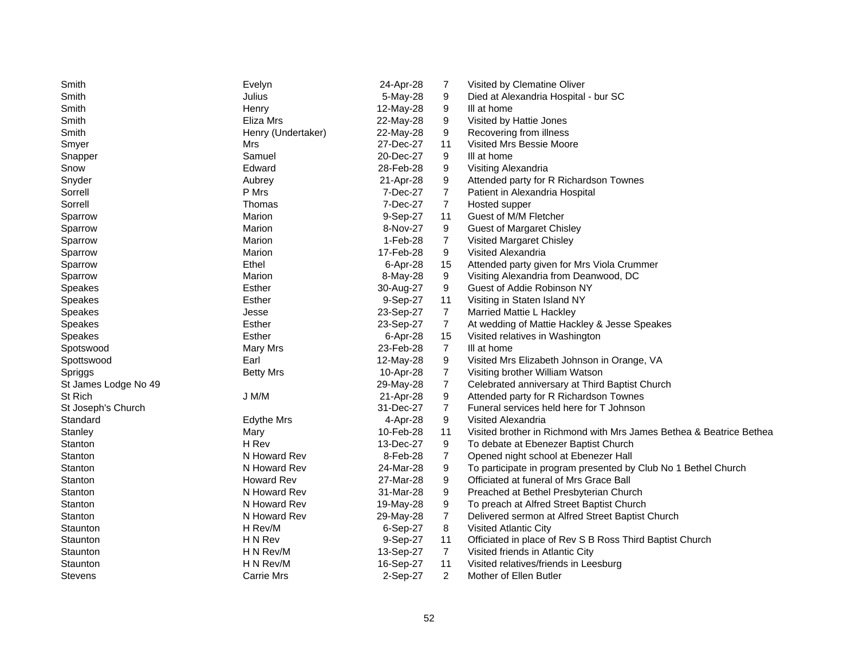| Smith                | Evelyn             | 24-Apr-28 | 7              | Visited by Clematine Oliver                                         |
|----------------------|--------------------|-----------|----------------|---------------------------------------------------------------------|
| Smith                | Julius             | 5-May-28  | 9              | Died at Alexandria Hospital - bur SC                                |
| Smith                | Henry              | 12-May-28 | 9              | III at home                                                         |
| Smith                | Eliza Mrs          | 22-May-28 | 9              | Visited by Hattie Jones                                             |
| Smith                | Henry (Undertaker) | 22-May-28 | 9              | Recovering from illness                                             |
| Smyer                | Mrs                | 27-Dec-27 | 11             | Visited Mrs Bessie Moore                                            |
| Snapper              | Samuel             | 20-Dec-27 | 9              | III at home                                                         |
| Snow                 | Edward             | 28-Feb-28 | 9              | Visiting Alexandria                                                 |
| Snyder               | Aubrey             | 21-Apr-28 | 9              | Attended party for R Richardson Townes                              |
| Sorrell              | P Mrs              | 7-Dec-27  | $\overline{7}$ | Patient in Alexandria Hospital                                      |
| Sorrell              | Thomas             | 7-Dec-27  | 7              | Hosted supper                                                       |
| Sparrow              | Marion             | 9-Sep-27  | 11             | Guest of M/M Fletcher                                               |
| Sparrow              | Marion             | 8-Nov-27  | 9              | <b>Guest of Margaret Chisley</b>                                    |
| Sparrow              | Marion             | 1-Feb-28  | $\overline{7}$ | Visited Margaret Chisley                                            |
| Sparrow              | Marion             | 17-Feb-28 | 9              | Visited Alexandria                                                  |
| Sparrow              | Ethel              | 6-Apr-28  | 15             | Attended party given for Mrs Viola Crummer                          |
| Sparrow              | Marion             | 8-May-28  | 9              | Visiting Alexandria from Deanwood, DC                               |
| <b>Speakes</b>       | Esther             | 30-Aug-27 | 9              | Guest of Addie Robinson NY                                          |
| Speakes              | Esther             | 9-Sep-27  | 11             | Visiting in Staten Island NY                                        |
| <b>Speakes</b>       | Jesse              | 23-Sep-27 | $\overline{7}$ | Married Mattie L Hackley                                            |
| <b>Speakes</b>       | Esther             | 23-Sep-27 | $\overline{7}$ | At wedding of Mattie Hackley & Jesse Speakes                        |
| Speakes              | Esther             | 6-Apr-28  | 15             | Visited relatives in Washington                                     |
| Spotswood            | Mary Mrs           | 23-Feb-28 | $\overline{7}$ | III at home                                                         |
| Spottswood           | Earl               | 12-May-28 | 9              | Visited Mrs Elizabeth Johnson in Orange, VA                         |
| Spriggs              | <b>Betty Mrs</b>   | 10-Apr-28 | $\overline{7}$ | Visiting brother William Watson                                     |
| St James Lodge No 49 |                    | 29-May-28 | $\overline{7}$ | Celebrated anniversary at Third Baptist Church                      |
| St Rich              | J M/M              | 21-Apr-28 | 9              | Attended party for R Richardson Townes                              |
| St Joseph's Church   |                    | 31-Dec-27 | $\overline{7}$ | Funeral services held here for T Johnson                            |
| Standard             | <b>Edythe Mrs</b>  | 4-Apr-28  | 9              | Visited Alexandria                                                  |
| Stanley              | Mary               | 10-Feb-28 | 11             | Visited brother in Richmond with Mrs James Bethea & Beatrice Bethea |
| Stanton              | H Rev              | 13-Dec-27 | 9              | To debate at Ebenezer Baptist Church                                |
| Stanton              | N Howard Rev       | 8-Feb-28  | 7              | Opened night school at Ebenezer Hall                                |
| Stanton              | N Howard Rev       | 24-Mar-28 | 9              | To participate in program presented by Club No 1 Bethel Church      |
| Stanton              | <b>Howard Rev</b>  | 27-Mar-28 | 9              | Officiated at funeral of Mrs Grace Ball                             |
| Stanton              | N Howard Rev       | 31-Mar-28 | 9              | Preached at Bethel Presbyterian Church                              |
| Stanton              | N Howard Rev       | 19-May-28 | 9              | To preach at Alfred Street Baptist Church                           |
| Stanton              | N Howard Rev       | 29-May-28 | $\overline{7}$ | Delivered sermon at Alfred Street Baptist Church                    |
| Staunton             | H Rev/M            | 6-Sep-27  | 8              | Visited Atlantic City                                               |
| Staunton             | H N Rev            | 9-Sep-27  | 11             | Officiated in place of Rev S B Ross Third Baptist Church            |
| Staunton             | H N Rev/M          | 13-Sep-27 | $\overline{7}$ | Visited friends in Atlantic City                                    |
| Staunton             | H N Rev/M          | 16-Sep-27 | 11             | Visited relatives/friends in Leesburg                               |
| <b>Stevens</b>       | Carrie Mrs         | 2-Sep-27  | $\overline{2}$ | Mother of Ellen Butler                                              |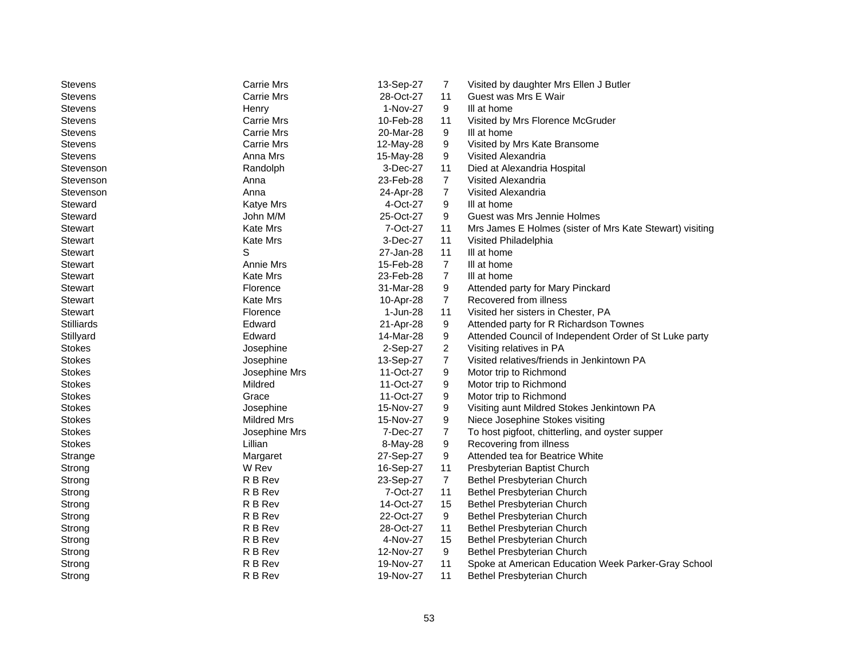| Stevens           | <b>Carrie Mrs</b>  | 13-Sep-27 | 7              | Visited by daughter Mrs Ellen J Butler                   |
|-------------------|--------------------|-----------|----------------|----------------------------------------------------------|
| <b>Stevens</b>    | Carrie Mrs         | 28-Oct-27 | 11             | Guest was Mrs E Wair                                     |
| <b>Stevens</b>    | Henry              | 1-Nov-27  | 9              | III at home                                              |
| <b>Stevens</b>    | Carrie Mrs         | 10-Feb-28 | 11             | Visited by Mrs Florence McGruder                         |
| <b>Stevens</b>    | Carrie Mrs         | 20-Mar-28 | 9              | III at home                                              |
| <b>Stevens</b>    | <b>Carrie Mrs</b>  | 12-May-28 | 9              | Visited by Mrs Kate Bransome                             |
| <b>Stevens</b>    | Anna Mrs           | 15-May-28 | 9              | Visited Alexandria                                       |
| Stevenson         | Randolph           | 3-Dec-27  | 11             | Died at Alexandria Hospital                              |
| Stevenson         | Anna               | 23-Feb-28 | $\overline{7}$ | Visited Alexandria                                       |
| Stevenson         | Anna               | 24-Apr-28 | $\overline{7}$ | Visited Alexandria                                       |
| Steward           | Katye Mrs          | 4-Oct-27  | 9              | III at home                                              |
| Steward           | John M/M           | 25-Oct-27 | 9              | Guest was Mrs Jennie Holmes                              |
| <b>Stewart</b>    | Kate Mrs           | 7-Oct-27  | 11             | Mrs James E Holmes (sister of Mrs Kate Stewart) visiting |
| <b>Stewart</b>    | Kate Mrs           | 3-Dec-27  | 11             | Visited Philadelphia                                     |
| <b>Stewart</b>    | S                  | 27-Jan-28 | 11             | III at home                                              |
| <b>Stewart</b>    | Annie Mrs          | 15-Feb-28 | $\overline{7}$ | III at home                                              |
| <b>Stewart</b>    | Kate Mrs           | 23-Feb-28 | $\overline{7}$ | III at home                                              |
| <b>Stewart</b>    | Florence           | 31-Mar-28 | 9              | Attended party for Mary Pinckard                         |
| <b>Stewart</b>    | Kate Mrs           | 10-Apr-28 | $\overline{7}$ | Recovered from illness                                   |
| Stewart           | Florence           | 1-Jun-28  | 11             | Visited her sisters in Chester, PA                       |
| <b>Stilliards</b> | Edward             | 21-Apr-28 | 9              | Attended party for R Richardson Townes                   |
| Stillyard         | Edward             | 14-Mar-28 | 9              | Attended Council of Independent Order of St Luke party   |
| <b>Stokes</b>     | Josephine          | 2-Sep-27  | $\overline{2}$ | Visiting relatives in PA                                 |
| <b>Stokes</b>     | Josephine          | 13-Sep-27 | 7              | Visited relatives/friends in Jenkintown PA               |
| <b>Stokes</b>     | Josephine Mrs      | 11-Oct-27 | 9              | Motor trip to Richmond                                   |
| <b>Stokes</b>     | Mildred            | 11-Oct-27 | 9              | Motor trip to Richmond                                   |
| <b>Stokes</b>     | Grace              | 11-Oct-27 | 9              | Motor trip to Richmond                                   |
| <b>Stokes</b>     | Josephine          | 15-Nov-27 | 9              | Visiting aunt Mildred Stokes Jenkintown PA               |
| <b>Stokes</b>     | <b>Mildred Mrs</b> | 15-Nov-27 | 9              | Niece Josephine Stokes visiting                          |
| <b>Stokes</b>     | Josephine Mrs      | 7-Dec-27  | $\overline{7}$ | To host pigfoot, chitterling, and oyster supper          |
| <b>Stokes</b>     | Lillian            | 8-May-28  | 9              | Recovering from illness                                  |
| Strange           | Margaret           | 27-Sep-27 | 9              | Attended tea for Beatrice White                          |
| Strong            | W Rev              | 16-Sep-27 | 11             | Presbyterian Baptist Church                              |
| Strong            | R B Rev            | 23-Sep-27 | $\overline{7}$ | Bethel Presbyterian Church                               |
| Strong            | R B Rev            | 7-Oct-27  | 11             | Bethel Presbyterian Church                               |
| Strong            | R B Rev            | 14-Oct-27 | 15             | Bethel Presbyterian Church                               |
| Strong            | R B Rev            | 22-Oct-27 | 9              | Bethel Presbyterian Church                               |
| Strong            | R B Rev            | 28-Oct-27 | 11             | Bethel Presbyterian Church                               |
| Strong            | R B Rev            | 4-Nov-27  | 15             | Bethel Presbyterian Church                               |
| Strong            | R B Rev            | 12-Nov-27 | 9              | Bethel Presbyterian Church                               |
| Strong            | R B Rev            | 19-Nov-27 | 11             | Spoke at American Education Week Parker-Gray School      |
| Strong            | R B Rev            | 19-Nov-27 | 11             | Bethel Presbyterian Church                               |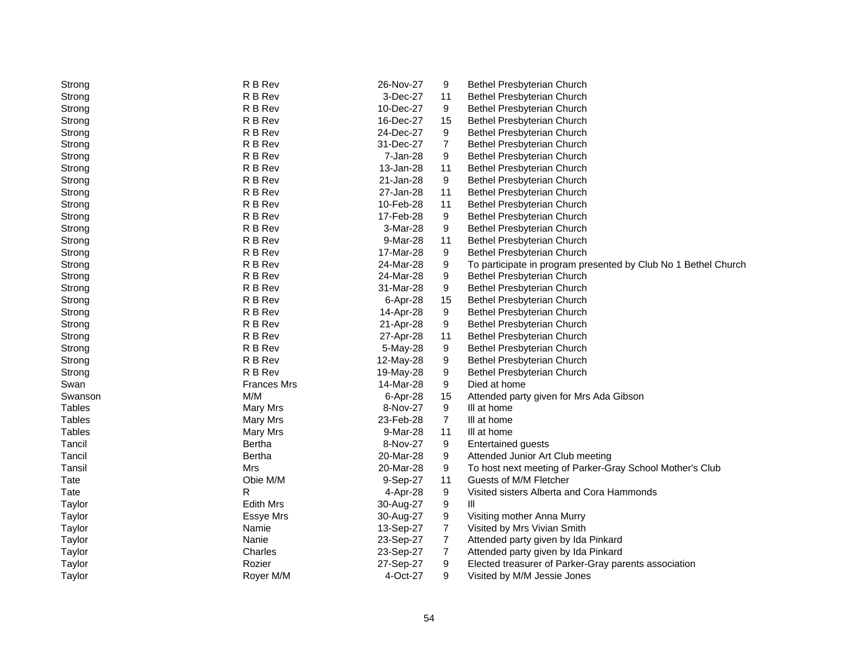| Strong        | R B Rev            | 26-Nov-27 | 9              | Bethel Presbyterian Church                                     |
|---------------|--------------------|-----------|----------------|----------------------------------------------------------------|
| Strong        | R B Rev            | 3-Dec-27  | 11             | Bethel Presbyterian Church                                     |
| Strong        | R B Rev            | 10-Dec-27 | 9              | Bethel Presbyterian Church                                     |
| Strong        | R B Rev            | 16-Dec-27 | 15             | Bethel Presbyterian Church                                     |
| Strong        | R B Rev            | 24-Dec-27 | 9              | Bethel Presbyterian Church                                     |
| Strong        | R B Rev            | 31-Dec-27 | $\overline{7}$ | Bethel Presbyterian Church                                     |
| Strong        | R B Rev            | 7-Jan-28  | 9              | Bethel Presbyterian Church                                     |
| Strong        | R B Rev            | 13-Jan-28 | 11             | Bethel Presbyterian Church                                     |
| Strong        | R B Rev            | 21-Jan-28 | 9              | Bethel Presbyterian Church                                     |
| Strong        | R B Rev            | 27-Jan-28 | 11             | Bethel Presbyterian Church                                     |
| Strong        | R B Rev            | 10-Feb-28 | 11             | Bethel Presbyterian Church                                     |
| Strong        | R B Rev            | 17-Feb-28 | 9              | <b>Bethel Presbyterian Church</b>                              |
| Strong        | R B Rev            | 3-Mar-28  | 9              | <b>Bethel Presbyterian Church</b>                              |
| Strong        | R B Rev            | 9-Mar-28  | 11             | Bethel Presbyterian Church                                     |
| Strong        | R B Rev            | 17-Mar-28 | 9              | Bethel Presbyterian Church                                     |
| Strong        | R B Rev            | 24-Mar-28 | 9              | To participate in program presented by Club No 1 Bethel Church |
| Strong        | R B Rev            | 24-Mar-28 | 9              | Bethel Presbyterian Church                                     |
| Strong        | R B Rev            | 31-Mar-28 | 9              | Bethel Presbyterian Church                                     |
| Strong        | R B Rev            | 6-Apr-28  | 15             | Bethel Presbyterian Church                                     |
| Strong        | R B Rev            | 14-Apr-28 | 9              | Bethel Presbyterian Church                                     |
| Strong        | R B Rev            | 21-Apr-28 | 9              | Bethel Presbyterian Church                                     |
| Strong        | R B Rev            | 27-Apr-28 | 11             | Bethel Presbyterian Church                                     |
| Strong        | R B Rev            | 5-May-28  | 9              | Bethel Presbyterian Church                                     |
| Strong        | R B Rev            | 12-May-28 | 9              | Bethel Presbyterian Church                                     |
| Strong        | R B Rev            | 19-May-28 | 9              | Bethel Presbyterian Church                                     |
| Swan          | <b>Frances Mrs</b> | 14-Mar-28 | 9              | Died at home                                                   |
| Swanson       | M/M                | 6-Apr-28  | 15             | Attended party given for Mrs Ada Gibson                        |
| <b>Tables</b> | Mary Mrs           | 8-Nov-27  | 9              | III at home                                                    |
| <b>Tables</b> | Mary Mrs           | 23-Feb-28 | $\overline{7}$ | III at home                                                    |
| Tables        | Mary Mrs           | 9-Mar-28  | 11             | III at home                                                    |
| Tancil        | Bertha             | 8-Nov-27  | 9              | <b>Entertained guests</b>                                      |
| Tancil        | Bertha             | 20-Mar-28 | 9              | Attended Junior Art Club meeting                               |
| Tansil        | Mrs                | 20-Mar-28 | 9              | To host next meeting of Parker-Gray School Mother's Club       |
| Tate          | Obie M/M           | 9-Sep-27  | 11             | Guests of M/M Fletcher                                         |
| Tate          | R                  | 4-Apr-28  | 9              | Visited sisters Alberta and Cora Hammonds                      |
| Taylor        | <b>Edith Mrs</b>   | 30-Aug-27 | 9              | Ш                                                              |
| Taylor        | <b>Essye Mrs</b>   | 30-Aug-27 | 9              | Visiting mother Anna Murry                                     |
| Taylor        | Namie              | 13-Sep-27 | $\overline{7}$ | Visited by Mrs Vivian Smith                                    |
| Taylor        | Nanie              | 23-Sep-27 | $\overline{7}$ | Attended party given by Ida Pinkard                            |
| Taylor        | Charles            | 23-Sep-27 | $\overline{7}$ | Attended party given by Ida Pinkard                            |
| Taylor        | Rozier             | 27-Sep-27 | 9              | Elected treasurer of Parker-Gray parents association           |
| Taylor        | Rover M/M          | 4-Oct-27  | 9              | Visited by M/M Jessie Jones                                    |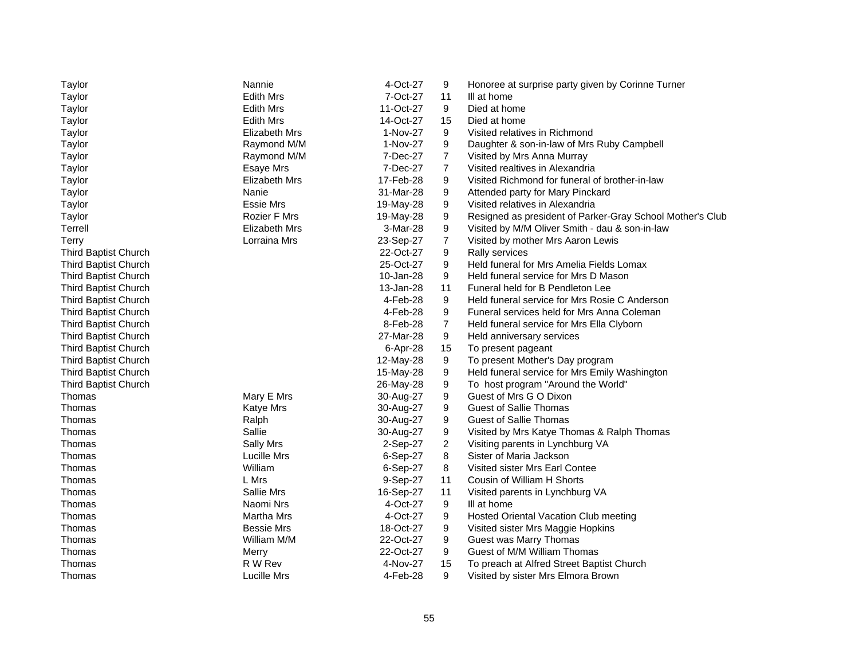| Taylor                      | Nannie               | 4-Oct-27  | 9              | Honoree at surprise party given by Corinne Turner         |
|-----------------------------|----------------------|-----------|----------------|-----------------------------------------------------------|
| Taylor                      | <b>Edith Mrs</b>     | 7-Oct-27  | 11             | III at home                                               |
| Taylor                      | <b>Edith Mrs</b>     | 11-Oct-27 | 9              | Died at home                                              |
| Taylor                      | <b>Edith Mrs</b>     | 14-Oct-27 | 15             | Died at home                                              |
| Taylor                      | <b>Elizabeth Mrs</b> | 1-Nov-27  | 9              | Visited relatives in Richmond                             |
| Taylor                      | Raymond M/M          | 1-Nov-27  | 9              | Daughter & son-in-law of Mrs Ruby Campbell                |
| Taylor                      | Raymond M/M          | 7-Dec-27  | 7              | Visited by Mrs Anna Murray                                |
| Taylor                      | <b>Esaye Mrs</b>     | 7-Dec-27  | $\overline{7}$ | Visited realtives in Alexandria                           |
| Taylor                      | Elizabeth Mrs        | 17-Feb-28 | 9              | Visited Richmond for funeral of brother-in-law            |
| Taylor                      | Nanie                | 31-Mar-28 | 9              | Attended party for Mary Pinckard                          |
| Taylor                      | Essie Mrs            | 19-May-28 | 9              | Visited relatives in Alexandria                           |
| Taylor                      | <b>Rozier F Mrs</b>  | 19-May-28 | 9              | Resigned as president of Parker-Gray School Mother's Club |
| Terrell                     | <b>Elizabeth Mrs</b> | 3-Mar-28  | 9              | Visited by M/M Oliver Smith - dau & son-in-law            |
| Terry                       | Lorraina Mrs         | 23-Sep-27 | 7              | Visited by mother Mrs Aaron Lewis                         |
| Third Baptist Church        |                      | 22-Oct-27 | 9              | Rally services                                            |
| Third Baptist Church        |                      | 25-Oct-27 | 9              | Held funeral for Mrs Amelia Fields Lomax                  |
| Third Baptist Church        |                      | 10-Jan-28 | 9              | Held funeral service for Mrs D Mason                      |
| Third Baptist Church        |                      | 13-Jan-28 | 11             | Funeral held for B Pendleton Lee                          |
| Third Baptist Church        |                      | 4-Feb-28  | 9              | Held funeral service for Mrs Rosie C Anderson             |
| Third Baptist Church        |                      | 4-Feb-28  | 9              | Funeral services held for Mrs Anna Coleman                |
| Third Baptist Church        |                      | 8-Feb-28  | $\overline{7}$ | Held funeral service for Mrs Ella Clyborn                 |
| Third Baptist Church        |                      | 27-Mar-28 | 9              | Held anniversary services                                 |
| Third Baptist Church        |                      | 6-Apr-28  | 15             | To present pageant                                        |
| Third Baptist Church        |                      | 12-May-28 | 9              | To present Mother's Day program                           |
| <b>Third Baptist Church</b> |                      | 15-May-28 | 9              | Held funeral service for Mrs Emily Washington             |
| Third Baptist Church        |                      | 26-May-28 | 9              | To host program "Around the World"                        |
| Thomas                      | Mary E Mrs           | 30-Aug-27 | 9              | Guest of Mrs G O Dixon                                    |
| Thomas                      | <b>Katye Mrs</b>     | 30-Aug-27 | 9              | <b>Guest of Sallie Thomas</b>                             |
| Thomas                      | Ralph                | 30-Aug-27 | 9              | <b>Guest of Sallie Thomas</b>                             |
| Thomas                      | Sallie               | 30-Aug-27 | 9              | Visited by Mrs Katye Thomas & Ralph Thomas                |
| Thomas                      | Sally Mrs            | 2-Sep-27  | $\overline{a}$ | Visiting parents in Lynchburg VA                          |
| Thomas                      | Lucille Mrs          | 6-Sep-27  | 8              | Sister of Maria Jackson                                   |
| Thomas                      | William              | 6-Sep-27  | 8              | Visited sister Mrs Earl Contee                            |
| Thomas                      | L Mrs                | 9-Sep-27  | 11             | Cousin of William H Shorts                                |
| Thomas                      | Sallie Mrs           | 16-Sep-27 | 11             | Visited parents in Lynchburg VA                           |
| Thomas                      | Naomi Nrs            | 4-Oct-27  | 9              | III at home                                               |
| Thomas                      | Martha Mrs           | 4-Oct-27  | 9              | Hosted Oriental Vacation Club meeting                     |
| Thomas                      | <b>Bessie Mrs</b>    | 18-Oct-27 | 9              | Visited sister Mrs Maggie Hopkins                         |
| Thomas                      | William M/M          | 22-Oct-27 | 9              | Guest was Marry Thomas                                    |
| Thomas                      | Merry                | 22-Oct-27 | 9              | Guest of M/M William Thomas                               |
| Thomas                      | R W Rev              | 4-Nov-27  | 15             | To preach at Alfred Street Baptist Church                 |
| Thomas                      | Lucille Mrs          | 4-Feb-28  | 9              | Visited by sister Mrs Elmora Brown                        |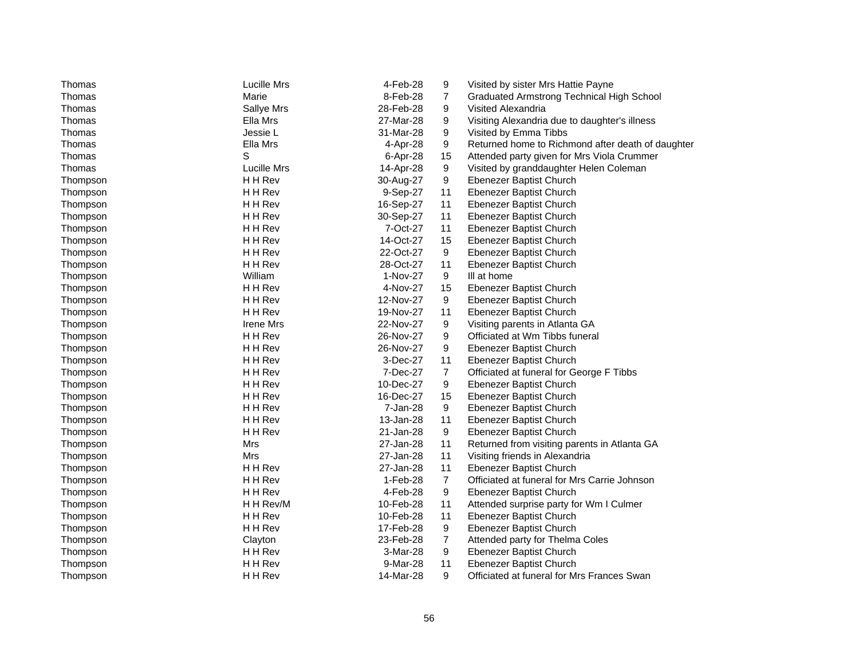| Thomas   | Lucille Mrs      | 4-Feb-28  | 9              | Visited by sister Mrs Hattie Payne                |
|----------|------------------|-----------|----------------|---------------------------------------------------|
| Thomas   | Marie            | 8-Feb-28  | 7              | <b>Graduated Armstrong Technical High School</b>  |
| Thomas   | Sallye Mrs       | 28-Feb-28 | 9              | Visited Alexandria                                |
| Thomas   | Ella Mrs         | 27-Mar-28 | 9              | Visiting Alexandria due to daughter's illness     |
| Thomas   | Jessie L         | 31-Mar-28 | 9              | Visited by Emma Tibbs                             |
| Thomas   | Ella Mrs         | 4-Apr-28  | 9              | Returned home to Richmond after death of daughter |
| Thomas   | S                | 6-Apr-28  | 15             | Attended party given for Mrs Viola Crummer        |
| Thomas   | Lucille Mrs      | 14-Apr-28 | 9              | Visited by granddaughter Helen Coleman            |
| Thompson | H H Rev          | 30-Aug-27 | 9              | Ebenezer Baptist Church                           |
| Thompson | H H Rev          | 9-Sep-27  | 11             | Ebenezer Baptist Church                           |
| Thompson | H H Rev          | 16-Sep-27 | 11             | Ebenezer Baptist Church                           |
| Thompson | H H Rev          | 30-Sep-27 | 11             | Ebenezer Baptist Church                           |
| Thompson | H H Rev          | 7-Oct-27  | 11             | Ebenezer Baptist Church                           |
| Thompson | H H Rev          | 14-Oct-27 | 15             | Ebenezer Baptist Church                           |
| Thompson | H H Rev          | 22-Oct-27 | 9              | Ebenezer Baptist Church                           |
| Thompson | H H Rev          | 28-Oct-27 | 11             | Ebenezer Baptist Church                           |
| Thompson | William          | 1-Nov-27  | 9              | III at home                                       |
| Thompson | H H Rev          | 4-Nov-27  | 15             | Ebenezer Baptist Church                           |
| Thompson | H H Rev          | 12-Nov-27 | 9              | Ebenezer Baptist Church                           |
| Thompson | H H Rev          | 19-Nov-27 | 11             | Ebenezer Baptist Church                           |
| Thompson | <b>Irene Mrs</b> | 22-Nov-27 | 9              | Visiting parents in Atlanta GA                    |
| Thompson | H H Rev          | 26-Nov-27 | 9              | Officiated at Wm Tibbs funeral                    |
| Thompson | H H Rev          | 26-Nov-27 | 9              | Ebenezer Baptist Church                           |
| Thompson | H H Rev          | 3-Dec-27  | 11             | Ebenezer Baptist Church                           |
| Thompson | H H Rev          | 7-Dec-27  | $\overline{7}$ | Officiated at funeral for George F Tibbs          |
| Thompson | H H Rev          | 10-Dec-27 | 9              | Ebenezer Baptist Church                           |
| Thompson | H H Rev          | 16-Dec-27 | 15             | Ebenezer Baptist Church                           |
| Thompson | H H Rev          | 7-Jan-28  | 9              | Ebenezer Baptist Church                           |
| Thompson | H H Rev          | 13-Jan-28 | 11             | Ebenezer Baptist Church                           |
| Thompson | H H Rev          | 21-Jan-28 | 9              | Ebenezer Baptist Church                           |
| Thompson | <b>Mrs</b>       | 27-Jan-28 | 11             | Returned from visiting parents in Atlanta GA      |
| Thompson | <b>Mrs</b>       | 27-Jan-28 | 11             | Visiting friends in Alexandria                    |
| Thompson | H H Rev          | 27-Jan-28 | 11             | Ebenezer Baptist Church                           |
| Thompson | H H Rev          | 1-Feb-28  | $\overline{7}$ | Officiated at funeral for Mrs Carrie Johnson      |
| Thompson | H H Rev          | 4-Feb-28  | 9              | Ebenezer Baptist Church                           |
| Thompson | H H Rev/M        | 10-Feb-28 | 11             | Attended surprise party for Wm I Culmer           |
| Thompson | H H Rev          | 10-Feb-28 | 11             | Ebenezer Baptist Church                           |
| Thompson | H H Rev          | 17-Feb-28 | 9              | Ebenezer Baptist Church                           |
| Thompson | Clayton          | 23-Feb-28 | $\overline{7}$ | Attended party for Thelma Coles                   |
| Thompson | H H Rev          | 3-Mar-28  | 9              | Ebenezer Baptist Church                           |
| Thompson | H H Rev          | 9-Mar-28  | 11             | Ebenezer Baptist Church                           |
| Thompson | H H Rev          | 14-Mar-28 | 9              | Officiated at funeral for Mrs Frances Swan        |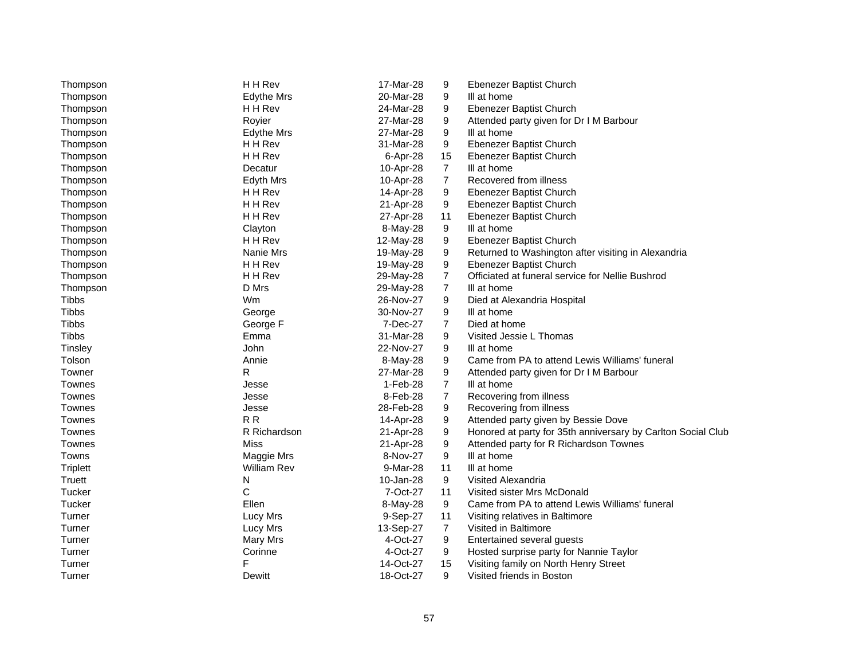| Thompson        | H H Rev            | 17-Mar-28 | 9              | Ebenezer Baptist Church                                      |
|-----------------|--------------------|-----------|----------------|--------------------------------------------------------------|
| Thompson        | <b>Edythe Mrs</b>  | 20-Mar-28 | 9              | III at home                                                  |
| Thompson        | H H Rev            | 24-Mar-28 | 9              | Ebenezer Baptist Church                                      |
| Thompson        | Royier             | 27-Mar-28 | 9              | Attended party given for Dr I M Barbour                      |
| Thompson        | <b>Edythe Mrs</b>  | 27-Mar-28 | 9              | III at home                                                  |
| Thompson        | H H Rev            | 31-Mar-28 | 9              | Ebenezer Baptist Church                                      |
| Thompson        | H H Rev            | 6-Apr-28  | 15             | Ebenezer Baptist Church                                      |
| Thompson        | Decatur            | 10-Apr-28 | 7              | III at home                                                  |
| Thompson        | Edyth Mrs          | 10-Apr-28 | $\overline{7}$ | Recovered from illness                                       |
| Thompson        | H H Rev            | 14-Apr-28 | 9              | Ebenezer Baptist Church                                      |
| Thompson        | H H Rev            | 21-Apr-28 | 9              | Ebenezer Baptist Church                                      |
| Thompson        | H H Rev            | 27-Apr-28 | 11             | Ebenezer Baptist Church                                      |
| Thompson        | Clayton            | 8-May-28  | 9              | III at home                                                  |
| Thompson        | H H Rev            | 12-May-28 | 9              | Ebenezer Baptist Church                                      |
| Thompson        | Nanie Mrs          | 19-May-28 | 9              | Returned to Washington after visiting in Alexandria          |
| Thompson        | H H Rev            | 19-May-28 | 9              | Ebenezer Baptist Church                                      |
| Thompson        | H H Rev            | 29-May-28 | $\overline{7}$ | Officiated at funeral service for Nellie Bushrod             |
| Thompson        | D Mrs              | 29-May-28 | $\overline{7}$ | III at home                                                  |
| <b>Tibbs</b>    | Wm                 | 26-Nov-27 | 9              | Died at Alexandria Hospital                                  |
| <b>Tibbs</b>    | George             | 30-Nov-27 | 9              | III at home                                                  |
| <b>Tibbs</b>    | George F           | 7-Dec-27  | $\overline{7}$ | Died at home                                                 |
| Tibbs           | Emma               | 31-Mar-28 | 9              | Visited Jessie L Thomas                                      |
| Tinsley         | John               | 22-Nov-27 | 9              | III at home                                                  |
| Tolson          | Annie              | 8-May-28  | 9              | Came from PA to attend Lewis Williams' funeral               |
| Towner          | R                  | 27-Mar-28 | 9              | Attended party given for Dr I M Barbour                      |
| <b>Townes</b>   | Jesse              | 1-Feb-28  | $\overline{7}$ | III at home                                                  |
| <b>Townes</b>   | Jesse              | 8-Feb-28  | $\overline{7}$ | Recovering from illness                                      |
| Townes          | Jesse              | 28-Feb-28 | 9              | Recovering from illness                                      |
| Townes          | R <sub>R</sub>     | 14-Apr-28 | 9              | Attended party given by Bessie Dove                          |
| Townes          | R Richardson       | 21-Apr-28 | 9              | Honored at party for 35th anniversary by Carlton Social Club |
| <b>Townes</b>   | <b>Miss</b>        | 21-Apr-28 | 9              | Attended party for R Richardson Townes                       |
| Towns           | Maggie Mrs         | 8-Nov-27  | 9              | III at home                                                  |
| <b>Triplett</b> | <b>William Rev</b> | 9-Mar-28  | 11             | III at home                                                  |
| Truett          | Ν                  | 10-Jan-28 | 9              | Visited Alexandria                                           |
| Tucker          | C                  | 7-Oct-27  | 11             | Visited sister Mrs McDonald                                  |
| <b>Tucker</b>   | Ellen              | 8-May-28  | 9              | Came from PA to attend Lewis Williams' funeral               |
| Turner          | Lucy Mrs           | 9-Sep-27  | 11             | Visiting relatives in Baltimore                              |
| Turner          | Lucy Mrs           | 13-Sep-27 | $\overline{7}$ | Visited in Baltimore                                         |
| Turner          | Mary Mrs           | 4-Oct-27  | 9              | Entertained several guests                                   |
| Turner          | Corinne            | 4-Oct-27  | 9              | Hosted surprise party for Nannie Taylor                      |
| Turner          | F                  | 14-Oct-27 | 15             | Visiting family on North Henry Street                        |
| Turner          | Dewitt             | 18-Oct-27 | 9              | Visited friends in Boston                                    |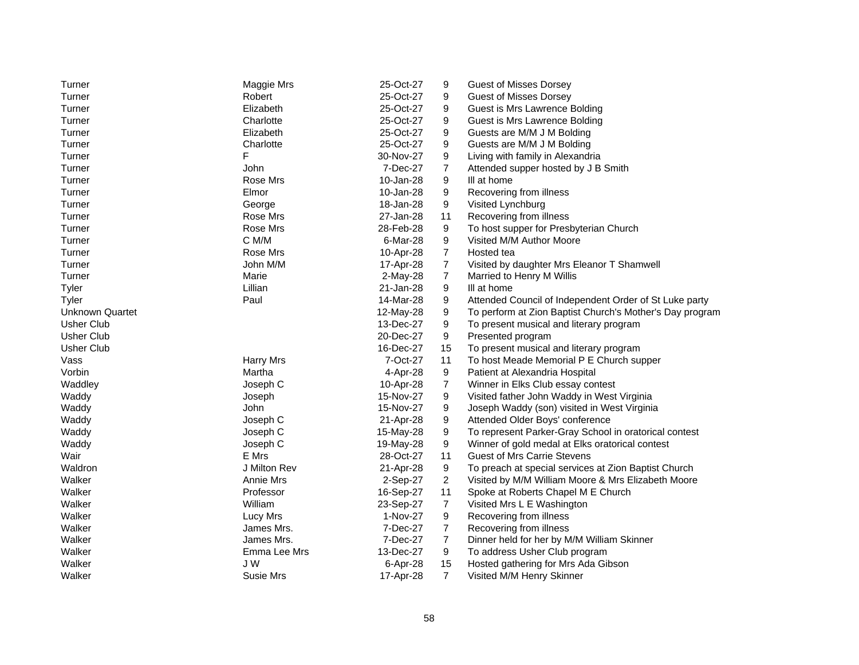| Maggie Mrs<br>Robert<br>25-Oct-27<br>9<br><b>Guest of Misses Dorsey</b><br>Turner<br>25-Oct-27<br>Guest is Mrs Lawrence Bolding<br>Turner<br>Elizabeth<br>9<br>25-Oct-27<br>9<br>Turner<br>Charlotte<br>Guest is Mrs Lawrence Bolding<br>Elizabeth<br>25-Oct-27<br>9<br>Guests are M/M J M Bolding<br>Turner<br>9<br>Charlotte<br>25-Oct-27<br>Guests are M/M J M Bolding<br>Turner<br>F<br>Turner<br>30-Nov-27<br>9<br>Living with family in Alexandria<br>7<br>Turner<br>John<br>7-Dec-27<br>Attended supper hosted by J B Smith<br>Rose Mrs<br>10-Jan-28<br>9<br>III at home<br>Turner<br>Elmor<br>10-Jan-28<br>9<br>Recovering from illness<br>Turner<br>Turner<br>Visited Lynchburg<br>George<br>18-Jan-28<br>9<br>Turner<br>Rose Mrs<br>27-Jan-28<br>Recovering from illness<br>11<br>Turner<br>Rose Mrs<br>28-Feb-28<br>9<br>To host supper for Presbyterian Church<br>C M/M<br>6-Mar-28<br>9<br>Visited M/M Author Moore<br>Turner<br>$\overline{7}$<br>Turner<br>Rose Mrs<br>10-Apr-28<br>Hosted tea<br>$\overline{7}$<br>Visited by daughter Mrs Eleanor T Shamwell<br>Turner<br>John M/M<br>17-Apr-28<br>$\overline{7}$<br>Turner<br>Marie<br>2-May-28<br>Married to Henry M Willis<br>9<br>Lillian<br>21-Jan-28<br>III at home<br>Tyler<br>9<br>Paul<br>14-Mar-28<br>Attended Council of Independent Order of St Luke party<br>Tyler<br>Unknown Quartet<br>9<br>To perform at Zion Baptist Church's Mother's Day program<br>12-May-28<br>Usher Club<br>13-Dec-27<br>9<br>To present musical and literary program<br><b>Usher Club</b><br>9<br>20-Dec-27<br>Presented program<br><b>Usher Club</b><br>16-Dec-27<br>To present musical and literary program<br>15<br>Vass<br><b>Harry Mrs</b><br>7-Oct-27<br>To host Meade Memorial P E Church supper<br>11<br>Vorbin<br>Martha<br>4-Apr-28<br>9<br>Patient at Alexandria Hospital<br>Waddley<br>Joseph C<br>10-Apr-28<br>7<br>Winner in Elks Club essay contest<br>9<br>Waddy<br>15-Nov-27<br>Visited father John Waddy in West Virginia<br>Joseph<br>John<br>Waddy<br>15-Nov-27<br>9<br>Joseph Waddy (son) visited in West Virginia<br>Waddy<br>Joseph C<br>21-Apr-28<br>9<br>Attended Older Boys' conference<br>9<br>To represent Parker-Gray School in oratorical contest<br>Waddy<br>Joseph C<br>15-May-28<br>9<br>Winner of gold medal at Elks oratorical contest<br>Waddy<br>Joseph C<br>19-May-28<br>E Mrs<br>Wair<br>28-Oct-27<br>11<br><b>Guest of Mrs Carrie Stevens</b> |
|-----------------------------------------------------------------------------------------------------------------------------------------------------------------------------------------------------------------------------------------------------------------------------------------------------------------------------------------------------------------------------------------------------------------------------------------------------------------------------------------------------------------------------------------------------------------------------------------------------------------------------------------------------------------------------------------------------------------------------------------------------------------------------------------------------------------------------------------------------------------------------------------------------------------------------------------------------------------------------------------------------------------------------------------------------------------------------------------------------------------------------------------------------------------------------------------------------------------------------------------------------------------------------------------------------------------------------------------------------------------------------------------------------------------------------------------------------------------------------------------------------------------------------------------------------------------------------------------------------------------------------------------------------------------------------------------------------------------------------------------------------------------------------------------------------------------------------------------------------------------------------------------------------------------------------------------------------------------------------------------------------------------------------------------------------------------------------------------------------------------------------------------------------------------------------------------------------------------------------------------------------------------------------------------------------------------------------------------------------------------------------------------------------------------------------------------------|
|                                                                                                                                                                                                                                                                                                                                                                                                                                                                                                                                                                                                                                                                                                                                                                                                                                                                                                                                                                                                                                                                                                                                                                                                                                                                                                                                                                                                                                                                                                                                                                                                                                                                                                                                                                                                                                                                                                                                                                                                                                                                                                                                                                                                                                                                                                                                                                                                                                               |
|                                                                                                                                                                                                                                                                                                                                                                                                                                                                                                                                                                                                                                                                                                                                                                                                                                                                                                                                                                                                                                                                                                                                                                                                                                                                                                                                                                                                                                                                                                                                                                                                                                                                                                                                                                                                                                                                                                                                                                                                                                                                                                                                                                                                                                                                                                                                                                                                                                               |
|                                                                                                                                                                                                                                                                                                                                                                                                                                                                                                                                                                                                                                                                                                                                                                                                                                                                                                                                                                                                                                                                                                                                                                                                                                                                                                                                                                                                                                                                                                                                                                                                                                                                                                                                                                                                                                                                                                                                                                                                                                                                                                                                                                                                                                                                                                                                                                                                                                               |
|                                                                                                                                                                                                                                                                                                                                                                                                                                                                                                                                                                                                                                                                                                                                                                                                                                                                                                                                                                                                                                                                                                                                                                                                                                                                                                                                                                                                                                                                                                                                                                                                                                                                                                                                                                                                                                                                                                                                                                                                                                                                                                                                                                                                                                                                                                                                                                                                                                               |
|                                                                                                                                                                                                                                                                                                                                                                                                                                                                                                                                                                                                                                                                                                                                                                                                                                                                                                                                                                                                                                                                                                                                                                                                                                                                                                                                                                                                                                                                                                                                                                                                                                                                                                                                                                                                                                                                                                                                                                                                                                                                                                                                                                                                                                                                                                                                                                                                                                               |
|                                                                                                                                                                                                                                                                                                                                                                                                                                                                                                                                                                                                                                                                                                                                                                                                                                                                                                                                                                                                                                                                                                                                                                                                                                                                                                                                                                                                                                                                                                                                                                                                                                                                                                                                                                                                                                                                                                                                                                                                                                                                                                                                                                                                                                                                                                                                                                                                                                               |
|                                                                                                                                                                                                                                                                                                                                                                                                                                                                                                                                                                                                                                                                                                                                                                                                                                                                                                                                                                                                                                                                                                                                                                                                                                                                                                                                                                                                                                                                                                                                                                                                                                                                                                                                                                                                                                                                                                                                                                                                                                                                                                                                                                                                                                                                                                                                                                                                                                               |
|                                                                                                                                                                                                                                                                                                                                                                                                                                                                                                                                                                                                                                                                                                                                                                                                                                                                                                                                                                                                                                                                                                                                                                                                                                                                                                                                                                                                                                                                                                                                                                                                                                                                                                                                                                                                                                                                                                                                                                                                                                                                                                                                                                                                                                                                                                                                                                                                                                               |
|                                                                                                                                                                                                                                                                                                                                                                                                                                                                                                                                                                                                                                                                                                                                                                                                                                                                                                                                                                                                                                                                                                                                                                                                                                                                                                                                                                                                                                                                                                                                                                                                                                                                                                                                                                                                                                                                                                                                                                                                                                                                                                                                                                                                                                                                                                                                                                                                                                               |
|                                                                                                                                                                                                                                                                                                                                                                                                                                                                                                                                                                                                                                                                                                                                                                                                                                                                                                                                                                                                                                                                                                                                                                                                                                                                                                                                                                                                                                                                                                                                                                                                                                                                                                                                                                                                                                                                                                                                                                                                                                                                                                                                                                                                                                                                                                                                                                                                                                               |
|                                                                                                                                                                                                                                                                                                                                                                                                                                                                                                                                                                                                                                                                                                                                                                                                                                                                                                                                                                                                                                                                                                                                                                                                                                                                                                                                                                                                                                                                                                                                                                                                                                                                                                                                                                                                                                                                                                                                                                                                                                                                                                                                                                                                                                                                                                                                                                                                                                               |
|                                                                                                                                                                                                                                                                                                                                                                                                                                                                                                                                                                                                                                                                                                                                                                                                                                                                                                                                                                                                                                                                                                                                                                                                                                                                                                                                                                                                                                                                                                                                                                                                                                                                                                                                                                                                                                                                                                                                                                                                                                                                                                                                                                                                                                                                                                                                                                                                                                               |
|                                                                                                                                                                                                                                                                                                                                                                                                                                                                                                                                                                                                                                                                                                                                                                                                                                                                                                                                                                                                                                                                                                                                                                                                                                                                                                                                                                                                                                                                                                                                                                                                                                                                                                                                                                                                                                                                                                                                                                                                                                                                                                                                                                                                                                                                                                                                                                                                                                               |
|                                                                                                                                                                                                                                                                                                                                                                                                                                                                                                                                                                                                                                                                                                                                                                                                                                                                                                                                                                                                                                                                                                                                                                                                                                                                                                                                                                                                                                                                                                                                                                                                                                                                                                                                                                                                                                                                                                                                                                                                                                                                                                                                                                                                                                                                                                                                                                                                                                               |
|                                                                                                                                                                                                                                                                                                                                                                                                                                                                                                                                                                                                                                                                                                                                                                                                                                                                                                                                                                                                                                                                                                                                                                                                                                                                                                                                                                                                                                                                                                                                                                                                                                                                                                                                                                                                                                                                                                                                                                                                                                                                                                                                                                                                                                                                                                                                                                                                                                               |
|                                                                                                                                                                                                                                                                                                                                                                                                                                                                                                                                                                                                                                                                                                                                                                                                                                                                                                                                                                                                                                                                                                                                                                                                                                                                                                                                                                                                                                                                                                                                                                                                                                                                                                                                                                                                                                                                                                                                                                                                                                                                                                                                                                                                                                                                                                                                                                                                                                               |
|                                                                                                                                                                                                                                                                                                                                                                                                                                                                                                                                                                                                                                                                                                                                                                                                                                                                                                                                                                                                                                                                                                                                                                                                                                                                                                                                                                                                                                                                                                                                                                                                                                                                                                                                                                                                                                                                                                                                                                                                                                                                                                                                                                                                                                                                                                                                                                                                                                               |
|                                                                                                                                                                                                                                                                                                                                                                                                                                                                                                                                                                                                                                                                                                                                                                                                                                                                                                                                                                                                                                                                                                                                                                                                                                                                                                                                                                                                                                                                                                                                                                                                                                                                                                                                                                                                                                                                                                                                                                                                                                                                                                                                                                                                                                                                                                                                                                                                                                               |
|                                                                                                                                                                                                                                                                                                                                                                                                                                                                                                                                                                                                                                                                                                                                                                                                                                                                                                                                                                                                                                                                                                                                                                                                                                                                                                                                                                                                                                                                                                                                                                                                                                                                                                                                                                                                                                                                                                                                                                                                                                                                                                                                                                                                                                                                                                                                                                                                                                               |
|                                                                                                                                                                                                                                                                                                                                                                                                                                                                                                                                                                                                                                                                                                                                                                                                                                                                                                                                                                                                                                                                                                                                                                                                                                                                                                                                                                                                                                                                                                                                                                                                                                                                                                                                                                                                                                                                                                                                                                                                                                                                                                                                                                                                                                                                                                                                                                                                                                               |
|                                                                                                                                                                                                                                                                                                                                                                                                                                                                                                                                                                                                                                                                                                                                                                                                                                                                                                                                                                                                                                                                                                                                                                                                                                                                                                                                                                                                                                                                                                                                                                                                                                                                                                                                                                                                                                                                                                                                                                                                                                                                                                                                                                                                                                                                                                                                                                                                                                               |
|                                                                                                                                                                                                                                                                                                                                                                                                                                                                                                                                                                                                                                                                                                                                                                                                                                                                                                                                                                                                                                                                                                                                                                                                                                                                                                                                                                                                                                                                                                                                                                                                                                                                                                                                                                                                                                                                                                                                                                                                                                                                                                                                                                                                                                                                                                                                                                                                                                               |
|                                                                                                                                                                                                                                                                                                                                                                                                                                                                                                                                                                                                                                                                                                                                                                                                                                                                                                                                                                                                                                                                                                                                                                                                                                                                                                                                                                                                                                                                                                                                                                                                                                                                                                                                                                                                                                                                                                                                                                                                                                                                                                                                                                                                                                                                                                                                                                                                                                               |
|                                                                                                                                                                                                                                                                                                                                                                                                                                                                                                                                                                                                                                                                                                                                                                                                                                                                                                                                                                                                                                                                                                                                                                                                                                                                                                                                                                                                                                                                                                                                                                                                                                                                                                                                                                                                                                                                                                                                                                                                                                                                                                                                                                                                                                                                                                                                                                                                                                               |
|                                                                                                                                                                                                                                                                                                                                                                                                                                                                                                                                                                                                                                                                                                                                                                                                                                                                                                                                                                                                                                                                                                                                                                                                                                                                                                                                                                                                                                                                                                                                                                                                                                                                                                                                                                                                                                                                                                                                                                                                                                                                                                                                                                                                                                                                                                                                                                                                                                               |
|                                                                                                                                                                                                                                                                                                                                                                                                                                                                                                                                                                                                                                                                                                                                                                                                                                                                                                                                                                                                                                                                                                                                                                                                                                                                                                                                                                                                                                                                                                                                                                                                                                                                                                                                                                                                                                                                                                                                                                                                                                                                                                                                                                                                                                                                                                                                                                                                                                               |
|                                                                                                                                                                                                                                                                                                                                                                                                                                                                                                                                                                                                                                                                                                                                                                                                                                                                                                                                                                                                                                                                                                                                                                                                                                                                                                                                                                                                                                                                                                                                                                                                                                                                                                                                                                                                                                                                                                                                                                                                                                                                                                                                                                                                                                                                                                                                                                                                                                               |
|                                                                                                                                                                                                                                                                                                                                                                                                                                                                                                                                                                                                                                                                                                                                                                                                                                                                                                                                                                                                                                                                                                                                                                                                                                                                                                                                                                                                                                                                                                                                                                                                                                                                                                                                                                                                                                                                                                                                                                                                                                                                                                                                                                                                                                                                                                                                                                                                                                               |
|                                                                                                                                                                                                                                                                                                                                                                                                                                                                                                                                                                                                                                                                                                                                                                                                                                                                                                                                                                                                                                                                                                                                                                                                                                                                                                                                                                                                                                                                                                                                                                                                                                                                                                                                                                                                                                                                                                                                                                                                                                                                                                                                                                                                                                                                                                                                                                                                                                               |
|                                                                                                                                                                                                                                                                                                                                                                                                                                                                                                                                                                                                                                                                                                                                                                                                                                                                                                                                                                                                                                                                                                                                                                                                                                                                                                                                                                                                                                                                                                                                                                                                                                                                                                                                                                                                                                                                                                                                                                                                                                                                                                                                                                                                                                                                                                                                                                                                                                               |
|                                                                                                                                                                                                                                                                                                                                                                                                                                                                                                                                                                                                                                                                                                                                                                                                                                                                                                                                                                                                                                                                                                                                                                                                                                                                                                                                                                                                                                                                                                                                                                                                                                                                                                                                                                                                                                                                                                                                                                                                                                                                                                                                                                                                                                                                                                                                                                                                                                               |
| 9<br>Waldron<br>J Milton Rev<br>21-Apr-28<br>To preach at special services at Zion Baptist Church                                                                                                                                                                                                                                                                                                                                                                                                                                                                                                                                                                                                                                                                                                                                                                                                                                                                                                                                                                                                                                                                                                                                                                                                                                                                                                                                                                                                                                                                                                                                                                                                                                                                                                                                                                                                                                                                                                                                                                                                                                                                                                                                                                                                                                                                                                                                             |
| Walker<br>$\overline{2}$<br>Visited by M/M William Moore & Mrs Elizabeth Moore<br>Annie Mrs<br>2-Sep-27                                                                                                                                                                                                                                                                                                                                                                                                                                                                                                                                                                                                                                                                                                                                                                                                                                                                                                                                                                                                                                                                                                                                                                                                                                                                                                                                                                                                                                                                                                                                                                                                                                                                                                                                                                                                                                                                                                                                                                                                                                                                                                                                                                                                                                                                                                                                       |
| 11<br>Walker<br>Professor<br>16-Sep-27<br>Spoke at Roberts Chapel M E Church                                                                                                                                                                                                                                                                                                                                                                                                                                                                                                                                                                                                                                                                                                                                                                                                                                                                                                                                                                                                                                                                                                                                                                                                                                                                                                                                                                                                                                                                                                                                                                                                                                                                                                                                                                                                                                                                                                                                                                                                                                                                                                                                                                                                                                                                                                                                                                  |
| William<br>Walker<br>$\overline{7}$<br>23-Sep-27<br>Visited Mrs L E Washington                                                                                                                                                                                                                                                                                                                                                                                                                                                                                                                                                                                                                                                                                                                                                                                                                                                                                                                                                                                                                                                                                                                                                                                                                                                                                                                                                                                                                                                                                                                                                                                                                                                                                                                                                                                                                                                                                                                                                                                                                                                                                                                                                                                                                                                                                                                                                                |
| Walker<br>Lucy Mrs<br>9<br>Recovering from illness<br>1-Nov-27                                                                                                                                                                                                                                                                                                                                                                                                                                                                                                                                                                                                                                                                                                                                                                                                                                                                                                                                                                                                                                                                                                                                                                                                                                                                                                                                                                                                                                                                                                                                                                                                                                                                                                                                                                                                                                                                                                                                                                                                                                                                                                                                                                                                                                                                                                                                                                                |
| James Mrs.<br>Walker<br>7-Dec-27<br>7<br>Recovering from illness                                                                                                                                                                                                                                                                                                                                                                                                                                                                                                                                                                                                                                                                                                                                                                                                                                                                                                                                                                                                                                                                                                                                                                                                                                                                                                                                                                                                                                                                                                                                                                                                                                                                                                                                                                                                                                                                                                                                                                                                                                                                                                                                                                                                                                                                                                                                                                              |
| $\overline{7}$<br>Walker<br>James Mrs.<br>7-Dec-27<br>Dinner held for her by M/M William Skinner                                                                                                                                                                                                                                                                                                                                                                                                                                                                                                                                                                                                                                                                                                                                                                                                                                                                                                                                                                                                                                                                                                                                                                                                                                                                                                                                                                                                                                                                                                                                                                                                                                                                                                                                                                                                                                                                                                                                                                                                                                                                                                                                                                                                                                                                                                                                              |
| Walker<br>Emma Lee Mrs<br>13-Dec-27<br>9<br>To address Usher Club program                                                                                                                                                                                                                                                                                                                                                                                                                                                                                                                                                                                                                                                                                                                                                                                                                                                                                                                                                                                                                                                                                                                                                                                                                                                                                                                                                                                                                                                                                                                                                                                                                                                                                                                                                                                                                                                                                                                                                                                                                                                                                                                                                                                                                                                                                                                                                                     |
|                                                                                                                                                                                                                                                                                                                                                                                                                                                                                                                                                                                                                                                                                                                                                                                                                                                                                                                                                                                                                                                                                                                                                                                                                                                                                                                                                                                                                                                                                                                                                                                                                                                                                                                                                                                                                                                                                                                                                                                                                                                                                                                                                                                                                                                                                                                                                                                                                                               |
| Walker<br>J W<br>6-Apr-28<br>15<br>Hosted gathering for Mrs Ada Gibson                                                                                                                                                                                                                                                                                                                                                                                                                                                                                                                                                                                                                                                                                                                                                                                                                                                                                                                                                                                                                                                                                                                                                                                                                                                                                                                                                                                                                                                                                                                                                                                                                                                                                                                                                                                                                                                                                                                                                                                                                                                                                                                                                                                                                                                                                                                                                                        |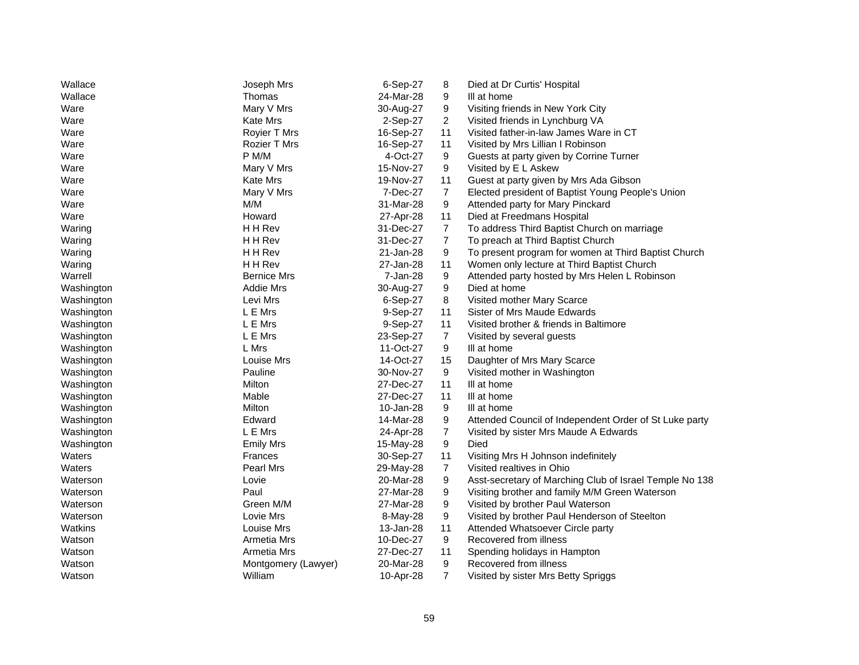| Wallace<br>24-Mar-28<br>9<br>Thomas<br>III at home<br>Mary V Mrs<br>9<br>Visiting friends in New York City<br>Ware<br>30-Aug-27<br><b>Kate Mrs</b><br>2<br>Visited friends in Lynchburg VA<br>Ware<br>2-Sep-27<br>16-Sep-27<br>11<br>Royier T Mrs<br>Visited father-in-law James Ware in CT<br>Ware<br>Ware<br><b>Rozier T Mrs</b><br>16-Sep-27<br>11<br>Visited by Mrs Lillian I Robinson<br>P M/M<br>9<br>Ware<br>4-Oct-27<br>Guests at party given by Corrine Turner<br>9<br>Visited by E L Askew<br>Ware<br>Mary V Mrs<br>15-Nov-27<br>Kate Mrs<br>19-Nov-27<br>11<br>Guest at party given by Mrs Ada Gibson<br>Ware<br>$\overline{7}$<br>Mary V Mrs<br>7-Dec-27<br>Elected president of Baptist Young People's Union<br>Ware<br>M/M<br>9<br>31-Mar-28<br>Attended party for Mary Pinckard<br>Ware<br>Ware<br>Howard<br>27-Apr-28<br>11<br>Died at Freedmans Hospital<br>H H Rev<br>$\overline{7}$<br>To address Third Baptist Church on marriage<br>Waring<br>31-Dec-27<br>$\overline{7}$<br>H H Rev<br>31-Dec-27<br>To preach at Third Baptist Church<br>Waring<br>H H Rev<br>21-Jan-28<br>9<br>To present program for women at Third Baptist Church<br>Waring<br>H H Rev<br>27-Jan-28<br>11<br>Women only lecture at Third Baptist Church<br>Waring<br>9<br>Warrell<br><b>Bernice Mrs</b><br>7-Jan-28<br>Attended party hosted by Mrs Helen L Robinson<br>9<br>Died at home<br>Washington<br>Addie Mrs<br>30-Aug-27<br>Levi Mrs<br>6-Sep-27<br>8<br>Visited mother Mary Scarce<br>Washington<br>L E Mrs<br>9-Sep-27<br>11<br>Sister of Mrs Maude Edwards<br>Washington<br>L E Mrs<br>9-Sep-27<br>11<br>Visited brother & friends in Baltimore<br>Washington<br>L E Mrs<br>23-Sep-27<br>$\overline{7}$<br>Visited by several guests<br>Washington<br>L Mrs<br>11-Oct-27<br>9<br>Washington<br>III at home<br>Louise Mrs<br>14-Oct-27<br>15<br>Daughter of Mrs Mary Scarce<br>Washington<br>Pauline<br>9<br>Washington<br>30-Nov-27<br>Visited mother in Washington<br>Milton<br>27-Dec-27<br>11<br>III at home<br>Washington<br>Mable<br>27-Dec-27<br>11<br>III at home<br>Washington<br>Milton<br>9<br>Washington<br>10-Jan-28<br>III at home<br>Washington<br>Edward<br>14-Mar-28<br>9<br>Attended Council of Independent Order of St Luke party<br>L E Mrs<br>$\overline{7}$<br>Washington<br>24-Apr-28<br>Visited by sister Mrs Maude A Edwards<br>9<br>Died<br>Washington<br><b>Emily Mrs</b><br>15-May-28<br>Waters<br>30-Sep-27<br>11<br>Visiting Mrs H Johnson indefinitely<br>Frances<br>Waters<br>Pearl Mrs<br>7<br>Visited realtives in Ohio<br>29-May-28<br>9<br>Lovie<br>20-Mar-28<br>Asst-secretary of Marching Club of Israel Temple No 138<br>Waterson<br>9<br>Paul<br>27-Mar-28<br>Visiting brother and family M/M Green Waterson<br>Waterson<br>Green M/M<br>9<br>27-Mar-28<br>Visited by brother Paul Waterson<br>Waterson<br>9<br>Visited by brother Paul Henderson of Steelton<br>Waterson<br>Lovie Mrs<br>8-May-28<br>11<br>Watkins<br>Louise Mrs<br>13-Jan-28<br>Attended Whatsoever Circle party<br>9<br>Recovered from illness<br>Armetia Mrs<br>10-Dec-27<br>Watson<br>Watson<br>Armetia Mrs<br>27-Dec-27<br>11<br>Spending holidays in Hampton<br>9<br>Recovered from illness<br>Watson<br>Montgomery (Lawyer)<br>20-Mar-28<br>$\overline{7}$<br>Watson<br>William<br>10-Apr-28<br>Visited by sister Mrs Betty Spriggs | Wallace | Joseph Mrs | 6-Sep-27 | 8 | Died at Dr Curtis' Hospital |
|---------------------------------------------------------------------------------------------------------------------------------------------------------------------------------------------------------------------------------------------------------------------------------------------------------------------------------------------------------------------------------------------------------------------------------------------------------------------------------------------------------------------------------------------------------------------------------------------------------------------------------------------------------------------------------------------------------------------------------------------------------------------------------------------------------------------------------------------------------------------------------------------------------------------------------------------------------------------------------------------------------------------------------------------------------------------------------------------------------------------------------------------------------------------------------------------------------------------------------------------------------------------------------------------------------------------------------------------------------------------------------------------------------------------------------------------------------------------------------------------------------------------------------------------------------------------------------------------------------------------------------------------------------------------------------------------------------------------------------------------------------------------------------------------------------------------------------------------------------------------------------------------------------------------------------------------------------------------------------------------------------------------------------------------------------------------------------------------------------------------------------------------------------------------------------------------------------------------------------------------------------------------------------------------------------------------------------------------------------------------------------------------------------------------------------------------------------------------------------------------------------------------------------------------------------------------------------------------------------------------------------------------------------------------------------------------------------------------------------------------------------------------------------------------------------------------------------------------------------------------------------------------------------------------------------------------------------------------------------------------------------------------------------------------------------------------------------------------------------------------------------------------------------------------------------------------------------------------------------------------------------------------------------------------------------------------------------------------------------|---------|------------|----------|---|-----------------------------|
|                                                                                                                                                                                                                                                                                                                                                                                                                                                                                                                                                                                                                                                                                                                                                                                                                                                                                                                                                                                                                                                                                                                                                                                                                                                                                                                                                                                                                                                                                                                                                                                                                                                                                                                                                                                                                                                                                                                                                                                                                                                                                                                                                                                                                                                                                                                                                                                                                                                                                                                                                                                                                                                                                                                                                                                                                                                                                                                                                                                                                                                                                                                                                                                                                                                                                                                                                         |         |            |          |   |                             |
|                                                                                                                                                                                                                                                                                                                                                                                                                                                                                                                                                                                                                                                                                                                                                                                                                                                                                                                                                                                                                                                                                                                                                                                                                                                                                                                                                                                                                                                                                                                                                                                                                                                                                                                                                                                                                                                                                                                                                                                                                                                                                                                                                                                                                                                                                                                                                                                                                                                                                                                                                                                                                                                                                                                                                                                                                                                                                                                                                                                                                                                                                                                                                                                                                                                                                                                                                         |         |            |          |   |                             |
|                                                                                                                                                                                                                                                                                                                                                                                                                                                                                                                                                                                                                                                                                                                                                                                                                                                                                                                                                                                                                                                                                                                                                                                                                                                                                                                                                                                                                                                                                                                                                                                                                                                                                                                                                                                                                                                                                                                                                                                                                                                                                                                                                                                                                                                                                                                                                                                                                                                                                                                                                                                                                                                                                                                                                                                                                                                                                                                                                                                                                                                                                                                                                                                                                                                                                                                                                         |         |            |          |   |                             |
|                                                                                                                                                                                                                                                                                                                                                                                                                                                                                                                                                                                                                                                                                                                                                                                                                                                                                                                                                                                                                                                                                                                                                                                                                                                                                                                                                                                                                                                                                                                                                                                                                                                                                                                                                                                                                                                                                                                                                                                                                                                                                                                                                                                                                                                                                                                                                                                                                                                                                                                                                                                                                                                                                                                                                                                                                                                                                                                                                                                                                                                                                                                                                                                                                                                                                                                                                         |         |            |          |   |                             |
|                                                                                                                                                                                                                                                                                                                                                                                                                                                                                                                                                                                                                                                                                                                                                                                                                                                                                                                                                                                                                                                                                                                                                                                                                                                                                                                                                                                                                                                                                                                                                                                                                                                                                                                                                                                                                                                                                                                                                                                                                                                                                                                                                                                                                                                                                                                                                                                                                                                                                                                                                                                                                                                                                                                                                                                                                                                                                                                                                                                                                                                                                                                                                                                                                                                                                                                                                         |         |            |          |   |                             |
|                                                                                                                                                                                                                                                                                                                                                                                                                                                                                                                                                                                                                                                                                                                                                                                                                                                                                                                                                                                                                                                                                                                                                                                                                                                                                                                                                                                                                                                                                                                                                                                                                                                                                                                                                                                                                                                                                                                                                                                                                                                                                                                                                                                                                                                                                                                                                                                                                                                                                                                                                                                                                                                                                                                                                                                                                                                                                                                                                                                                                                                                                                                                                                                                                                                                                                                                                         |         |            |          |   |                             |
|                                                                                                                                                                                                                                                                                                                                                                                                                                                                                                                                                                                                                                                                                                                                                                                                                                                                                                                                                                                                                                                                                                                                                                                                                                                                                                                                                                                                                                                                                                                                                                                                                                                                                                                                                                                                                                                                                                                                                                                                                                                                                                                                                                                                                                                                                                                                                                                                                                                                                                                                                                                                                                                                                                                                                                                                                                                                                                                                                                                                                                                                                                                                                                                                                                                                                                                                                         |         |            |          |   |                             |
|                                                                                                                                                                                                                                                                                                                                                                                                                                                                                                                                                                                                                                                                                                                                                                                                                                                                                                                                                                                                                                                                                                                                                                                                                                                                                                                                                                                                                                                                                                                                                                                                                                                                                                                                                                                                                                                                                                                                                                                                                                                                                                                                                                                                                                                                                                                                                                                                                                                                                                                                                                                                                                                                                                                                                                                                                                                                                                                                                                                                                                                                                                                                                                                                                                                                                                                                                         |         |            |          |   |                             |
|                                                                                                                                                                                                                                                                                                                                                                                                                                                                                                                                                                                                                                                                                                                                                                                                                                                                                                                                                                                                                                                                                                                                                                                                                                                                                                                                                                                                                                                                                                                                                                                                                                                                                                                                                                                                                                                                                                                                                                                                                                                                                                                                                                                                                                                                                                                                                                                                                                                                                                                                                                                                                                                                                                                                                                                                                                                                                                                                                                                                                                                                                                                                                                                                                                                                                                                                                         |         |            |          |   |                             |
|                                                                                                                                                                                                                                                                                                                                                                                                                                                                                                                                                                                                                                                                                                                                                                                                                                                                                                                                                                                                                                                                                                                                                                                                                                                                                                                                                                                                                                                                                                                                                                                                                                                                                                                                                                                                                                                                                                                                                                                                                                                                                                                                                                                                                                                                                                                                                                                                                                                                                                                                                                                                                                                                                                                                                                                                                                                                                                                                                                                                                                                                                                                                                                                                                                                                                                                                                         |         |            |          |   |                             |
|                                                                                                                                                                                                                                                                                                                                                                                                                                                                                                                                                                                                                                                                                                                                                                                                                                                                                                                                                                                                                                                                                                                                                                                                                                                                                                                                                                                                                                                                                                                                                                                                                                                                                                                                                                                                                                                                                                                                                                                                                                                                                                                                                                                                                                                                                                                                                                                                                                                                                                                                                                                                                                                                                                                                                                                                                                                                                                                                                                                                                                                                                                                                                                                                                                                                                                                                                         |         |            |          |   |                             |
|                                                                                                                                                                                                                                                                                                                                                                                                                                                                                                                                                                                                                                                                                                                                                                                                                                                                                                                                                                                                                                                                                                                                                                                                                                                                                                                                                                                                                                                                                                                                                                                                                                                                                                                                                                                                                                                                                                                                                                                                                                                                                                                                                                                                                                                                                                                                                                                                                                                                                                                                                                                                                                                                                                                                                                                                                                                                                                                                                                                                                                                                                                                                                                                                                                                                                                                                                         |         |            |          |   |                             |
|                                                                                                                                                                                                                                                                                                                                                                                                                                                                                                                                                                                                                                                                                                                                                                                                                                                                                                                                                                                                                                                                                                                                                                                                                                                                                                                                                                                                                                                                                                                                                                                                                                                                                                                                                                                                                                                                                                                                                                                                                                                                                                                                                                                                                                                                                                                                                                                                                                                                                                                                                                                                                                                                                                                                                                                                                                                                                                                                                                                                                                                                                                                                                                                                                                                                                                                                                         |         |            |          |   |                             |
|                                                                                                                                                                                                                                                                                                                                                                                                                                                                                                                                                                                                                                                                                                                                                                                                                                                                                                                                                                                                                                                                                                                                                                                                                                                                                                                                                                                                                                                                                                                                                                                                                                                                                                                                                                                                                                                                                                                                                                                                                                                                                                                                                                                                                                                                                                                                                                                                                                                                                                                                                                                                                                                                                                                                                                                                                                                                                                                                                                                                                                                                                                                                                                                                                                                                                                                                                         |         |            |          |   |                             |
|                                                                                                                                                                                                                                                                                                                                                                                                                                                                                                                                                                                                                                                                                                                                                                                                                                                                                                                                                                                                                                                                                                                                                                                                                                                                                                                                                                                                                                                                                                                                                                                                                                                                                                                                                                                                                                                                                                                                                                                                                                                                                                                                                                                                                                                                                                                                                                                                                                                                                                                                                                                                                                                                                                                                                                                                                                                                                                                                                                                                                                                                                                                                                                                                                                                                                                                                                         |         |            |          |   |                             |
|                                                                                                                                                                                                                                                                                                                                                                                                                                                                                                                                                                                                                                                                                                                                                                                                                                                                                                                                                                                                                                                                                                                                                                                                                                                                                                                                                                                                                                                                                                                                                                                                                                                                                                                                                                                                                                                                                                                                                                                                                                                                                                                                                                                                                                                                                                                                                                                                                                                                                                                                                                                                                                                                                                                                                                                                                                                                                                                                                                                                                                                                                                                                                                                                                                                                                                                                                         |         |            |          |   |                             |
|                                                                                                                                                                                                                                                                                                                                                                                                                                                                                                                                                                                                                                                                                                                                                                                                                                                                                                                                                                                                                                                                                                                                                                                                                                                                                                                                                                                                                                                                                                                                                                                                                                                                                                                                                                                                                                                                                                                                                                                                                                                                                                                                                                                                                                                                                                                                                                                                                                                                                                                                                                                                                                                                                                                                                                                                                                                                                                                                                                                                                                                                                                                                                                                                                                                                                                                                                         |         |            |          |   |                             |
|                                                                                                                                                                                                                                                                                                                                                                                                                                                                                                                                                                                                                                                                                                                                                                                                                                                                                                                                                                                                                                                                                                                                                                                                                                                                                                                                                                                                                                                                                                                                                                                                                                                                                                                                                                                                                                                                                                                                                                                                                                                                                                                                                                                                                                                                                                                                                                                                                                                                                                                                                                                                                                                                                                                                                                                                                                                                                                                                                                                                                                                                                                                                                                                                                                                                                                                                                         |         |            |          |   |                             |
|                                                                                                                                                                                                                                                                                                                                                                                                                                                                                                                                                                                                                                                                                                                                                                                                                                                                                                                                                                                                                                                                                                                                                                                                                                                                                                                                                                                                                                                                                                                                                                                                                                                                                                                                                                                                                                                                                                                                                                                                                                                                                                                                                                                                                                                                                                                                                                                                                                                                                                                                                                                                                                                                                                                                                                                                                                                                                                                                                                                                                                                                                                                                                                                                                                                                                                                                                         |         |            |          |   |                             |
|                                                                                                                                                                                                                                                                                                                                                                                                                                                                                                                                                                                                                                                                                                                                                                                                                                                                                                                                                                                                                                                                                                                                                                                                                                                                                                                                                                                                                                                                                                                                                                                                                                                                                                                                                                                                                                                                                                                                                                                                                                                                                                                                                                                                                                                                                                                                                                                                                                                                                                                                                                                                                                                                                                                                                                                                                                                                                                                                                                                                                                                                                                                                                                                                                                                                                                                                                         |         |            |          |   |                             |
|                                                                                                                                                                                                                                                                                                                                                                                                                                                                                                                                                                                                                                                                                                                                                                                                                                                                                                                                                                                                                                                                                                                                                                                                                                                                                                                                                                                                                                                                                                                                                                                                                                                                                                                                                                                                                                                                                                                                                                                                                                                                                                                                                                                                                                                                                                                                                                                                                                                                                                                                                                                                                                                                                                                                                                                                                                                                                                                                                                                                                                                                                                                                                                                                                                                                                                                                                         |         |            |          |   |                             |
|                                                                                                                                                                                                                                                                                                                                                                                                                                                                                                                                                                                                                                                                                                                                                                                                                                                                                                                                                                                                                                                                                                                                                                                                                                                                                                                                                                                                                                                                                                                                                                                                                                                                                                                                                                                                                                                                                                                                                                                                                                                                                                                                                                                                                                                                                                                                                                                                                                                                                                                                                                                                                                                                                                                                                                                                                                                                                                                                                                                                                                                                                                                                                                                                                                                                                                                                                         |         |            |          |   |                             |
|                                                                                                                                                                                                                                                                                                                                                                                                                                                                                                                                                                                                                                                                                                                                                                                                                                                                                                                                                                                                                                                                                                                                                                                                                                                                                                                                                                                                                                                                                                                                                                                                                                                                                                                                                                                                                                                                                                                                                                                                                                                                                                                                                                                                                                                                                                                                                                                                                                                                                                                                                                                                                                                                                                                                                                                                                                                                                                                                                                                                                                                                                                                                                                                                                                                                                                                                                         |         |            |          |   |                             |
|                                                                                                                                                                                                                                                                                                                                                                                                                                                                                                                                                                                                                                                                                                                                                                                                                                                                                                                                                                                                                                                                                                                                                                                                                                                                                                                                                                                                                                                                                                                                                                                                                                                                                                                                                                                                                                                                                                                                                                                                                                                                                                                                                                                                                                                                                                                                                                                                                                                                                                                                                                                                                                                                                                                                                                                                                                                                                                                                                                                                                                                                                                                                                                                                                                                                                                                                                         |         |            |          |   |                             |
|                                                                                                                                                                                                                                                                                                                                                                                                                                                                                                                                                                                                                                                                                                                                                                                                                                                                                                                                                                                                                                                                                                                                                                                                                                                                                                                                                                                                                                                                                                                                                                                                                                                                                                                                                                                                                                                                                                                                                                                                                                                                                                                                                                                                                                                                                                                                                                                                                                                                                                                                                                                                                                                                                                                                                                                                                                                                                                                                                                                                                                                                                                                                                                                                                                                                                                                                                         |         |            |          |   |                             |
|                                                                                                                                                                                                                                                                                                                                                                                                                                                                                                                                                                                                                                                                                                                                                                                                                                                                                                                                                                                                                                                                                                                                                                                                                                                                                                                                                                                                                                                                                                                                                                                                                                                                                                                                                                                                                                                                                                                                                                                                                                                                                                                                                                                                                                                                                                                                                                                                                                                                                                                                                                                                                                                                                                                                                                                                                                                                                                                                                                                                                                                                                                                                                                                                                                                                                                                                                         |         |            |          |   |                             |
|                                                                                                                                                                                                                                                                                                                                                                                                                                                                                                                                                                                                                                                                                                                                                                                                                                                                                                                                                                                                                                                                                                                                                                                                                                                                                                                                                                                                                                                                                                                                                                                                                                                                                                                                                                                                                                                                                                                                                                                                                                                                                                                                                                                                                                                                                                                                                                                                                                                                                                                                                                                                                                                                                                                                                                                                                                                                                                                                                                                                                                                                                                                                                                                                                                                                                                                                                         |         |            |          |   |                             |
|                                                                                                                                                                                                                                                                                                                                                                                                                                                                                                                                                                                                                                                                                                                                                                                                                                                                                                                                                                                                                                                                                                                                                                                                                                                                                                                                                                                                                                                                                                                                                                                                                                                                                                                                                                                                                                                                                                                                                                                                                                                                                                                                                                                                                                                                                                                                                                                                                                                                                                                                                                                                                                                                                                                                                                                                                                                                                                                                                                                                                                                                                                                                                                                                                                                                                                                                                         |         |            |          |   |                             |
|                                                                                                                                                                                                                                                                                                                                                                                                                                                                                                                                                                                                                                                                                                                                                                                                                                                                                                                                                                                                                                                                                                                                                                                                                                                                                                                                                                                                                                                                                                                                                                                                                                                                                                                                                                                                                                                                                                                                                                                                                                                                                                                                                                                                                                                                                                                                                                                                                                                                                                                                                                                                                                                                                                                                                                                                                                                                                                                                                                                                                                                                                                                                                                                                                                                                                                                                                         |         |            |          |   |                             |
|                                                                                                                                                                                                                                                                                                                                                                                                                                                                                                                                                                                                                                                                                                                                                                                                                                                                                                                                                                                                                                                                                                                                                                                                                                                                                                                                                                                                                                                                                                                                                                                                                                                                                                                                                                                                                                                                                                                                                                                                                                                                                                                                                                                                                                                                                                                                                                                                                                                                                                                                                                                                                                                                                                                                                                                                                                                                                                                                                                                                                                                                                                                                                                                                                                                                                                                                                         |         |            |          |   |                             |
|                                                                                                                                                                                                                                                                                                                                                                                                                                                                                                                                                                                                                                                                                                                                                                                                                                                                                                                                                                                                                                                                                                                                                                                                                                                                                                                                                                                                                                                                                                                                                                                                                                                                                                                                                                                                                                                                                                                                                                                                                                                                                                                                                                                                                                                                                                                                                                                                                                                                                                                                                                                                                                                                                                                                                                                                                                                                                                                                                                                                                                                                                                                                                                                                                                                                                                                                                         |         |            |          |   |                             |
|                                                                                                                                                                                                                                                                                                                                                                                                                                                                                                                                                                                                                                                                                                                                                                                                                                                                                                                                                                                                                                                                                                                                                                                                                                                                                                                                                                                                                                                                                                                                                                                                                                                                                                                                                                                                                                                                                                                                                                                                                                                                                                                                                                                                                                                                                                                                                                                                                                                                                                                                                                                                                                                                                                                                                                                                                                                                                                                                                                                                                                                                                                                                                                                                                                                                                                                                                         |         |            |          |   |                             |
|                                                                                                                                                                                                                                                                                                                                                                                                                                                                                                                                                                                                                                                                                                                                                                                                                                                                                                                                                                                                                                                                                                                                                                                                                                                                                                                                                                                                                                                                                                                                                                                                                                                                                                                                                                                                                                                                                                                                                                                                                                                                                                                                                                                                                                                                                                                                                                                                                                                                                                                                                                                                                                                                                                                                                                                                                                                                                                                                                                                                                                                                                                                                                                                                                                                                                                                                                         |         |            |          |   |                             |
|                                                                                                                                                                                                                                                                                                                                                                                                                                                                                                                                                                                                                                                                                                                                                                                                                                                                                                                                                                                                                                                                                                                                                                                                                                                                                                                                                                                                                                                                                                                                                                                                                                                                                                                                                                                                                                                                                                                                                                                                                                                                                                                                                                                                                                                                                                                                                                                                                                                                                                                                                                                                                                                                                                                                                                                                                                                                                                                                                                                                                                                                                                                                                                                                                                                                                                                                                         |         |            |          |   |                             |
|                                                                                                                                                                                                                                                                                                                                                                                                                                                                                                                                                                                                                                                                                                                                                                                                                                                                                                                                                                                                                                                                                                                                                                                                                                                                                                                                                                                                                                                                                                                                                                                                                                                                                                                                                                                                                                                                                                                                                                                                                                                                                                                                                                                                                                                                                                                                                                                                                                                                                                                                                                                                                                                                                                                                                                                                                                                                                                                                                                                                                                                                                                                                                                                                                                                                                                                                                         |         |            |          |   |                             |
|                                                                                                                                                                                                                                                                                                                                                                                                                                                                                                                                                                                                                                                                                                                                                                                                                                                                                                                                                                                                                                                                                                                                                                                                                                                                                                                                                                                                                                                                                                                                                                                                                                                                                                                                                                                                                                                                                                                                                                                                                                                                                                                                                                                                                                                                                                                                                                                                                                                                                                                                                                                                                                                                                                                                                                                                                                                                                                                                                                                                                                                                                                                                                                                                                                                                                                                                                         |         |            |          |   |                             |
|                                                                                                                                                                                                                                                                                                                                                                                                                                                                                                                                                                                                                                                                                                                                                                                                                                                                                                                                                                                                                                                                                                                                                                                                                                                                                                                                                                                                                                                                                                                                                                                                                                                                                                                                                                                                                                                                                                                                                                                                                                                                                                                                                                                                                                                                                                                                                                                                                                                                                                                                                                                                                                                                                                                                                                                                                                                                                                                                                                                                                                                                                                                                                                                                                                                                                                                                                         |         |            |          |   |                             |
|                                                                                                                                                                                                                                                                                                                                                                                                                                                                                                                                                                                                                                                                                                                                                                                                                                                                                                                                                                                                                                                                                                                                                                                                                                                                                                                                                                                                                                                                                                                                                                                                                                                                                                                                                                                                                                                                                                                                                                                                                                                                                                                                                                                                                                                                                                                                                                                                                                                                                                                                                                                                                                                                                                                                                                                                                                                                                                                                                                                                                                                                                                                                                                                                                                                                                                                                                         |         |            |          |   |                             |
|                                                                                                                                                                                                                                                                                                                                                                                                                                                                                                                                                                                                                                                                                                                                                                                                                                                                                                                                                                                                                                                                                                                                                                                                                                                                                                                                                                                                                                                                                                                                                                                                                                                                                                                                                                                                                                                                                                                                                                                                                                                                                                                                                                                                                                                                                                                                                                                                                                                                                                                                                                                                                                                                                                                                                                                                                                                                                                                                                                                                                                                                                                                                                                                                                                                                                                                                                         |         |            |          |   |                             |
|                                                                                                                                                                                                                                                                                                                                                                                                                                                                                                                                                                                                                                                                                                                                                                                                                                                                                                                                                                                                                                                                                                                                                                                                                                                                                                                                                                                                                                                                                                                                                                                                                                                                                                                                                                                                                                                                                                                                                                                                                                                                                                                                                                                                                                                                                                                                                                                                                                                                                                                                                                                                                                                                                                                                                                                                                                                                                                                                                                                                                                                                                                                                                                                                                                                                                                                                                         |         |            |          |   |                             |
|                                                                                                                                                                                                                                                                                                                                                                                                                                                                                                                                                                                                                                                                                                                                                                                                                                                                                                                                                                                                                                                                                                                                                                                                                                                                                                                                                                                                                                                                                                                                                                                                                                                                                                                                                                                                                                                                                                                                                                                                                                                                                                                                                                                                                                                                                                                                                                                                                                                                                                                                                                                                                                                                                                                                                                                                                                                                                                                                                                                                                                                                                                                                                                                                                                                                                                                                                         |         |            |          |   |                             |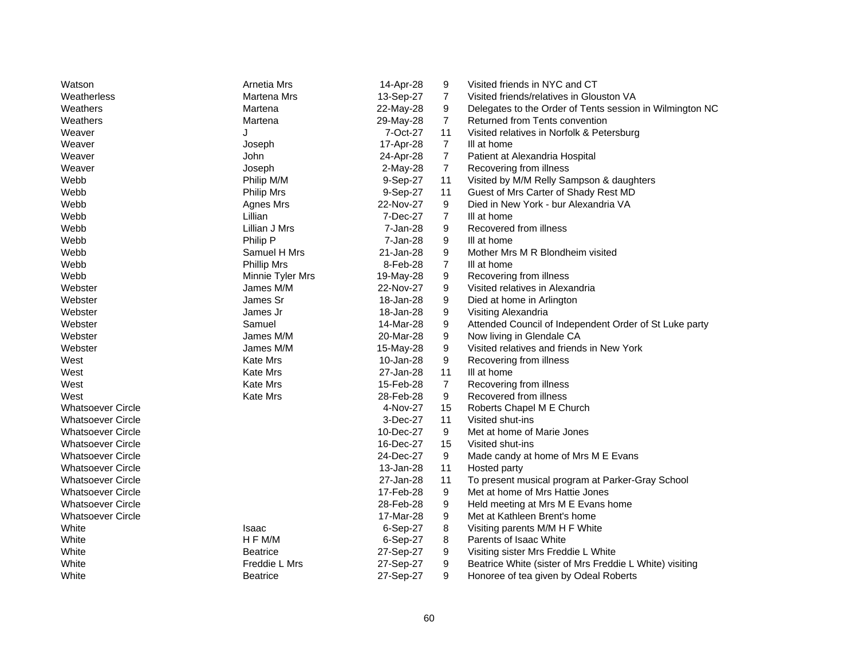| Watson                   | Arnetia Mrs        | 14-Apr-28 | 9              | Visited friends in NYC and CT                            |
|--------------------------|--------------------|-----------|----------------|----------------------------------------------------------|
| Weatherless              | Martena Mrs        | 13-Sep-27 | $\overline{7}$ | Visited friends/relatives in Glouston VA                 |
| Weathers                 | Martena            | 22-May-28 | 9              | Delegates to the Order of Tents session in Wilmington NC |
| Weathers                 | Martena            | 29-May-28 | $\overline{7}$ | Returned from Tents convention                           |
| Weaver                   | J                  | 7-Oct-27  | 11             | Visited relatives in Norfolk & Petersburg                |
| Weaver                   | Joseph             | 17-Apr-28 | $\overline{7}$ | III at home                                              |
| Weaver                   | John               | 24-Apr-28 | $\overline{7}$ | Patient at Alexandria Hospital                           |
| Weaver                   | Joseph             | 2-May-28  | $\overline{7}$ | Recovering from illness                                  |
| Webb                     | Philip M/M         | 9-Sep-27  | 11             | Visited by M/M Relly Sampson & daughters                 |
| Webb                     | <b>Philip Mrs</b>  | 9-Sep-27  | 11             | Guest of Mrs Carter of Shady Rest MD                     |
| Webb                     | Agnes Mrs          | 22-Nov-27 | 9              | Died in New York - bur Alexandria VA                     |
| Webb                     | Lillian            | 7-Dec-27  | $\overline{7}$ | III at home                                              |
| Webb                     | Lillian J Mrs      | 7-Jan-28  | 9              | Recovered from illness                                   |
| Webb                     | Philip P           | 7-Jan-28  | 9              | III at home                                              |
| Webb                     | Samuel H Mrs       | 21-Jan-28 | 9              | Mother Mrs M R Blondheim visited                         |
| Webb                     | <b>Phillip Mrs</b> | 8-Feb-28  | $\overline{7}$ | III at home                                              |
| Webb                     | Minnie Tyler Mrs   | 19-May-28 | 9              | Recovering from illness                                  |
| Webster                  | James M/M          | 22-Nov-27 | 9              | Visited relatives in Alexandria                          |
| Webster                  | James Sr           | 18-Jan-28 | 9              | Died at home in Arlington                                |
| Webster                  | James Jr           | 18-Jan-28 | 9              | Visiting Alexandria                                      |
| Webster                  | Samuel             | 14-Mar-28 | 9              | Attended Council of Independent Order of St Luke party   |
| Webster                  | James M/M          | 20-Mar-28 | 9              | Now living in Glendale CA                                |
| Webster                  | James M/M          | 15-May-28 | 9              | Visited relatives and friends in New York                |
| West                     | Kate Mrs           | 10-Jan-28 | 9              | Recovering from illness                                  |
| West                     | <b>Kate Mrs</b>    | 27-Jan-28 | 11             | III at home                                              |
| West                     | Kate Mrs           | 15-Feb-28 | 7              | Recovering from illness                                  |
| West                     | Kate Mrs           | 28-Feb-28 | 9              | Recovered from illness                                   |
| <b>Whatsoever Circle</b> |                    | 4-Nov-27  | 15             | Roberts Chapel M E Church                                |
| <b>Whatsoever Circle</b> |                    | 3-Dec-27  | 11             | Visited shut-ins                                         |
| <b>Whatsoever Circle</b> |                    | 10-Dec-27 | 9              | Met at home of Marie Jones                               |
| <b>Whatsoever Circle</b> |                    | 16-Dec-27 | 15             | Visited shut-ins                                         |
| <b>Whatsoever Circle</b> |                    | 24-Dec-27 | 9              | Made candy at home of Mrs M E Evans                      |
| <b>Whatsoever Circle</b> |                    | 13-Jan-28 | 11             | Hosted party                                             |
| <b>Whatsoever Circle</b> |                    | 27-Jan-28 | 11             | To present musical program at Parker-Gray School         |
| <b>Whatsoever Circle</b> |                    | 17-Feb-28 | 9              | Met at home of Mrs Hattie Jones                          |
| <b>Whatsoever Circle</b> |                    | 28-Feb-28 | 9              | Held meeting at Mrs M E Evans home                       |
| <b>Whatsoever Circle</b> |                    | 17-Mar-28 | 9              | Met at Kathleen Brent's home                             |
| White                    | Isaac              | 6-Sep-27  | 8              | Visiting parents M/M H F White                           |
| White                    | H F M/M            | 6-Sep-27  | 8              | Parents of Isaac White                                   |
| White                    | <b>Beatrice</b>    | 27-Sep-27 | 9              | Visiting sister Mrs Freddie L White                      |
| White                    | Freddie L Mrs      | 27-Sep-27 | 9              | Beatrice White (sister of Mrs Freddie L White) visiting  |
| White                    |                    |           |                |                                                          |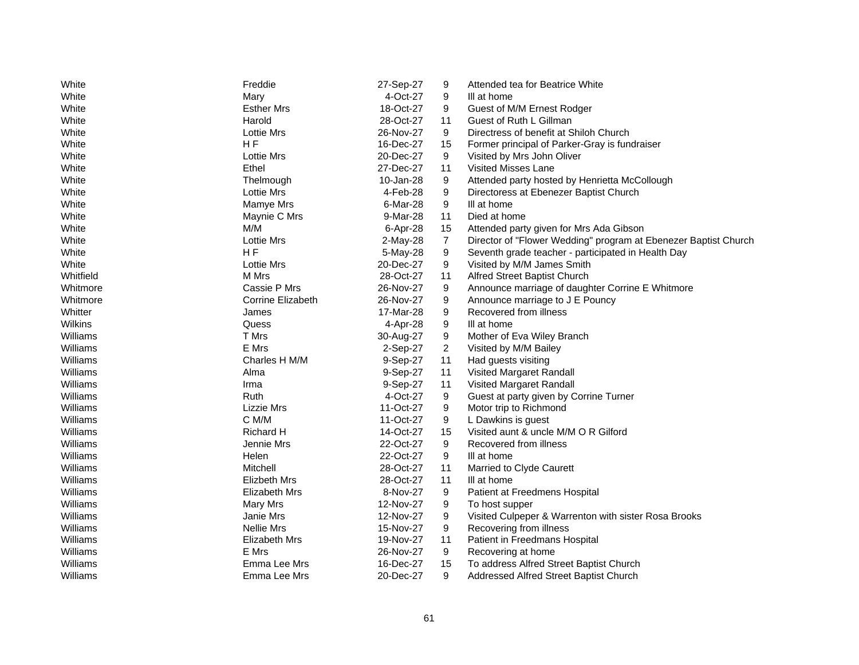| White          | Freddie             | 27-Sep-27  | 9              | Attended tea for Beatrice White                                 |
|----------------|---------------------|------------|----------------|-----------------------------------------------------------------|
| White          | Mary                | 4-Oct-27   | 9              | III at home                                                     |
| White          | <b>Esther Mrs</b>   | 18-Oct-27  | 9              | Guest of M/M Ernest Rodger                                      |
| White          | Harold              | 28-Oct-27  | 11             | Guest of Ruth L Gillman                                         |
| White          | Lottie Mrs          | 26-Nov-27  | 9              | Directress of benefit at Shiloh Church                          |
| White          | H <sub>F</sub>      | 16-Dec-27  | 15             | Former principal of Parker-Gray is fundraiser                   |
| White          | <b>Lottie Mrs</b>   | 20-Dec-27  | 9              | Visited by Mrs John Oliver                                      |
| White          | Ethel               | 27-Dec-27  | 11             | <b>Visited Misses Lane</b>                                      |
| White          | Thelmough           | 10-Jan-28  | 9              | Attended party hosted by Henrietta McCollough                   |
| White          | <b>Lottie Mrs</b>   | 4-Feb-28   | 9              | Directoress at Ebenezer Baptist Church                          |
| White          | Mamye Mrs           | 6-Mar-28   | 9              | III at home                                                     |
| White          | Maynie C Mrs        | 9-Mar-28   | 11             | Died at home                                                    |
| White          | M/M                 | 6-Apr-28   | 15             | Attended party given for Mrs Ada Gibson                         |
| White          | <b>Lottie Mrs</b>   | $2-May-28$ | $\overline{7}$ | Director of "Flower Wedding" program at Ebenezer Baptist Church |
| White          | HF                  | 5-May-28   | 9              | Seventh grade teacher - participated in Health Day              |
| White          | <b>Lottie Mrs</b>   | 20-Dec-27  | 9              | Visited by M/M James Smith                                      |
| Whitfield      | M Mrs               | 28-Oct-27  | 11             | Alfred Street Baptist Church                                    |
| Whitmore       | Cassie P Mrs        | 26-Nov-27  | 9              | Announce marriage of daughter Corrine E Whitmore                |
| Whitmore       | Corrine Elizabeth   | 26-Nov-27  | 9              | Announce marriage to J E Pouncy                                 |
| Whitter        | James               | 17-Mar-28  | 9              | Recovered from illness                                          |
| <b>Wilkins</b> | Quess               | 4-Apr-28   | 9              | III at home                                                     |
| Williams       | T Mrs               | 30-Aug-27  | 9              | Mother of Eva Wiley Branch                                      |
| Williams       | E Mrs               | $2-Sep-27$ | $\overline{2}$ | Visited by M/M Bailey                                           |
| Williams       | Charles H M/M       | 9-Sep-27   | 11             | Had guests visiting                                             |
| Williams       | Alma                | 9-Sep-27   | 11             | Visited Margaret Randall                                        |
| Williams       | Irma                | 9-Sep-27   | 11             | Visited Margaret Randall                                        |
| Williams       | Ruth                | 4-Oct-27   | 9              | Guest at party given by Corrine Turner                          |
| Williams       | Lizzie Mrs          | 11-Oct-27  | 9              | Motor trip to Richmond                                          |
| Williams       | C M/M               | 11-Oct-27  | 9              | L Dawkins is guest                                              |
| Williams       | Richard H           | 14-Oct-27  | 15             | Visited aunt & uncle M/M O R Gilford                            |
| Williams       | Jennie Mrs          | 22-Oct-27  | 9              | Recovered from illness                                          |
| Williams       | Helen               | 22-Oct-27  | 9              | III at home                                                     |
| Williams       | Mitchell            | 28-Oct-27  | 11             | Married to Clyde Caurett                                        |
| Williams       | <b>Elizbeth Mrs</b> | 28-Oct-27  | 11             | III at home                                                     |
| Williams       | Elizabeth Mrs       | 8-Nov-27   | 9              | Patient at Freedmens Hospital                                   |
| Williams       | Mary Mrs            | 12-Nov-27  | 9              | To host supper                                                  |
| Williams       | Janie Mrs           | 12-Nov-27  | 9              | Visited Culpeper & Warrenton with sister Rosa Brooks            |
| Williams       | <b>Nellie Mrs</b>   | 15-Nov-27  | 9              | Recovering from illness                                         |
| Williams       | Elizabeth Mrs       | 19-Nov-27  | 11             | Patient in Freedmans Hospital                                   |
| Williams       | E Mrs               | 26-Nov-27  | 9              | Recovering at home                                              |
| Williams       | Emma Lee Mrs        | 16-Dec-27  | 15             | To address Alfred Street Baptist Church                         |
| Williams       | Emma Lee Mrs        | 20-Dec-27  | 9              | Addressed Alfred Street Baptist Church                          |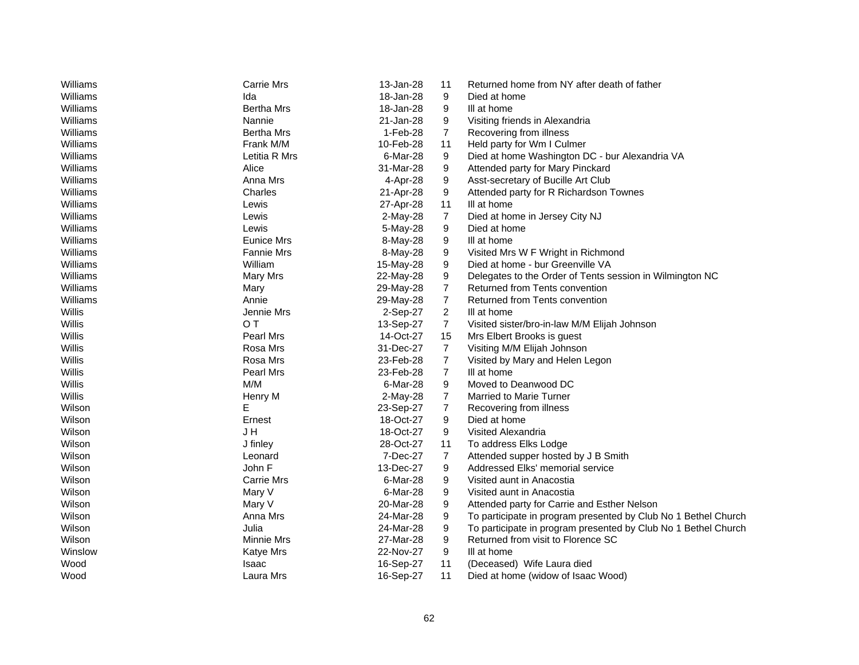| Williams | <b>Carrie Mrs</b> | 13-Jan-28 | 11             | Returned home from NY after death of father                    |
|----------|-------------------|-----------|----------------|----------------------------------------------------------------|
| Williams | Ida               | 18-Jan-28 | 9              | Died at home                                                   |
| Williams | <b>Bertha Mrs</b> | 18-Jan-28 | 9              | III at home                                                    |
| Williams | Nannie            | 21-Jan-28 | 9              | Visiting friends in Alexandria                                 |
| Williams | <b>Bertha Mrs</b> | 1-Feb-28  | $\overline{7}$ | Recovering from illness                                        |
| Williams | Frank M/M         | 10-Feb-28 | 11             | Held party for Wm I Culmer                                     |
| Williams | Letitia R Mrs     | 6-Mar-28  | 9              | Died at home Washington DC - bur Alexandria VA                 |
| Williams | Alice             | 31-Mar-28 | 9              | Attended party for Mary Pinckard                               |
| Williams | Anna Mrs          | 4-Apr-28  | 9              | Asst-secretary of Bucille Art Club                             |
| Williams | Charles           | 21-Apr-28 | 9              | Attended party for R Richardson Townes                         |
| Williams | Lewis             | 27-Apr-28 | 11             | III at home                                                    |
| Williams | Lewis             | 2-May-28  | $\overline{7}$ | Died at home in Jersey City NJ                                 |
| Williams | Lewis             | 5-May-28  | 9              | Died at home                                                   |
| Williams | Eunice Mrs        | 8-May-28  | 9              | III at home                                                    |
| Williams | <b>Fannie Mrs</b> | 8-May-28  | 9              | Visited Mrs W F Wright in Richmond                             |
| Williams | William           | 15-May-28 | 9              | Died at home - bur Greenville VA                               |
| Williams | Mary Mrs          | 22-May-28 | 9              | Delegates to the Order of Tents session in Wilmington NC       |
| Williams | Mary              | 29-May-28 | 7              | Returned from Tents convention                                 |
| Williams | Annie             | 29-May-28 | $\overline{7}$ | Returned from Tents convention                                 |
| Willis   | Jennie Mrs        | 2-Sep-27  | $\overline{c}$ | III at home                                                    |
| Willis   | O T               | 13-Sep-27 | $\overline{7}$ | Visited sister/bro-in-law M/M Elijah Johnson                   |
| Willis   | Pearl Mrs         | 14-Oct-27 | 15             | Mrs Elbert Brooks is guest                                     |
| Willis   | Rosa Mrs          | 31-Dec-27 | $\overline{7}$ | Visiting M/M Elijah Johnson                                    |
| Willis   | Rosa Mrs          | 23-Feb-28 | $\overline{7}$ | Visited by Mary and Helen Legon                                |
| Willis   | <b>Pearl Mrs</b>  | 23-Feb-28 | $\overline{7}$ | III at home                                                    |
| Willis   | M/M               | 6-Mar-28  | 9              | Moved to Deanwood DC                                           |
| Willis   | Henry M           | 2-May-28  | 7              | <b>Married to Marie Turner</b>                                 |
| Wilson   | Е                 | 23-Sep-27 | $\overline{7}$ | Recovering from illness                                        |
| Wilson   | Ernest            | 18-Oct-27 | 9              | Died at home                                                   |
| Wilson   | J H               | 18-Oct-27 | 9              | Visited Alexandria                                             |
| Wilson   | J finley          | 28-Oct-27 | 11             | To address Elks Lodge                                          |
| Wilson   | Leonard           | 7-Dec-27  | 7              | Attended supper hosted by J B Smith                            |
| Wilson   | John F            | 13-Dec-27 | 9              | Addressed Elks' memorial service                               |
| Wilson   | <b>Carrie Mrs</b> | 6-Mar-28  | 9              | Visited aunt in Anacostia                                      |
| Wilson   | Mary V            | 6-Mar-28  | 9              | Visited aunt in Anacostia                                      |
| Wilson   | Mary V            | 20-Mar-28 | 9              | Attended party for Carrie and Esther Nelson                    |
| Wilson   | Anna Mrs          | 24-Mar-28 | 9              | To participate in program presented by Club No 1 Bethel Church |
| Wilson   | Julia             | 24-Mar-28 | 9              | To participate in program presented by Club No 1 Bethel Church |
| Wilson   | Minnie Mrs        | 27-Mar-28 | 9              | Returned from visit to Florence SC                             |
| Winslow  | <b>Katye Mrs</b>  | 22-Nov-27 | 9              | III at home                                                    |
| Wood     | Isaac             | 16-Sep-27 | 11             | (Deceased) Wife Laura died                                     |
| Wood     | Laura Mrs         | 16-Sep-27 | 11             | Died at home (widow of Isaac Wood)                             |